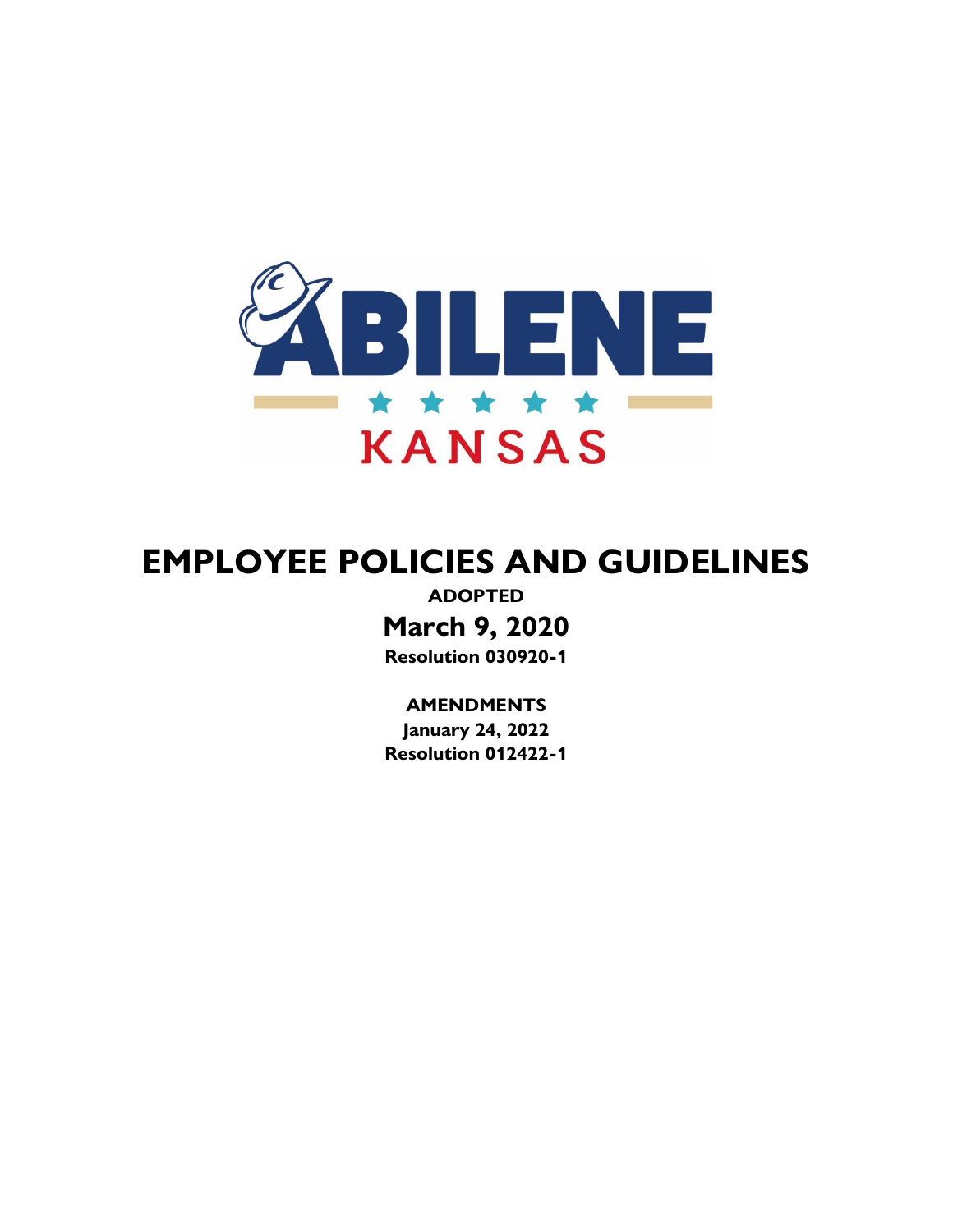

# **EMPLOYEE POLICIES AND GUIDELINES**

**ADOPTED March 9, 2020 Resolution 030920-1**

**AMENDMENTS**

**January 24, 2022 Resolution 012422-1**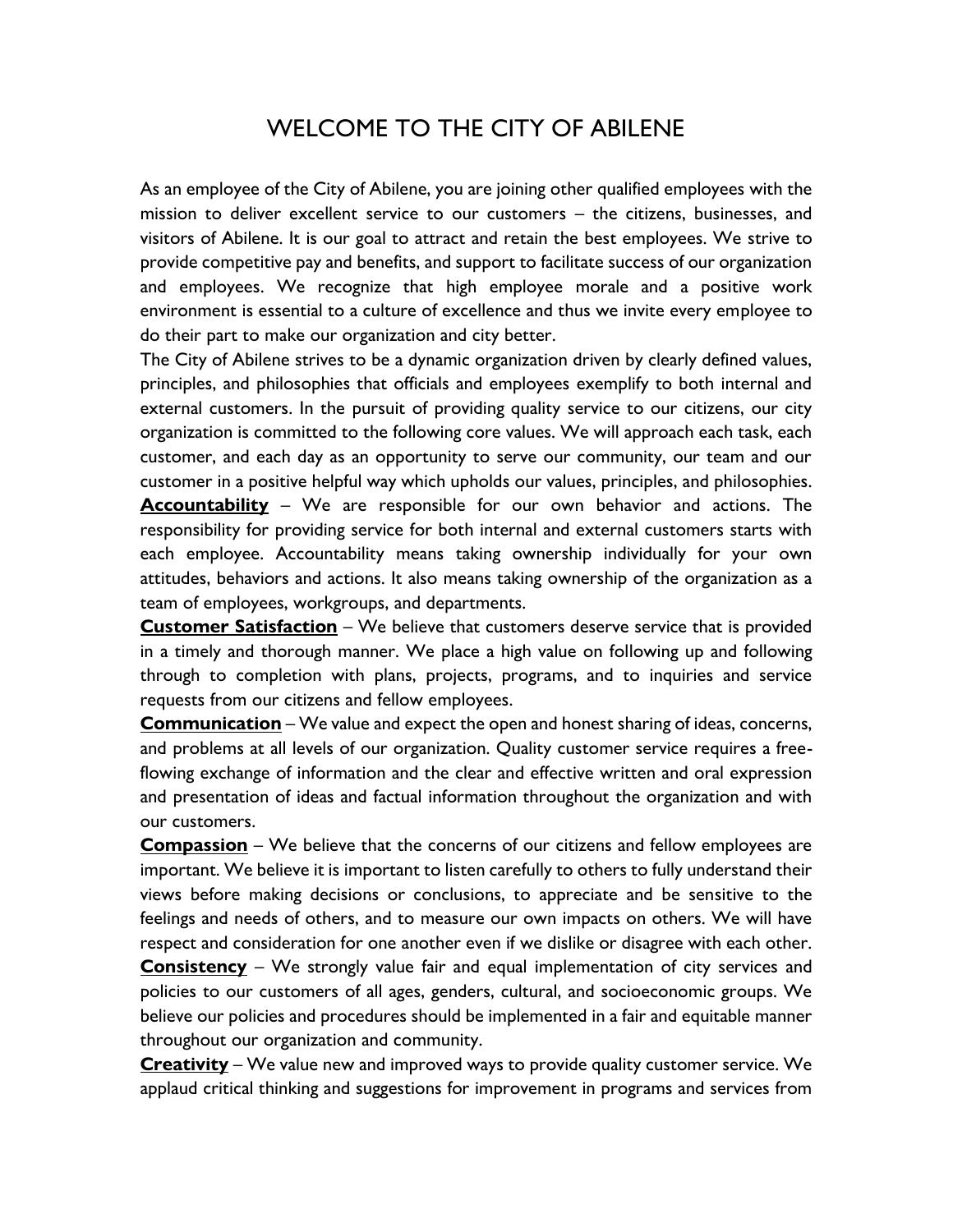# WELCOME TO THE CITY OF ABILENE

As an employee of the City of Abilene, you are joining other qualified employees with the mission to deliver excellent service to our customers – the citizens, businesses, and visitors of Abilene. It is our goal to attract and retain the best employees. We strive to provide competitive pay and benefits, and support to facilitate success of our organization and employees. We recognize that high employee morale and a positive work environment is essential to a culture of excellence and thus we invite every employee to do their part to make our organization and city better.

The City of Abilene strives to be a dynamic organization driven by clearly defined values, principles, and philosophies that officials and employees exemplify to both internal and external customers. In the pursuit of providing quality service to our citizens, our city organization is committed to the following core values. We will approach each task, each customer, and each day as an opportunity to serve our community, our team and our customer in a positive helpful way which upholds our values, principles, and philosophies. **Accountability** – We are responsible for our own behavior and actions. The responsibility for providing service for both internal and external customers starts with each employee. Accountability means taking ownership individually for your own attitudes, behaviors and actions. It also means taking ownership of the organization as a team of employees, workgroups, and departments.

**Customer Satisfaction** – We believe that customers deserve service that is provided in a timely and thorough manner. We place a high value on following up and following through to completion with plans, projects, programs, and to inquiries and service requests from our citizens and fellow employees.

**Communication** – We value and expect the open and honest sharing of ideas, concerns, and problems at all levels of our organization. Quality customer service requires a freeflowing exchange of information and the clear and effective written and oral expression and presentation of ideas and factual information throughout the organization and with our customers.

**Compassion** – We believe that the concerns of our citizens and fellow employees are important. We believe it is important to listen carefully to others to fully understand their views before making decisions or conclusions, to appreciate and be sensitive to the feelings and needs of others, and to measure our own impacts on others. We will have respect and consideration for one another even if we dislike or disagree with each other.

**Consistency** – We strongly value fair and equal implementation of city services and policies to our customers of all ages, genders, cultural, and socioeconomic groups. We believe our policies and procedures should be implemented in a fair and equitable manner throughout our organization and community.

**Creativity** – We value new and improved ways to provide quality customer service. We applaud critical thinking and suggestions for improvement in programs and services from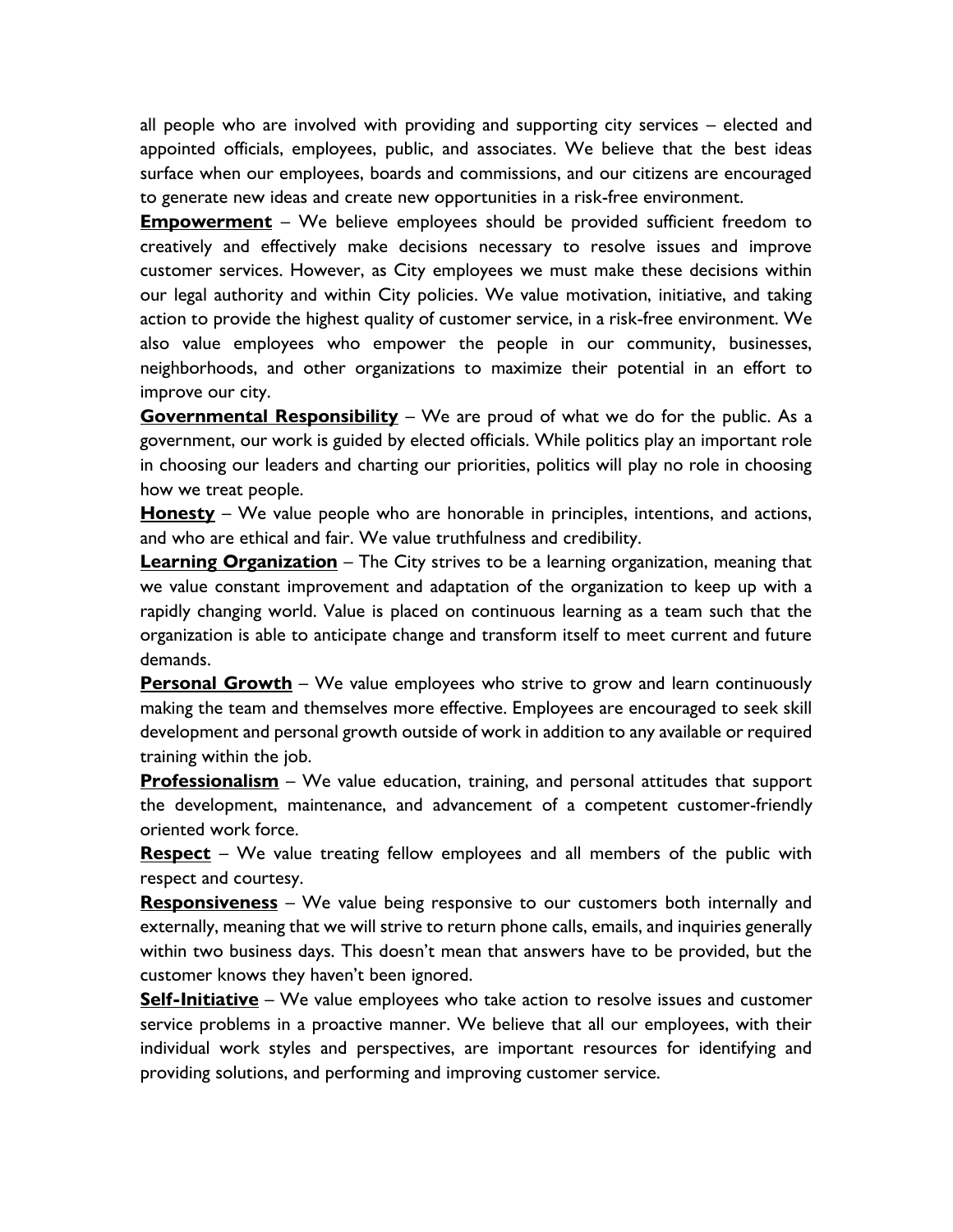all people who are involved with providing and supporting city services – elected and appointed officials, employees, public, and associates. We believe that the best ideas surface when our employees, boards and commissions, and our citizens are encouraged to generate new ideas and create new opportunities in a risk-free environment.

**Empowerment** – We believe employees should be provided sufficient freedom to creatively and effectively make decisions necessary to resolve issues and improve customer services. However, as City employees we must make these decisions within our legal authority and within City policies. We value motivation, initiative, and taking action to provide the highest quality of customer service, in a risk-free environment. We also value employees who empower the people in our community, businesses, neighborhoods, and other organizations to maximize their potential in an effort to improve our city.

**Governmental Responsibility** – We are proud of what we do for the public. As a government, our work is guided by elected officials. While politics play an important role in choosing our leaders and charting our priorities, politics will play no role in choosing how we treat people.

**Honesty** – We value people who are honorable in principles, intentions, and actions, and who are ethical and fair. We value truthfulness and credibility.

**Learning Organization** – The City strives to be a learning organization, meaning that we value constant improvement and adaptation of the organization to keep up with a rapidly changing world. Value is placed on continuous learning as a team such that the organization is able to anticipate change and transform itself to meet current and future demands.

**Personal Growth** – We value employees who strive to grow and learn continuously making the team and themselves more effective. Employees are encouraged to seek skill development and personal growth outside of work in addition to any available or required training within the job.

**Professionalism** – We value education, training, and personal attitudes that support the development, maintenance, and advancement of a competent customer-friendly oriented work force.

**Respect** – We value treating fellow employees and all members of the public with respect and courtesy.

**Responsiveness** – We value being responsive to our customers both internally and externally, meaning that we will strive to return phone calls, emails, and inquiries generally within two business days. This doesn't mean that answers have to be provided, but the customer knows they haven't been ignored.

**Self-Initiative** – We value employees who take action to resolve issues and customer service problems in a proactive manner. We believe that all our employees, with their individual work styles and perspectives, are important resources for identifying and providing solutions, and performing and improving customer service.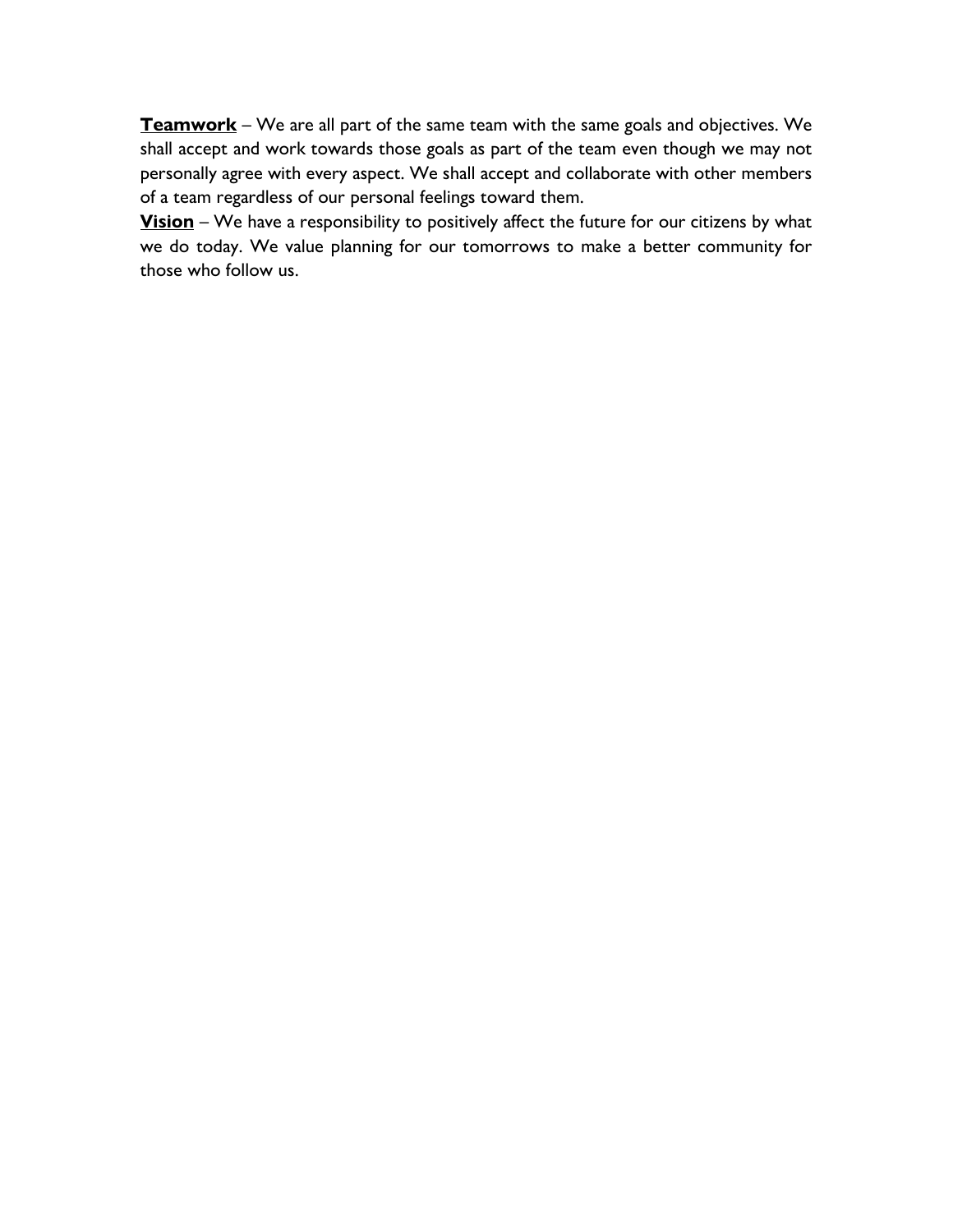**Teamwork** – We are all part of the same team with the same goals and objectives. We shall accept and work towards those goals as part of the team even though we may not personally agree with every aspect. We shall accept and collaborate with other members of a team regardless of our personal feelings toward them.

**Vision** – We have a responsibility to positively affect the future for our citizens by what we do today. We value planning for our tomorrows to make a better community for those who follow us.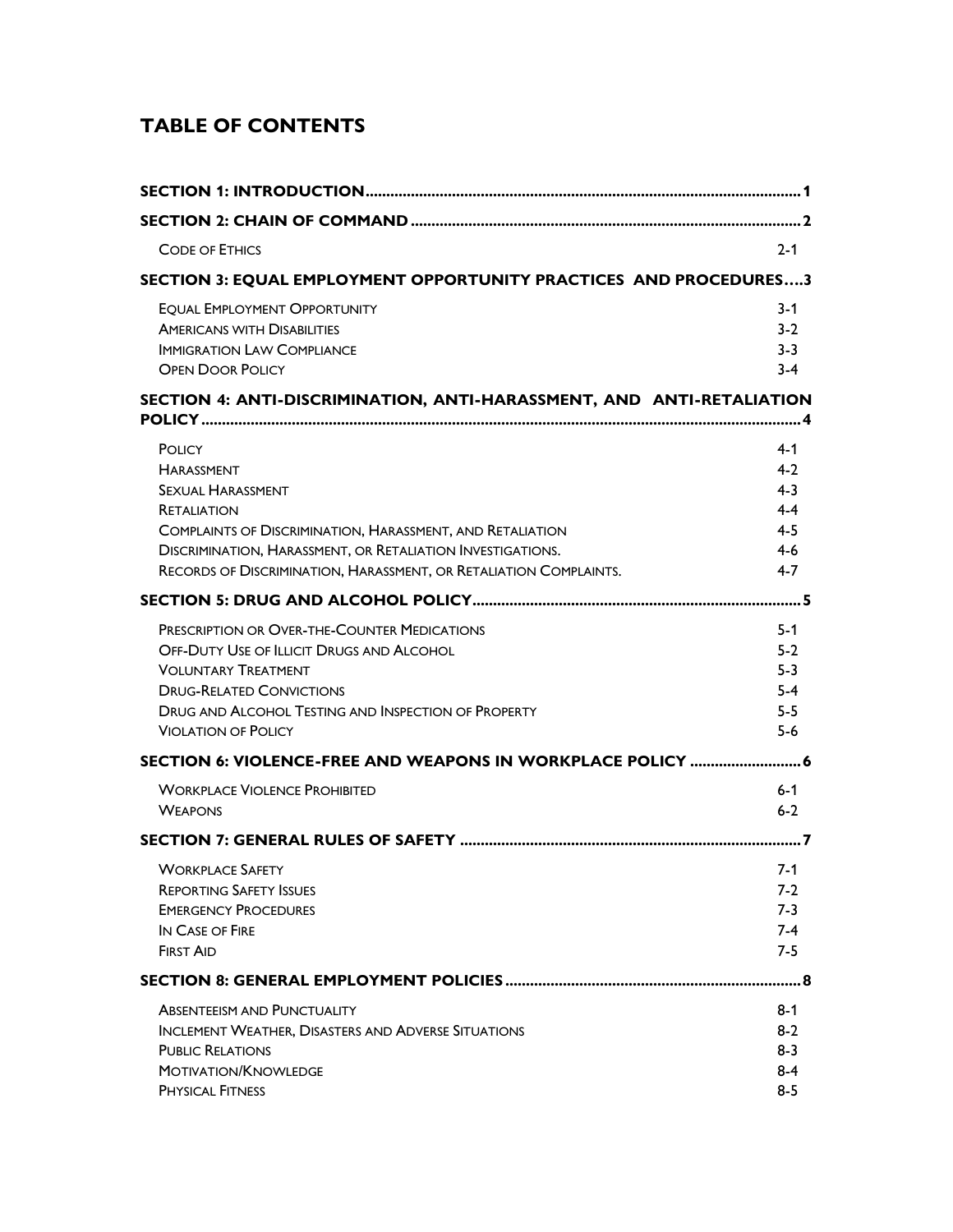# **TABLE OF CONTENTS**

| <b>CODE OF ETHICS</b>                                                                                                                                                                                                                                                                       | $2 - 1$                                                               |
|---------------------------------------------------------------------------------------------------------------------------------------------------------------------------------------------------------------------------------------------------------------------------------------------|-----------------------------------------------------------------------|
| SECTION 3: EQUAL EMPLOYMENT OPPORTUNITY PRACTICES AND PROCEDURES3                                                                                                                                                                                                                           |                                                                       |
| <b>EQUAL EMPLOYMENT OPPORTUNITY</b><br><b>AMERICANS WITH DISABILITIES</b><br><b>IMMIGRATION LAW COMPLIANCE</b><br><b>OPEN DOOR POLICY</b>                                                                                                                                                   | $3 - 1$<br>$3-2$<br>$3 - 3$<br>$3 - 4$                                |
| SECTION 4: ANTI-DISCRIMINATION, ANTI-HARASSMENT, AND ANTI-RETALIATION                                                                                                                                                                                                                       |                                                                       |
| POLICY<br><b>HARASSMENT</b><br><b>SEXUAL HARASSMENT</b><br><b>RETALIATION</b><br><b>COMPLAINTS OF DISCRIMINATION, HARASSMENT, AND RETALIATION</b><br><b>DISCRIMINATION, HARASSMENT, OR RETALIATION INVESTIGATIONS.</b><br>RECORDS OF DISCRIMINATION, HARASSMENT, OR RETALIATION COMPLAINTS. | $4 - 1$<br>$4-2$<br>$4 - 3$<br>$4 - 4$<br>$4 - 5$<br>$4-6$<br>$4 - 7$ |
|                                                                                                                                                                                                                                                                                             |                                                                       |
| <b>PRESCRIPTION OR OVER-THE-COUNTER MEDICATIONS</b><br>OFF-DUTY USE OF ILLICIT DRUGS AND ALCOHOL<br><b>VOLUNTARY TREATMENT</b><br><b>DRUG-RELATED CONVICTIONS</b><br><b>DRUG AND ALCOHOL TESTING AND INSPECTION OF PROPERTY</b><br><b>VIOLATION OF POLICY</b>                               | $5 - 1$<br>$5-2$<br>$5-3$<br>$5-4$<br>$5-5$<br>$5-6$                  |
|                                                                                                                                                                                                                                                                                             |                                                                       |
| <b>WORKPLACE VIOLENCE PROHIBITED</b><br><b>WEAPONS</b>                                                                                                                                                                                                                                      | $6 - 1$<br>$6 - 2$                                                    |
|                                                                                                                                                                                                                                                                                             |                                                                       |
| <b>WORKPLACE SAFETY</b><br><b>REPORTING SAFETY ISSUES</b><br><b>EMERGENCY PROCEDURES</b><br>IN CASE OF FIRE<br><b>FIRST AID</b>                                                                                                                                                             | $7-1$<br>$7-2$<br>$7-3$<br>$7-4$<br>$7-5$                             |
|                                                                                                                                                                                                                                                                                             |                                                                       |
| <b>ABSENTEEISM AND PUNCTUALITY</b><br><b>INCLEMENT WEATHER, DISASTERS AND ADVERSE SITUATIONS</b><br><b>PUBLIC RELATIONS</b><br><b>MOTIVATION/KNOWLEDGE</b><br><b>PHYSICAL FITNESS</b>                                                                                                       | $8 - 1$<br>$8-2$<br>$8 - 3$<br>$8 - 4$<br>$8 - 5$                     |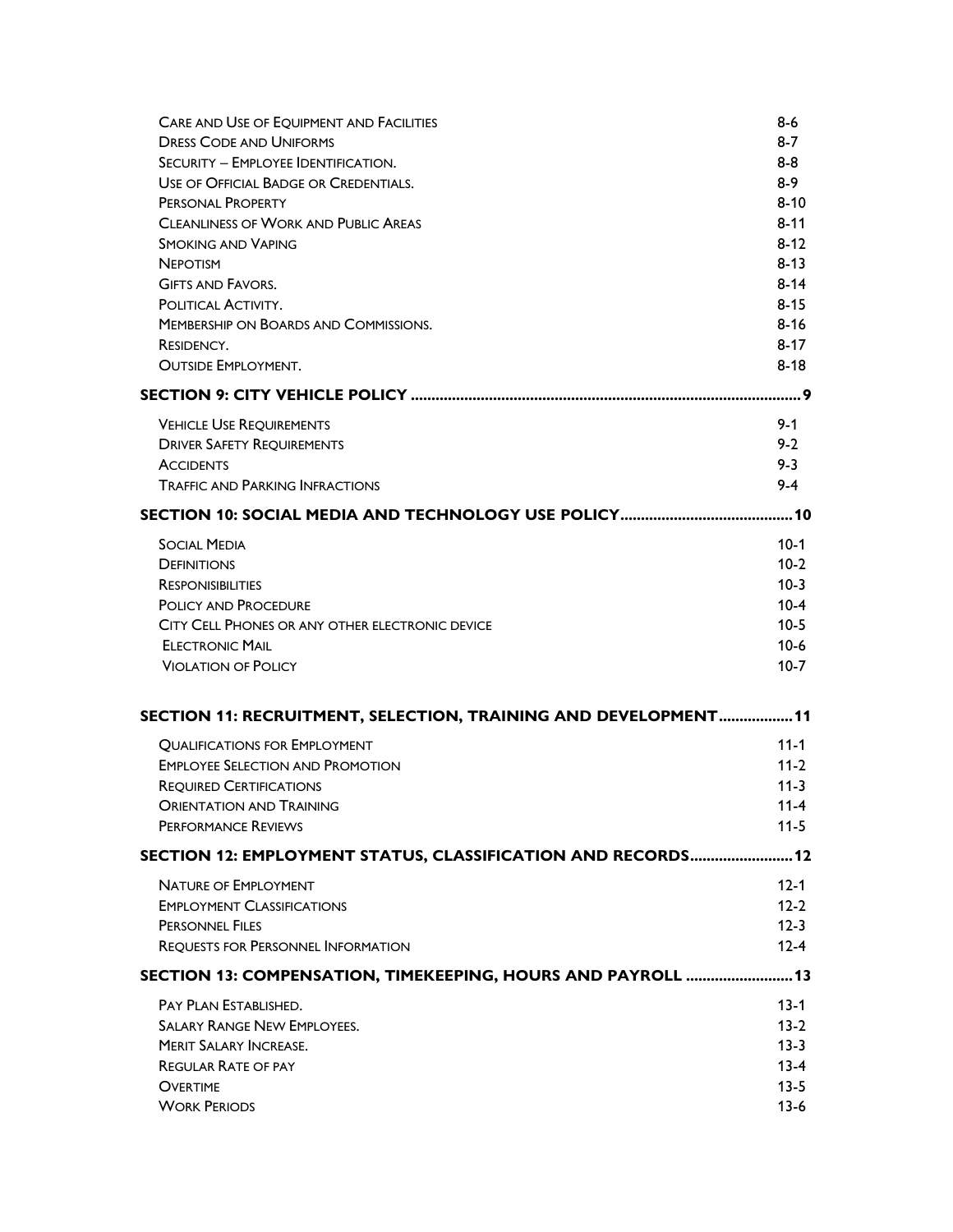| <b>CARE AND USE OF EQUIPMENT AND FACILITIES</b>                 | $8 - 6$  |
|-----------------------------------------------------------------|----------|
| <b>DRESS CODE AND UNIFORMS</b>                                  | $8 - 7$  |
| SECURITY - EMPLOYEE IDENTIFICATION.                             | $8 - 8$  |
| USE OF OFFICIAL BADGE OR CREDENTIALS.                           | $8-9$    |
| PERSONAL PROPERTY                                               | $8 - 10$ |
| <b>CLEANLINESS OF WORK AND PUBLIC AREAS</b>                     | $8 - 11$ |
| <b>SMOKING AND VAPING</b>                                       | $8 - 12$ |
| <b>NEPOTISM</b>                                                 | $8 - 13$ |
| <b>GIFTS AND FAVORS.</b>                                        | $8 - 14$ |
| POLITICAL ACTIVITY.                                             | $8 - 15$ |
| MEMBERSHIP ON BOARDS AND COMMISSIONS.                           | $8 - 16$ |
| RESIDENCY.                                                      | $8 - 17$ |
| <b>OUTSIDE EMPLOYMENT.</b>                                      | $8 - 18$ |
|                                                                 | . 9      |
| <b>VEHICLE USE REQUIREMENTS</b>                                 | $9 - 1$  |
| <b>DRIVER SAFETY REQUIREMENTS</b>                               | $9 - 2$  |
| <b>ACCIDENTS</b>                                                | $9 - 3$  |
| <b>TRAFFIC AND PARKING INFRACTIONS</b>                          | $9 - 4$  |
|                                                                 |          |
| <b>SOCIAL MEDIA</b>                                             | $10-1$   |
| <b>DEFINITIONS</b>                                              | $10-2$   |
| <b>RESPONISIBILITIES</b>                                        | $10-3$   |
| POLICY AND PROCEDURE                                            | $10-4$   |
| CITY CELL PHONES OR ANY OTHER ELECTRONIC DEVICE                 | $10-5$   |
| <b>ELECTRONIC MAIL</b>                                          | $10-6$   |
| <b>VIOLATION OF POLICY</b>                                      | $10-7$   |
|                                                                 |          |
| SECTION 11: RECRUITMENT, SELECTION, TRAINING AND DEVELOPMENT 11 |          |
| <b>QUALIFICATIONS FOR EMPLOYMENT</b>                            | $11 - 1$ |
| <b>EMPLOYEE SELECTION AND PROMOTION</b>                         | $11-2$   |
| <b>REQUIRED CERTIFICATIONS</b>                                  | $11 - 3$ |
| <b>ORIENTATION AND TRAINING</b>                                 | $11 - 4$ |
| <b>PERFORMANCE REVIEWS</b>                                      | $11 - 5$ |
| SECTION 12: EMPLOYMENT STATUS, CLASSIFICATION AND RECORDS 12    |          |
| <b>NATURE OF EMPLOYMENT</b>                                     | $12 - 1$ |
| <b>EMPLOYMENT CLASSIFICATIONS</b>                               | $12 - 2$ |
| <b>PERSONNEL FILES</b>                                          | $12 - 3$ |
| <b>REQUESTS FOR PERSONNEL INFORMATION</b>                       | $12 - 4$ |
| SECTION 13: COMPENSATION, TIMEKEEPING, HOURS AND PAYROLL  13    |          |
| PAY PLAN ESTABLISHED.                                           | $13 - 1$ |
| <b>SALARY RANGE NEW EMPLOYEES.</b>                              | $13-2$   |
| <b>MERIT SALARY INCREASE.</b>                                   | $13 - 3$ |
| <b>REGULAR RATE OF PAY</b>                                      | $13 - 4$ |
| <b>OVERTIME</b>                                                 | $13 - 5$ |
| <b>WORK PERIODS</b>                                             | $13-6$   |
|                                                                 |          |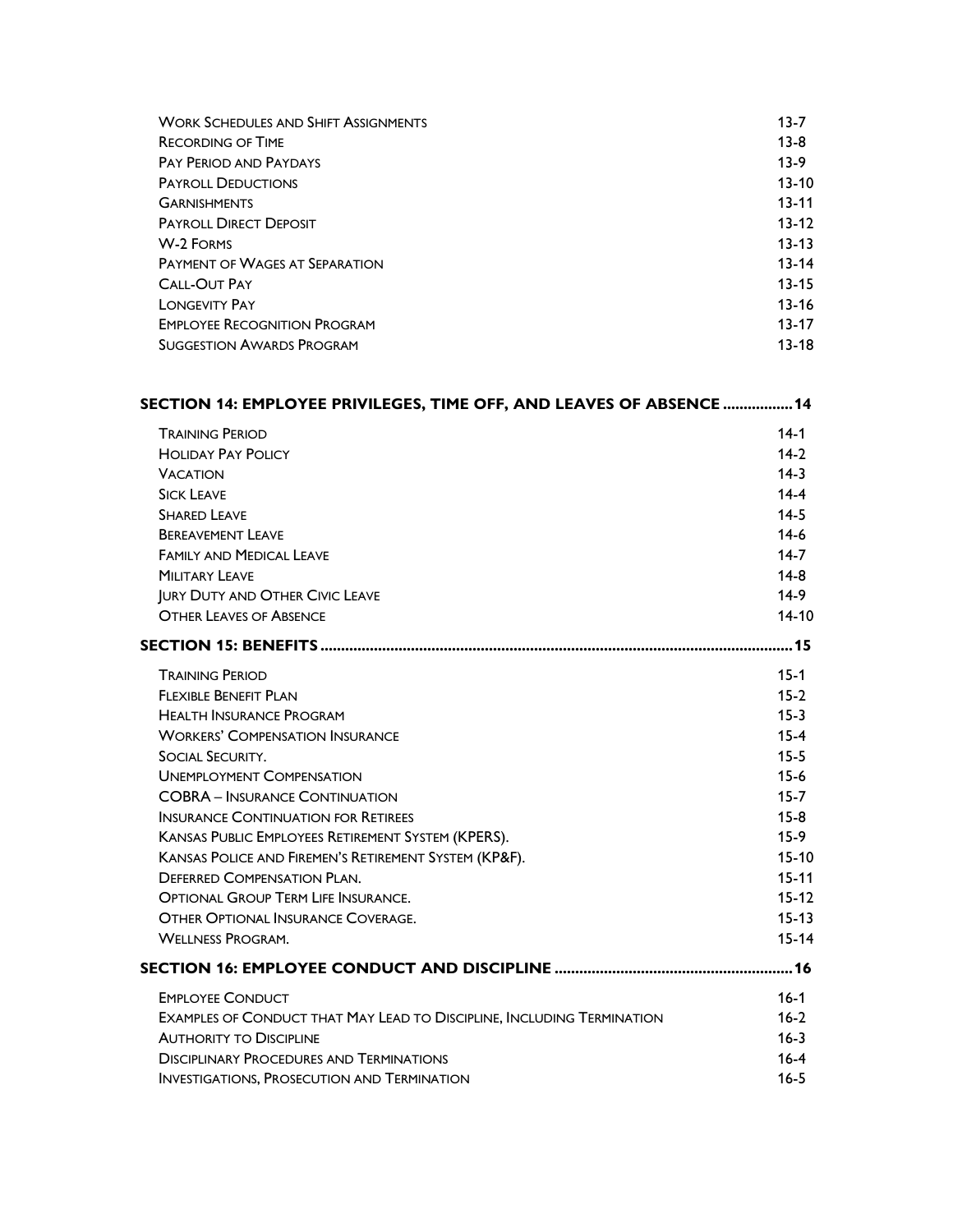| <b>WORK SCHEDULES AND SHIFT ASSIGNMENTS</b> | $13 - 7$  |
|---------------------------------------------|-----------|
| <b>RECORDING OF TIME</b>                    | $13-8$    |
| <b>PAY PERIOD AND PAYDAYS</b>               | $13-9$    |
| <b>PAYROLL DEDUCTIONS</b>                   | $13 - 10$ |
| <b>GARNISHMENTS</b>                         | $13 - 11$ |
| <b>PAYROLL DIRECT DEPOSIT</b>               | $13 - 12$ |
| <b>W-2 FORMS</b>                            | $13 - 13$ |
| <b>PAYMENT OF WAGES AT SEPARATION</b>       | $13 - 14$ |
| <b>CALL-OUT PAY</b>                         | $13 - 15$ |
| <b>LONGEVITY PAY</b>                        | $13 - 16$ |
| <b>EMPLOYEE RECOGNITION PROGRAM</b>         | $13 - 17$ |
| <b>SUGGESTION AWARDS PROGRAM</b>            | $13-18$   |

| SECTION 14: EMPLOYEE PRIVILEGES, TIME OFF, AND LEAVES OF ABSENCE  14          |           |
|-------------------------------------------------------------------------------|-----------|
| <b>TRAINING PERIOD</b>                                                        | $14-1$    |
| <b>HOLIDAY PAY POLICY</b>                                                     | $14-2$    |
| <b>VACATION</b>                                                               | $14-3$    |
| <b>SICK LEAVE</b>                                                             | $14 - 4$  |
| <b>SHARED LEAVE</b>                                                           | $14 - 5$  |
| <b>BERFAVEMENT LEAVE</b>                                                      | $14-6$    |
| <b>FAMILY AND MEDICAL LEAVE</b>                                               | $14 - 7$  |
| <b>MILITARY LEAVE</b>                                                         | $14-8$    |
| <b>JURY DUTY AND OTHER CIVIC LEAVE</b>                                        | $14-9$    |
| <b>OTHER LEAVES OF ABSENCE</b>                                                | $14-10$   |
|                                                                               |           |
| <b>TRAINING PERIOD</b>                                                        | $15 - 1$  |
| FI FXIBI F BENFFIT PI AN                                                      | $15 - 2$  |
| <b>HEALTH INSURANCE PROGRAM</b>                                               | $15 - 3$  |
| <b>WORKERS' COMPENSATION INSURANCE</b>                                        | $15 - 4$  |
| <b>SOCIAL SECURITY.</b>                                                       | $15 - 5$  |
| <b>UNEMPLOYMENT COMPENSATION</b>                                              | $15 - 6$  |
| <b>COBRA - INSURANCE CONTINUATION</b>                                         | $15 - 7$  |
| <b>INSURANCE CONTINUATION FOR RETIREES</b>                                    | $15 - 8$  |
| KANSAS PUBLIC EMPLOYEES RETIREMENT SYSTEM (KPERS).                            | $15-9$    |
| KANSAS POLICE AND FIREMEN'S RETIREMENT SYSTEM (KP&F).                         | $15 - 10$ |
| <b>DEFERRED COMPENSATION PLAN.</b>                                            | $15 - 11$ |
| <b>OPTIONAL GROUP TERM LIFE INSURANCE.</b>                                    | $15 - 12$ |
| <b>OTHER OPTIONAL INSURANCE COVERAGE.</b>                                     | $15 - 13$ |
| <b>WELLNESS PROGRAM.</b>                                                      | $15 - 14$ |
|                                                                               |           |
| <b>EMPLOYEE CONDUCT</b>                                                       | $16 - 1$  |
| <b>EXAMPLES OF CONDUCT THAT MAY LEAD TO DISCIPLINE, INCLUDING TERMINATION</b> | $16 - 2$  |
| <b>AUTHORITY TO DISCIPLINE</b>                                                | $16 - 3$  |
| <b>DISCIPLINARY PROCEDURES AND TERMINATIONS</b>                               | $16 - 4$  |
| <b>INVESTIGATIONS, PROSECUTION AND TERMINATION</b>                            | $16 - 5$  |
|                                                                               |           |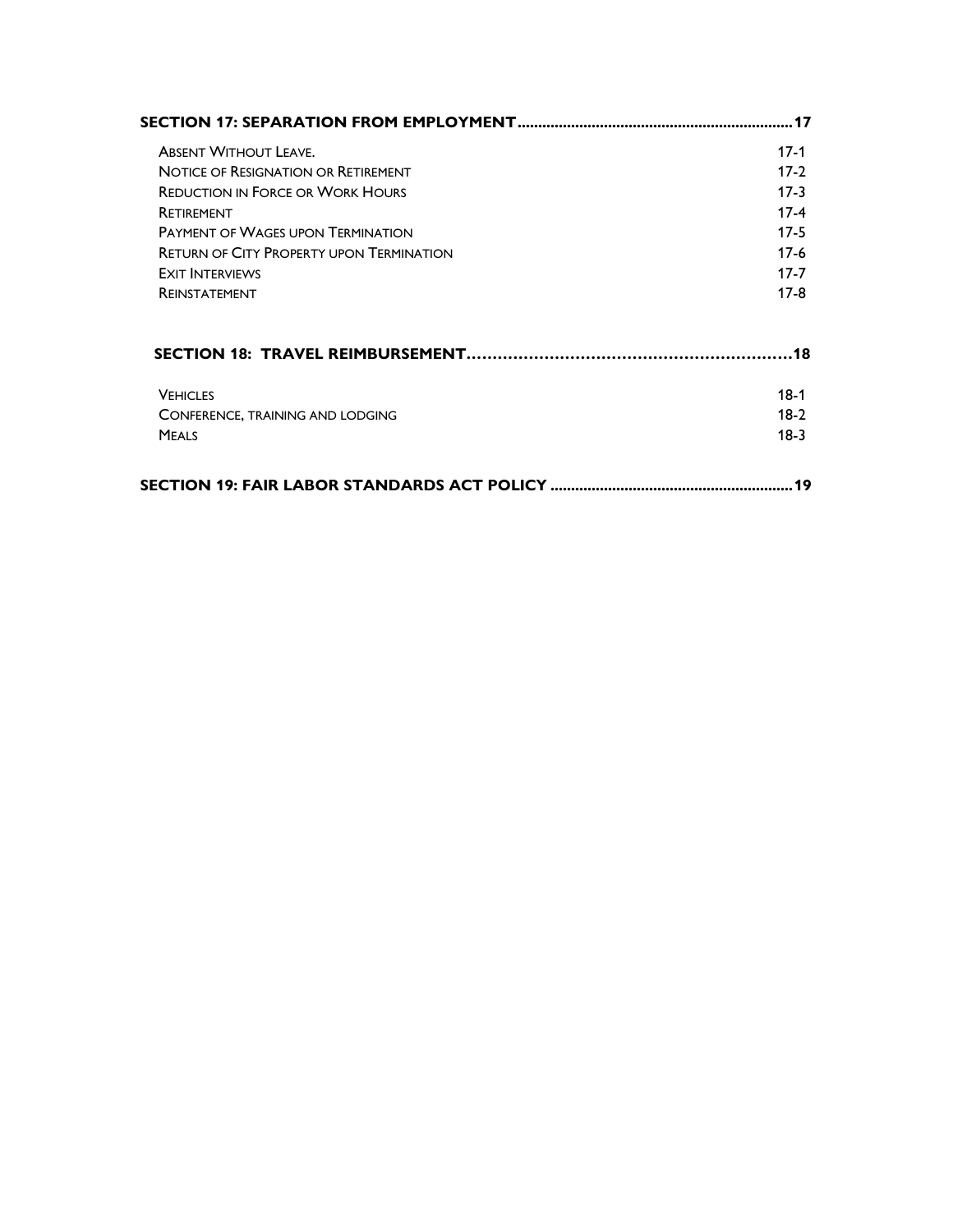| <b>ABSENT WITHOUT LEAVE.</b>                    | $17-1$   |
|-------------------------------------------------|----------|
| <b>NOTICE OF RESIGNATION OR RETIREMENT</b>      | $17-2$   |
| <b>REDUCTION IN FORCE OR WORK HOURS</b>         | $17-3$   |
| <b>RETIREMENT</b>                               | $17-4$   |
| <b>PAYMENT OF WAGES UPON TERMINATION</b>        | $17-5$   |
| <b>RETURN OF CITY PROPERTY UPON TERMINATION</b> | $17-6$   |
| <b>EXIT INTERVIEWS</b>                          | $17 - 7$ |
| <b>REINSTATEMENT</b>                            | $17-8$   |
|                                                 |          |
| <b>VEHICLES</b>                                 | $18-1$   |
| CONFERENCE, TRAINING AND LODGING                | $18-2$   |
| <b>MEALS</b>                                    | $18-3$   |
|                                                 | 19       |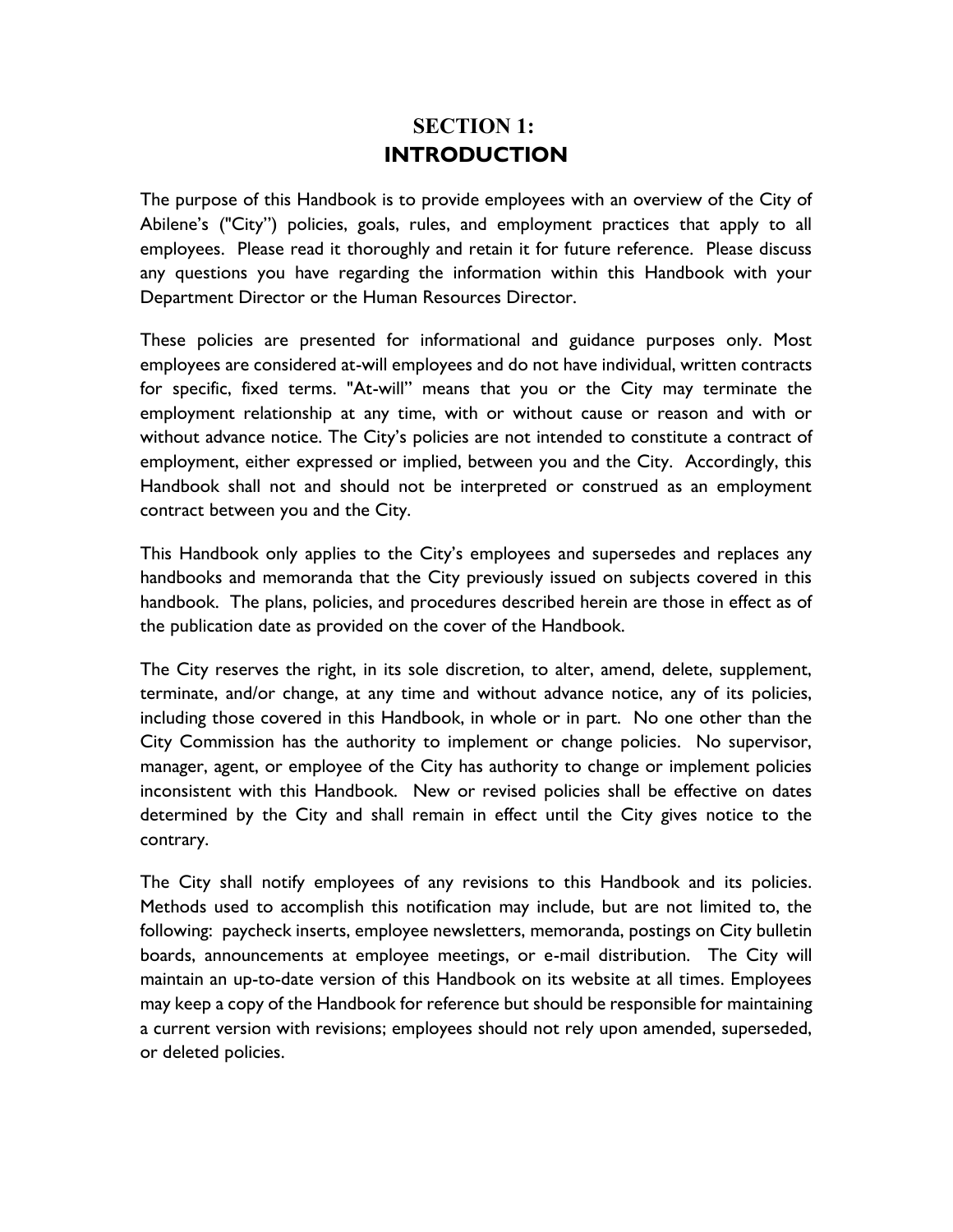# **SECTION 1: INTRODUCTION**

The purpose of this Handbook is to provide employees with an overview of the City of Abilene's ("City") policies, goals, rules, and employment practices that apply to all employees. Please read it thoroughly and retain it for future reference. Please discuss any questions you have regarding the information within this Handbook with your Department Director or the Human Resources Director.

These policies are presented for informational and guidance purposes only. Most employees are considered at-will employees and do not have individual, written contracts for specific, fixed terms. "At-will" means that you or the City may terminate the employment relationship at any time, with or without cause or reason and with or without advance notice. The City's policies are not intended to constitute a contract of employment, either expressed or implied, between you and the City. Accordingly, this Handbook shall not and should not be interpreted or construed as an employment contract between you and the City.

This Handbook only applies to the City's employees and supersedes and replaces any handbooks and memoranda that the City previously issued on subjects covered in this handbook. The plans, policies, and procedures described herein are those in effect as of the publication date as provided on the cover of the Handbook.

The City reserves the right, in its sole discretion, to alter, amend, delete, supplement, terminate, and/or change, at any time and without advance notice, any of its policies, including those covered in this Handbook, in whole or in part. No one other than the City Commission has the authority to implement or change policies. No supervisor, manager, agent, or employee of the City has authority to change or implement policies inconsistent with this Handbook. New or revised policies shall be effective on dates determined by the City and shall remain in effect until the City gives notice to the contrary.

The City shall notify employees of any revisions to this Handbook and its policies. Methods used to accomplish this notification may include, but are not limited to, the following: paycheck inserts, employee newsletters, memoranda, postings on City bulletin boards, announcements at employee meetings, or e-mail distribution. The City will maintain an up-to-date version of this Handbook on its website at all times. Employees may keep a copy of the Handbook for reference but should be responsible for maintaining a current version with revisions; employees should not rely upon amended, superseded, or deleted policies.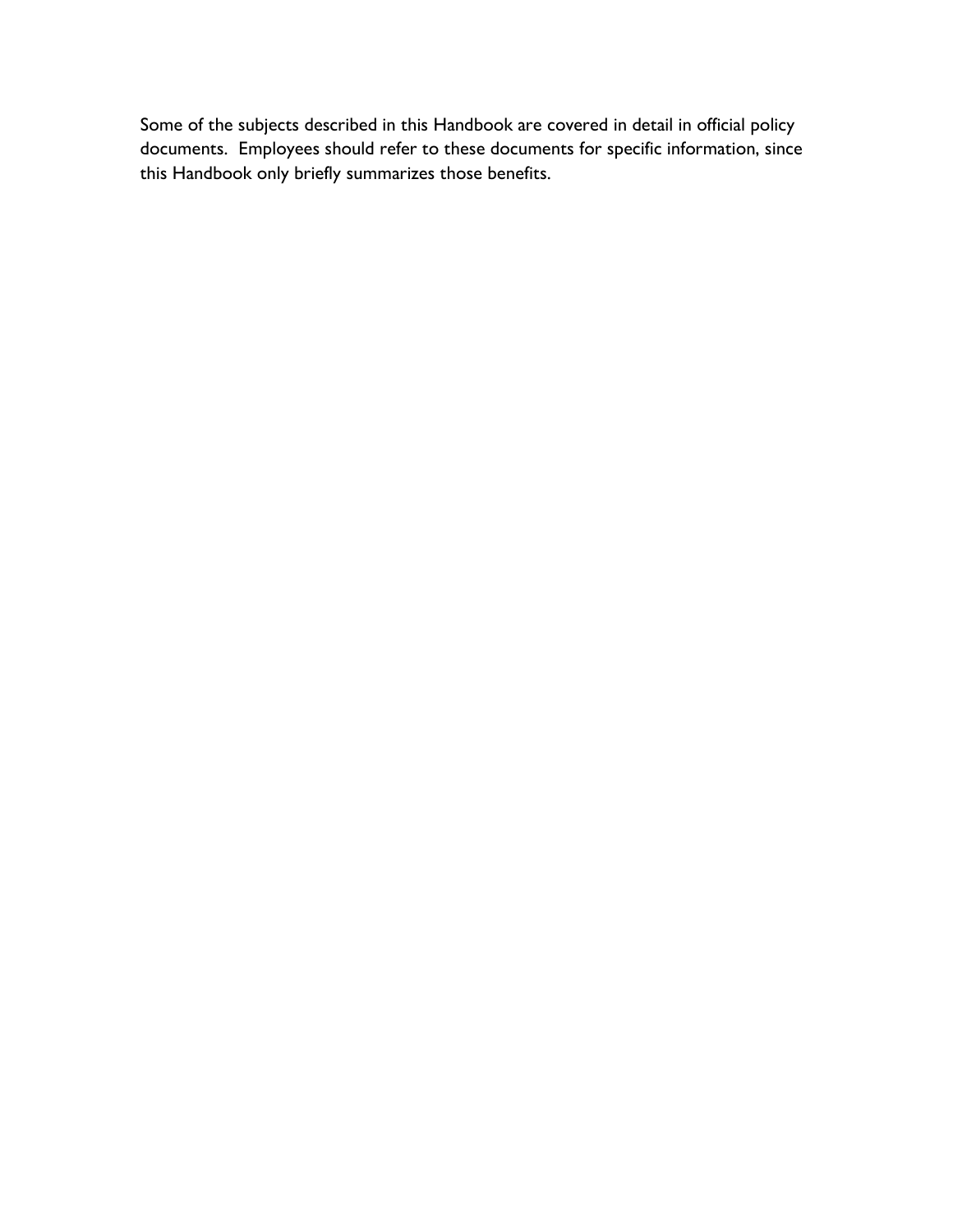Some of the subjects described in this Handbook are covered in detail in official policy documents. Employees should refer to these documents for specific information, since this Handbook only briefly summarizes those benefits.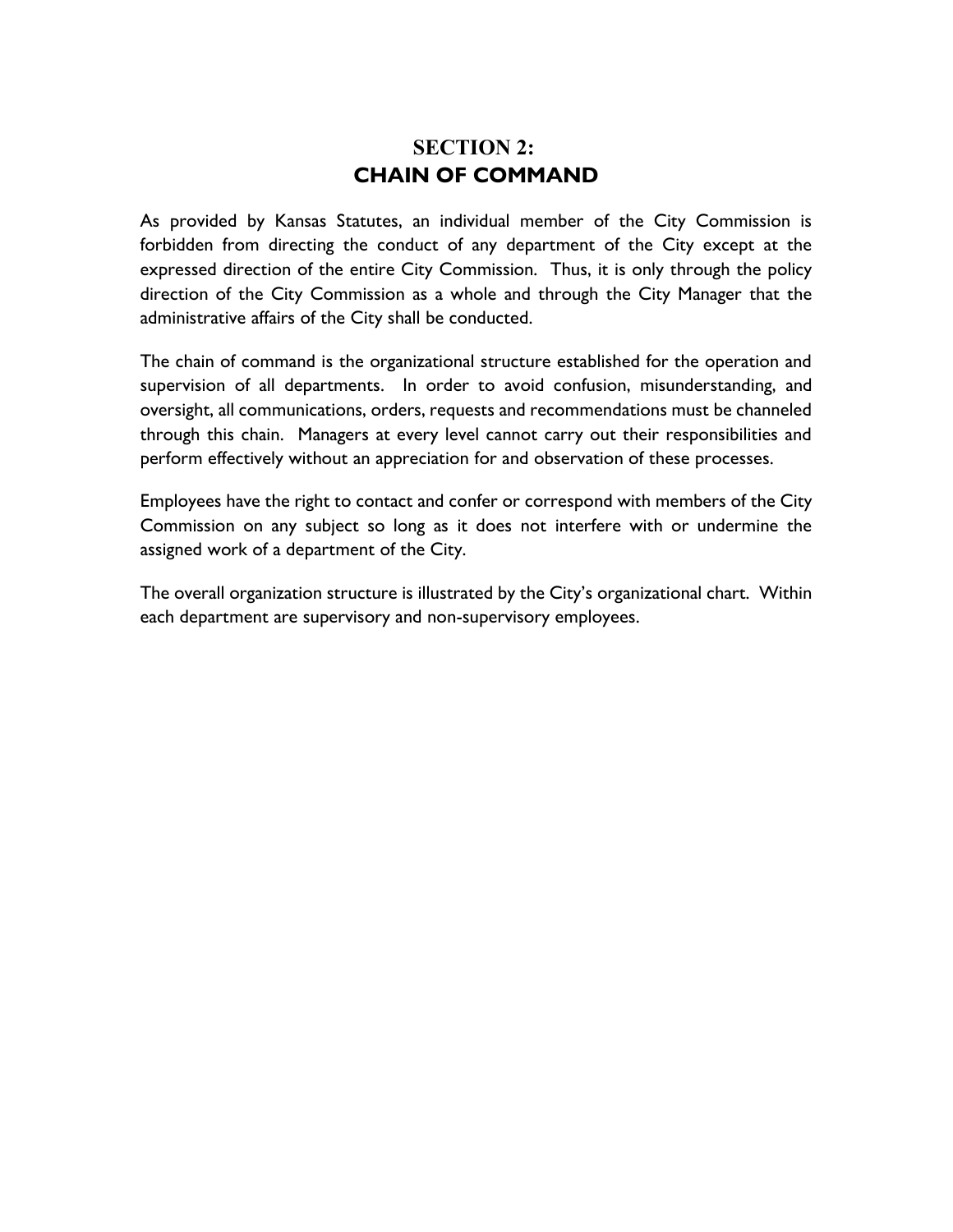# **SECTION 2: CHAIN OF COMMAND**

As provided by Kansas Statutes, an individual member of the City Commission is forbidden from directing the conduct of any department of the City except at the expressed direction of the entire City Commission. Thus, it is only through the policy direction of the City Commission as a whole and through the City Manager that the administrative affairs of the City shall be conducted.

The chain of command is the organizational structure established for the operation and supervision of all departments. In order to avoid confusion, misunderstanding, and oversight, all communications, orders, requests and recommendations must be channeled through this chain. Managers at every level cannot carry out their responsibilities and perform effectively without an appreciation for and observation of these processes.

Employees have the right to contact and confer or correspond with members of the City Commission on any subject so long as it does not interfere with or undermine the assigned work of a department of the City.

The overall organization structure is illustrated by the City's organizational chart. Within each department are supervisory and non-supervisory employees.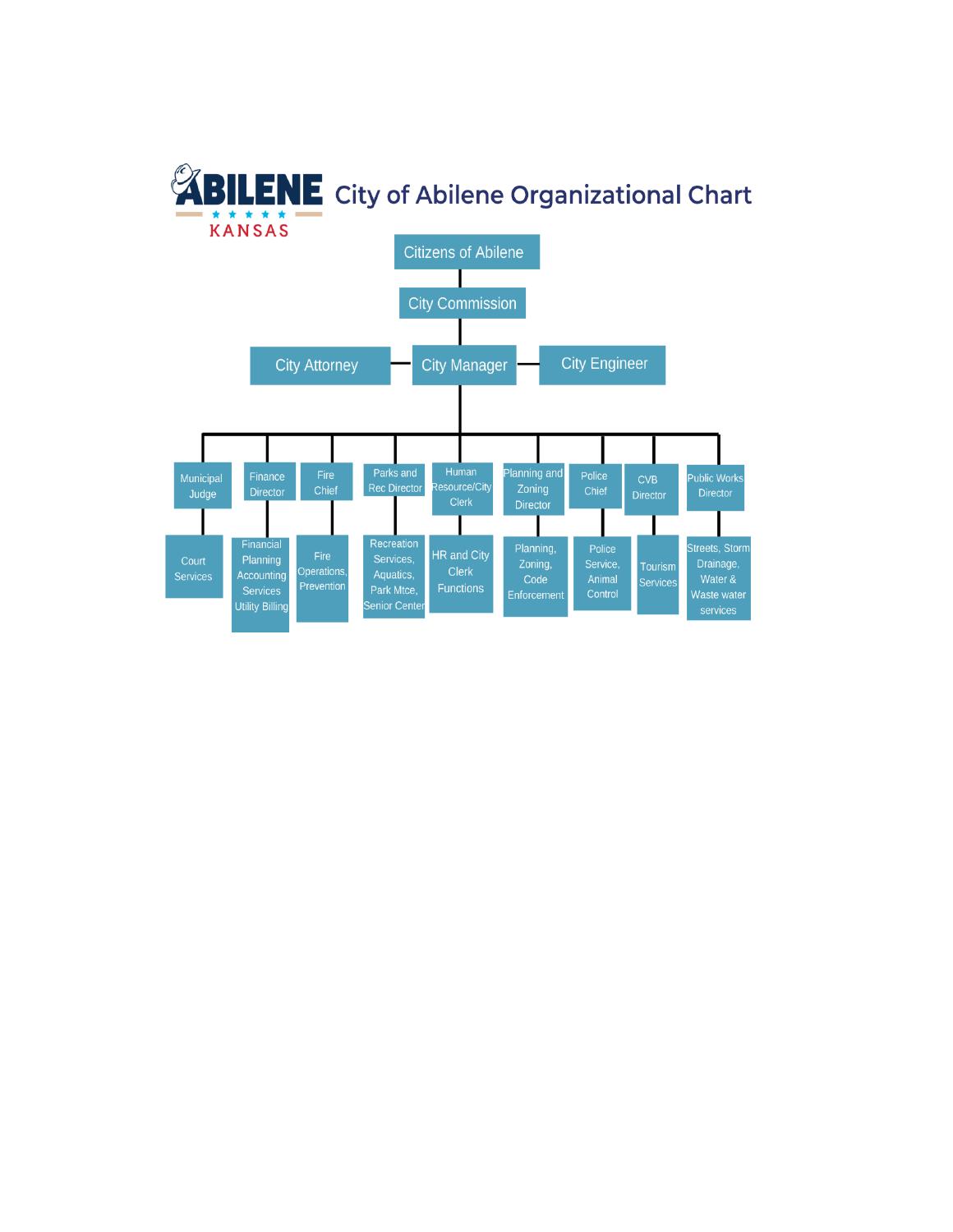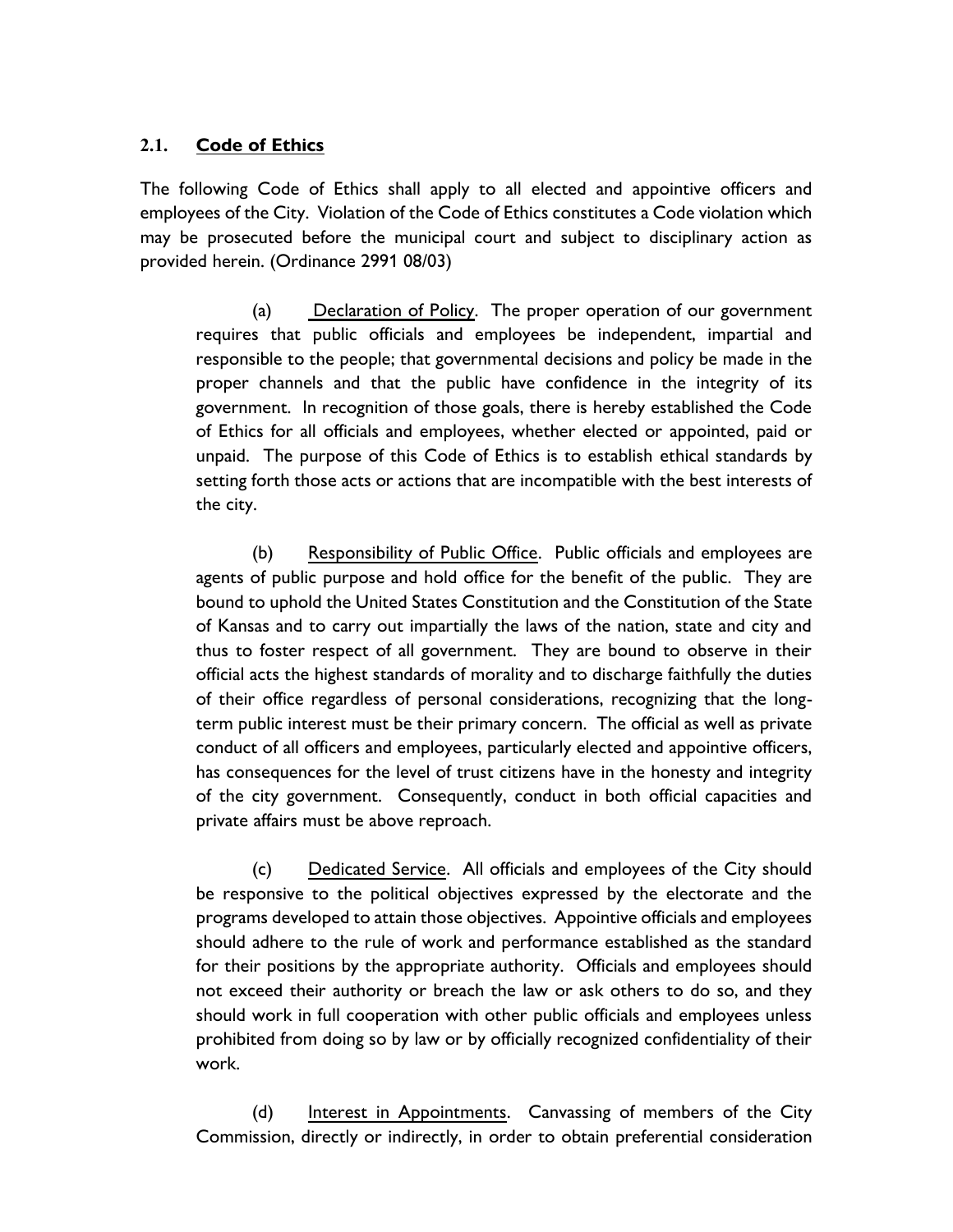### **2.1. Code of Ethics**

The following Code of Ethics shall apply to all elected and appointive officers and employees of the City. Violation of the Code of Ethics constitutes a Code violation which may be prosecuted before the municipal court and subject to disciplinary action as provided herein. (Ordinance 2991 08/03)

(a) Declaration of Policy. The proper operation of our government requires that public officials and employees be independent, impartial and responsible to the people; that governmental decisions and policy be made in the proper channels and that the public have confidence in the integrity of its government. In recognition of those goals, there is hereby established the Code of Ethics for all officials and employees, whether elected or appointed, paid or unpaid. The purpose of this Code of Ethics is to establish ethical standards by setting forth those acts or actions that are incompatible with the best interests of the city.

(b) Responsibility of Public Office. Public officials and employees are agents of public purpose and hold office for the benefit of the public. They are bound to uphold the United States Constitution and the Constitution of the State of Kansas and to carry out impartially the laws of the nation, state and city and thus to foster respect of all government. They are bound to observe in their official acts the highest standards of morality and to discharge faithfully the duties of their office regardless of personal considerations, recognizing that the longterm public interest must be their primary concern. The official as well as private conduct of all officers and employees, particularly elected and appointive officers, has consequences for the level of trust citizens have in the honesty and integrity of the city government. Consequently, conduct in both official capacities and private affairs must be above reproach.

(c) Dedicated Service. All officials and employees of the City should be responsive to the political objectives expressed by the electorate and the programs developed to attain those objectives. Appointive officials and employees should adhere to the rule of work and performance established as the standard for their positions by the appropriate authority. Officials and employees should not exceed their authority or breach the law or ask others to do so, and they should work in full cooperation with other public officials and employees unless prohibited from doing so by law or by officially recognized confidentiality of their work.

(d) Interest in Appointments. Canvassing of members of the City Commission, directly or indirectly, in order to obtain preferential consideration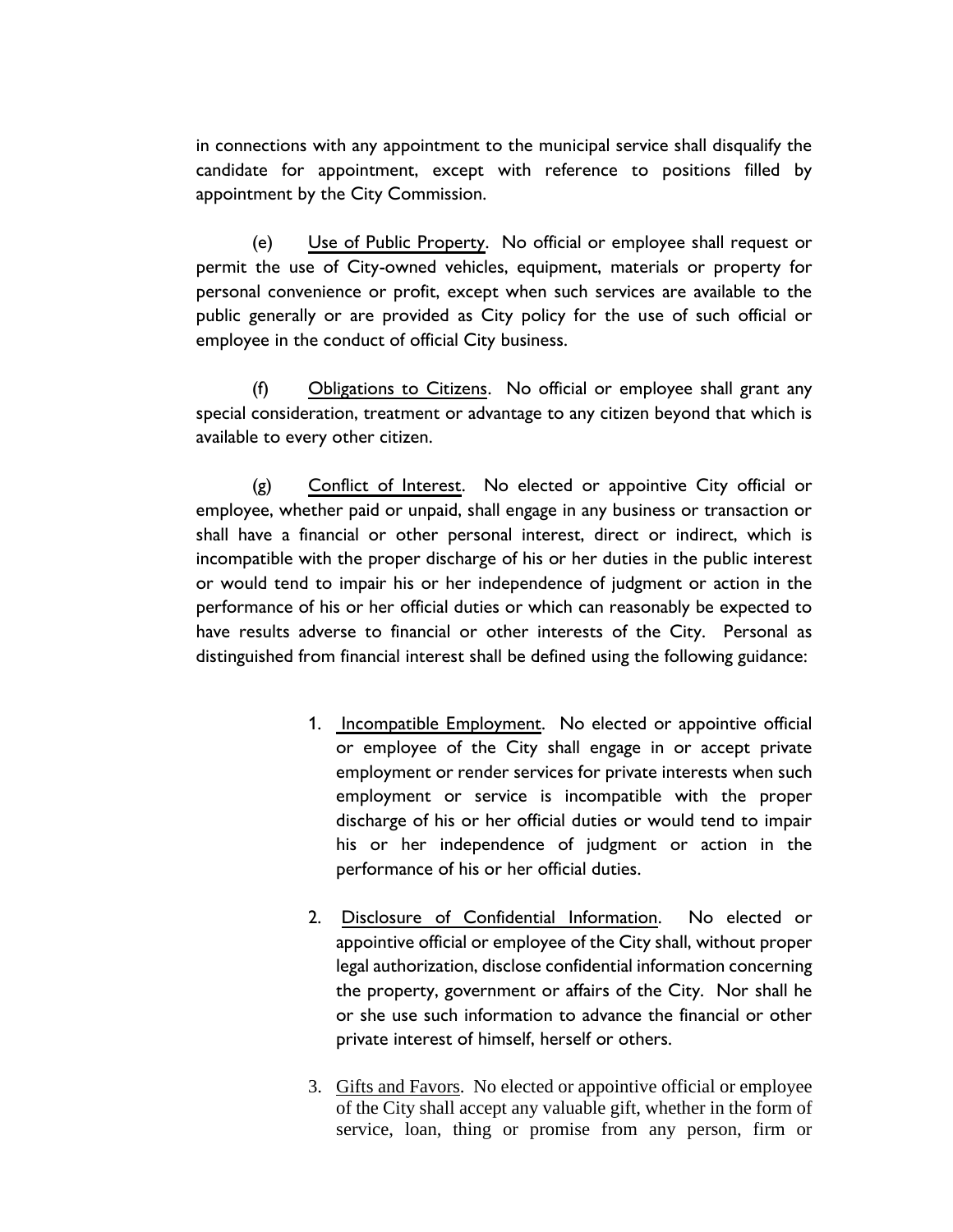in connections with any appointment to the municipal service shall disqualify the candidate for appointment, except with reference to positions filled by appointment by the City Commission.

(e) Use of Public Property. No official or employee shall request or permit the use of City-owned vehicles, equipment, materials or property for personal convenience or profit, except when such services are available to the public generally or are provided as City policy for the use of such official or employee in the conduct of official City business.

(f) Obligations to Citizens. No official or employee shall grant any special consideration, treatment or advantage to any citizen beyond that which is available to every other citizen.

(g) Conflict of Interest. No elected or appointive City official or employee, whether paid or unpaid, shall engage in any business or transaction or shall have a financial or other personal interest, direct or indirect, which is incompatible with the proper discharge of his or her duties in the public interest or would tend to impair his or her independence of judgment or action in the performance of his or her official duties or which can reasonably be expected to have results adverse to financial or other interests of the City. Personal as distinguished from financial interest shall be defined using the following guidance:

- 1. Incompatible Employment. No elected or appointive official or employee of the City shall engage in or accept private employment or render services for private interests when such employment or service is incompatible with the proper discharge of his or her official duties or would tend to impair his or her independence of judgment or action in the performance of his or her official duties.
- 2. Disclosure of Confidential Information. No elected or appointive official or employee of the City shall, without proper legal authorization, disclose confidential information concerning the property, government or affairs of the City. Nor shall he or she use such information to advance the financial or other private interest of himself, herself or others.
- 3. Gifts and Favors. No elected or appointive official or employee of the City shall accept any valuable gift, whether in the form of service, loan, thing or promise from any person, firm or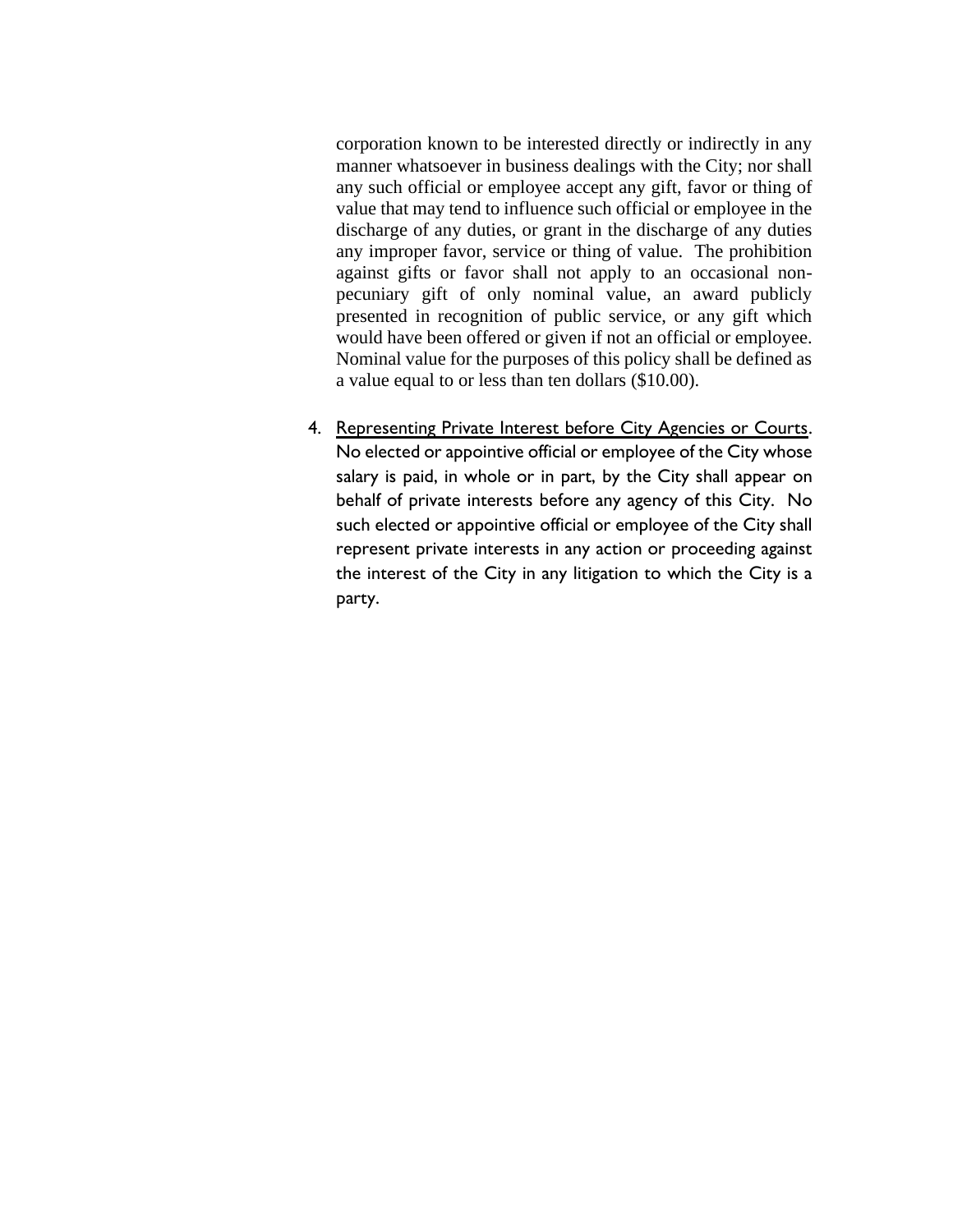corporation known to be interested directly or indirectly in any manner whatsoever in business dealings with the City; nor shall any such official or employee accept any gift, favor or thing of value that may tend to influence such official or employee in the discharge of any duties, or grant in the discharge of any duties any improper favor, service or thing of value. The prohibition against gifts or favor shall not apply to an occasional nonpecuniary gift of only nominal value, an award publicly presented in recognition of public service, or any gift which would have been offered or given if not an official or employee. Nominal value for the purposes of this policy shall be defined as a value equal to or less than ten dollars (\$10.00).

4. Representing Private Interest before City Agencies or Courts. No elected or appointive official or employee of the City whose salary is paid, in whole or in part, by the City shall appear on behalf of private interests before any agency of this City. No such elected or appointive official or employee of the City shall represent private interests in any action or proceeding against the interest of the City in any litigation to which the City is a party.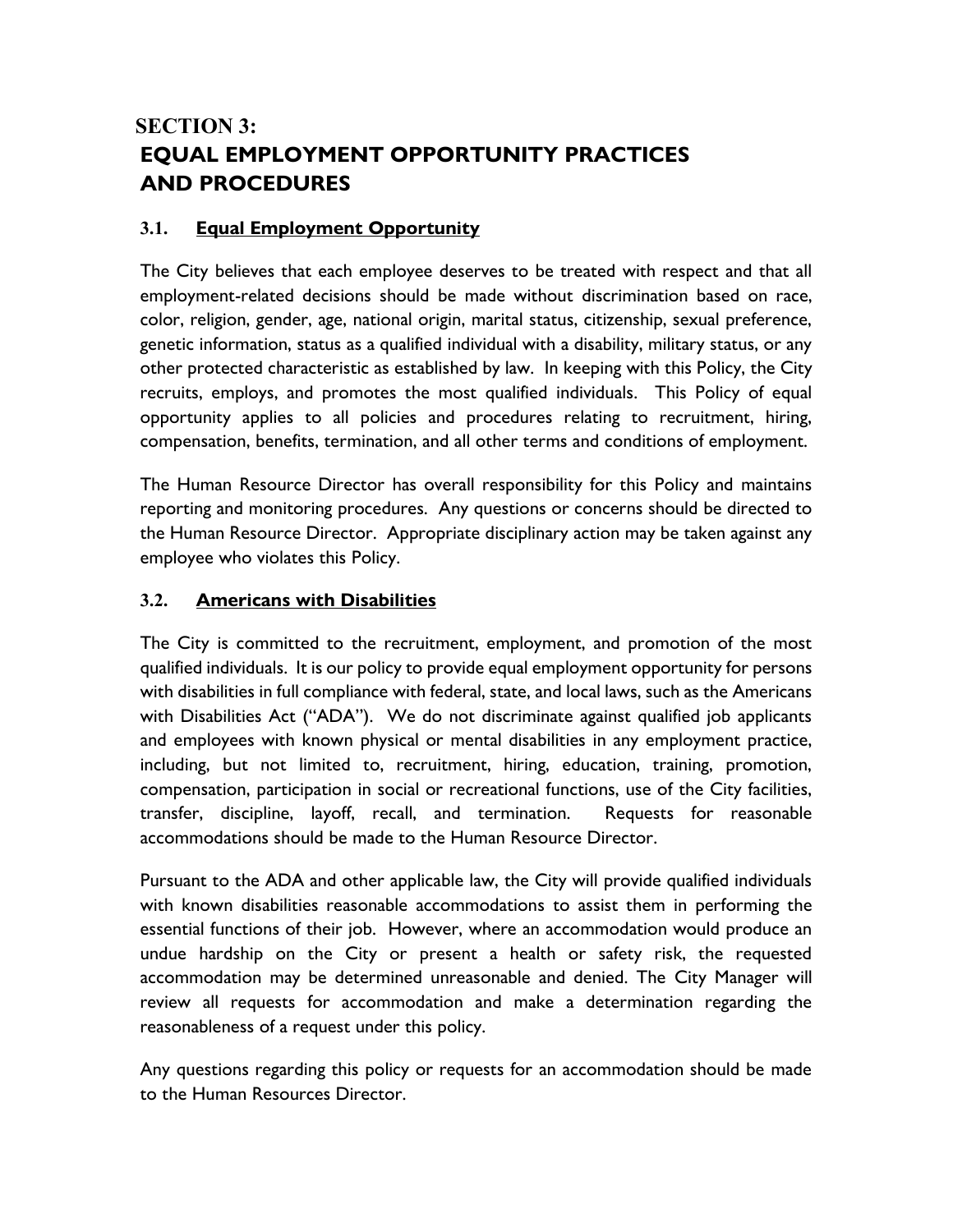# **SECTION 3: EQUAL EMPLOYMENT OPPORTUNITY PRACTICES AND PROCEDURES**

### **3.1. Equal Employment Opportunity**

The City believes that each employee deserves to be treated with respect and that all employment-related decisions should be made without discrimination based on race, color, religion, gender, age, national origin, marital status, citizenship, sexual preference, genetic information, status as a qualified individual with a disability, military status, or any other protected characteristic as established by law. In keeping with this Policy, the City recruits, employs, and promotes the most qualified individuals. This Policy of equal opportunity applies to all policies and procedures relating to recruitment, hiring, compensation, benefits, termination, and all other terms and conditions of employment.

The Human Resource Director has overall responsibility for this Policy and maintains reporting and monitoring procedures. Any questions or concerns should be directed to the Human Resource Director. Appropriate disciplinary action may be taken against any employee who violates this Policy.

### **3.2. Americans with Disabilities**

The City is committed to the recruitment, employment, and promotion of the most qualified individuals. It is our policy to provide equal employment opportunity for persons with disabilities in full compliance with federal, state, and local laws, such as the Americans with Disabilities Act ("ADA"). We do not discriminate against qualified job applicants and employees with known physical or mental disabilities in any employment practice, including, but not limited to, recruitment, hiring, education, training, promotion, compensation, participation in social or recreational functions, use of the City facilities, transfer, discipline, layoff, recall, and termination. Requests for reasonable accommodations should be made to the Human Resource Director.

Pursuant to the ADA and other applicable law, the City will provide qualified individuals with known disabilities reasonable accommodations to assist them in performing the essential functions of their job. However, where an accommodation would produce an undue hardship on the City or present a health or safety risk, the requested accommodation may be determined unreasonable and denied. The City Manager will review all requests for accommodation and make a determination regarding the reasonableness of a request under this policy.

Any questions regarding this policy or requests for an accommodation should be made to the Human Resources Director.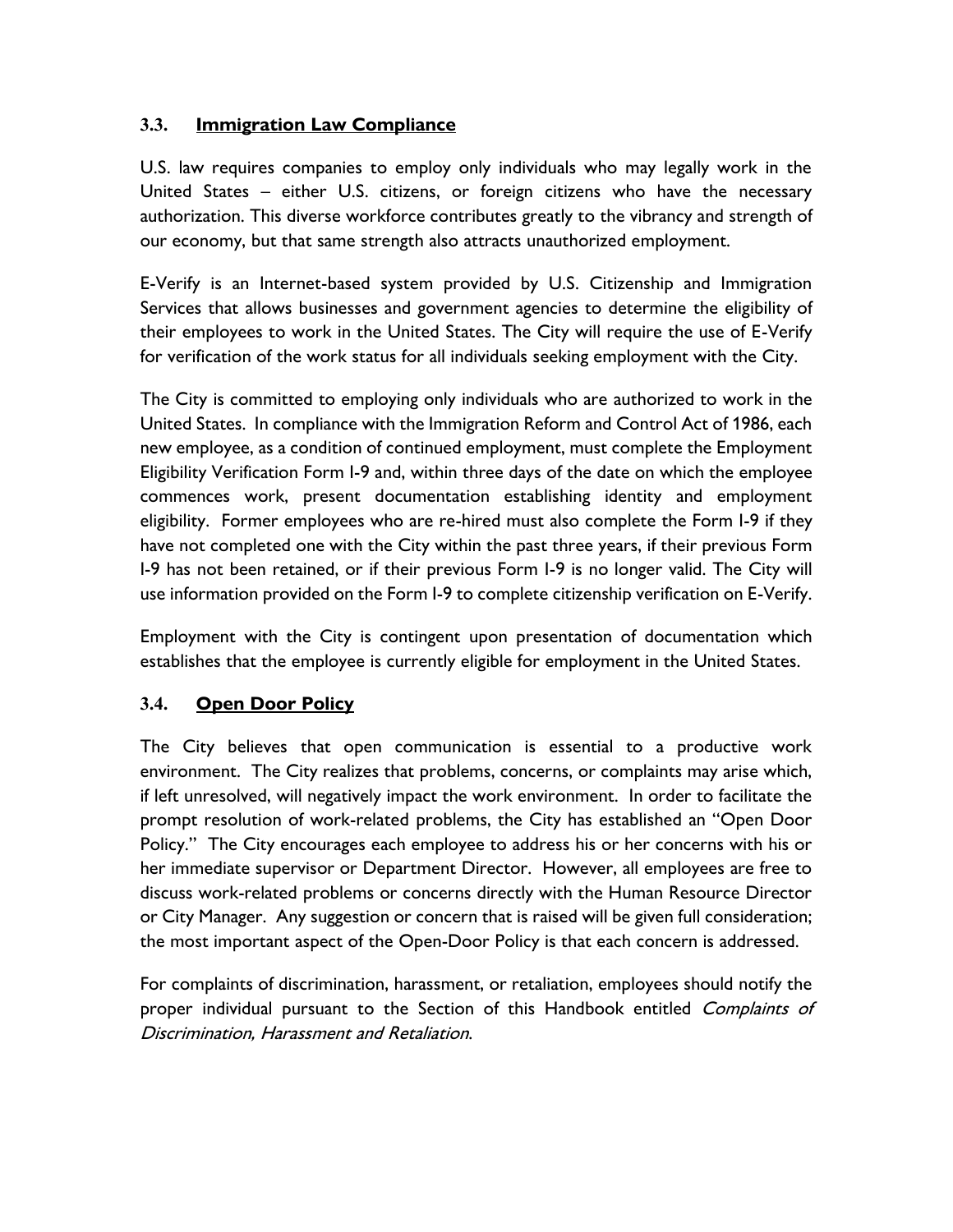### **3.3. Immigration Law Compliance**

U.S. law requires companies to employ only individuals who may legally work in the United States – either U.S. citizens, or foreign citizens who have the necessary authorization. This diverse workforce contributes greatly to the vibrancy and strength of our economy, but that same strength also attracts unauthorized employment.

E-Verify is an Internet-based system provided by U.S. Citizenship and Immigration Services that allows businesses and government agencies to determine the eligibility of their employees to work in the United States. The City will require the use of E-Verify for verification of the work status for all individuals seeking employment with the City.

The City is committed to employing only individuals who are authorized to work in the United States. In compliance with the Immigration Reform and Control Act of 1986, each new employee, as a condition of continued employment, must complete the Employment Eligibility Verification Form I-9 and, within three days of the date on which the employee commences work, present documentation establishing identity and employment eligibility. Former employees who are re-hired must also complete the Form I-9 if they have not completed one with the City within the past three years, if their previous Form I-9 has not been retained, or if their previous Form I-9 is no longer valid. The City will use information provided on the Form I-9 to complete citizenship verification on E-Verify.

Employment with the City is contingent upon presentation of documentation which establishes that the employee is currently eligible for employment in the United States.

### **3.4. Open Door Policy**

The City believes that open communication is essential to a productive work environment. The City realizes that problems, concerns, or complaints may arise which, if left unresolved, will negatively impact the work environment. In order to facilitate the prompt resolution of work-related problems, the City has established an "Open Door Policy." The City encourages each employee to address his or her concerns with his or her immediate supervisor or Department Director. However, all employees are free to discuss work-related problems or concerns directly with the Human Resource Director or City Manager.Any suggestion or concern that is raised will be given full consideration; the most important aspect of the Open-Door Policy is that each concern is addressed.

For complaints of discrimination, harassment, or retaliation, employees should notify the proper individual pursuant to the Section of this Handbook entitled Complaints of Discrimination, Harassment and Retaliation.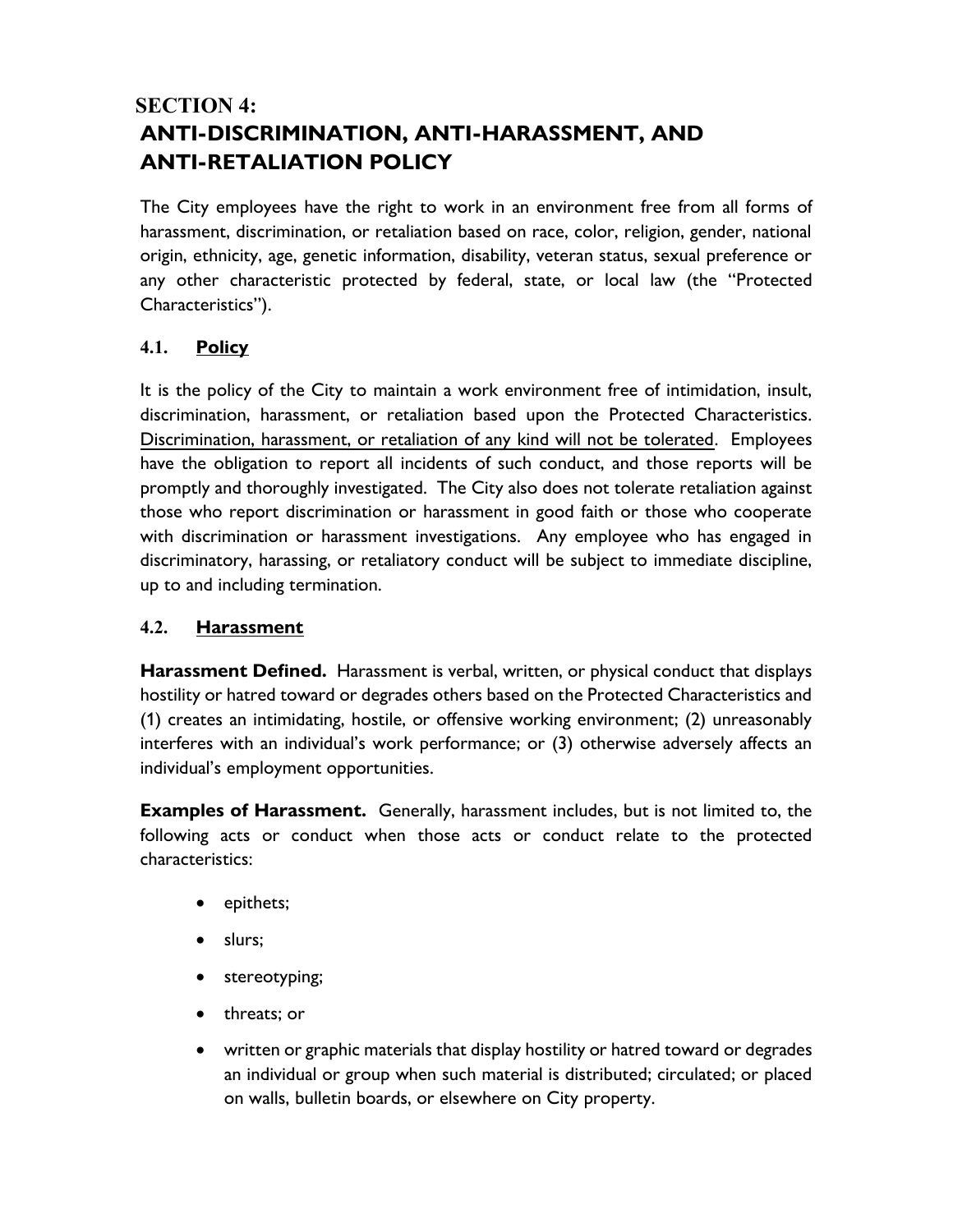# **SECTION 4: ANTI-DISCRIMINATION, ANTI-HARASSMENT, AND ANTI-RETALIATION POLICY**

The City employees have the right to work in an environment free from all forms of harassment, discrimination, or retaliation based on race, color, religion, gender, national origin, ethnicity, age, genetic information, disability, veteran status, sexual preference or any other characteristic protected by federal, state, or local law (the "Protected Characteristics").

### **4.1. Policy**

It is the policy of the City to maintain a work environment free of intimidation, insult, discrimination, harassment, or retaliation based upon the Protected Characteristics. Discrimination, harassment, or retaliation of any kind will not be tolerated. Employees have the obligation to report all incidents of such conduct, and those reports will be promptly and thoroughly investigated. The City also does not tolerate retaliation against those who report discrimination or harassment in good faith or those who cooperate with discrimination or harassment investigations. Any employee who has engaged in discriminatory, harassing, or retaliatory conduct will be subject to immediate discipline, up to and including termination.

### **4.2. Harassment**

**Harassment Defined.** Harassment is verbal, written, or physical conduct that displays hostility or hatred toward or degrades others based on the Protected Characteristics and (1) creates an intimidating, hostile, or offensive working environment; (2) unreasonably interferes with an individual's work performance; or (3) otherwise adversely affects an individual's employment opportunities.

**Examples of Harassment.** Generally, harassment includes, but is not limited to, the following acts or conduct when those acts or conduct relate to the protected characteristics:

- epithets;
- slurs;
- stereotyping;
- threats; or
- written or graphic materials that display hostility or hatred toward or degrades an individual or group when such material is distributed; circulated; or placed on walls, bulletin boards, or elsewhere on City property.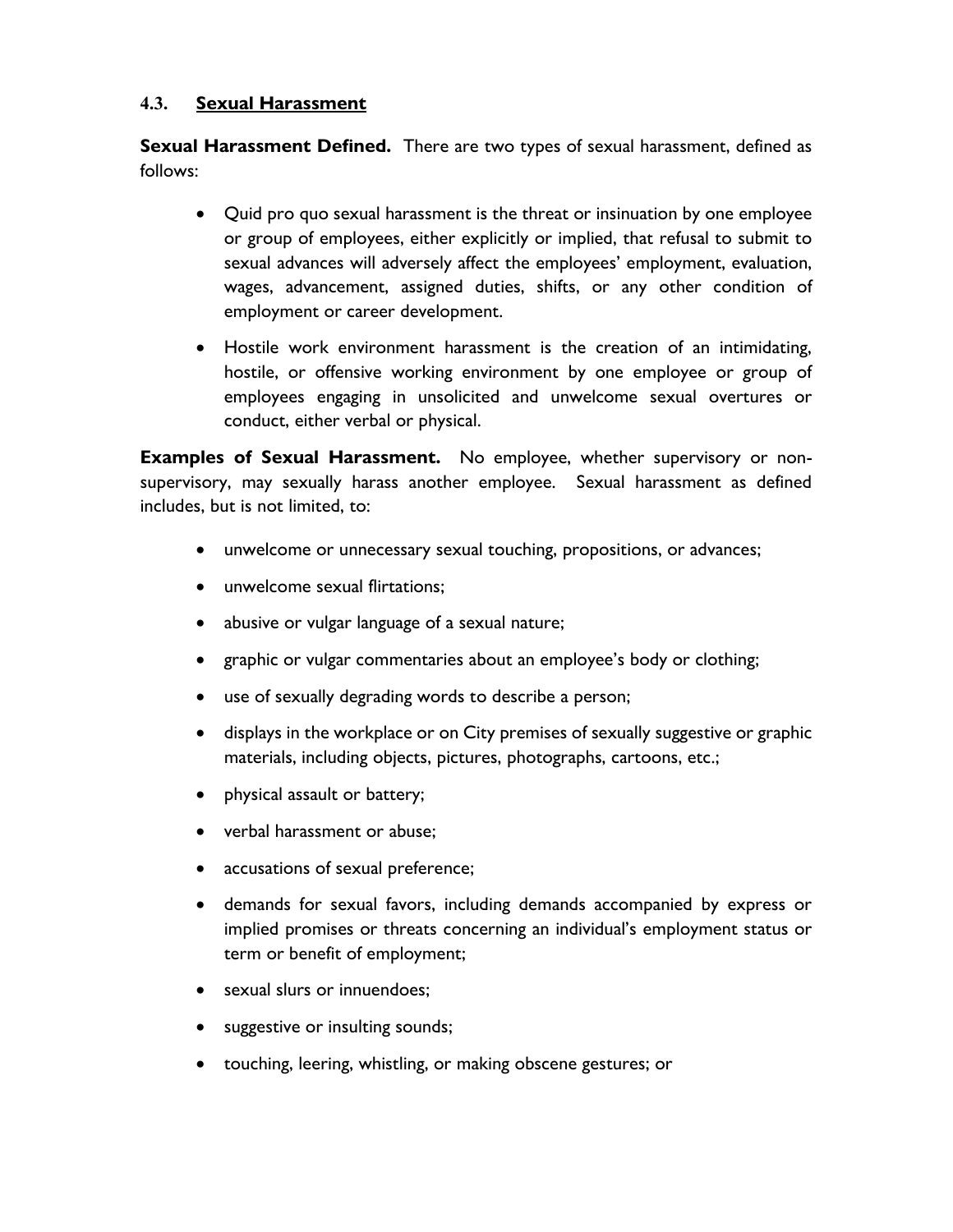#### **4.3. Sexual Harassment**

**Sexual Harassment Defined.** There are two types of sexual harassment, defined as follows:

- Quid pro quo sexual harassment is the threat or insinuation by one employee or group of employees, either explicitly or implied, that refusal to submit to sexual advances will adversely affect the employees' employment, evaluation, wages, advancement, assigned duties, shifts, or any other condition of employment or career development.
- Hostile work environment harassment is the creation of an intimidating, hostile, or offensive working environment by one employee or group of employees engaging in unsolicited and unwelcome sexual overtures or conduct, either verbal or physical.

**Examples of Sexual Harassment.** No employee, whether supervisory or nonsupervisory, may sexually harass another employee. Sexual harassment as defined includes, but is not limited, to:

- unwelcome or unnecessary sexual touching, propositions, or advances;
- unwelcome sexual flirtations;
- abusive or vulgar language of a sexual nature;
- graphic or vulgar commentaries about an employee's body or clothing;
- use of sexually degrading words to describe a person;
- displays in the workplace or on City premises of sexually suggestive or graphic materials, including objects, pictures, photographs, cartoons, etc.;
- physical assault or battery;
- verbal harassment or abuse;
- accusations of sexual preference;
- demands for sexual favors, including demands accompanied by express or implied promises or threats concerning an individual's employment status or term or benefit of employment;
- sexual slurs or innuendoes;
- suggestive or insulting sounds;
- touching, leering, whistling, or making obscene gestures; or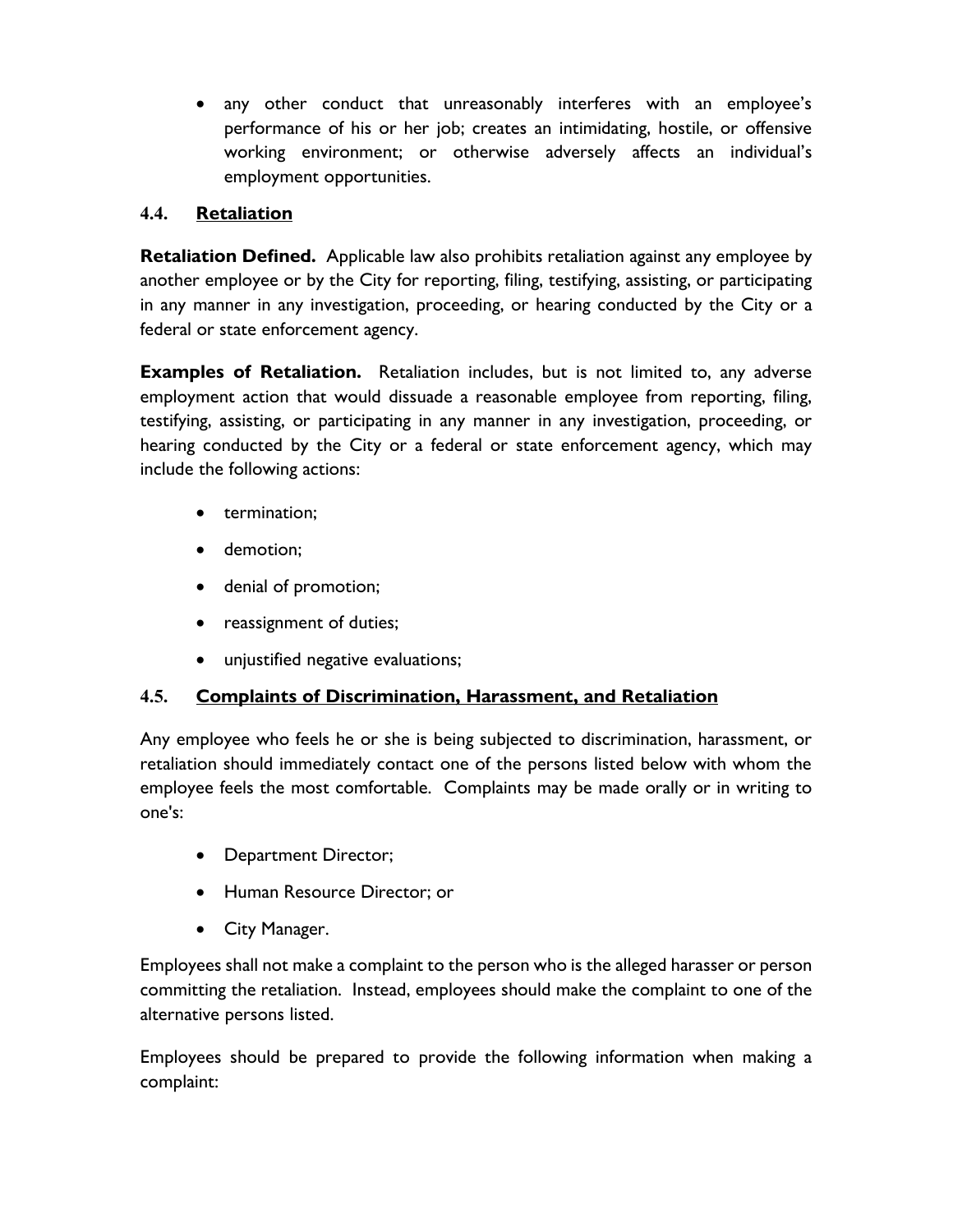• any other conduct that unreasonably interferes with an employee's performance of his or her job; creates an intimidating, hostile, or offensive working environment; or otherwise adversely affects an individual's employment opportunities.

### **4.4. Retaliation**

**Retaliation Defined.** Applicable law also prohibits retaliation against any employee by another employee or by the City for reporting, filing, testifying, assisting, or participating in any manner in any investigation, proceeding, or hearing conducted by the City or a federal or state enforcement agency.

**Examples of Retaliation.** Retaliation includes, but is not limited to, any adverse employment action that would dissuade a reasonable employee from reporting, filing, testifying, assisting, or participating in any manner in any investigation, proceeding, or hearing conducted by the City or a federal or state enforcement agency, which may include the following actions:

- termination;
- demotion;
- denial of promotion;
- reassignment of duties;
- unjustified negative evaluations;

### **4.5. Complaints of Discrimination, Harassment, and Retaliation**

Any employee who feels he or she is being subjected to discrimination, harassment, or retaliation should immediately contact one of the persons listed below with whom the employee feels the most comfortable. Complaints may be made orally or in writing to one's:

- Department Director;
- Human Resource Director; or
- City Manager.

Employees shall not make a complaint to the person who is the alleged harasser or person committing the retaliation. Instead, employees should make the complaint to one of the alternative persons listed.

Employees should be prepared to provide the following information when making a complaint: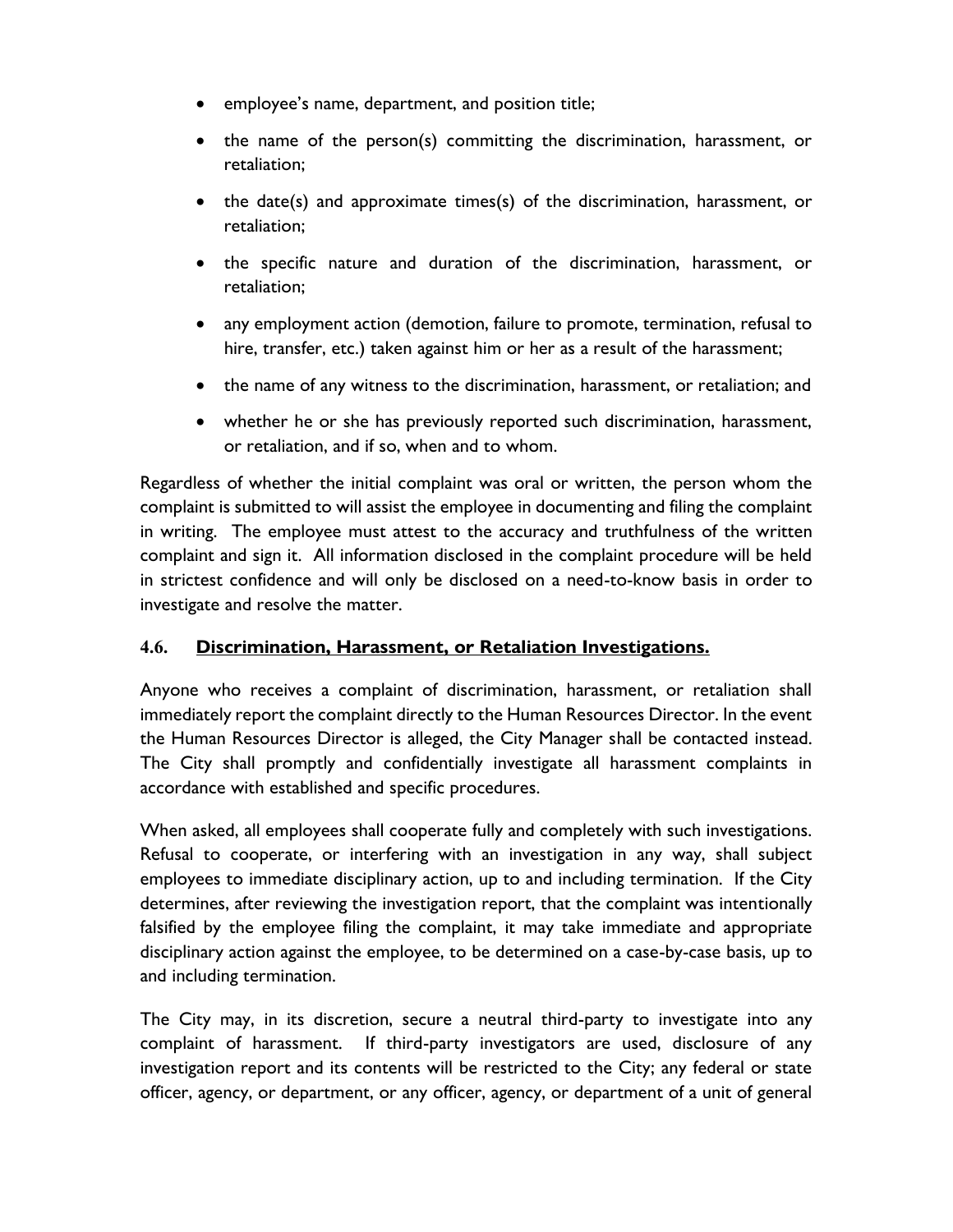- employee's name, department, and position title;
- the name of the person(s) committing the discrimination, harassment, or retaliation;
- the date(s) and approximate times(s) of the discrimination, harassment, or retaliation;
- the specific nature and duration of the discrimination, harassment, or retaliation;
- any employment action (demotion, failure to promote, termination, refusal to hire, transfer, etc.) taken against him or her as a result of the harassment;
- the name of any witness to the discrimination, harassment, or retaliation; and
- whether he or she has previously reported such discrimination, harassment, or retaliation, and if so, when and to whom.

Regardless of whether the initial complaint was oral or written, the person whom the complaint is submitted to will assist the employee in documenting and filing the complaint in writing. The employee must attest to the accuracy and truthfulness of the written complaint and sign it. All information disclosed in the complaint procedure will be held in strictest confidence and will only be disclosed on a need-to-know basis in order to investigate and resolve the matter.

### **4.6. Discrimination, Harassment, or Retaliation Investigations.**

Anyone who receives a complaint of discrimination, harassment, or retaliation shall immediately report the complaint directly to the Human Resources Director. In the event the Human Resources Director is alleged, the City Manager shall be contacted instead. The City shall promptly and confidentially investigate all harassment complaints in accordance with established and specific procedures.

When asked, all employees shall cooperate fully and completely with such investigations. Refusal to cooperate, or interfering with an investigation in any way, shall subject employees to immediate disciplinary action, up to and including termination. If the City determines, after reviewing the investigation report, that the complaint was intentionally falsified by the employee filing the complaint, it may take immediate and appropriate disciplinary action against the employee, to be determined on a case-by-case basis, up to and including termination.

The City may, in its discretion, secure a neutral third-party to investigate into any complaint of harassment. If third-party investigators are used, disclosure of any investigation report and its contents will be restricted to the City; any federal or state officer, agency, or department, or any officer, agency, or department of a unit of general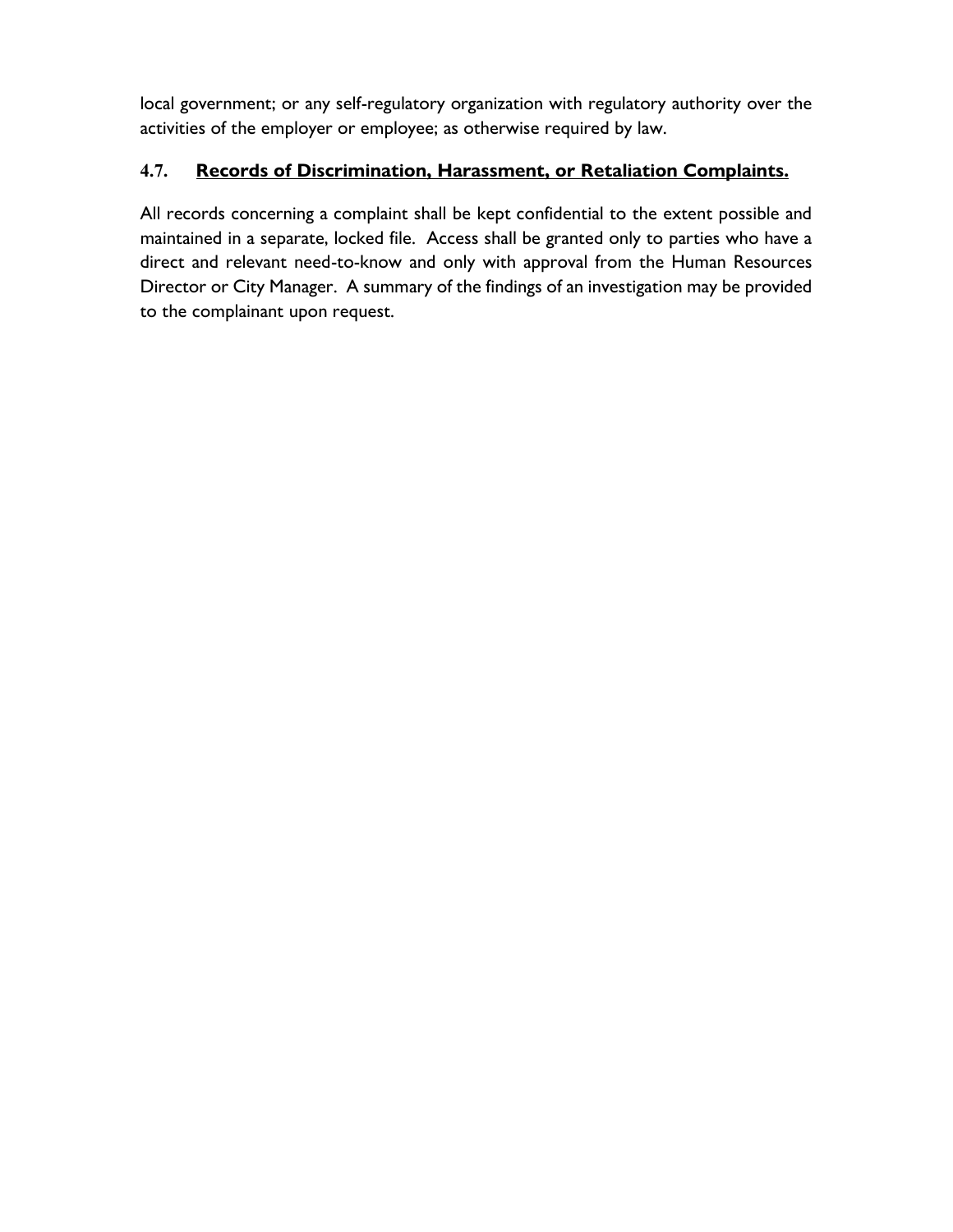local government; or any self-regulatory organization with regulatory authority over the activities of the employer or employee; as otherwise required by law.

# **4.7. Records of Discrimination, Harassment, or Retaliation Complaints.**

All records concerning a complaint shall be kept confidential to the extent possible and maintained in a separate, locked file. Access shall be granted only to parties who have a direct and relevant need-to-know and only with approval from the Human Resources Director or City Manager. A summary of the findings of an investigation may be provided to the complainant upon request.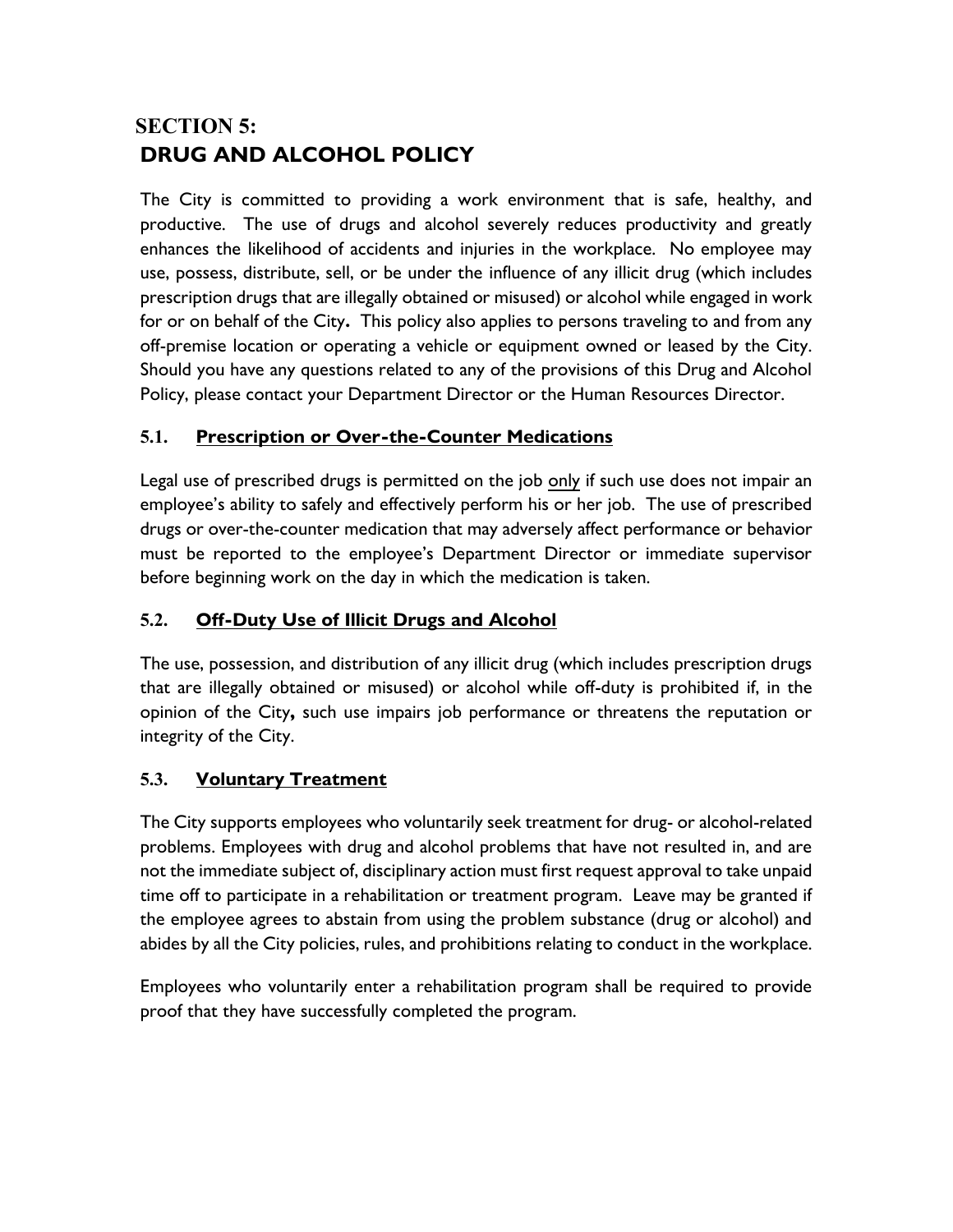# **SECTION 5: DRUG AND ALCOHOL POLICY**

The City is committed to providing a work environment that is safe, healthy, and productive. The use of drugs and alcohol severely reduces productivity and greatly enhances the likelihood of accidents and injuries in the workplace. No employee may use, possess, distribute, sell, or be under the influence of any illicit drug (which includes prescription drugs that are illegally obtained or misused) or alcohol while engaged in work for or on behalf of the City**.** This policy also applies to persons traveling to and from any off-premise location or operating a vehicle or equipment owned or leased by the City. Should you have any questions related to any of the provisions of this Drug and Alcohol Policy, please contact your Department Director or the Human Resources Director.

### **5.1. Prescription or Over-the-Counter Medications**

Legal use of prescribed drugs is permitted on the job only if such use does not impair an employee's ability to safely and effectively perform his or her job. The use of prescribed drugs or over-the-counter medication that may adversely affect performance or behavior must be reported to the employee's Department Director or immediate supervisor before beginning work on the day in which the medication is taken.

### **5.2. Off-Duty Use of Illicit Drugs and Alcohol**

The use, possession, and distribution of any illicit drug (which includes prescription drugs that are illegally obtained or misused) or alcohol while off-duty is prohibited if, in the opinion of the City**,** such use impairs job performance or threatens the reputation or integrity of the City.

### **5.3. Voluntary Treatment**

The City supports employees who voluntarily seek treatment for drug- or alcohol-related problems. Employees with drug and alcohol problems that have not resulted in, and are not the immediate subject of, disciplinary action must first request approval to take unpaid time off to participate in a rehabilitation or treatment program. Leave may be granted if the employee agrees to abstain from using the problem substance (drug or alcohol) and abides by all the City policies, rules, and prohibitions relating to conduct in the workplace.

Employees who voluntarily enter a rehabilitation program shall be required to provide proof that they have successfully completed the program.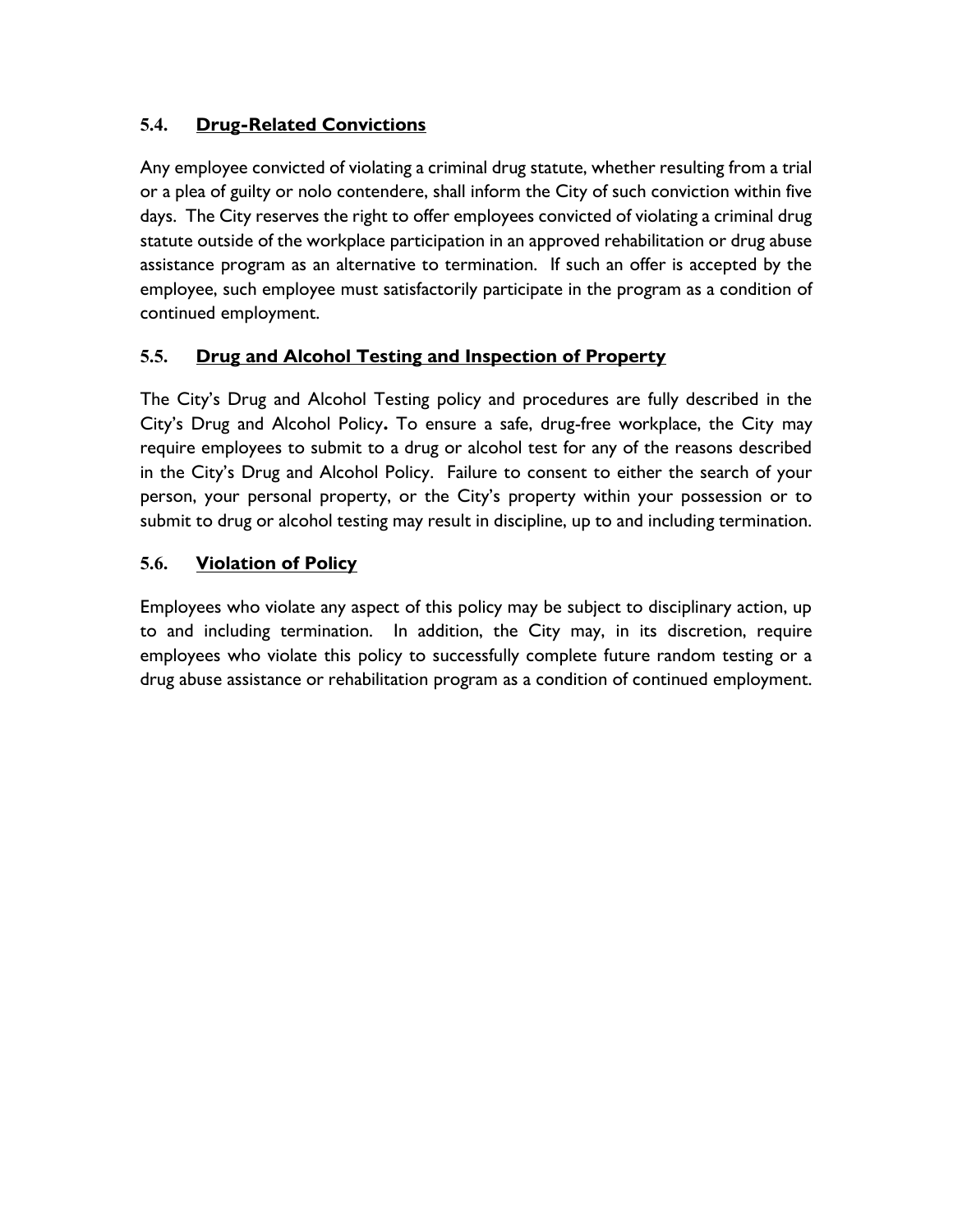# **5.4. Drug-Related Convictions**

Any employee convicted of violating a criminal drug statute, whether resulting from a trial or a plea of guilty or nolo contendere, shall inform the City of such conviction within five days. The City reserves the right to offer employees convicted of violating a criminal drug statute outside of the workplace participation in an approved rehabilitation or drug abuse assistance program as an alternative to termination. If such an offer is accepted by the employee, such employee must satisfactorily participate in the program as a condition of continued employment.

### **5.5. Drug and Alcohol Testing and Inspection of Property**

The City's Drug and Alcohol Testing policy and procedures are fully described in the City's Drug and Alcohol Policy**.** To ensure a safe, drug-free workplace, the City may require employees to submit to a drug or alcohol test for any of the reasons described in the City's Drug and Alcohol Policy. Failure to consent to either the search of your person, your personal property, or the City's property within your possession or to submit to drug or alcohol testing may result in discipline, up to and including termination.

# **5.6. Violation of Policy**

Employees who violate any aspect of this policy may be subject to disciplinary action, up to and including termination. In addition, the City may, in its discretion, require employees who violate this policy to successfully complete future random testing or a drug abuse assistance or rehabilitation program as a condition of continued employment.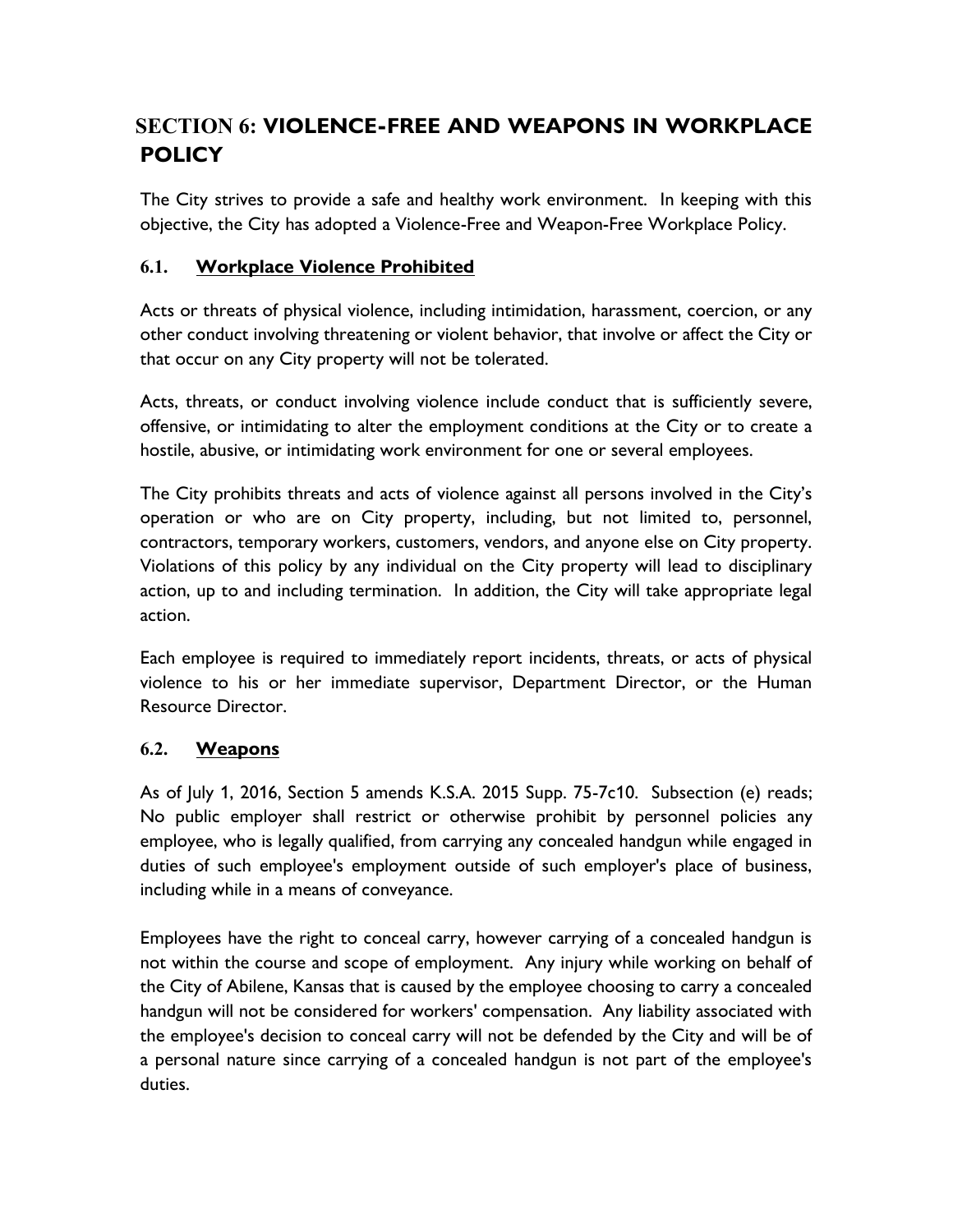# **SECTION 6: VIOLENCE-FREE AND WEAPONS IN WORKPLACE POLICY**

The City strives to provide a safe and healthy work environment. In keeping with this objective, the City has adopted a Violence-Free and Weapon-Free Workplace Policy.

### **6.1. Workplace Violence Prohibited**

Acts or threats of physical violence, including intimidation, harassment, coercion, or any other conduct involving threatening or violent behavior, that involve or affect the City or that occur on any City property will not be tolerated.

Acts, threats, or conduct involving violence include conduct that is sufficiently severe, offensive, or intimidating to alter the employment conditions at the City or to create a hostile, abusive, or intimidating work environment for one or several employees.

The City prohibits threats and acts of violence against all persons involved in the City's operation or who are on City property, including, but not limited to, personnel, contractors, temporary workers, customers, vendors, and anyone else on City property. Violations of this policy by any individual on the City property will lead to disciplinary action, up to and including termination. In addition, the City will take appropriate legal action.

Each employee is required to immediately report incidents, threats, or acts of physical violence to his or her immediate supervisor, Department Director, or the Human Resource Director.

### **6.2. Weapons**

As of July 1, 2016, Section 5 amends K.S.A. 2015 Supp. 75-7c10. Subsection (e) reads; No public employer shall restrict or otherwise prohibit by personnel policies any employee, who is legally qualified, from carrying any concealed handgun while engaged in duties of such employee's employment outside of such employer's place of business, including while in a means of conveyance.

Employees have the right to conceal carry, however carrying of a concealed handgun is not within the course and scope of employment. Any injury while working on behalf of the City of Abilene, Kansas that is caused by the employee choosing to carry a concealed handgun will not be considered for workers' compensation. Any liability associated with the employee's decision to conceal carry will not be defended by the City and will be of a personal nature since carrying of a concealed handgun is not part of the employee's duties.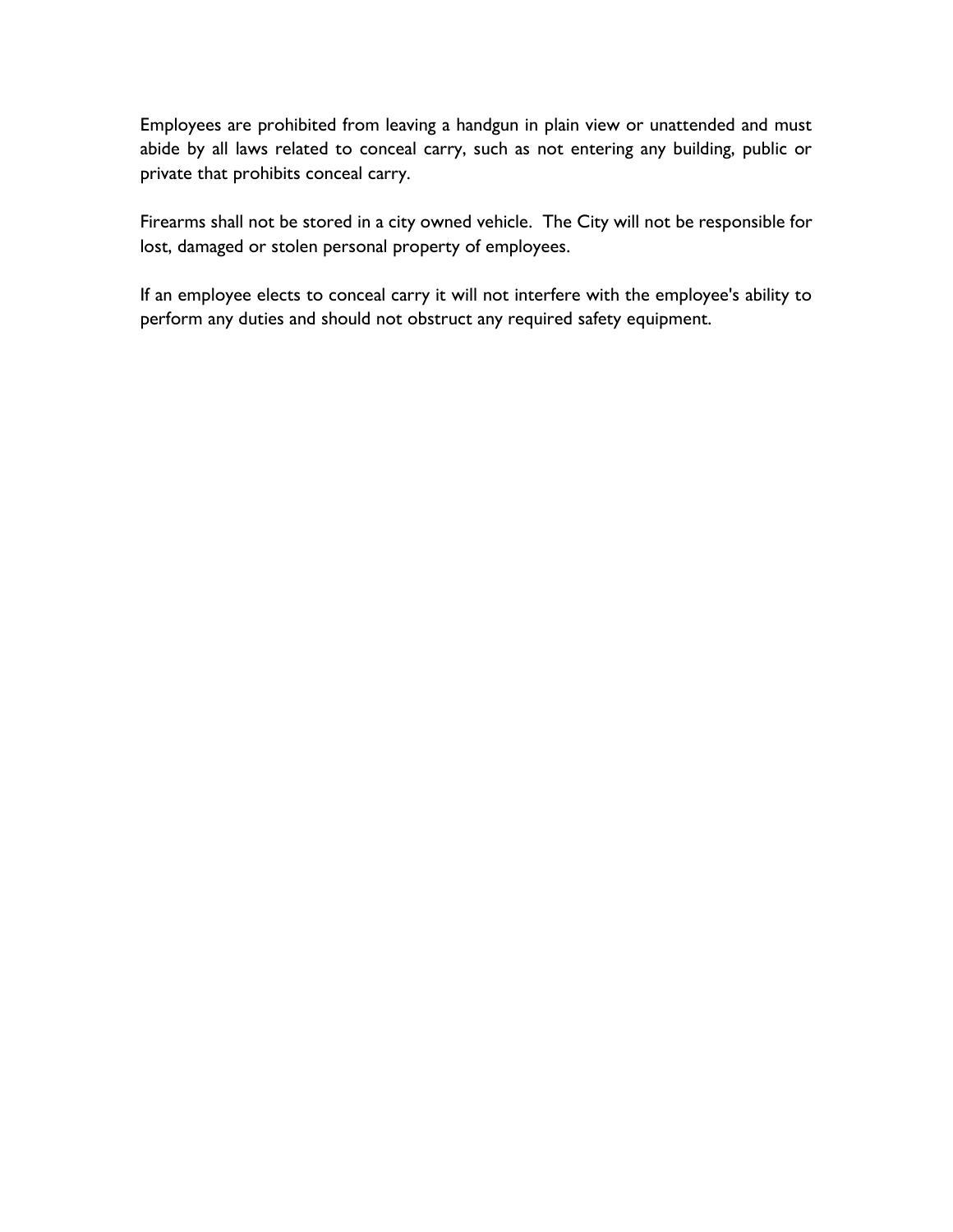Employees are prohibited from leaving a handgun in plain view or unattended and must abide by all laws related to conceal carry, such as not entering any building, public or private that prohibits conceal carry.

Firearms shall not be stored in a city owned vehicle. The City will not be responsible for lost, damaged or stolen personal property of employees.

If an employee elects to conceal carry it will not interfere with the employee's ability to perform any duties and should not obstruct any required safety equipment.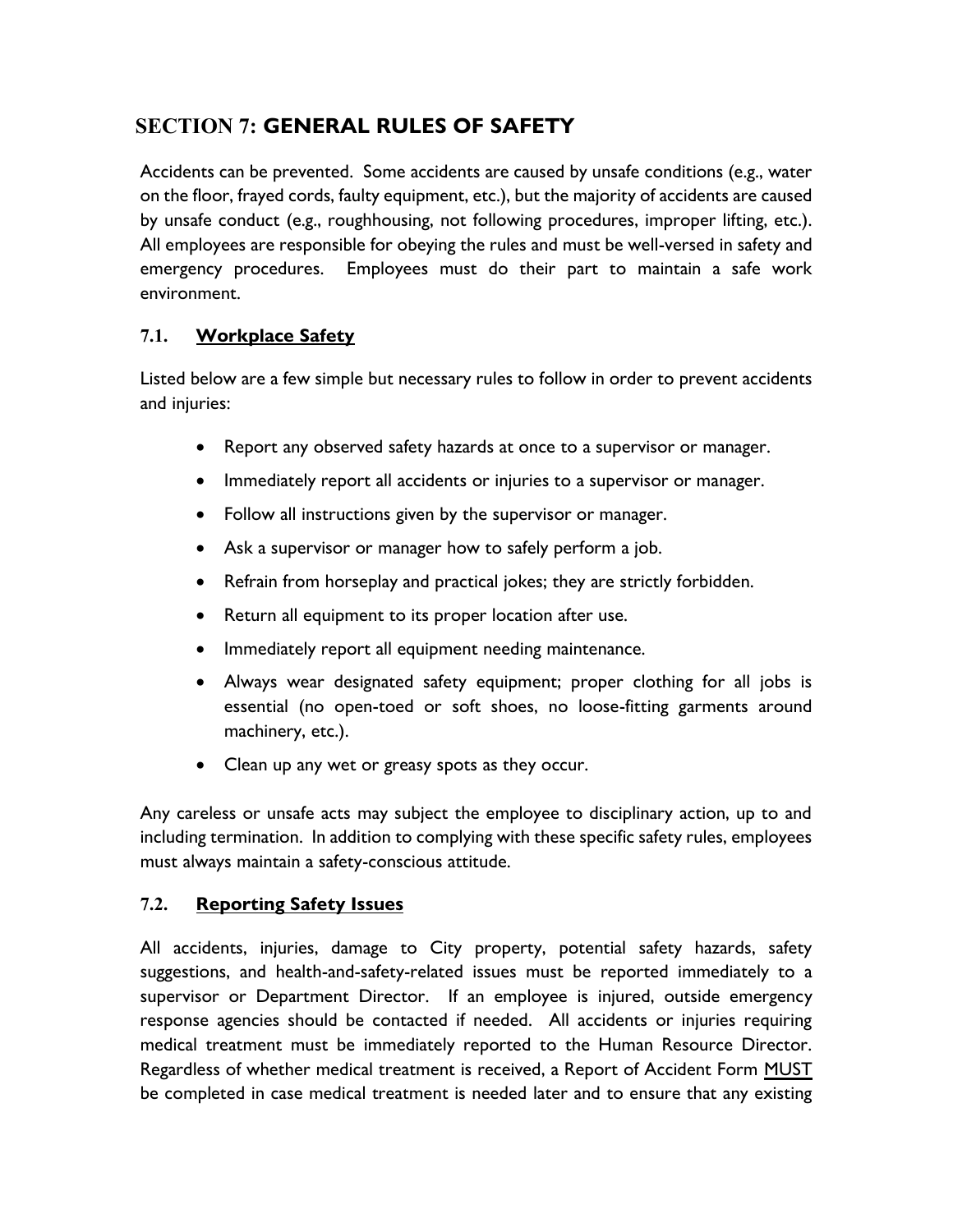# **SECTION 7: GENERAL RULES OF SAFETY**

Accidents can be prevented. Some accidents are caused by unsafe conditions (e.g., water on the floor, frayed cords, faulty equipment, etc.), but the majority of accidents are caused by unsafe conduct (e.g., roughhousing, not following procedures, improper lifting, etc.). All employees are responsible for obeying the rules and must be well-versed in safety and emergency procedures. Employees must do their part to maintain a safe work environment.

### **7.1. Workplace Safety**

Listed below are a few simple but necessary rules to follow in order to prevent accidents and injuries:

- Report any observed safety hazards at once to a supervisor or manager.
- Immediately report all accidents or injuries to a supervisor or manager.
- Follow all instructions given by the supervisor or manager.
- Ask a supervisor or manager how to safely perform a job.
- Refrain from horseplay and practical jokes; they are strictly forbidden.
- Return all equipment to its proper location after use.
- Immediately report all equipment needing maintenance.
- Always wear designated safety equipment; proper clothing for all jobs is essential (no open-toed or soft shoes, no loose-fitting garments around machinery, etc.).
- Clean up any wet or greasy spots as they occur.

Any careless or unsafe acts may subject the employee to disciplinary action, up to and including termination. In addition to complying with these specific safety rules, employees must always maintain a safety-conscious attitude.

### **7.2. Reporting Safety Issues**

All accidents, injuries, damage to City property, potential safety hazards, safety suggestions, and health-and-safety-related issues must be reported immediately to a supervisor or Department Director. If an employee is injured, outside emergency response agencies should be contacted if needed. All accidents or injuries requiring medical treatment must be immediately reported to the Human Resource Director. Regardless of whether medical treatment is received, a Report of Accident Form MUST be completed in case medical treatment is needed later and to ensure that any existing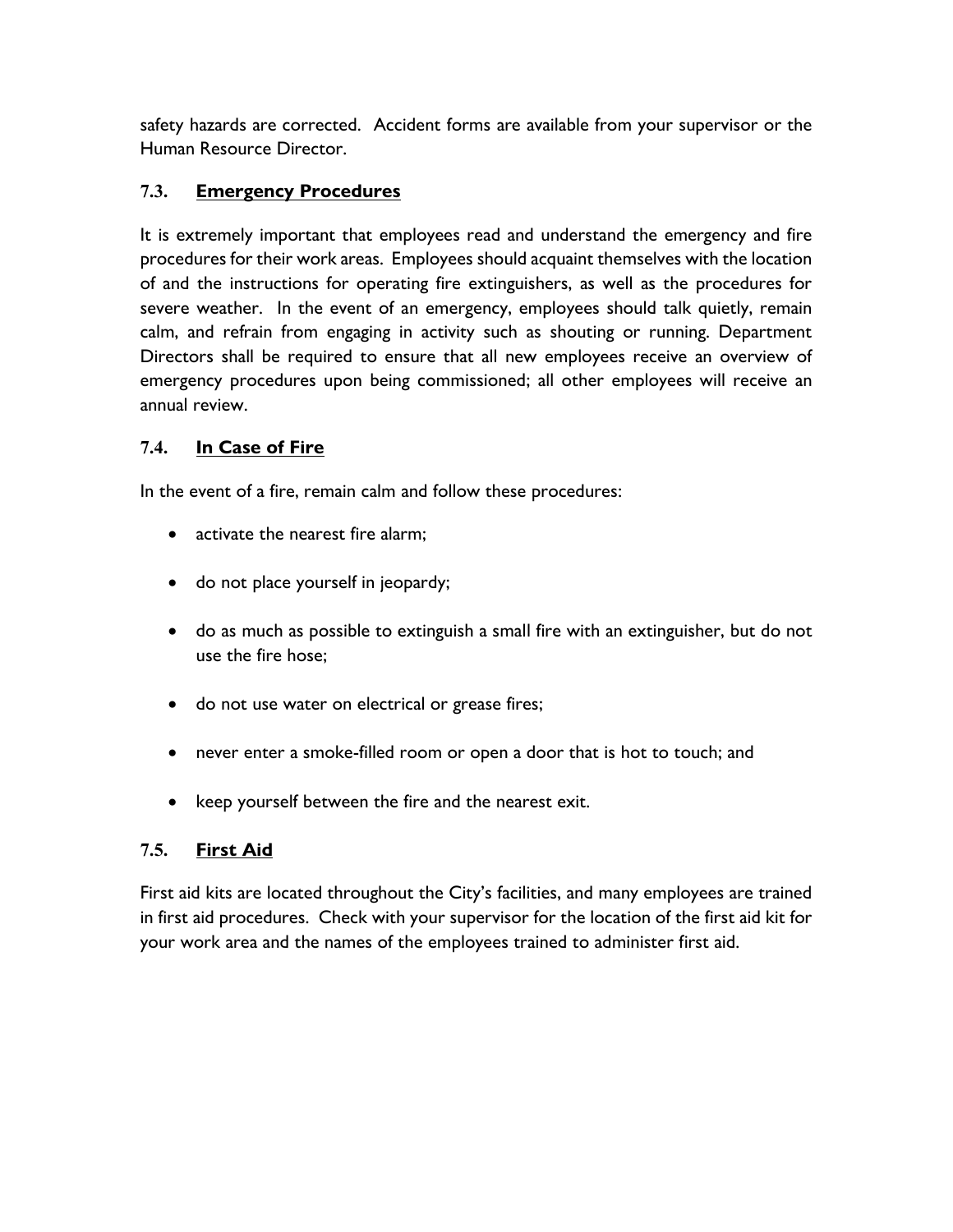safety hazards are corrected. Accident forms are available from your supervisor or the Human Resource Director.

### **7.3. Emergency Procedures**

It is extremely important that employees read and understand the emergency and fire procedures for their work areas. Employees should acquaint themselves with the location of and the instructions for operating fire extinguishers, as well as the procedures for severe weather. In the event of an emergency, employees should talk quietly, remain calm, and refrain from engaging in activity such as shouting or running. Department Directors shall be required to ensure that all new employees receive an overview of emergency procedures upon being commissioned; all other employees will receive an annual review.

### **7.4. In Case of Fire**

In the event of a fire, remain calm and follow these procedures:

- activate the nearest fire alarm;
- do not place yourself in jeopardy;
- do as much as possible to extinguish a small fire with an extinguisher, but do not use the fire hose;
- do not use water on electrical or grease fires;
- never enter a smoke-filled room or open a door that is hot to touch; and
- keep yourself between the fire and the nearest exit.

### **7.5. First Aid**

First aid kits are located throughout the City's facilities, and many employees are trained in first aid procedures. Check with your supervisor for the location of the first aid kit for your work area and the names of the employees trained to administer first aid.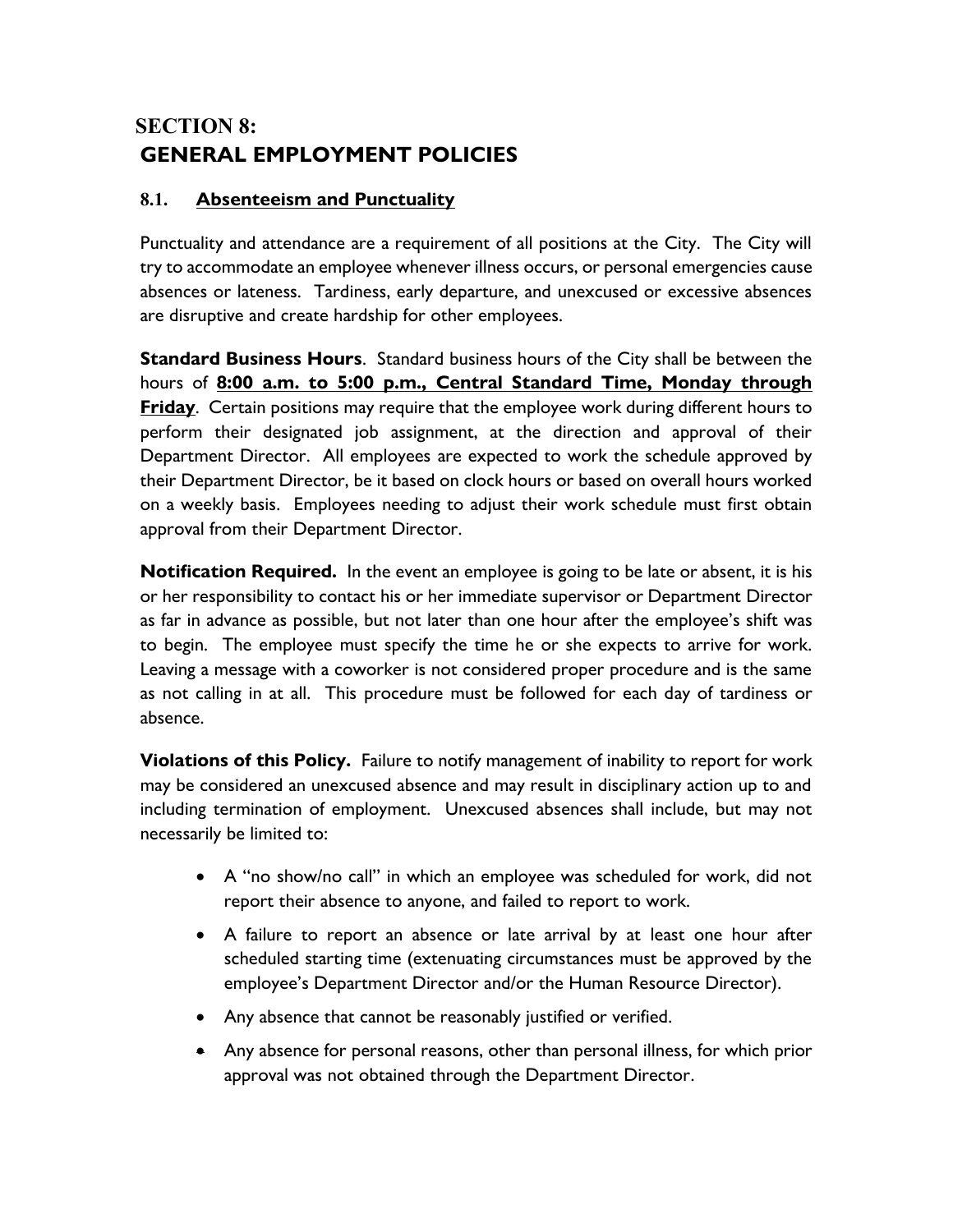# **SECTION 8: GENERAL EMPLOYMENT POLICIES**

### **8.1. Absenteeism and Punctuality**

Punctuality and attendance are a requirement of all positions at the City. The City will try to accommodate an employee whenever illness occurs, or personal emergencies cause absences or lateness. Tardiness, early departure, and unexcused or excessive absences are disruptive and create hardship for other employees.

**Standard Business Hours**. Standard business hours of the City shall be between the hours of **8:00 a.m. to 5:00 p.m., Central Standard Time, Monday through Friday**. Certain positions may require that the employee work during different hours to perform their designated job assignment, at the direction and approval of their Department Director. All employees are expected to work the schedule approved by their Department Director, be it based on clock hours or based on overall hours worked on a weekly basis. Employees needing to adjust their work schedule must first obtain approval from their Department Director.

**Notification Required.** In the event an employee is going to be late or absent, it is his or her responsibility to contact his or her immediate supervisor or Department Director as far in advance as possible, but not later than one hour after the employee's shift was to begin. The employee must specify the time he or she expects to arrive for work. Leaving a message with a coworker is not considered proper procedure and is the same as not calling in at all. This procedure must be followed for each day of tardiness or absence.

**Violations of this Policy.** Failure to notify management of inability to report for work may be considered an unexcused absence and may result in disciplinary action up to and including termination of employment. Unexcused absences shall include, but may not necessarily be limited to:

- A "no show/no call" in which an employee was scheduled for work, did not report their absence to anyone, and failed to report to work.
- A failure to report an absence or late arrival by at least one hour after scheduled starting time (extenuating circumstances must be approved by the employee's Department Director and/or the Human Resource Director).
- Any absence that cannot be reasonably justified or verified.
- Any absence for personal reasons, other than personal illness, for which prior approval was not obtained through the Department Director.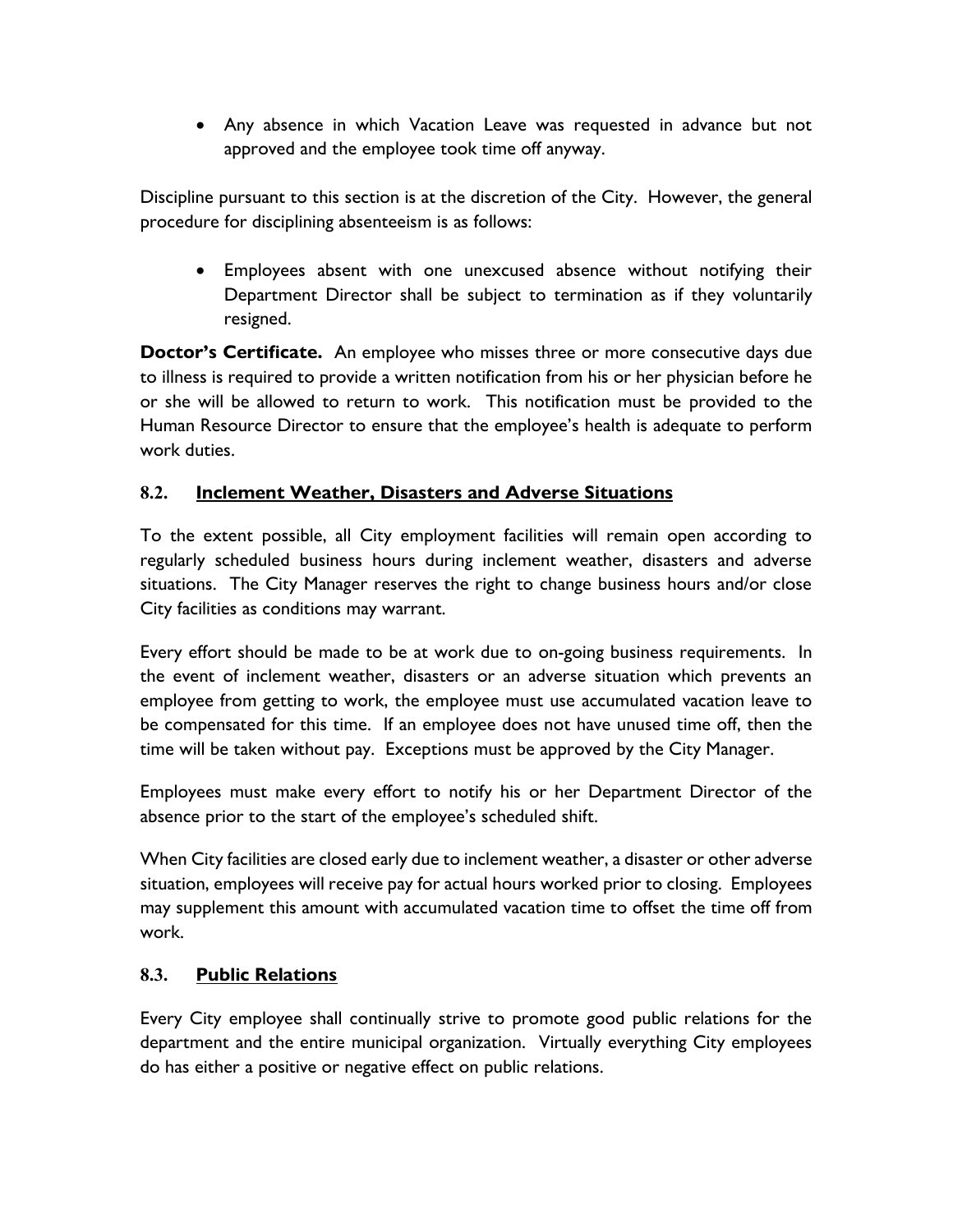• Any absence in which Vacation Leave was requested in advance but not approved and the employee took time off anyway.

Discipline pursuant to this section is at the discretion of the City. However, the general procedure for disciplining absenteeism is as follows:

• Employees absent with one unexcused absence without notifying their Department Director shall be subject to termination as if they voluntarily resigned.

**Doctor's Certificate.** An employee who misses three or more consecutive days due to illness is required to provide a written notification from his or her physician before he or she will be allowed to return to work. This notification must be provided to the Human Resource Director to ensure that the employee's health is adequate to perform work duties.

### **8.2. Inclement Weather, Disasters and Adverse Situations**

To the extent possible, all City employment facilities will remain open according to regularly scheduled business hours during inclement weather, disasters and adverse situations. The City Manager reserves the right to change business hours and/or close City facilities as conditions may warrant.

Every effort should be made to be at work due to on-going business requirements. In the event of inclement weather, disasters or an adverse situation which prevents an employee from getting to work, the employee must use accumulated vacation leave to be compensated for this time. If an employee does not have unused time off, then the time will be taken without pay. Exceptions must be approved by the City Manager.

Employees must make every effort to notify his or her Department Director of the absence prior to the start of the employee's scheduled shift.

When City facilities are closed early due to inclement weather, a disaster or other adverse situation, employees will receive pay for actual hours worked prior to closing. Employees may supplement this amount with accumulated vacation time to offset the time off from work.

### **8.3. Public Relations**

Every City employee shall continually strive to promote good public relations for the department and the entire municipal organization. Virtually everything City employees do has either a positive or negative effect on public relations.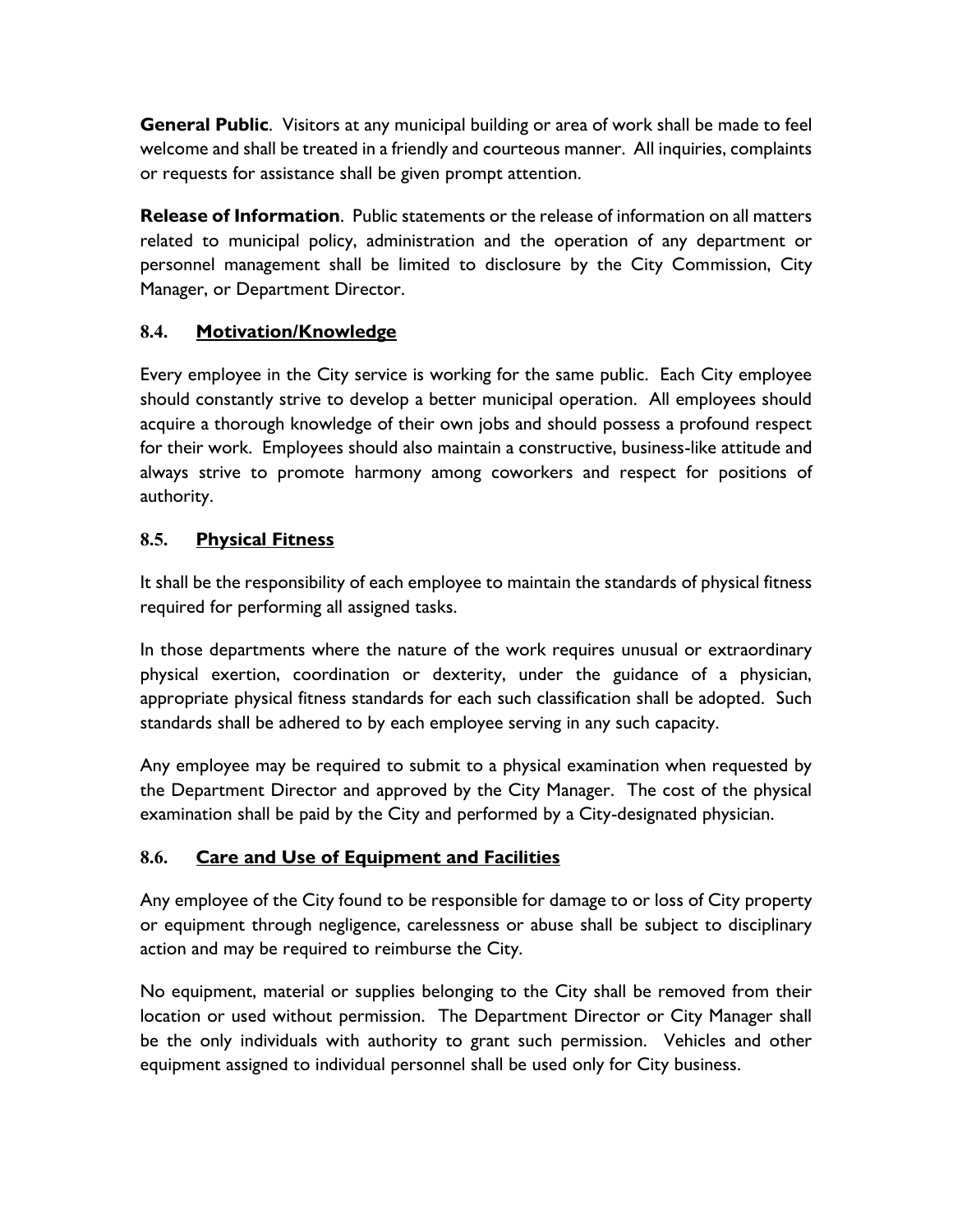**General Public**. Visitors at any municipal building or area of work shall be made to feel welcome and shall be treated in a friendly and courteous manner. All inquiries, complaints or requests for assistance shall be given prompt attention.

**Release of Information**. Public statements or the release of information on all matters related to municipal policy, administration and the operation of any department or personnel management shall be limited to disclosure by the City Commission, City Manager, or Department Director.

### **8.4. Motivation/Knowledge**

Every employee in the City service is working for the same public. Each City employee should constantly strive to develop a better municipal operation. All employees should acquire a thorough knowledge of their own jobs and should possess a profound respect for their work. Employees should also maintain a constructive, business-like attitude and always strive to promote harmony among coworkers and respect for positions of authority.

### **8.5. Physical Fitness**

It shall be the responsibility of each employee to maintain the standards of physical fitness required for performing all assigned tasks.

In those departments where the nature of the work requires unusual or extraordinary physical exertion, coordination or dexterity, under the guidance of a physician, appropriate physical fitness standards for each such classification shall be adopted. Such standards shall be adhered to by each employee serving in any such capacity.

Any employee may be required to submit to a physical examination when requested by the Department Director and approved by the City Manager. The cost of the physical examination shall be paid by the City and performed by a City-designated physician.

### **8.6. Care and Use of Equipment and Facilities**

Any employee of the City found to be responsible for damage to or loss of City property or equipment through negligence, carelessness or abuse shall be subject to disciplinary action and may be required to reimburse the City.

No equipment, material or supplies belonging to the City shall be removed from their location or used without permission. The Department Director or City Manager shall be the only individuals with authority to grant such permission. Vehicles and other equipment assigned to individual personnel shall be used only for City business.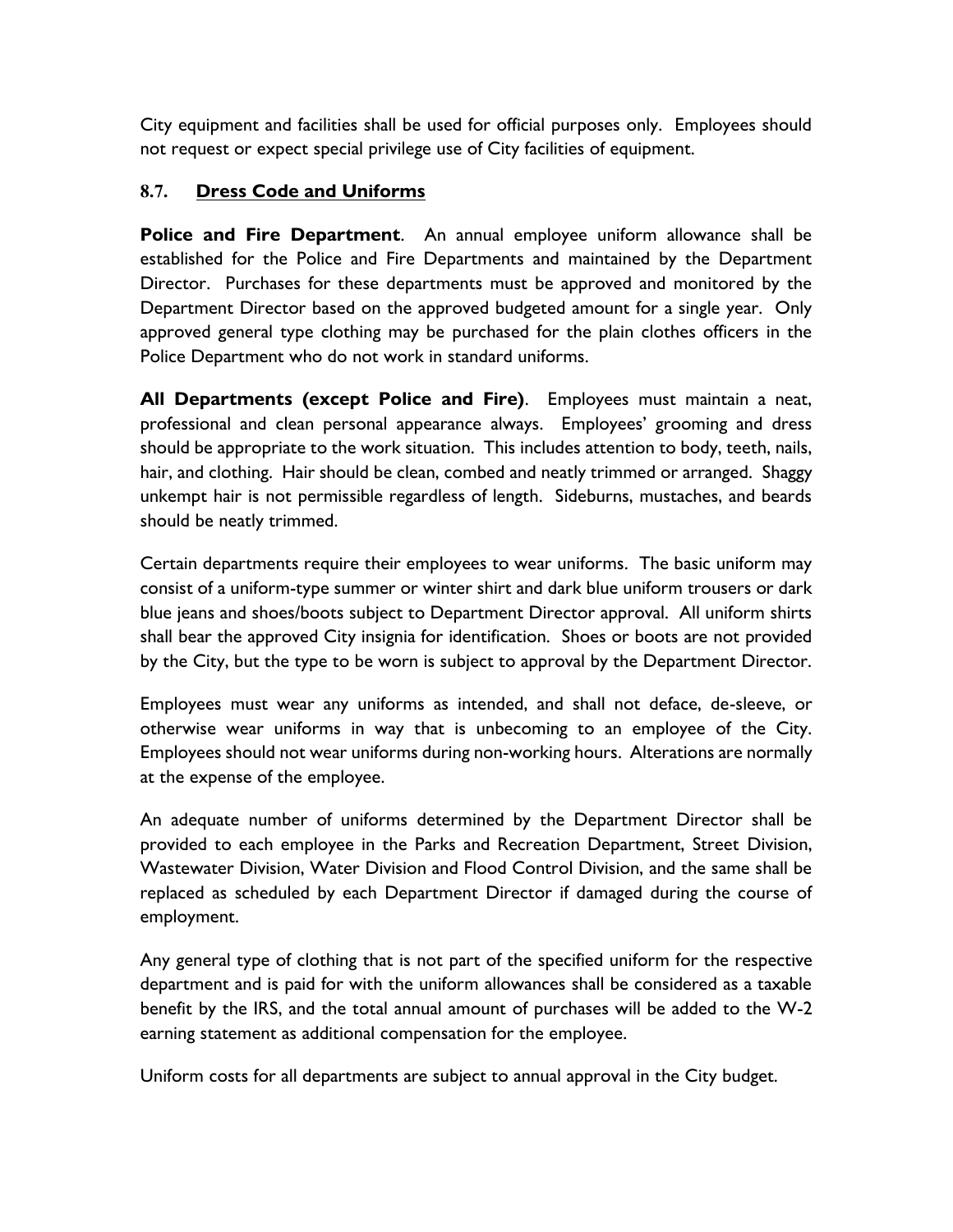City equipment and facilities shall be used for official purposes only. Employees should not request or expect special privilege use of City facilities of equipment.

### **8.7. Dress Code and Uniforms**

**Police and Fire Department**. An annual employee uniform allowance shall be established for the Police and Fire Departments and maintained by the Department Director. Purchases for these departments must be approved and monitored by the Department Director based on the approved budgeted amount for a single year. Only approved general type clothing may be purchased for the plain clothes officers in the Police Department who do not work in standard uniforms.

**All Departments (except Police and Fire)**. Employees must maintain a neat, professional and clean personal appearance always. Employees' grooming and dress should be appropriate to the work situation. This includes attention to body, teeth, nails, hair, and clothing. Hair should be clean, combed and neatly trimmed or arranged. Shaggy unkempt hair is not permissible regardless of length. Sideburns, mustaches, and beards should be neatly trimmed.

Certain departments require their employees to wear uniforms. The basic uniform may consist of a uniform-type summer or winter shirt and dark blue uniform trousers or dark blue jeans and shoes/boots subject to Department Director approval. All uniform shirts shall bear the approved City insignia for identification. Shoes or boots are not provided by the City, but the type to be worn is subject to approval by the Department Director.

Employees must wear any uniforms as intended, and shall not deface, de-sleeve, or otherwise wear uniforms in way that is unbecoming to an employee of the City. Employees should not wear uniforms during non-working hours. Alterations are normally at the expense of the employee.

An adequate number of uniforms determined by the Department Director shall be provided to each employee in the Parks and Recreation Department, Street Division, Wastewater Division, Water Division and Flood Control Division, and the same shall be replaced as scheduled by each Department Director if damaged during the course of employment.

Any general type of clothing that is not part of the specified uniform for the respective department and is paid for with the uniform allowances shall be considered as a taxable benefit by the IRS, and the total annual amount of purchases will be added to the W-2 earning statement as additional compensation for the employee.

Uniform costs for all departments are subject to annual approval in the City budget.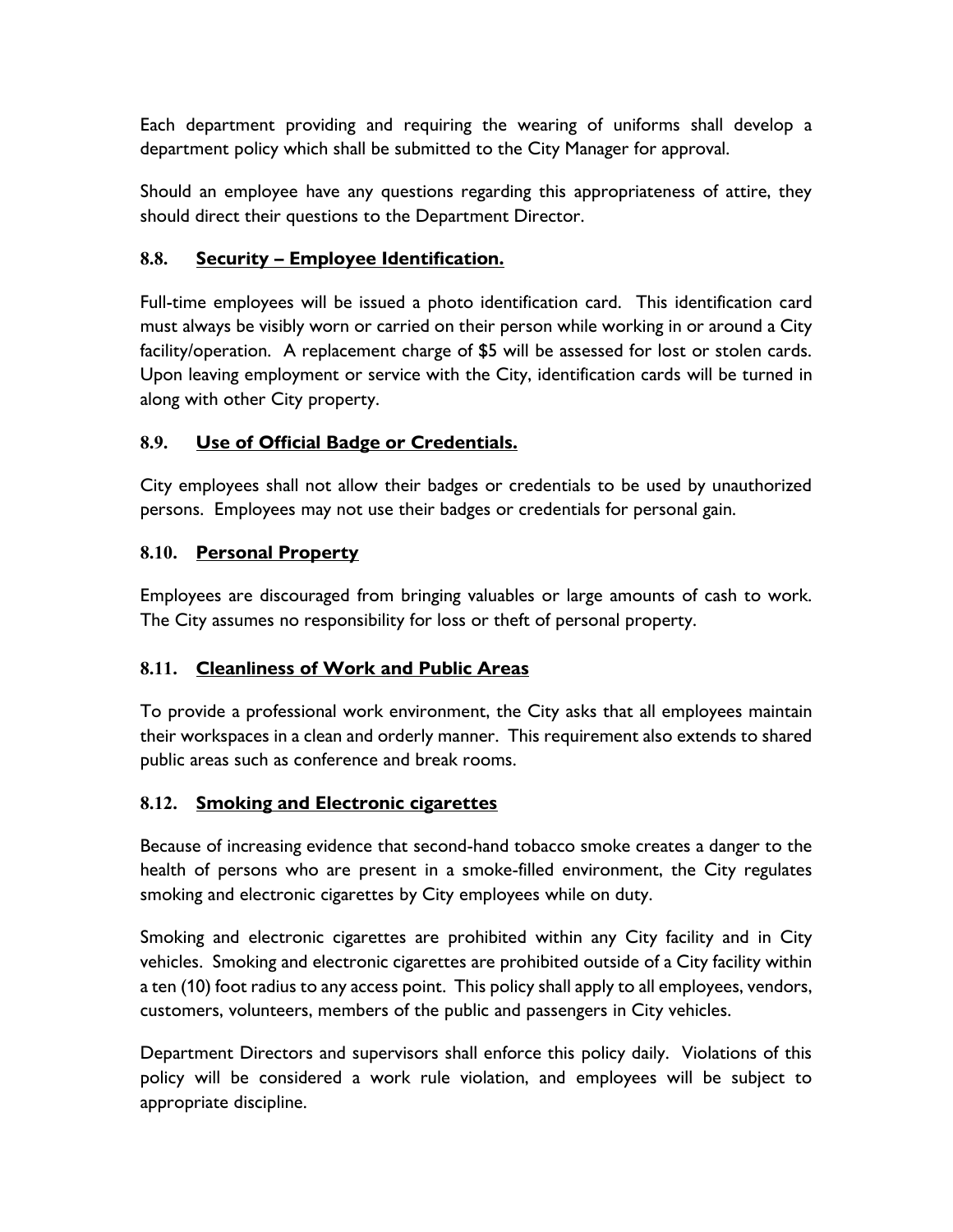Each department providing and requiring the wearing of uniforms shall develop a department policy which shall be submitted to the City Manager for approval.

Should an employee have any questions regarding this appropriateness of attire, they should direct their questions to the Department Director.

### **8.8. Security – Employee Identification.**

Full-time employees will be issued a photo identification card. This identification card must always be visibly worn or carried on their person while working in or around a City facility/operation. A replacement charge of \$5 will be assessed for lost or stolen cards. Upon leaving employment or service with the City, identification cards will be turned in along with other City property.

### **8.9. Use of Official Badge or Credentials.**

City employees shall not allow their badges or credentials to be used by unauthorized persons. Employees may not use their badges or credentials for personal gain.

### **8.10. Personal Property**

Employees are discouraged from bringing valuables or large amounts of cash to work. The City assumes no responsibility for loss or theft of personal property.

### **8.11. Cleanliness of Work and Public Areas**

To provide a professional work environment, the City asks that all employees maintain their workspaces in a clean and orderly manner. This requirement also extends to shared public areas such as conference and break rooms.

### **8.12. Smoking and Electronic cigarettes**

Because of increasing evidence that second-hand tobacco smoke creates a danger to the health of persons who are present in a smoke-filled environment, the City regulates smoking and electronic cigarettes by City employees while on duty.

Smoking and electronic cigarettes are prohibited within any City facility and in City vehicles. Smoking and electronic cigarettes are prohibited outside of a City facility within a ten (10) foot radius to any access point. This policy shall apply to all employees, vendors, customers, volunteers, members of the public and passengers in City vehicles.

Department Directors and supervisors shall enforce this policy daily. Violations of this policy will be considered a work rule violation, and employees will be subject to appropriate discipline.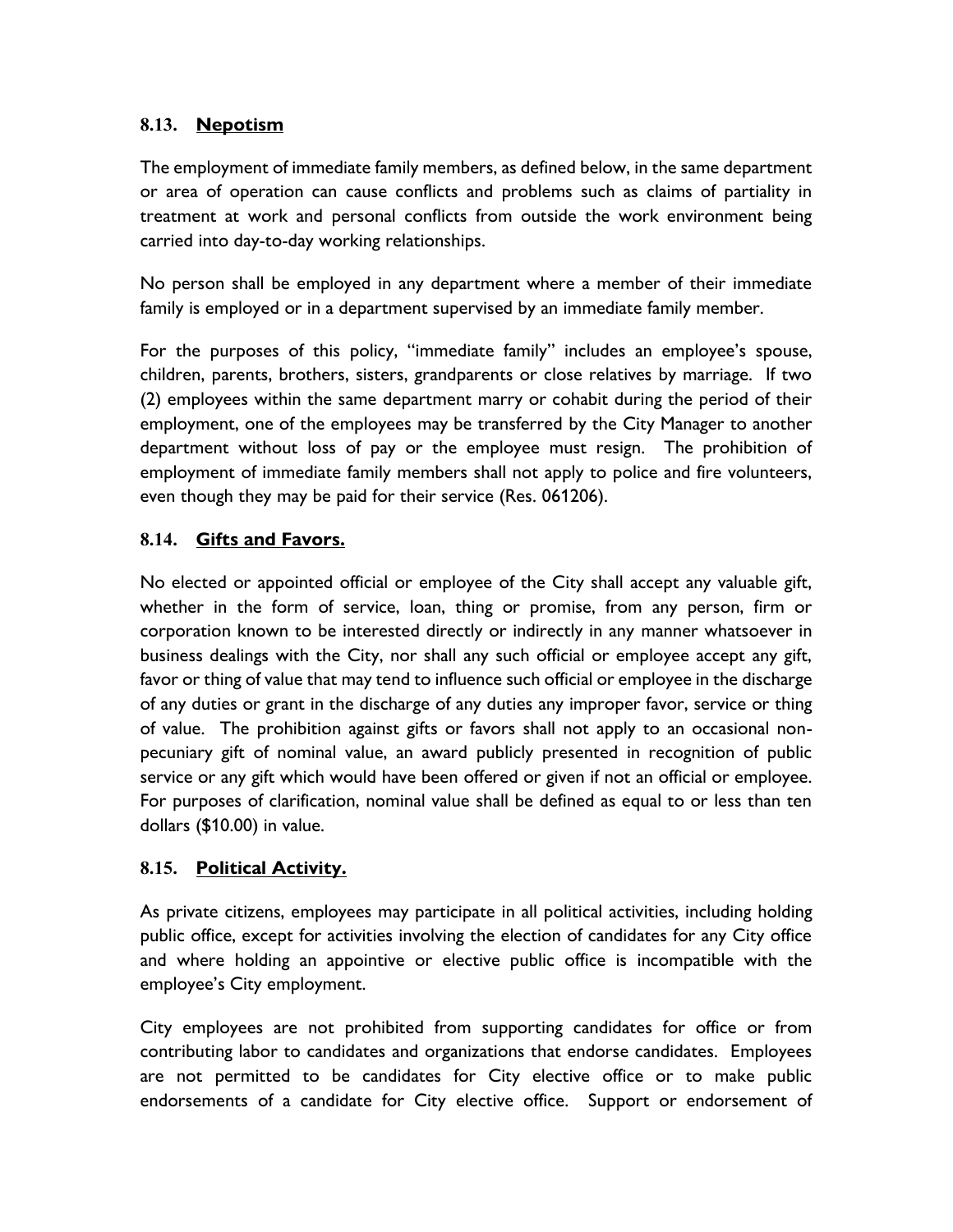### **8.13. Nepotism**

The employment of immediate family members, as defined below, in the same department or area of operation can cause conflicts and problems such as claims of partiality in treatment at work and personal conflicts from outside the work environment being carried into day-to-day working relationships.

No person shall be employed in any department where a member of their immediate family is employed or in a department supervised by an immediate family member.

For the purposes of this policy, "immediate family" includes an employee's spouse, children, parents, brothers, sisters, grandparents or close relatives by marriage. If two (2) employees within the same department marry or cohabit during the period of their employment, one of the employees may be transferred by the City Manager to another department without loss of pay or the employee must resign. The prohibition of employment of immediate family members shall not apply to police and fire volunteers, even though they may be paid for their service (Res. 061206).

### **8.14. Gifts and Favors.**

No elected or appointed official or employee of the City shall accept any valuable gift, whether in the form of service, loan, thing or promise, from any person, firm or corporation known to be interested directly or indirectly in any manner whatsoever in business dealings with the City, nor shall any such official or employee accept any gift, favor or thing of value that may tend to influence such official or employee in the discharge of any duties or grant in the discharge of any duties any improper favor, service or thing of value. The prohibition against gifts or favors shall not apply to an occasional nonpecuniary gift of nominal value, an award publicly presented in recognition of public service or any gift which would have been offered or given if not an official or employee. For purposes of clarification, nominal value shall be defined as equal to or less than ten dollars (\$10.00) in value.

### **8.15. Political Activity.**

As private citizens, employees may participate in all political activities, including holding public office, except for activities involving the election of candidates for any City office and where holding an appointive or elective public office is incompatible with the employee's City employment.

City employees are not prohibited from supporting candidates for office or from contributing labor to candidates and organizations that endorse candidates. Employees are not permitted to be candidates for City elective office or to make public endorsements of a candidate for City elective office. Support or endorsement of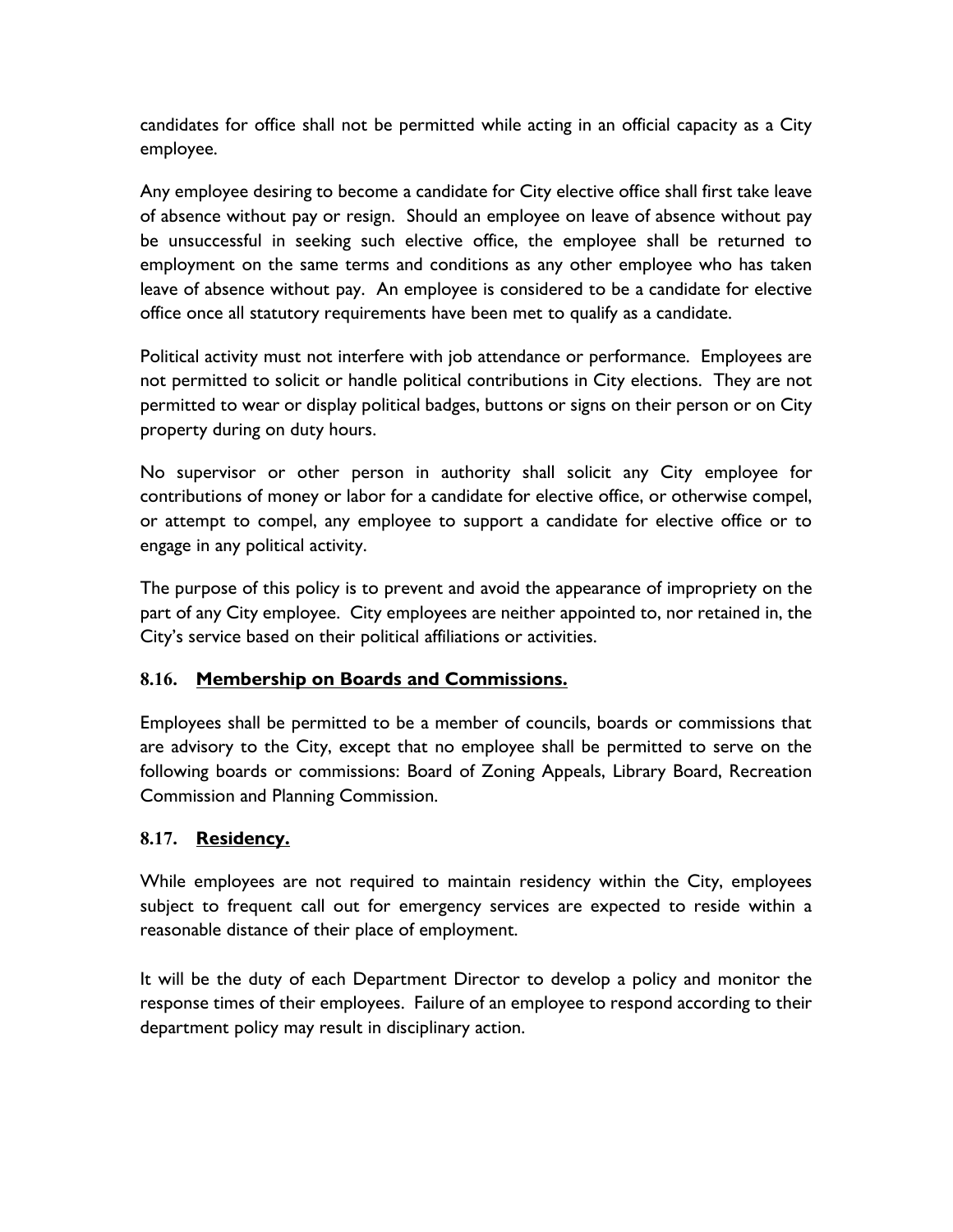candidates for office shall not be permitted while acting in an official capacity as a City employee.

Any employee desiring to become a candidate for City elective office shall first take leave of absence without pay or resign. Should an employee on leave of absence without pay be unsuccessful in seeking such elective office, the employee shall be returned to employment on the same terms and conditions as any other employee who has taken leave of absence without pay. An employee is considered to be a candidate for elective office once all statutory requirements have been met to qualify as a candidate.

Political activity must not interfere with job attendance or performance. Employees are not permitted to solicit or handle political contributions in City elections. They are not permitted to wear or display political badges, buttons or signs on their person or on City property during on duty hours.

No supervisor or other person in authority shall solicit any City employee for contributions of money or labor for a candidate for elective office, or otherwise compel, or attempt to compel, any employee to support a candidate for elective office or to engage in any political activity.

The purpose of this policy is to prevent and avoid the appearance of impropriety on the part of any City employee. City employees are neither appointed to, nor retained in, the City's service based on their political affiliations or activities.

### **8.16. Membership on Boards and Commissions.**

Employees shall be permitted to be a member of councils, boards or commissions that are advisory to the City, except that no employee shall be permitted to serve on the following boards or commissions: Board of Zoning Appeals, Library Board, Recreation Commission and Planning Commission.

### **8.17. Residency.**

While employees are not required to maintain residency within the City, employees subject to frequent call out for emergency services are expected to reside within a reasonable distance of their place of employment.

It will be the duty of each Department Director to develop a policy and monitor the response times of their employees. Failure of an employee to respond according to their department policy may result in disciplinary action.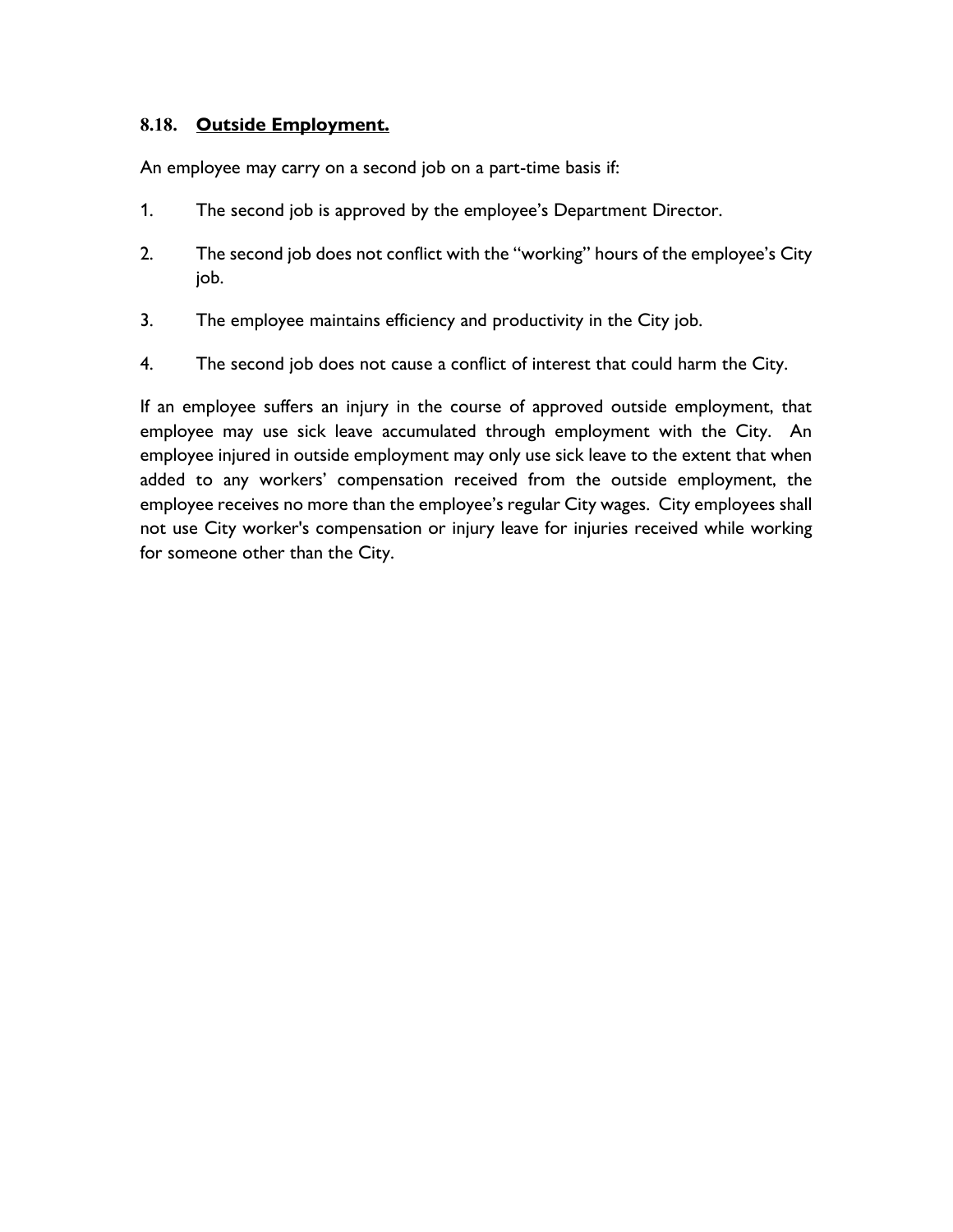### **8.18. Outside Employment.**

An employee may carry on a second job on a part-time basis if:

- 1. The second job is approved by the employee's Department Director.
- 2. The second job does not conflict with the "working" hours of the employee's City job.
- 3. The employee maintains efficiency and productivity in the City job.
- 4. The second job does not cause a conflict of interest that could harm the City.

If an employee suffers an injury in the course of approved outside employment, that employee may use sick leave accumulated through employment with the City. An employee injured in outside employment may only use sick leave to the extent that when added to any workers' compensation received from the outside employment, the employee receives no more than the employee's regular City wages. City employees shall not use City worker's compensation or injury leave for injuries received while working for someone other than the City.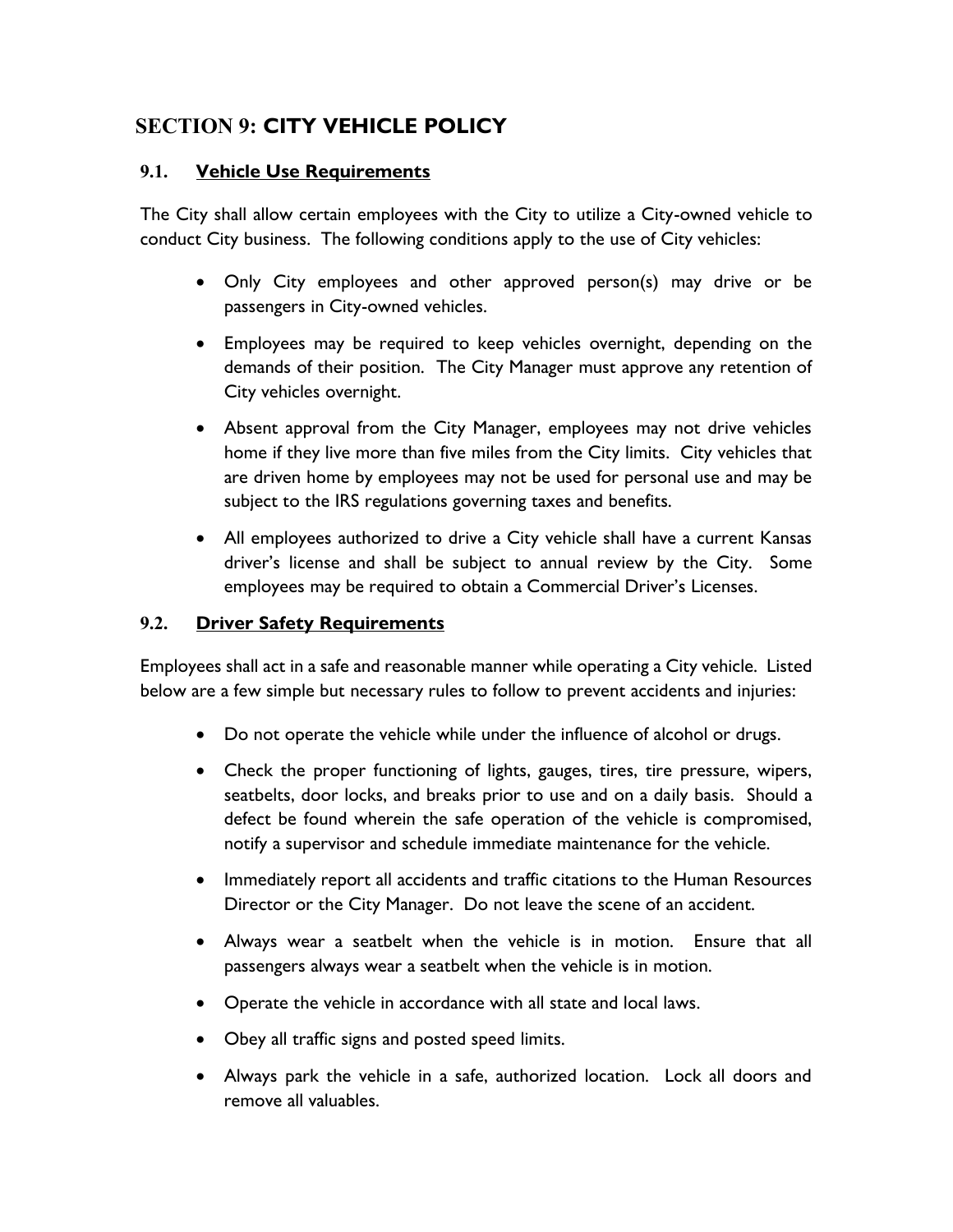# **SECTION 9: CITY VEHICLE POLICY**

#### **9.1. Vehicle Use Requirements**

The City shall allow certain employees with the City to utilize a City-owned vehicle to conduct City business. The following conditions apply to the use of City vehicles:

- Only City employees and other approved person(s) may drive or be passengers in City-owned vehicles.
- Employees may be required to keep vehicles overnight, depending on the demands of their position. The City Manager must approve any retention of City vehicles overnight.
- Absent approval from the City Manager, employees may not drive vehicles home if they live more than five miles from the City limits. City vehicles that are driven home by employees may not be used for personal use and may be subject to the IRS regulations governing taxes and benefits.
- All employees authorized to drive a City vehicle shall have a current Kansas driver's license and shall be subject to annual review by the City. Some employees may be required to obtain a Commercial Driver's Licenses.

#### **9.2. Driver Safety Requirements**

Employees shall act in a safe and reasonable manner while operating a City vehicle. Listed below are a few simple but necessary rules to follow to prevent accidents and injuries:

- Do not operate the vehicle while under the influence of alcohol or drugs.
- Check the proper functioning of lights, gauges, tires, tire pressure, wipers, seatbelts, door locks, and breaks prior to use and on a daily basis. Should a defect be found wherein the safe operation of the vehicle is compromised, notify a supervisor and schedule immediate maintenance for the vehicle.
- Immediately report all accidents and traffic citations to the Human Resources Director or the City Manager. Do not leave the scene of an accident.
- Always wear a seatbelt when the vehicle is in motion. Ensure that all passengers always wear a seatbelt when the vehicle is in motion.
- Operate the vehicle in accordance with all state and local laws.
- Obey all traffic signs and posted speed limits.
- Always park the vehicle in a safe, authorized location. Lock all doors and remove all valuables.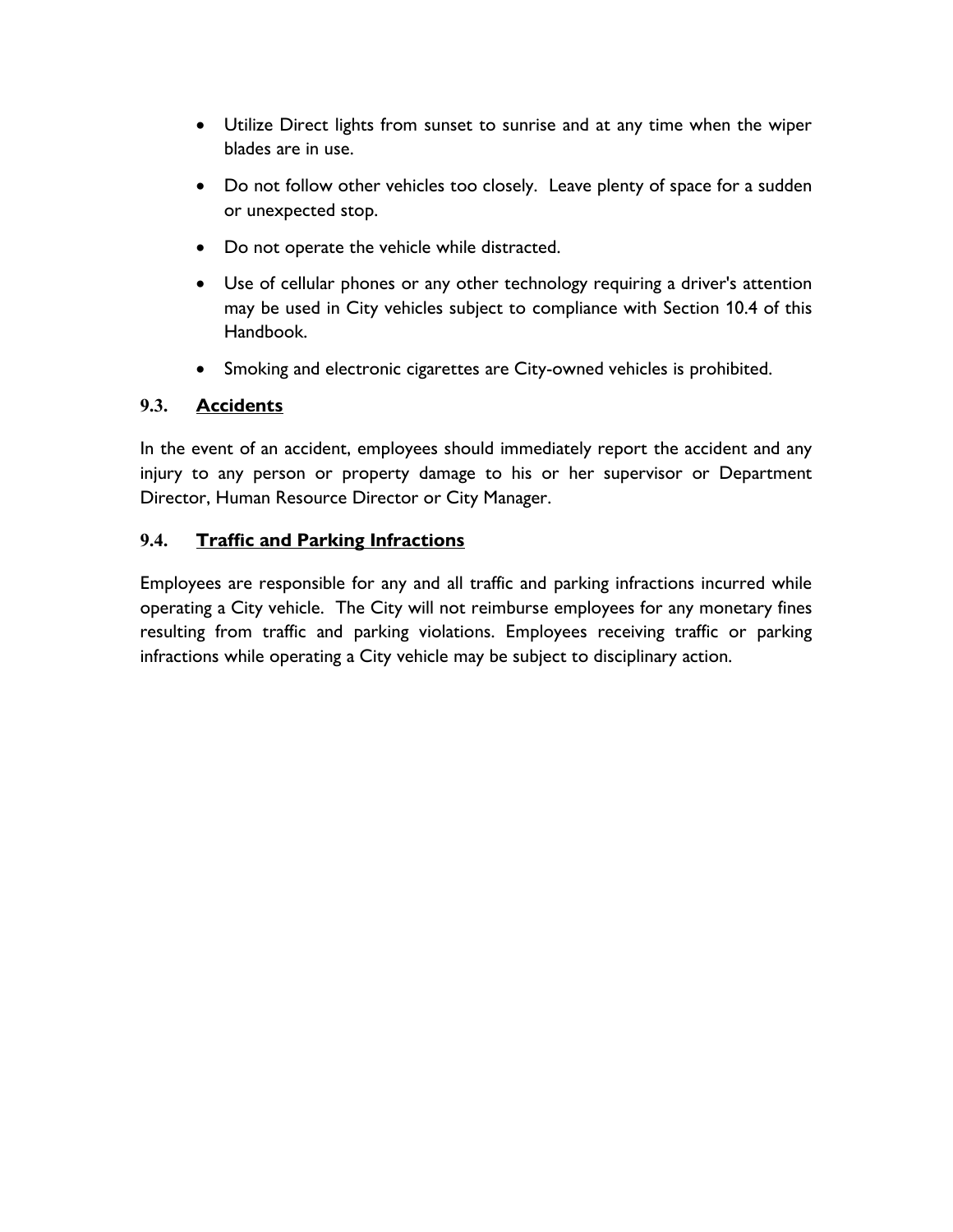- Utilize Direct lights from sunset to sunrise and at any time when the wiper blades are in use.
- Do not follow other vehicles too closely. Leave plenty of space for a sudden or unexpected stop.
- Do not operate the vehicle while distracted.
- Use of cellular phones or any other technology requiring a driver's attention may be used in City vehicles subject to compliance with Section 10.4 of this Handbook.
- Smoking and electronic cigarettes are City-owned vehicles is prohibited.

# **9.3. Accidents**

In the event of an accident, employees should immediately report the accident and any injury to any person or property damage to his or her supervisor or Department Director, Human Resource Director or City Manager.

## **9.4. Traffic and Parking Infractions**

Employees are responsible for any and all traffic and parking infractions incurred while operating a City vehicle. The City will not reimburse employees for any monetary fines resulting from traffic and parking violations. Employees receiving traffic or parking infractions while operating a City vehicle may be subject to disciplinary action.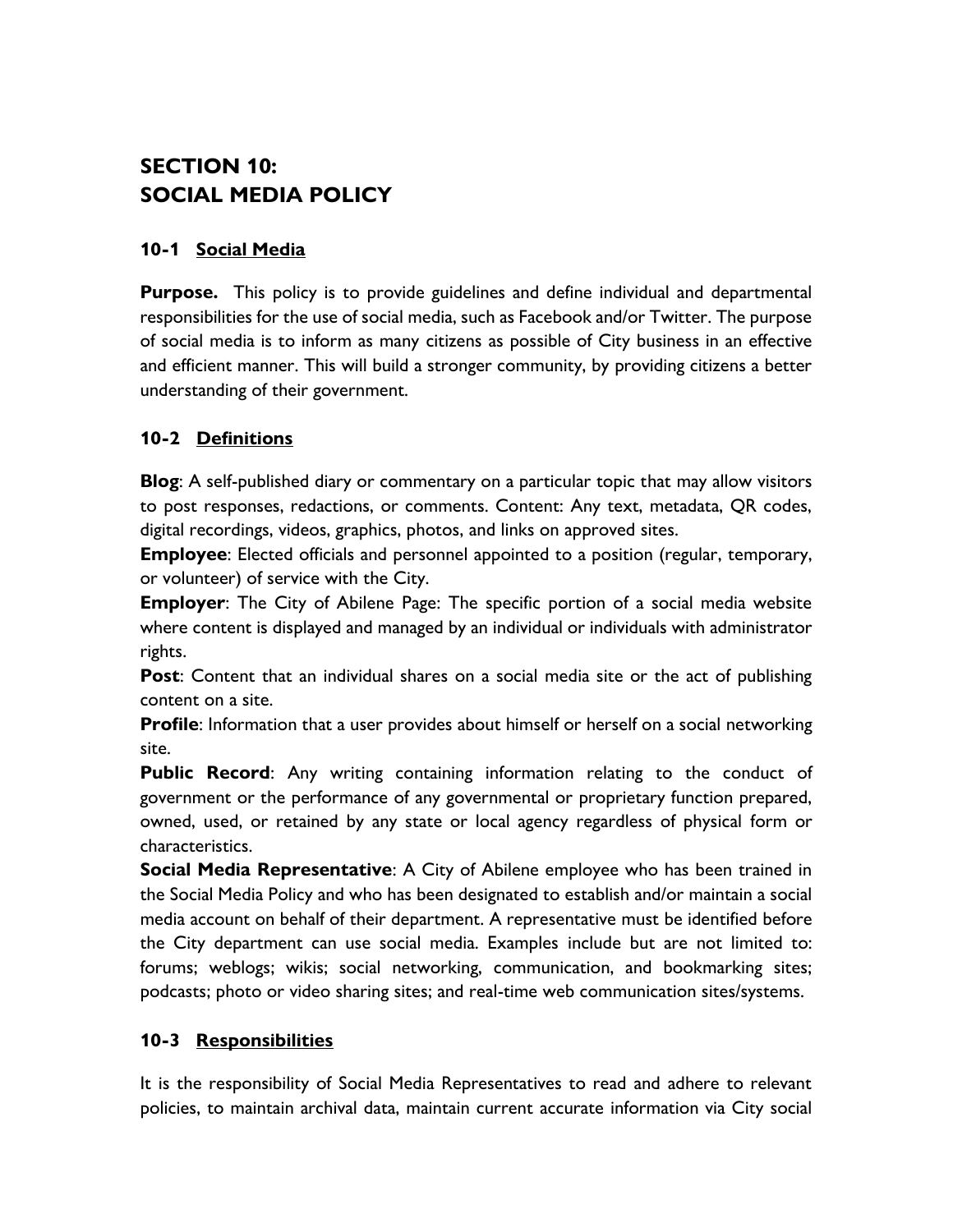# **SECTION 10: SOCIAL MEDIA POLICY**

#### **10-1 Social Media**

**Purpose.** This policy is to provide guidelines and define individual and departmental responsibilities for the use of social media, such as Facebook and/or Twitter. The purpose of social media is to inform as many citizens as possible of City business in an effective and efficient manner. This will build a stronger community, by providing citizens a better understanding of their government.

#### **10-2 Definitions**

**Blog**: A self-published diary or commentary on a particular topic that may allow visitors to post responses, redactions, or comments. Content: Any text, metadata, QR codes, digital recordings, videos, graphics, photos, and links on approved sites.

**Employee**: Elected officials and personnel appointed to a position (regular, temporary, or volunteer) of service with the City.

**Employer**: The City of Abilene Page: The specific portion of a social media website where content is displayed and managed by an individual or individuals with administrator rights.

**Post**: Content that an individual shares on a social media site or the act of publishing content on a site.

**Profile**: Information that a user provides about himself or herself on a social networking site.

**Public Record**: Any writing containing information relating to the conduct of government or the performance of any governmental or proprietary function prepared, owned, used, or retained by any state or local agency regardless of physical form or characteristics.

**Social Media Representative**: A City of Abilene employee who has been trained in the Social Media Policy and who has been designated to establish and/or maintain a social media account on behalf of their department. A representative must be identified before the City department can use social media. Examples include but are not limited to: forums; weblogs; wikis; social networking, communication, and bookmarking sites; podcasts; photo or video sharing sites; and real-time web communication sites/systems.

#### **10-3 Responsibilities**

It is the responsibility of Social Media Representatives to read and adhere to relevant policies, to maintain archival data, maintain current accurate information via City social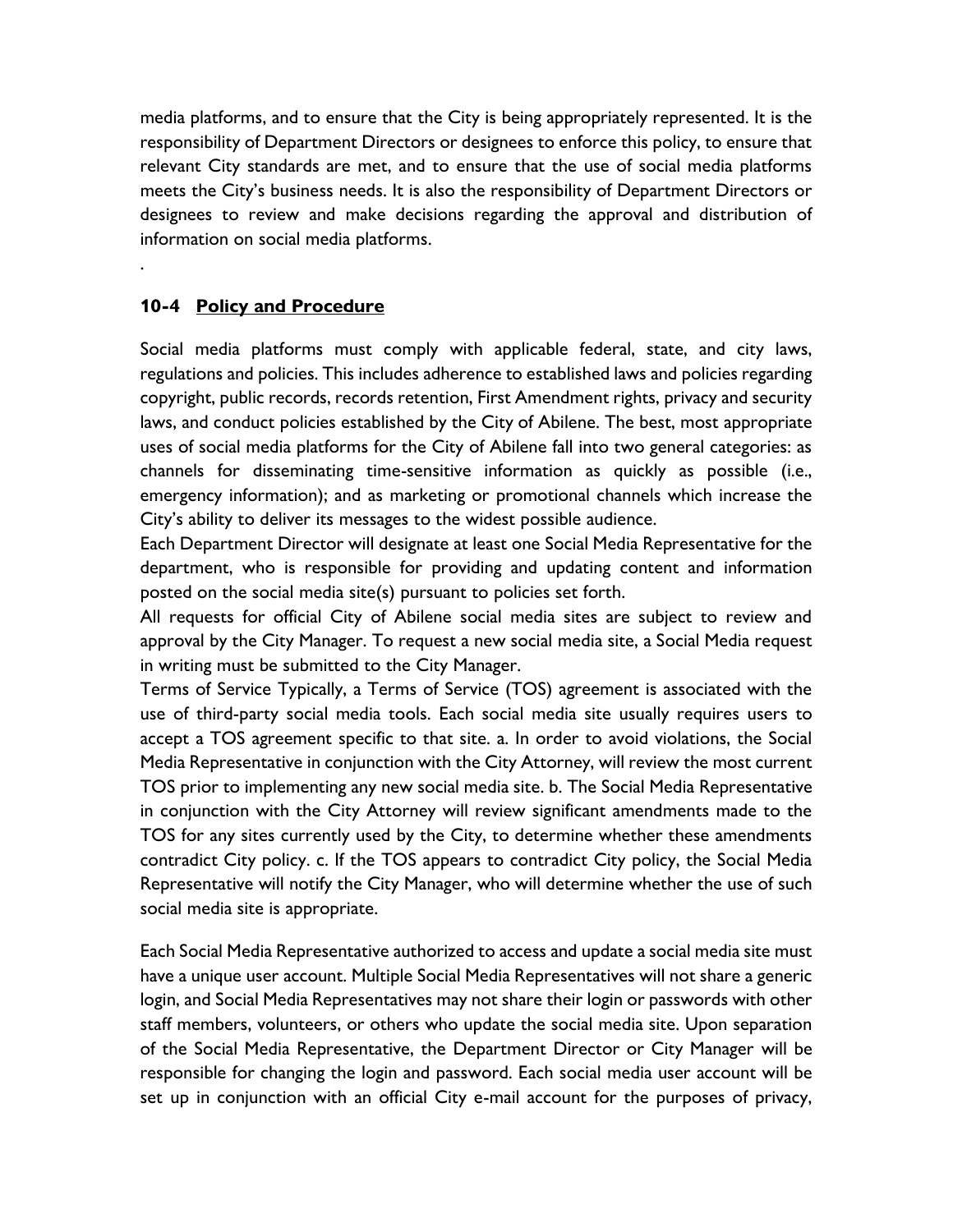media platforms, and to ensure that the City is being appropriately represented. It is the responsibility of Department Directors or designees to enforce this policy, to ensure that relevant City standards are met, and to ensure that the use of social media platforms meets the City's business needs. It is also the responsibility of Department Directors or designees to review and make decisions regarding the approval and distribution of information on social media platforms.

#### **10-4 Policy and Procedure**

.

Social media platforms must comply with applicable federal, state, and city laws, regulations and policies. This includes adherence to established laws and policies regarding copyright, public records, records retention, First Amendment rights, privacy and security laws, and conduct policies established by the City of Abilene. The best, most appropriate uses of social media platforms for the City of Abilene fall into two general categories: as channels for disseminating time-sensitive information as quickly as possible (i.e., emergency information); and as marketing or promotional channels which increase the City's ability to deliver its messages to the widest possible audience.

Each Department Director will designate at least one Social Media Representative for the department, who is responsible for providing and updating content and information posted on the social media site(s) pursuant to policies set forth.

All requests for official City of Abilene social media sites are subject to review and approval by the City Manager. To request a new social media site, a Social Media request in writing must be submitted to the City Manager.

Terms of Service Typically, a Terms of Service (TOS) agreement is associated with the use of third-party social media tools. Each social media site usually requires users to accept a TOS agreement specific to that site. a. In order to avoid violations, the Social Media Representative in conjunction with the City Attorney, will review the most current TOS prior to implementing any new social media site. b. The Social Media Representative in conjunction with the City Attorney will review significant amendments made to the TOS for any sites currently used by the City, to determine whether these amendments contradict City policy. c. If the TOS appears to contradict City policy, the Social Media Representative will notify the City Manager, who will determine whether the use of such social media site is appropriate.

Each Social Media Representative authorized to access and update a social media site must have a unique user account. Multiple Social Media Representatives will not share a generic login, and Social Media Representatives may not share their login or passwords with other staff members, volunteers, or others who update the social media site. Upon separation of the Social Media Representative, the Department Director or City Manager will be responsible for changing the login and password. Each social media user account will be set up in conjunction with an official City e-mail account for the purposes of privacy,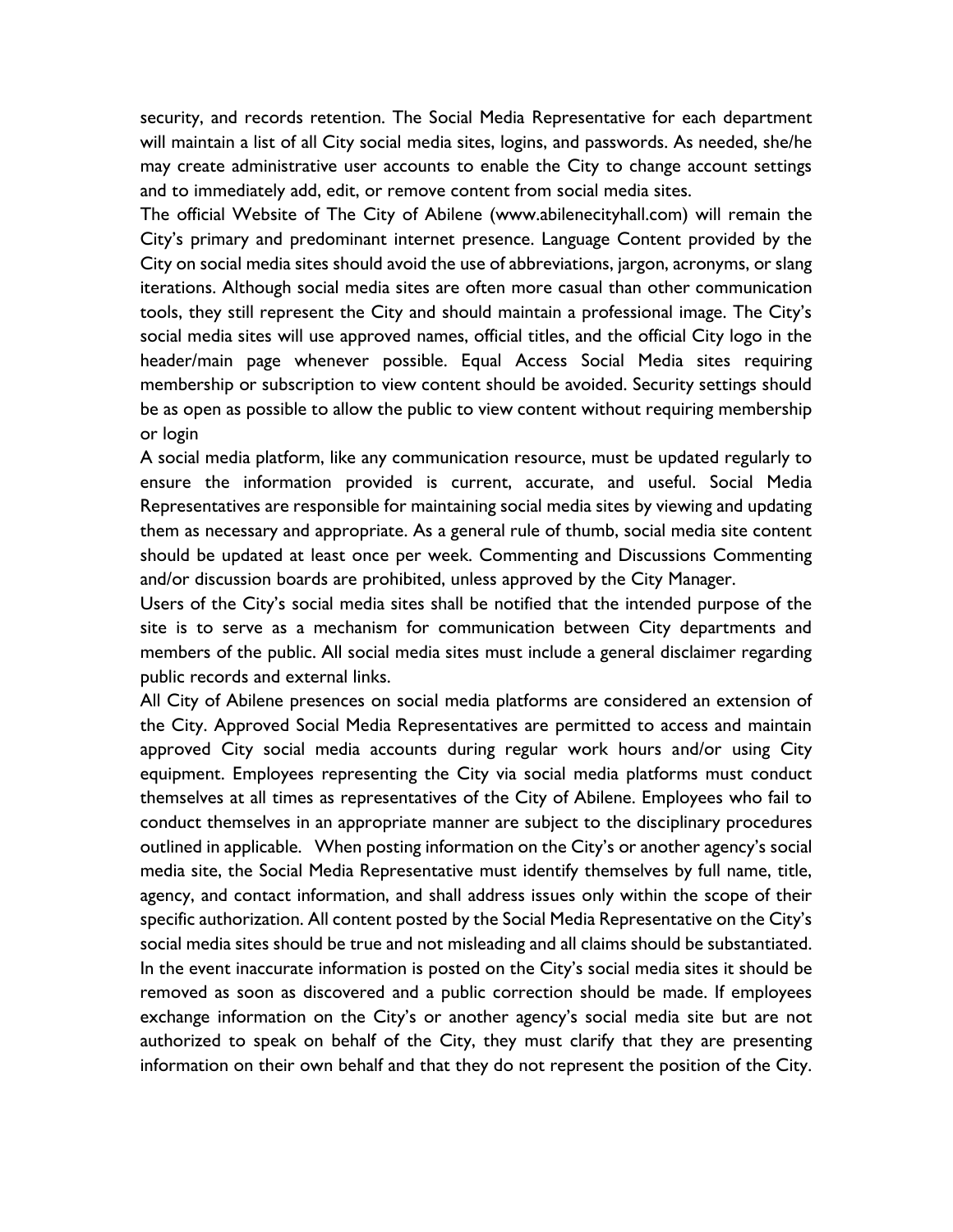security, and records retention. The Social Media Representative for each department will maintain a list of all City social media sites, logins, and passwords. As needed, she/he may create administrative user accounts to enable the City to change account settings and to immediately add, edit, or remove content from social media sites.

The official Website of The City of Abilene (www.abilenecityhall.com) will remain the City's primary and predominant internet presence. Language Content provided by the City on social media sites should avoid the use of abbreviations, jargon, acronyms, or slang iterations. Although social media sites are often more casual than other communication tools, they still represent the City and should maintain a professional image. The City's social media sites will use approved names, official titles, and the official City logo in the header/main page whenever possible. Equal Access Social Media sites requiring membership or subscription to view content should be avoided. Security settings should be as open as possible to allow the public to view content without requiring membership or login

A social media platform, like any communication resource, must be updated regularly to ensure the information provided is current, accurate, and useful. Social Media Representatives are responsible for maintaining social media sites by viewing and updating them as necessary and appropriate. As a general rule of thumb, social media site content should be updated at least once per week. Commenting and Discussions Commenting and/or discussion boards are prohibited, unless approved by the City Manager.

Users of the City's social media sites shall be notified that the intended purpose of the site is to serve as a mechanism for communication between City departments and members of the public. All social media sites must include a general disclaimer regarding public records and external links.

All City of Abilene presences on social media platforms are considered an extension of the City. Approved Social Media Representatives are permitted to access and maintain approved City social media accounts during regular work hours and/or using City equipment. Employees representing the City via social media platforms must conduct themselves at all times as representatives of the City of Abilene. Employees who fail to conduct themselves in an appropriate manner are subject to the disciplinary procedures outlined in applicable. When posting information on the City's or another agency's social media site, the Social Media Representative must identify themselves by full name, title, agency, and contact information, and shall address issues only within the scope of their specific authorization. All content posted by the Social Media Representative on the City's social media sites should be true and not misleading and all claims should be substantiated. In the event inaccurate information is posted on the City's social media sites it should be removed as soon as discovered and a public correction should be made. If employees exchange information on the City's or another agency's social media site but are not authorized to speak on behalf of the City, they must clarify that they are presenting information on their own behalf and that they do not represent the position of the City.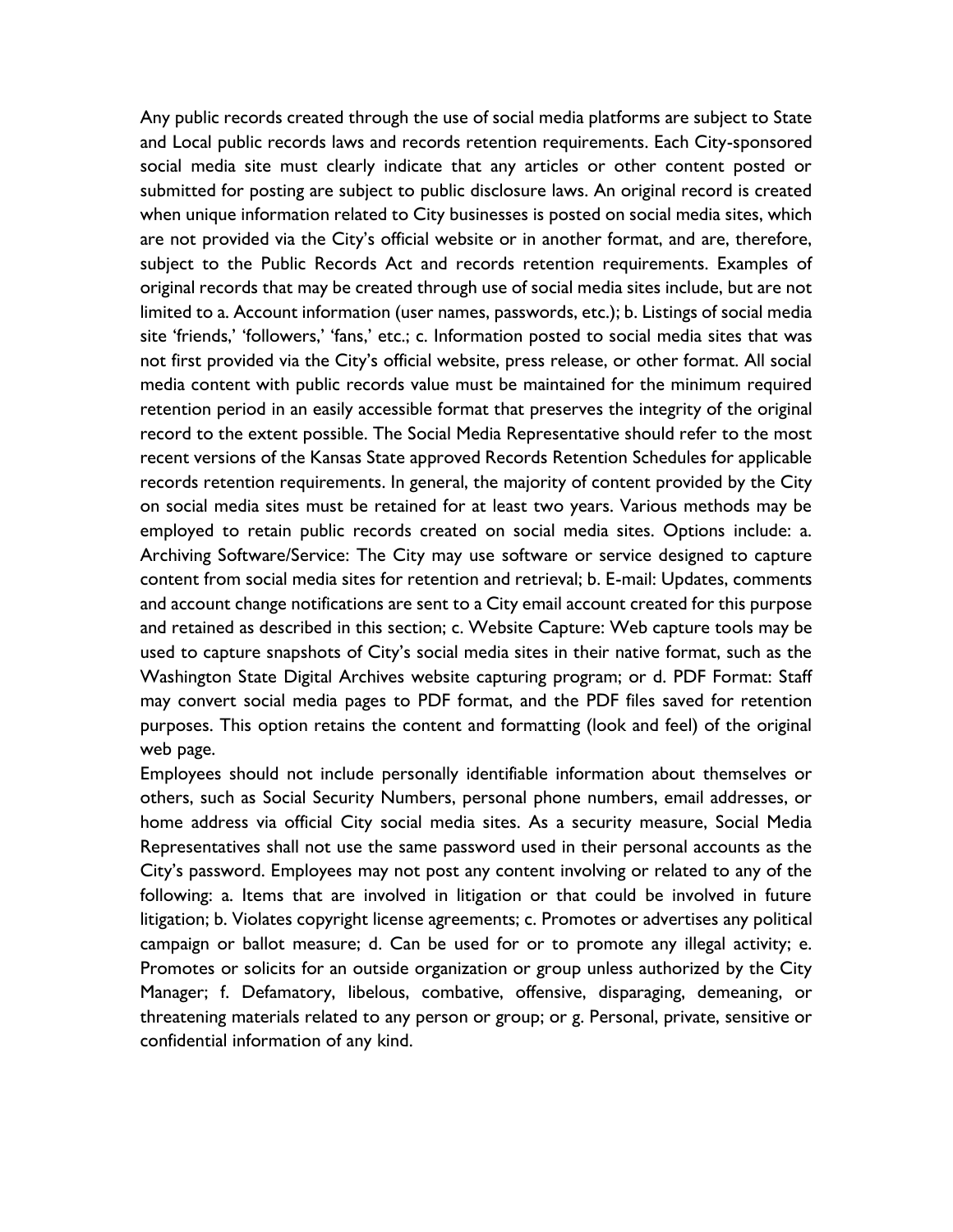Any public records created through the use of social media platforms are subject to State and Local public records laws and records retention requirements. Each City-sponsored social media site must clearly indicate that any articles or other content posted or submitted for posting are subject to public disclosure laws. An original record is created when unique information related to City businesses is posted on social media sites, which are not provided via the City's official website or in another format, and are, therefore, subject to the Public Records Act and records retention requirements. Examples of original records that may be created through use of social media sites include, but are not limited to a. Account information (user names, passwords, etc.); b. Listings of social media site 'friends,' 'followers,' 'fans,' etc.; c. Information posted to social media sites that was not first provided via the City's official website, press release, or other format. All social media content with public records value must be maintained for the minimum required retention period in an easily accessible format that preserves the integrity of the original record to the extent possible. The Social Media Representative should refer to the most recent versions of the Kansas State approved Records Retention Schedules for applicable records retention requirements. In general, the majority of content provided by the City on social media sites must be retained for at least two years. Various methods may be employed to retain public records created on social media sites. Options include: a. Archiving Software/Service: The City may use software or service designed to capture content from social media sites for retention and retrieval; b. E-mail: Updates, comments and account change notifications are sent to a City email account created for this purpose and retained as described in this section; c. Website Capture: Web capture tools may be used to capture snapshots of City's social media sites in their native format, such as the Washington State Digital Archives website capturing program; or d. PDF Format: Staff may convert social media pages to PDF format, and the PDF files saved for retention purposes. This option retains the content and formatting (look and feel) of the original web page.

Employees should not include personally identifiable information about themselves or others, such as Social Security Numbers, personal phone numbers, email addresses, or home address via official City social media sites. As a security measure, Social Media Representatives shall not use the same password used in their personal accounts as the City's password. Employees may not post any content involving or related to any of the following: a. Items that are involved in litigation or that could be involved in future litigation; b. Violates copyright license agreements; c. Promotes or advertises any political campaign or ballot measure; d. Can be used for or to promote any illegal activity; e. Promotes or solicits for an outside organization or group unless authorized by the City Manager; f. Defamatory, libelous, combative, offensive, disparaging, demeaning, or threatening materials related to any person or group; or g. Personal, private, sensitive or confidential information of any kind.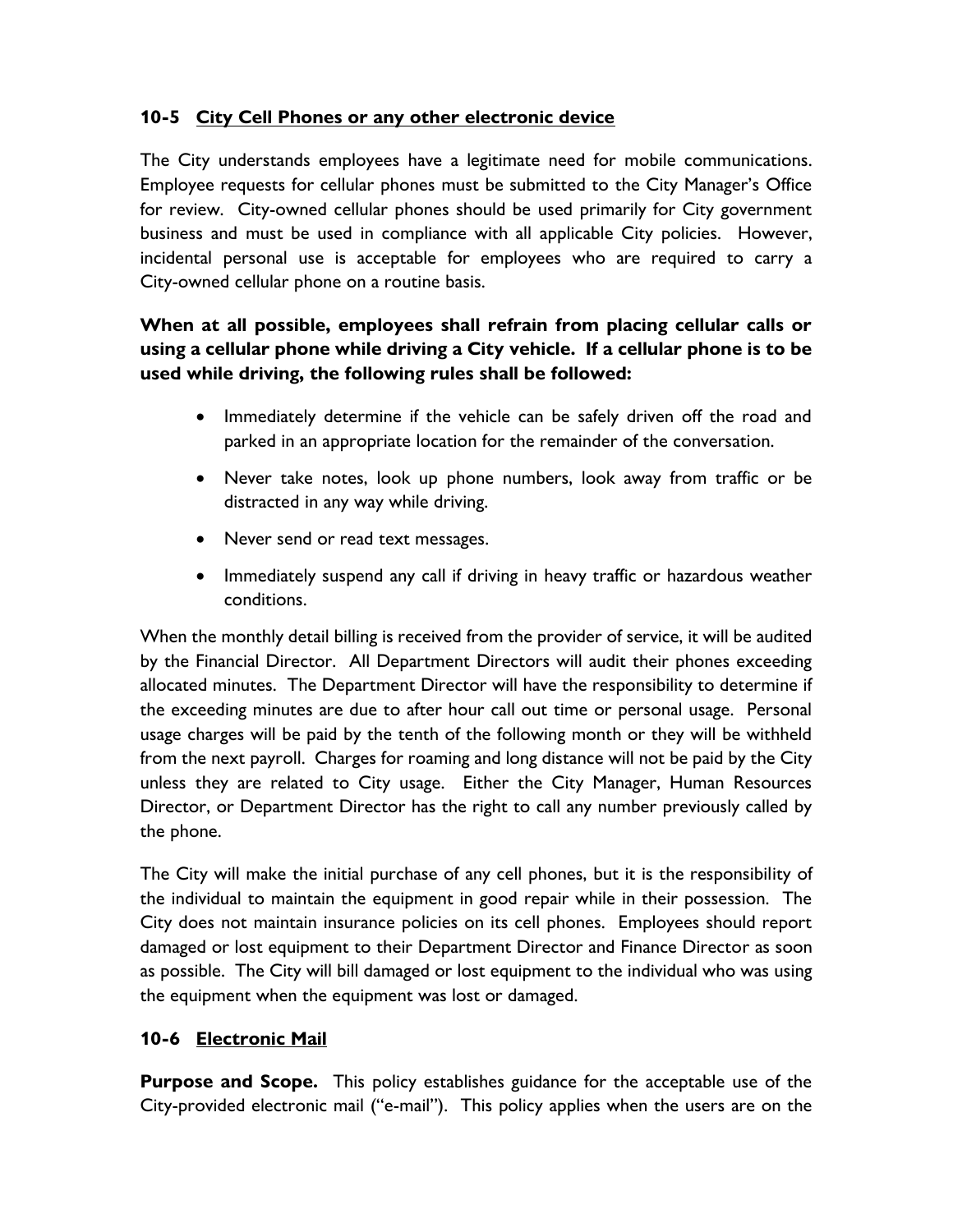#### **10-5 City Cell Phones or any other electronic device**

The City understands employees have a legitimate need for mobile communications. Employee requests for cellular phones must be submitted to the City Manager's Office for review. City-owned cellular phones should be used primarily for City government business and must be used in compliance with all applicable City policies. However, incidental personal use is acceptable for employees who are required to carry a City-owned cellular phone on a routine basis.

## **When at all possible, employees shall refrain from placing cellular calls or using a cellular phone while driving a City vehicle. If a cellular phone is to be used while driving, the following rules shall be followed:**

- Immediately determine if the vehicle can be safely driven off the road and parked in an appropriate location for the remainder of the conversation.
- Never take notes, look up phone numbers, look away from traffic or be distracted in any way while driving.
- Never send or read text messages.
- Immediately suspend any call if driving in heavy traffic or hazardous weather conditions.

When the monthly detail billing is received from the provider of service, it will be audited by the Financial Director. All Department Directors will audit their phones exceeding allocated minutes. The Department Director will have the responsibility to determine if the exceeding minutes are due to after hour call out time or personal usage. Personal usage charges will be paid by the tenth of the following month or they will be withheld from the next payroll. Charges for roaming and long distance will not be paid by the City unless they are related to City usage. Either the City Manager, Human Resources Director, or Department Director has the right to call any number previously called by the phone.

The City will make the initial purchase of any cell phones, but it is the responsibility of the individual to maintain the equipment in good repair while in their possession. The City does not maintain insurance policies on its cell phones. Employees should report damaged or lost equipment to their Department Director and Finance Director as soon as possible. The City will bill damaged or lost equipment to the individual who was using the equipment when the equipment was lost or damaged.

#### **10-6 Electronic Mail**

**Purpose and Scope.** This policy establishes guidance for the acceptable use of the City-provided electronic mail ("e-mail"). This policy applies when the users are on the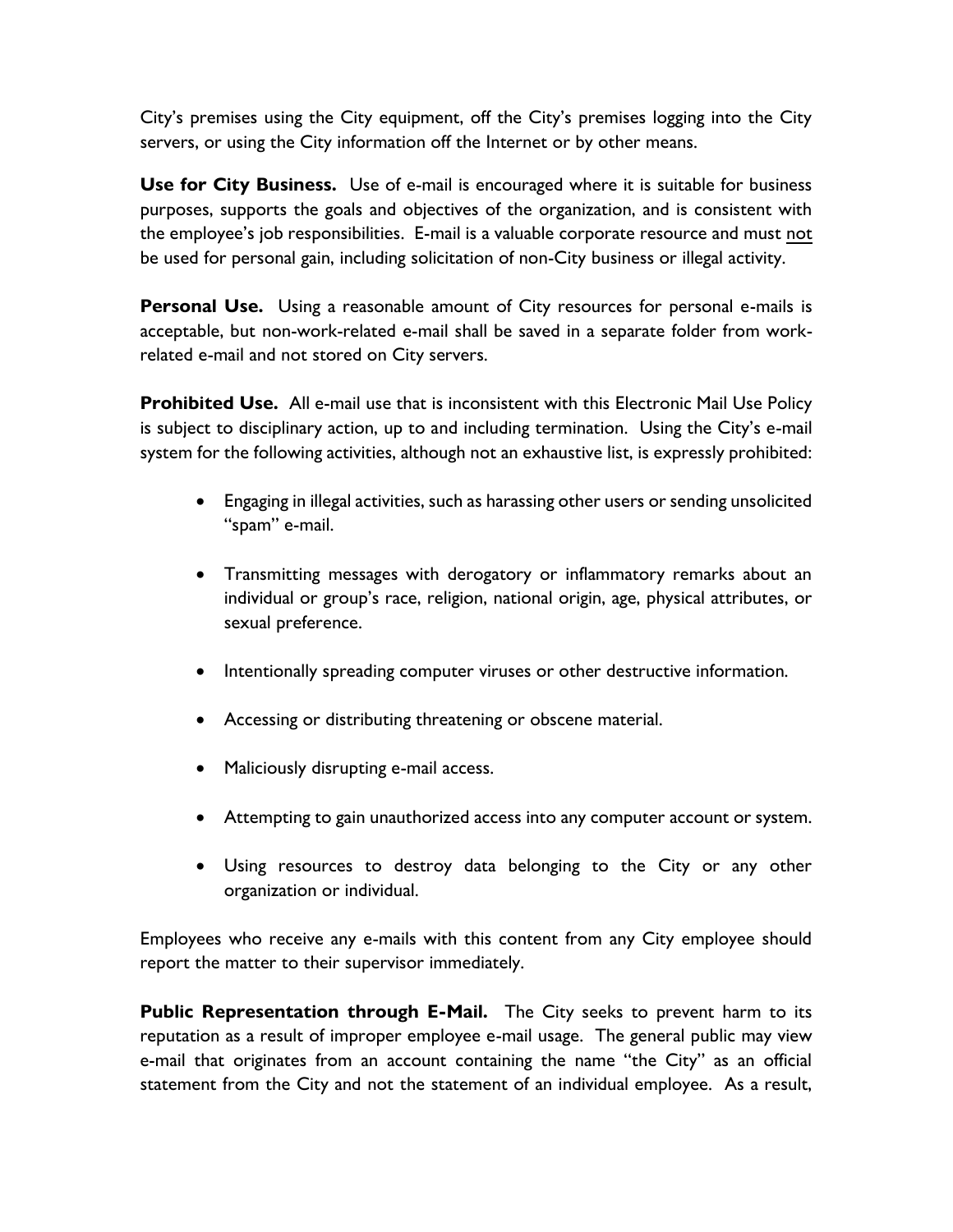City's premises using the City equipment, off the City's premises logging into the City servers, or using the City information off the Internet or by other means.

**Use for City Business.** Use of e-mail is encouraged where it is suitable for business purposes, supports the goals and objectives of the organization, and is consistent with the employee's job responsibilities. E-mail is a valuable corporate resource and must not be used for personal gain, including solicitation of non-City business or illegal activity.

**Personal Use.** Using a reasonable amount of City resources for personal e-mails is acceptable, but non-work-related e-mail shall be saved in a separate folder from workrelated e-mail and not stored on City servers.

**Prohibited Use.** All e-mail use that is inconsistent with this Electronic Mail Use Policy is subject to disciplinary action, up to and including termination. Using the City's e-mail system for the following activities, although not an exhaustive list, is expressly prohibited:

- Engaging in illegal activities, such as harassing other users or sending unsolicited "spam" e-mail.
- Transmitting messages with derogatory or inflammatory remarks about an individual or group's race, religion, national origin, age, physical attributes, or sexual preference.
- Intentionally spreading computer viruses or other destructive information.
- Accessing or distributing threatening or obscene material.
- Maliciously disrupting e-mail access.
- Attempting to gain unauthorized access into any computer account or system.
- Using resources to destroy data belonging to the City or any other organization or individual.

Employees who receive any e-mails with this content from any City employee should report the matter to their supervisor immediately.

**Public Representation through E-Mail.** The City seeks to prevent harm to its reputation as a result of improper employee e-mail usage. The general public may view e-mail that originates from an account containing the name "the City" as an official statement from the City and not the statement of an individual employee. As a result,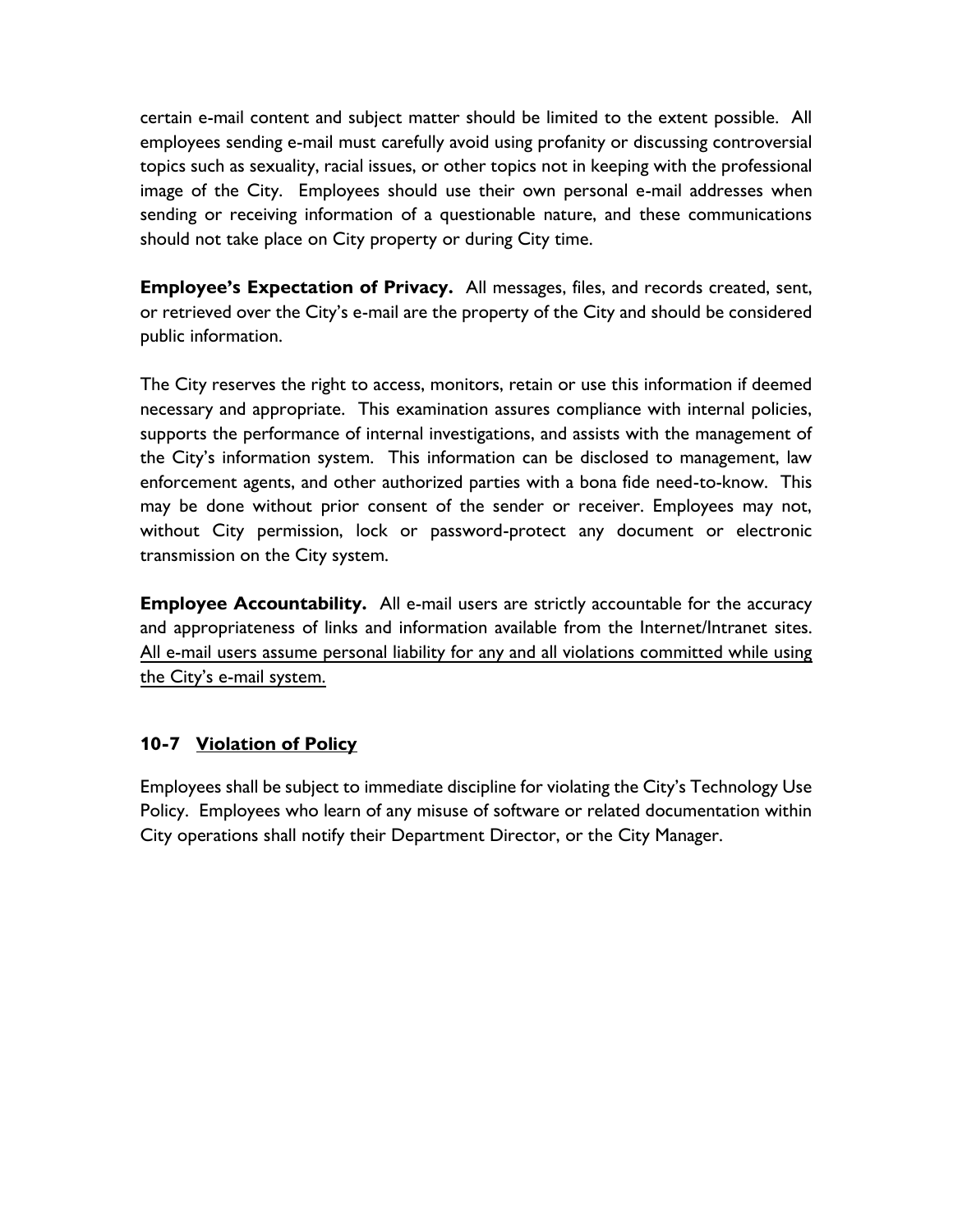certain e-mail content and subject matter should be limited to the extent possible. All employees sending e-mail must carefully avoid using profanity or discussing controversial topics such as sexuality, racial issues, or other topics not in keeping with the professional image of the City. Employees should use their own personal e-mail addresses when sending or receiving information of a questionable nature, and these communications should not take place on City property or during City time.

**Employee's Expectation of Privacy.** All messages, files, and records created, sent, or retrieved over the City's e-mail are the property of the City and should be considered public information.

The City reserves the right to access, monitors, retain or use this information if deemed necessary and appropriate. This examination assures compliance with internal policies, supports the performance of internal investigations, and assists with the management of the City's information system. This information can be disclosed to management, law enforcement agents, and other authorized parties with a bona fide need-to-know. This may be done without prior consent of the sender or receiver. Employees may not, without City permission, lock or password-protect any document or electronic transmission on the City system.

**Employee Accountability.** All e-mail users are strictly accountable for the accuracy and appropriateness of links and information available from the Internet/Intranet sites. All e-mail users assume personal liability for any and all violations committed while using the City's e-mail system.

#### **10-7 Violation of Policy**

Employees shall be subject to immediate discipline for violating the City's Technology Use Policy. Employees who learn of any misuse of software or related documentation within City operations shall notify their Department Director, or the City Manager.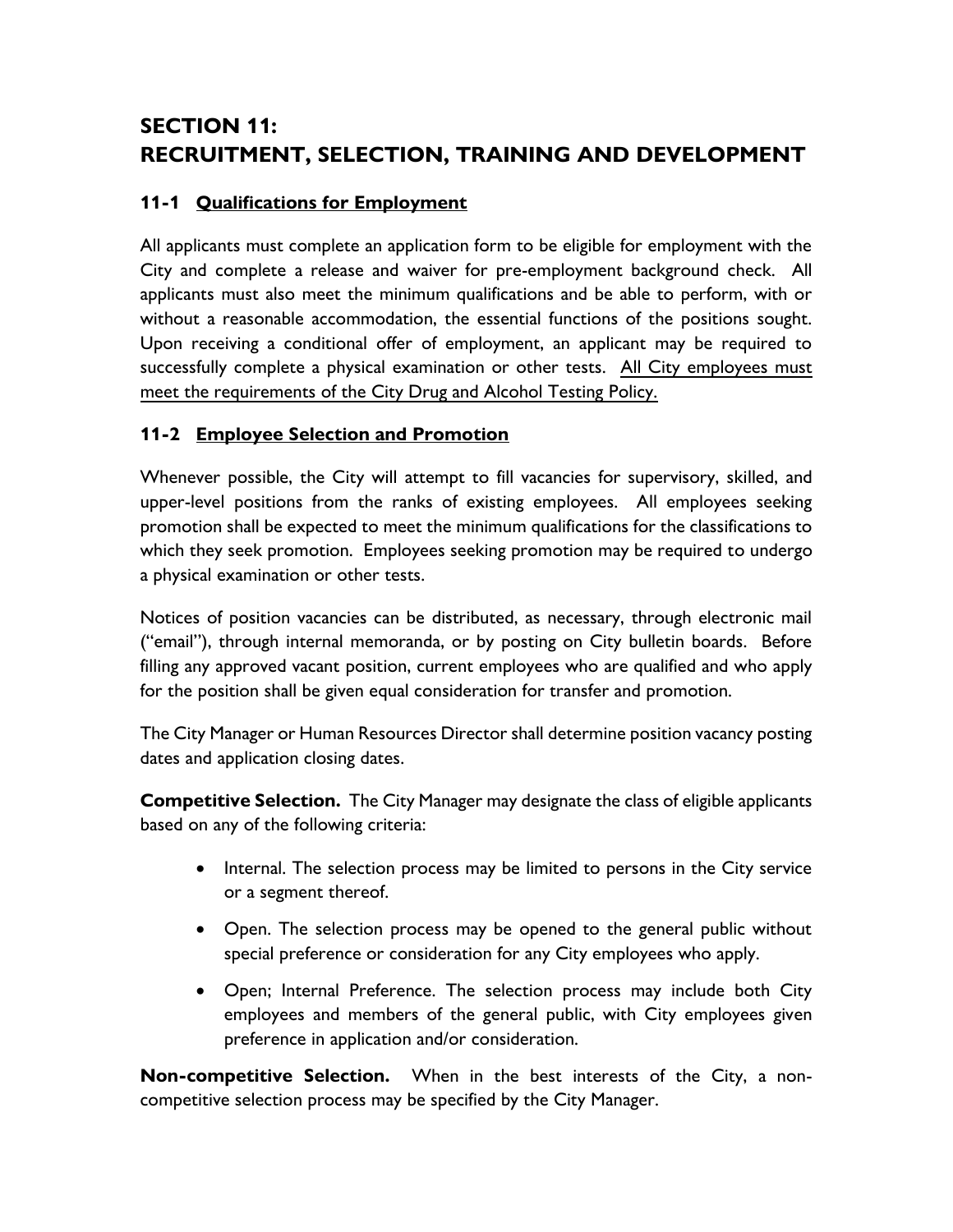# **SECTION 11: RECRUITMENT, SELECTION, TRAINING AND DEVELOPMENT**

## **11-1 Qualifications for Employment**

All applicants must complete an application form to be eligible for employment with the City and complete a release and waiver for pre-employment background check. All applicants must also meet the minimum qualifications and be able to perform, with or without a reasonable accommodation, the essential functions of the positions sought. Upon receiving a conditional offer of employment, an applicant may be required to successfully complete a physical examination or other tests. All City employees must meet the requirements of the City Drug and Alcohol Testing Policy.

#### **11-2 Employee Selection and Promotion**

Whenever possible, the City will attempt to fill vacancies for supervisory, skilled, and upper-level positions from the ranks of existing employees. All employees seeking promotion shall be expected to meet the minimum qualifications for the classifications to which they seek promotion. Employees seeking promotion may be required to undergo a physical examination or other tests.

Notices of position vacancies can be distributed, as necessary, through electronic mail ("email"), through internal memoranda, or by posting on City bulletin boards. Before filling any approved vacant position, current employees who are qualified and who apply for the position shall be given equal consideration for transfer and promotion.

The City Manager or Human Resources Director shall determine position vacancy posting dates and application closing dates.

**Competitive Selection.** The City Manager may designate the class of eligible applicants based on any of the following criteria:

- Internal. The selection process may be limited to persons in the City service or a segment thereof.
- Open. The selection process may be opened to the general public without special preference or consideration for any City employees who apply.
- Open; Internal Preference. The selection process may include both City employees and members of the general public, with City employees given preference in application and/or consideration.

**Non-competitive Selection.** When in the best interests of the City, a noncompetitive selection process may be specified by the City Manager.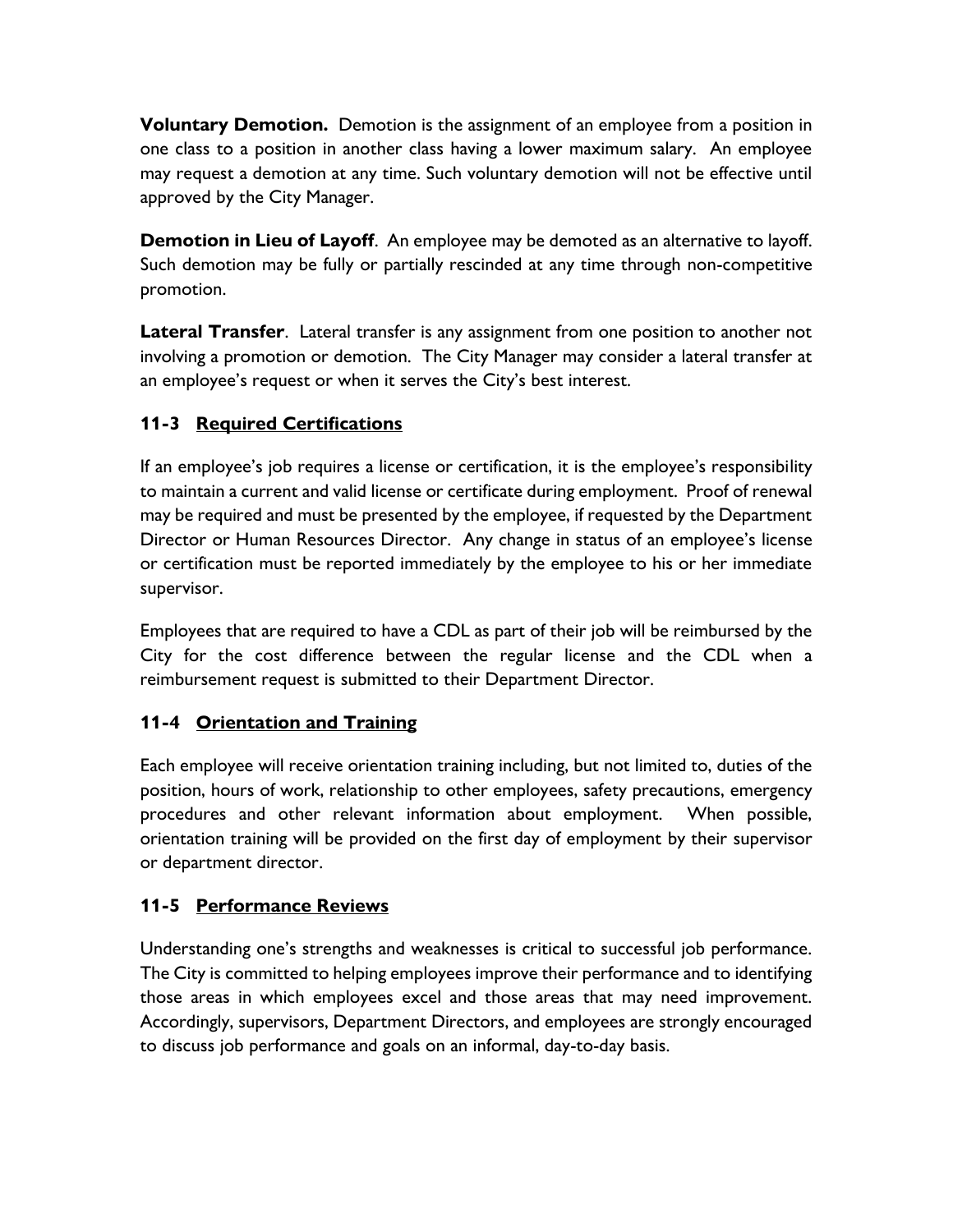**Voluntary Demotion.** Demotion is the assignment of an employee from a position in one class to a position in another class having a lower maximum salary. An employee may request a demotion at any time. Such voluntary demotion will not be effective until approved by the City Manager.

**Demotion in Lieu of Layoff**. An employee may be demoted as an alternative to layoff. Such demotion may be fully or partially rescinded at any time through non-competitive promotion.

**Lateral Transfer**. Lateral transfer is any assignment from one position to another not involving a promotion or demotion. The City Manager may consider a lateral transfer at an employee's request or when it serves the City's best interest.

# **11-3 Required Certifications**

If an employee's job requires a license or certification, it is the employee's responsibility to maintain a current and valid license or certificate during employment. Proof of renewal may be required and must be presented by the employee, if requested by the Department Director or Human Resources Director. Any change in status of an employee's license or certification must be reported immediately by the employee to his or her immediate supervisor.

Employees that are required to have a CDL as part of their job will be reimbursed by the City for the cost difference between the regular license and the CDL when a reimbursement request is submitted to their Department Director.

## **11-4 Orientation and Training**

Each employee will receive orientation training including, but not limited to, duties of the position, hours of work, relationship to other employees, safety precautions, emergency procedures and other relevant information about employment. When possible, orientation training will be provided on the first day of employment by their supervisor or department director.

## **11-5 Performance Reviews**

Understanding one's strengths and weaknesses is critical to successful job performance. The City is committed to helping employees improve their performance and to identifying those areas in which employees excel and those areas that may need improvement. Accordingly, supervisors, Department Directors, and employees are strongly encouraged to discuss job performance and goals on an informal, day-to-day basis.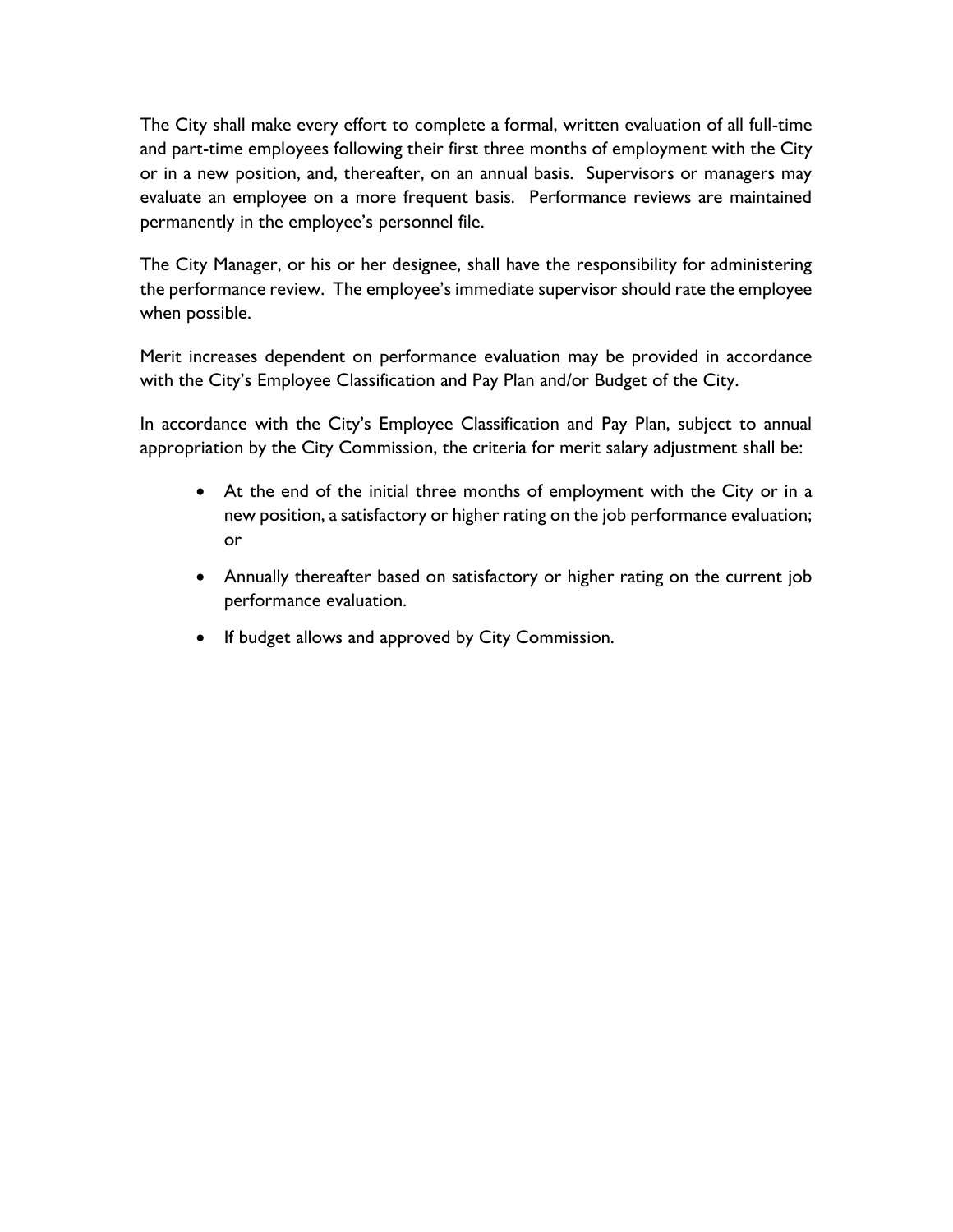The City shall make every effort to complete a formal, written evaluation of all full-time and part-time employees following their first three months of employment with the City or in a new position, and, thereafter, on an annual basis. Supervisors or managers may evaluate an employee on a more frequent basis. Performance reviews are maintained permanently in the employee's personnel file.

The City Manager, or his or her designee, shall have the responsibility for administering the performance review. The employee's immediate supervisor should rate the employee when possible.

Merit increases dependent on performance evaluation may be provided in accordance with the City's Employee Classification and Pay Plan and/or Budget of the City.

In accordance with the City's Employee Classification and Pay Plan, subject to annual appropriation by the City Commission, the criteria for merit salary adjustment shall be:

- At the end of the initial three months of employment with the City or in a new position, a satisfactory or higher rating on the job performance evaluation; or
- Annually thereafter based on satisfactory or higher rating on the current job performance evaluation.
- If budget allows and approved by City Commission.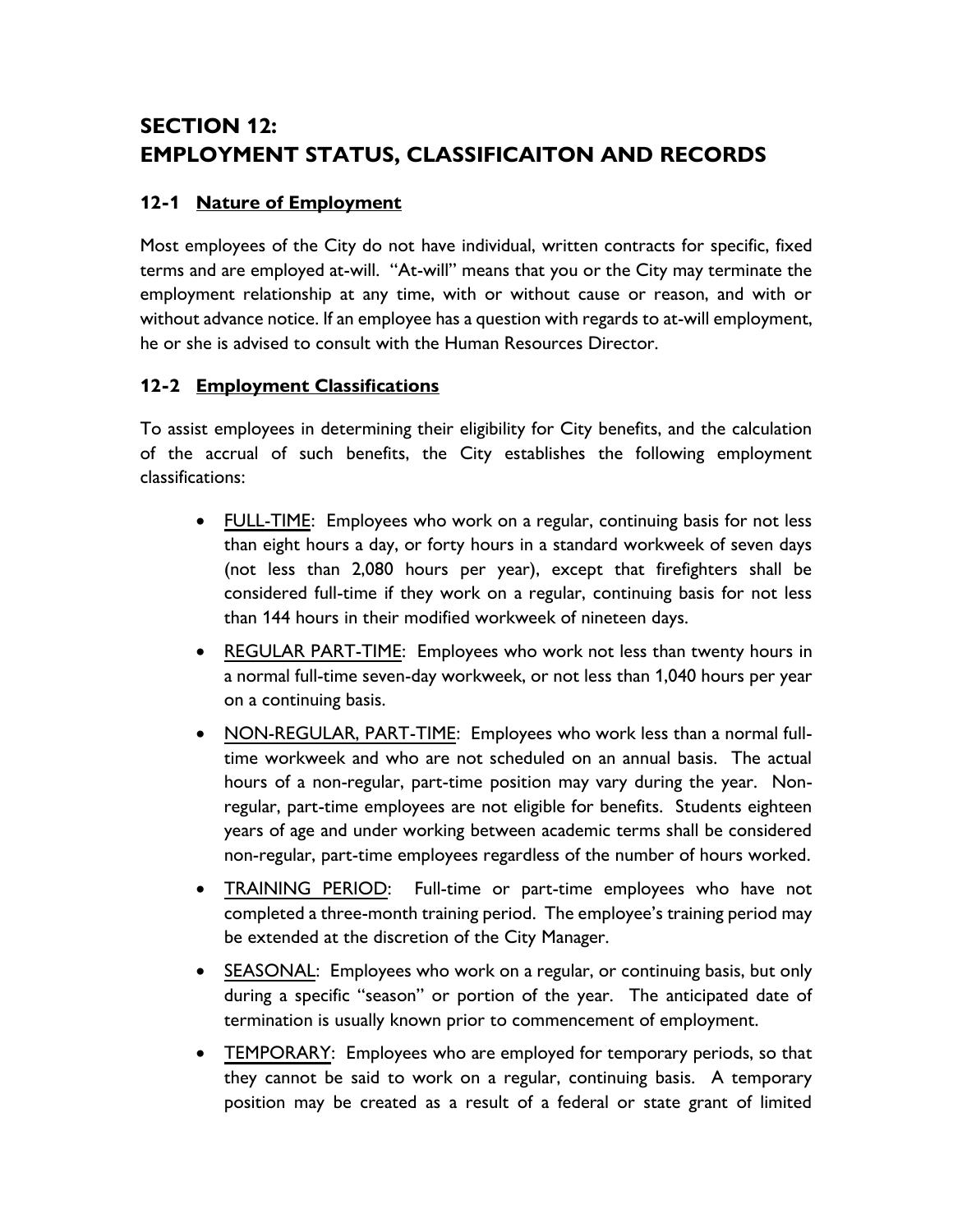# **SECTION 12: EMPLOYMENT STATUS, CLASSIFICAITON AND RECORDS**

## **12-1 Nature of Employment**

Most employees of the City do not have individual, written contracts for specific, fixed terms and are employed at-will. "At-will" means that you or the City may terminate the employment relationship at any time, with or without cause or reason, and with or without advance notice. If an employee has a question with regards to at-will employment, he or she is advised to consult with the Human Resources Director.

#### **12-2 Employment Classifications**

To assist employees in determining their eligibility for City benefits, and the calculation of the accrual of such benefits, the City establishes the following employment classifications:

- FULL-TIME: Employees who work on a regular, continuing basis for not less than eight hours a day, or forty hours in a standard workweek of seven days (not less than 2,080 hours per year), except that firefighters shall be considered full-time if they work on a regular, continuing basis for not less than 144 hours in their modified workweek of nineteen days.
- REGULAR PART-TIME: Employees who work not less than twenty hours in a normal full-time seven-day workweek, or not less than 1,040 hours per year on a continuing basis.
- NON-REGULAR, PART-TIME: Employees who work less than a normal fulltime workweek and who are not scheduled on an annual basis. The actual hours of a non-regular, part-time position may vary during the year. Nonregular, part-time employees are not eligible for benefits. Students eighteen years of age and under working between academic terms shall be considered non-regular, part-time employees regardless of the number of hours worked.
- TRAINING PERIOD: Full-time or part-time employees who have not completed a three-month training period. The employee's training period may be extended at the discretion of the City Manager.
- SEASONAL: Employees who work on a regular, or continuing basis, but only during a specific "season" or portion of the year. The anticipated date of termination is usually known prior to commencement of employment.
- TEMPORARY: Employees who are employed for temporary periods, so that they cannot be said to work on a regular, continuing basis. A temporary position may be created as a result of a federal or state grant of limited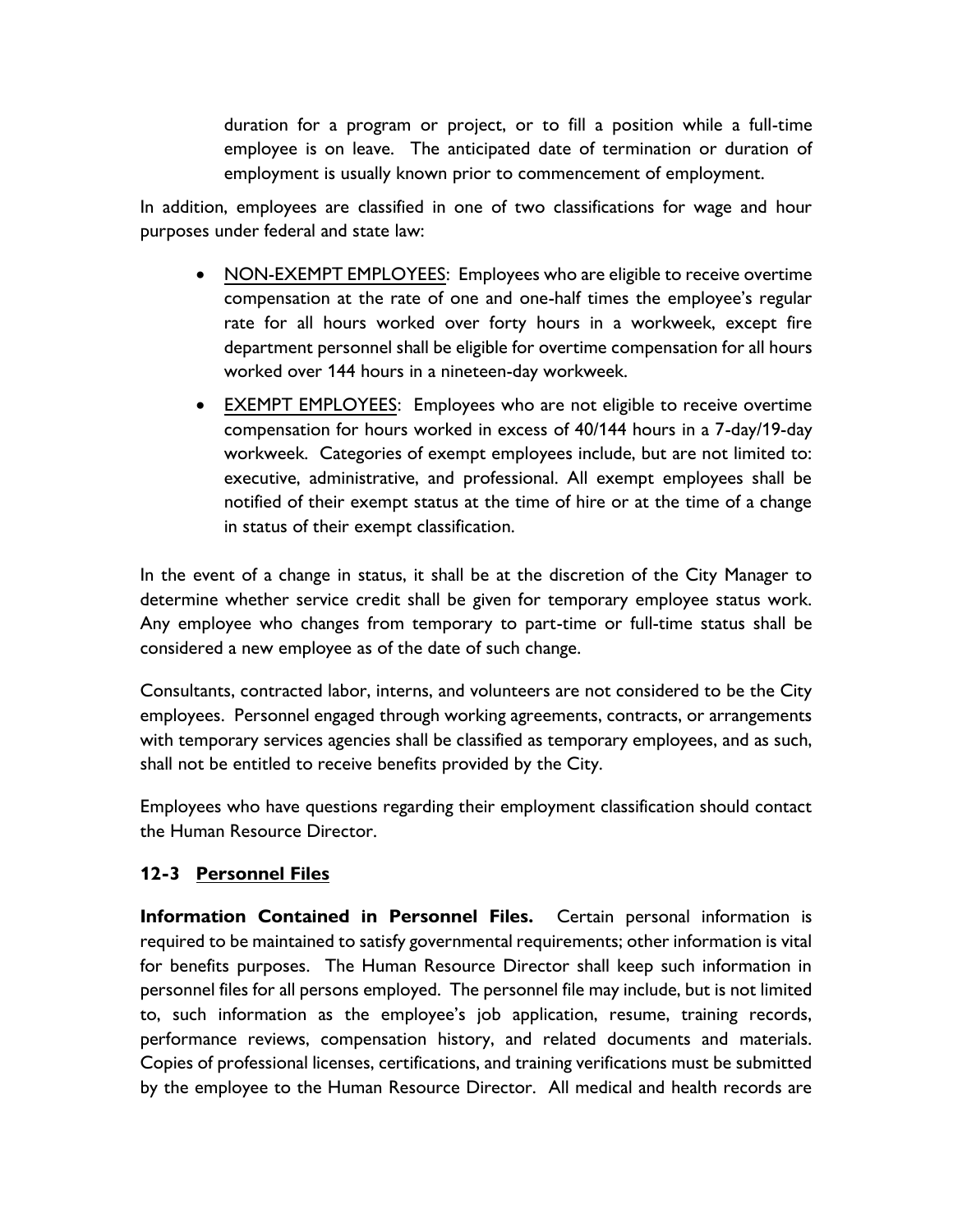duration for a program or project, or to fill a position while a full-time employee is on leave. The anticipated date of termination or duration of employment is usually known prior to commencement of employment.

In addition, employees are classified in one of two classifications for wage and hour purposes under federal and state law:

- NON-EXEMPT EMPLOYEES: Employees who are eligible to receive overtime compensation at the rate of one and one-half times the employee's regular rate for all hours worked over forty hours in a workweek, except fire department personnel shall be eligible for overtime compensation for all hours worked over 144 hours in a nineteen-day workweek.
- EXEMPT EMPLOYEES: Employees who are not eligible to receive overtime compensation for hours worked in excess of 40/144 hours in a 7-day/19-day workweek. Categories of exempt employees include, but are not limited to: executive, administrative, and professional. All exempt employees shall be notified of their exempt status at the time of hire or at the time of a change in status of their exempt classification.

In the event of a change in status, it shall be at the discretion of the City Manager to determine whether service credit shall be given for temporary employee status work. Any employee who changes from temporary to part-time or full-time status shall be considered a new employee as of the date of such change.

Consultants, contracted labor, interns, and volunteers are not considered to be the City employees. Personnel engaged through working agreements, contracts, or arrangements with temporary services agencies shall be classified as temporary employees, and as such, shall not be entitled to receive benefits provided by the City.

Employees who have questions regarding their employment classification should contact the Human Resource Director.

#### **12-3 Personnel Files**

**Information Contained in Personnel Files.** Certain personal information is required to be maintained to satisfy governmental requirements; other information is vital for benefits purposes. The Human Resource Director shall keep such information in personnel files for all persons employed. The personnel file may include, but is not limited to, such information as the employee's job application, resume, training records, performance reviews, compensation history, and related documents and materials. Copies of professional licenses, certifications, and training verifications must be submitted by the employee to the Human Resource Director. All medical and health records are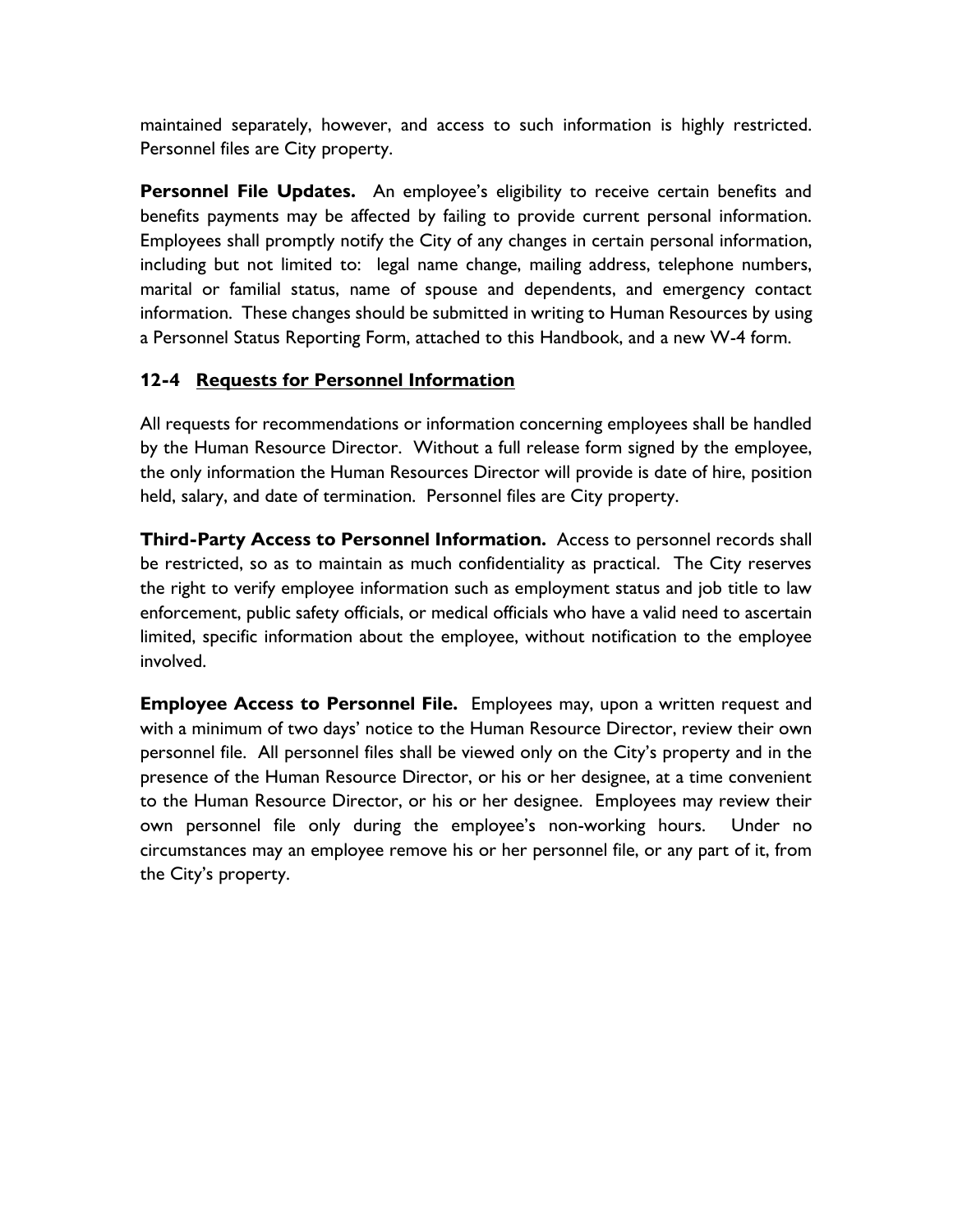maintained separately, however, and access to such information is highly restricted. Personnel files are City property.

**Personnel File Updates.** An employee's eligibility to receive certain benefits and benefits payments may be affected by failing to provide current personal information. Employees shall promptly notify the City of any changes in certain personal information, including but not limited to: legal name change, mailing address, telephone numbers, marital or familial status, name of spouse and dependents, and emergency contact information. These changes should be submitted in writing to Human Resources by using a Personnel Status Reporting Form, attached to this Handbook, and a new W-4 form.

#### **12-4 Requests for Personnel Information**

All requests for recommendations or information concerning employees shall be handled by the Human Resource Director. Without a full release form signed by the employee, the only information the Human Resources Director will provide is date of hire, position held, salary, and date of termination. Personnel files are City property.

**Third-Party Access to Personnel Information.** Access to personnel records shall be restricted, so as to maintain as much confidentiality as practical. The City reserves the right to verify employee information such as employment status and job title to law enforcement, public safety officials, or medical officials who have a valid need to ascertain limited, specific information about the employee, without notification to the employee involved.

**Employee Access to Personnel File.** Employees may, upon a written request and with a minimum of two days' notice to the Human Resource Director, review their own personnel file. All personnel files shall be viewed only on the City's property and in the presence of the Human Resource Director, or his or her designee, at a time convenient to the Human Resource Director, or his or her designee. Employees may review their own personnel file only during the employee's non-working hours. Under no circumstances may an employee remove his or her personnel file, or any part of it, from the City's property.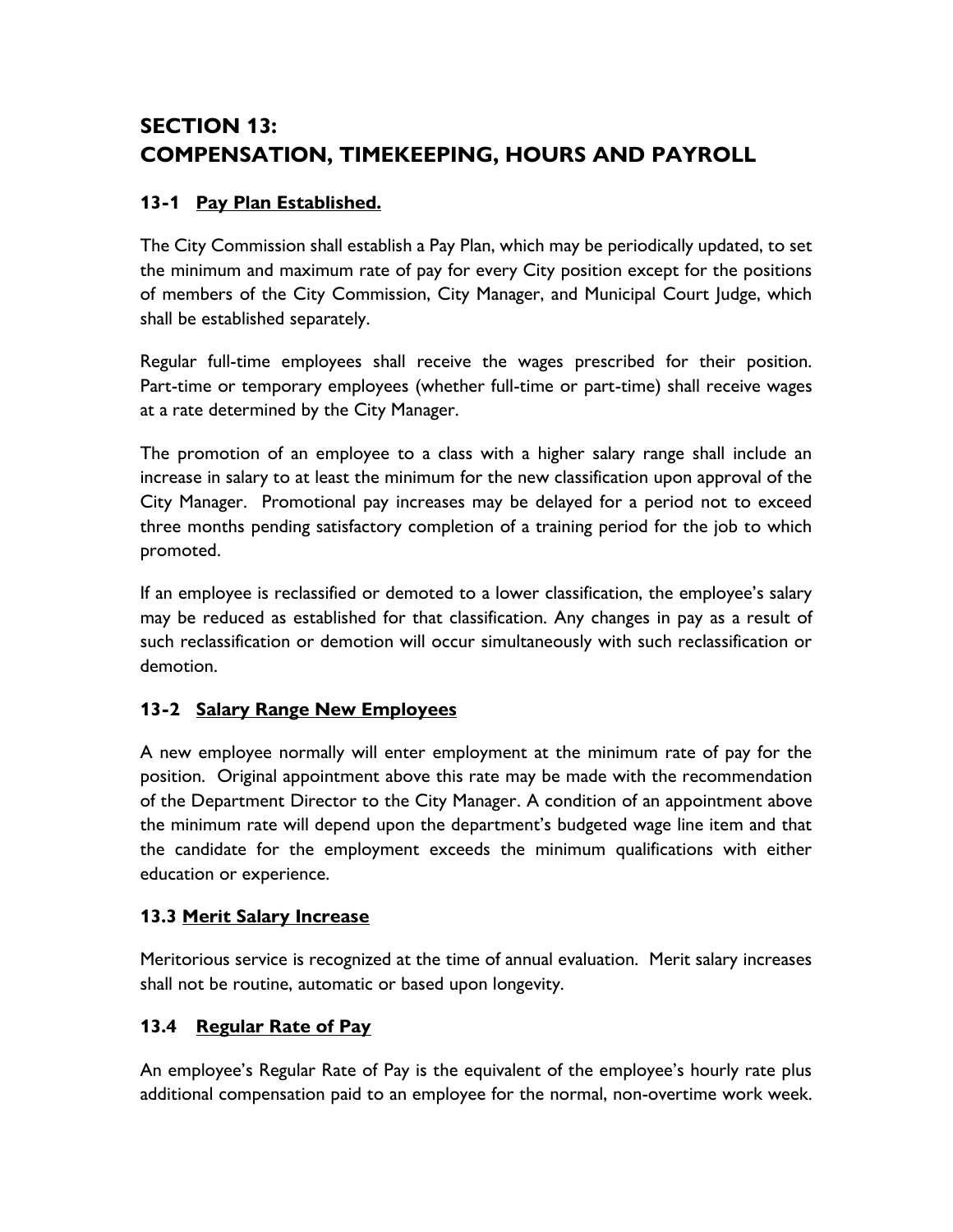# **SECTION 13: COMPENSATION, TIMEKEEPING, HOURS AND PAYROLL**

# **13-1 Pay Plan Established.**

The City Commission shall establish a Pay Plan, which may be periodically updated, to set the minimum and maximum rate of pay for every City position except for the positions of members of the City Commission, City Manager, and Municipal Court Judge, which shall be established separately.

Regular full-time employees shall receive the wages prescribed for their position. Part-time or temporary employees (whether full-time or part-time) shall receive wages at a rate determined by the City Manager.

The promotion of an employee to a class with a higher salary range shall include an increase in salary to at least the minimum for the new classification upon approval of the City Manager. Promotional pay increases may be delayed for a period not to exceed three months pending satisfactory completion of a training period for the job to which promoted.

If an employee is reclassified or demoted to a lower classification, the employee's salary may be reduced as established for that classification. Any changes in pay as a result of such reclassification or demotion will occur simultaneously with such reclassification or demotion.

# **13-2 Salary Range New Employees**

A new employee normally will enter employment at the minimum rate of pay for the position. Original appointment above this rate may be made with the recommendation of the Department Director to the City Manager. A condition of an appointment above the minimum rate will depend upon the department's budgeted wage line item and that the candidate for the employment exceeds the minimum qualifications with either education or experience.

## **13.3 Merit Salary Increase**

Meritorious service is recognized at the time of annual evaluation. Merit salary increases shall not be routine, automatic or based upon longevity.

## **13.4 Regular Rate of Pay**

An employee's Regular Rate of Pay is the equivalent of the employee's hourly rate plus additional compensation paid to an employee for the normal, non-overtime work week.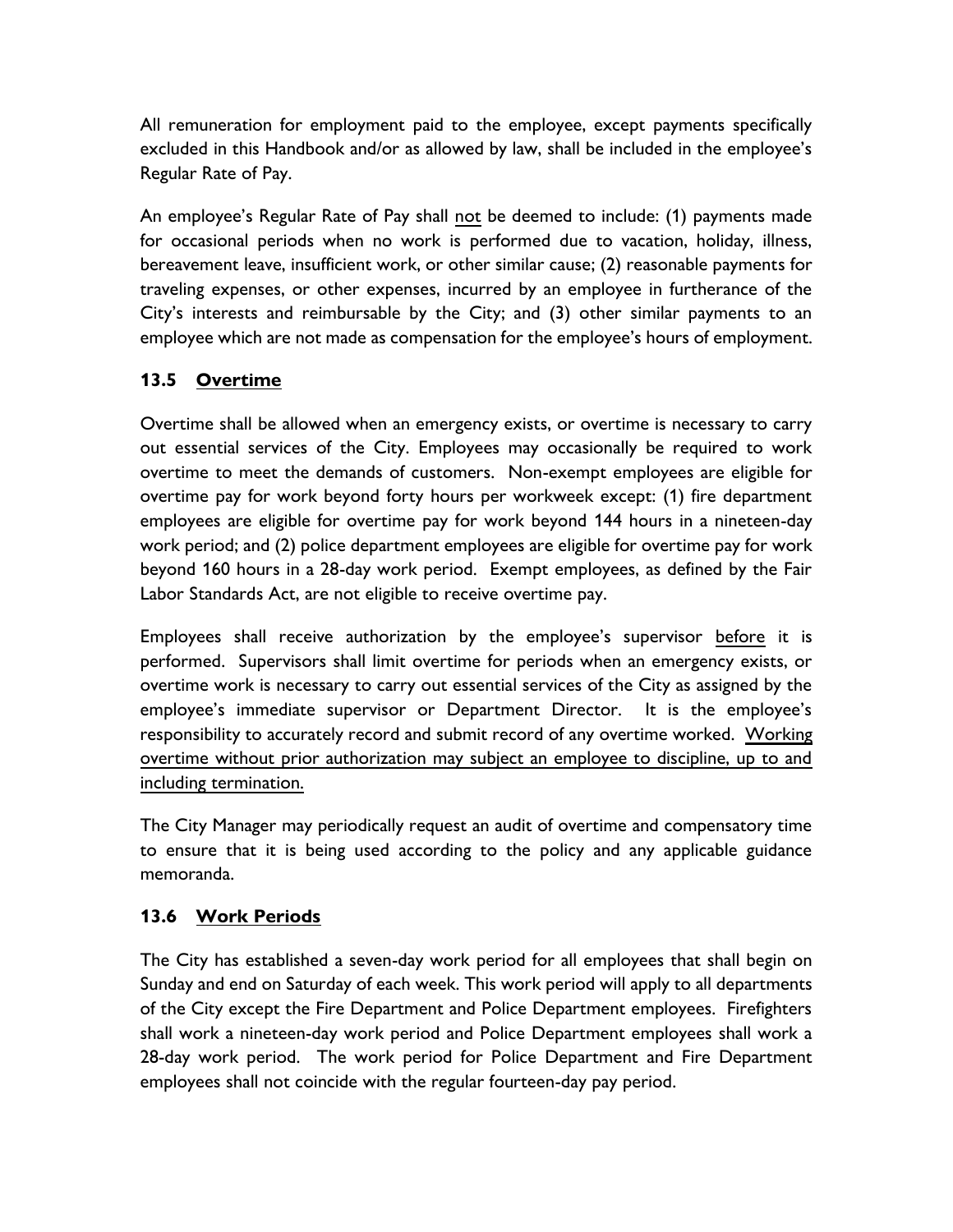All remuneration for employment paid to the employee, except payments specifically excluded in this Handbook and/or as allowed by law, shall be included in the employee's Regular Rate of Pay.

An employee's Regular Rate of Pay shall not be deemed to include: (1) payments made for occasional periods when no work is performed due to vacation, holiday, illness, bereavement leave, insufficient work, or other similar cause; (2) reasonable payments for traveling expenses, or other expenses, incurred by an employee in furtherance of the City's interests and reimbursable by the City; and (3) other similar payments to an employee which are not made as compensation for the employee's hours of employment.

## **13.5 Overtime**

Overtime shall be allowed when an emergency exists, or overtime is necessary to carry out essential services of the City. Employees may occasionally be required to work overtime to meet the demands of customers. Non-exempt employees are eligible for overtime pay for work beyond forty hours per workweek except: (1) fire department employees are eligible for overtime pay for work beyond 144 hours in a nineteen-day work period; and (2) police department employees are eligible for overtime pay for work beyond 160 hours in a 28-day work period. Exempt employees, as defined by the Fair Labor Standards Act, are not eligible to receive overtime pay.

Employees shall receive authorization by the employee's supervisor before it is performed. Supervisors shall limit overtime for periods when an emergency exists, or overtime work is necessary to carry out essential services of the City as assigned by the employee's immediate supervisor or Department Director. It is the employee's responsibility to accurately record and submit record of any overtime worked. Working overtime without prior authorization may subject an employee to discipline, up to and including termination.

The City Manager may periodically request an audit of overtime and compensatory time to ensure that it is being used according to the policy and any applicable guidance memoranda.

#### **13.6 Work Periods**

The City has established a seven-day work period for all employees that shall begin on Sunday and end on Saturday of each week. This work period will apply to all departments of the City except the Fire Department and Police Department employees. Firefighters shall work a nineteen-day work period and Police Department employees shall work a 28-day work period. The work period for Police Department and Fire Department employees shall not coincide with the regular fourteen-day pay period.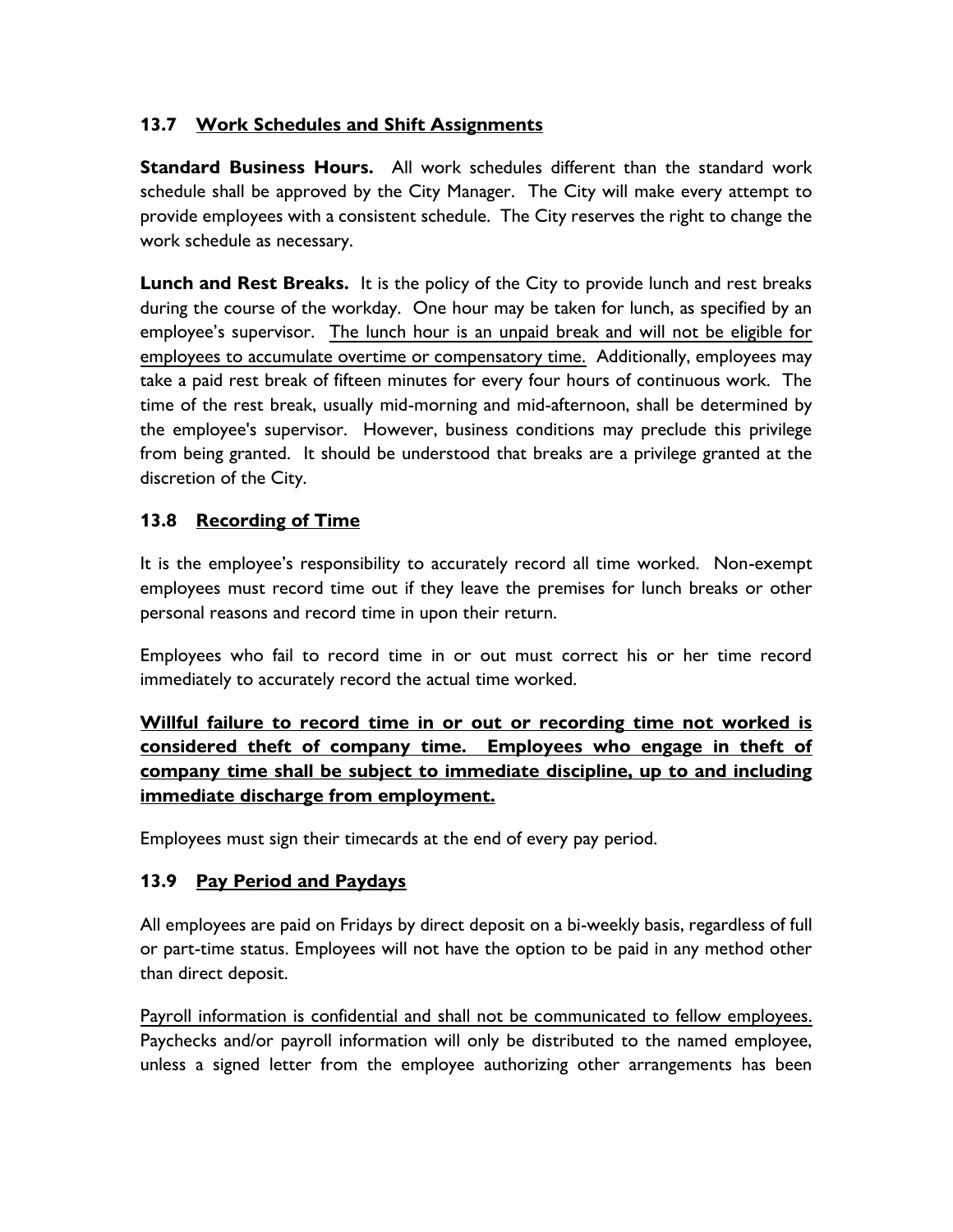# **13.7 Work Schedules and Shift Assignments**

**Standard Business Hours.** All work schedules different than the standard work schedule shall be approved by the City Manager. The City will make every attempt to provide employees with a consistent schedule. The City reserves the right to change the work schedule as necessary.

**Lunch and Rest Breaks.** It is the policy of the City to provide lunch and rest breaks during the course of the workday. One hour may be taken for lunch, as specified by an employee's supervisor. The lunch hour is an unpaid break and will not be eligible for employees to accumulate overtime or compensatory time. Additionally, employees may take a paid rest break of fifteen minutes for every four hours of continuous work. The time of the rest break, usually mid-morning and mid-afternoon, shall be determined by the employee's supervisor. However, business conditions may preclude this privilege from being granted. It should be understood that breaks are a privilege granted at the discretion of the City.

# **13.8 Recording of Time**

It is the employee's responsibility to accurately record all time worked. Non-exempt employees must record time out if they leave the premises for lunch breaks or other personal reasons and record time in upon their return.

Employees who fail to record time in or out must correct his or her time record immediately to accurately record the actual time worked.

# **Willful failure to record time in or out or recording time not worked is considered theft of company time. Employees who engage in theft of company time shall be subject to immediate discipline, up to and including immediate discharge from employment.**

Employees must sign their timecards at the end of every pay period.

## **13.9 Pay Period and Paydays**

All employees are paid on Fridays by direct deposit on a bi-weekly basis, regardless of full or part-time status. Employees will not have the option to be paid in any method other than direct deposit.

Payroll information is confidential and shall not be communicated to fellow employees. Paychecks and/or payroll information will only be distributed to the named employee, unless a signed letter from the employee authorizing other arrangements has been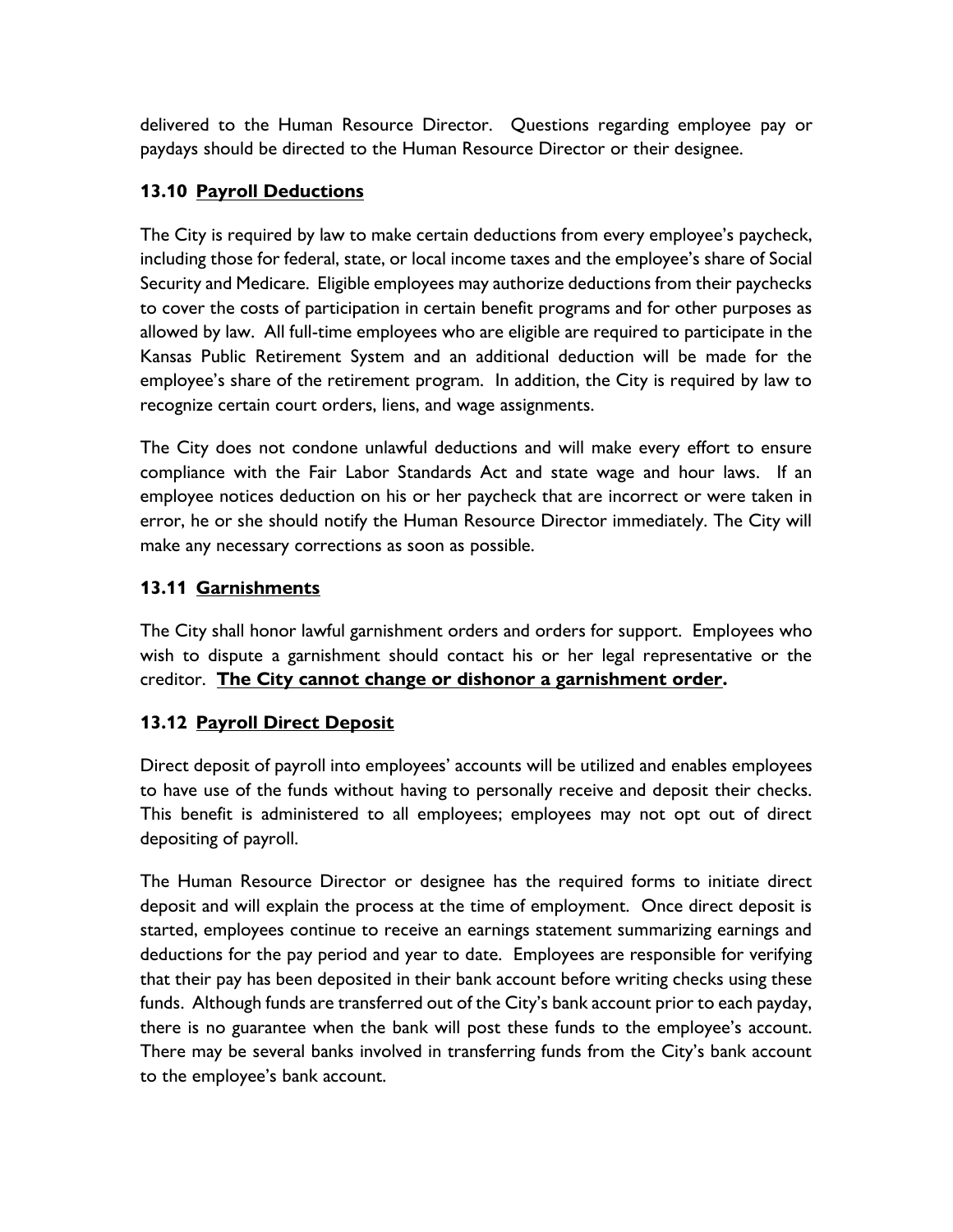delivered to the Human Resource Director. Questions regarding employee pay or paydays should be directed to the Human Resource Director or their designee.

### **13.10 Payroll Deductions**

The City is required by law to make certain deductions from every employee's paycheck, including those for federal, state, or local income taxes and the employee's share of Social Security and Medicare. Eligible employees may authorize deductions from their paychecks to cover the costs of participation in certain benefit programs and for other purposes as allowed by law. All full-time employees who are eligible are required to participate in the Kansas Public Retirement System and an additional deduction will be made for the employee's share of the retirement program. In addition, the City is required by law to recognize certain court orders, liens, and wage assignments.

The City does not condone unlawful deductions and will make every effort to ensure compliance with the Fair Labor Standards Act and state wage and hour laws. If an employee notices deduction on his or her paycheck that are incorrect or were taken in error, he or she should notify the Human Resource Director immediately. The City will make any necessary corrections as soon as possible.

#### **13.11 Garnishments**

The City shall honor lawful garnishment orders and orders for support. Employees who wish to dispute a garnishment should contact his or her legal representative or the creditor. **The City cannot change or dishonor a garnishment order.**

#### **13.12 Payroll Direct Deposit**

Direct deposit of payroll into employees' accounts will be utilized and enables employees to have use of the funds without having to personally receive and deposit their checks. This benefit is administered to all employees; employees may not opt out of direct depositing of payroll.

The Human Resource Director or designee has the required forms to initiate direct deposit and will explain the process at the time of employment. Once direct deposit is started, employees continue to receive an earnings statement summarizing earnings and deductions for the pay period and year to date. Employees are responsible for verifying that their pay has been deposited in their bank account before writing checks using these funds. Although funds are transferred out of the City's bank account prior to each payday, there is no guarantee when the bank will post these funds to the employee's account. There may be several banks involved in transferring funds from the City's bank account to the employee's bank account.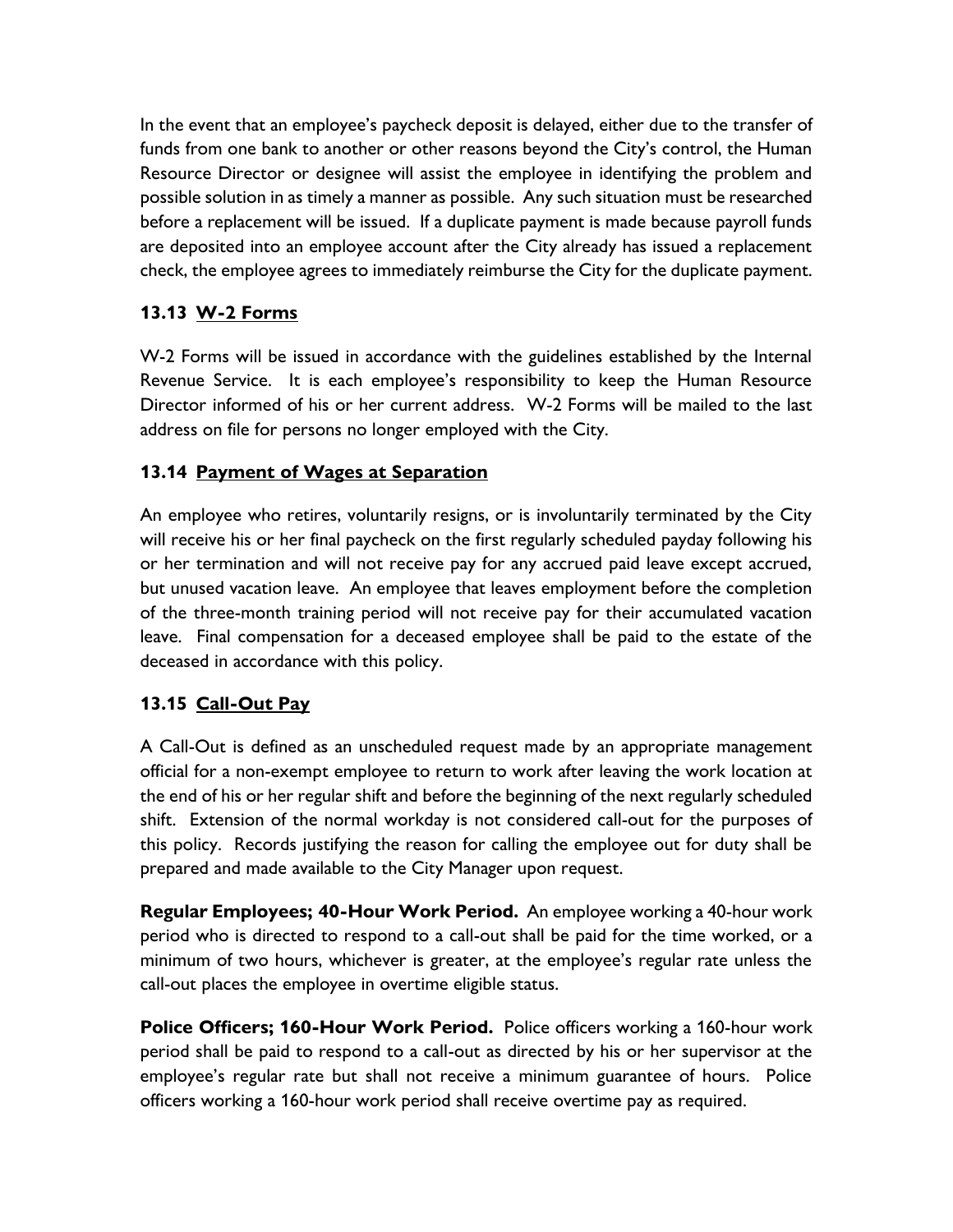In the event that an employee's paycheck deposit is delayed, either due to the transfer of funds from one bank to another or other reasons beyond the City's control, the Human Resource Director or designee will assist the employee in identifying the problem and possible solution in as timely a manner as possible. Any such situation must be researched before a replacement will be issued. If a duplicate payment is made because payroll funds are deposited into an employee account after the City already has issued a replacement check, the employee agrees to immediately reimburse the City for the duplicate payment.

#### **13.13 W-2 Forms**

W-2 Forms will be issued in accordance with the guidelines established by the Internal Revenue Service. It is each employee's responsibility to keep the Human Resource Director informed of his or her current address. W-2 Forms will be mailed to the last address on file for persons no longer employed with the City.

#### **13.14 Payment of Wages at Separation**

An employee who retires, voluntarily resigns, or is involuntarily terminated by the City will receive his or her final paycheck on the first regularly scheduled payday following his or her termination and will not receive pay for any accrued paid leave except accrued, but unused vacation leave. An employee that leaves employment before the completion of the three-month training period will not receive pay for their accumulated vacation leave. Final compensation for a deceased employee shall be paid to the estate of the deceased in accordance with this policy.

#### **13.15 Call-Out Pay**

A Call-Out is defined as an unscheduled request made by an appropriate management official for a non-exempt employee to return to work after leaving the work location at the end of his or her regular shift and before the beginning of the next regularly scheduled shift. Extension of the normal workday is not considered call-out for the purposes of this policy. Records justifying the reason for calling the employee out for duty shall be prepared and made available to the City Manager upon request.

**Regular Employees; 40-Hour Work Period.** An employee working a 40-hour work period who is directed to respond to a call-out shall be paid for the time worked, or a minimum of two hours, whichever is greater, at the employee's regular rate unless the call-out places the employee in overtime eligible status.

**Police Officers; 160-Hour Work Period.** Police officers working a 160-hour work period shall be paid to respond to a call-out as directed by his or her supervisor at the employee's regular rate but shall not receive a minimum guarantee of hours. Police officers working a 160-hour work period shall receive overtime pay as required.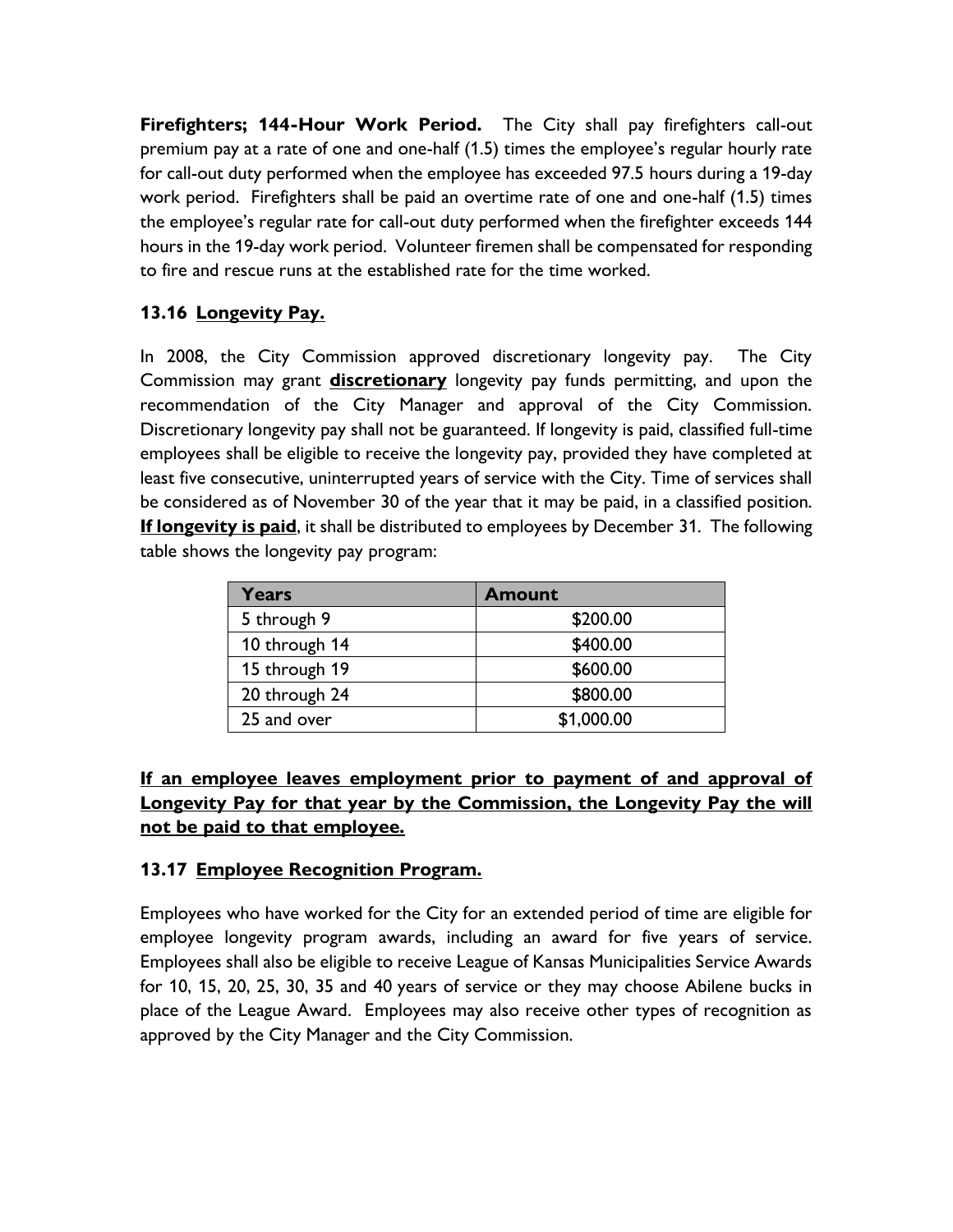**Firefighters; 144-Hour Work Period.** The City shall pay firefighters call-out premium pay at a rate of one and one-half (1.5) times the employee's regular hourly rate for call-out duty performed when the employee has exceeded 97.5 hours during a 19-day work period. Firefighters shall be paid an overtime rate of one and one-half (1.5) times the employee's regular rate for call-out duty performed when the firefighter exceeds 144 hours in the 19-day work period. Volunteer firemen shall be compensated for responding to fire and rescue runs at the established rate for the time worked.

# **13.16 Longevity Pay.**

In 2008, the City Commission approved discretionary longevity pay. The City Commission may grant **discretionary** longevity pay funds permitting, and upon the recommendation of the City Manager and approval of the City Commission. Discretionary longevity pay shall not be guaranteed. If longevity is paid, classified full-time employees shall be eligible to receive the longevity pay, provided they have completed at least five consecutive, uninterrupted years of service with the City. Time of services shall be considered as of November 30 of the year that it may be paid, in a classified position. **If longevity is paid**, it shall be distributed to employees by December 31. The following table shows the longevity pay program:

| Years         | <b>Amount</b> |
|---------------|---------------|
| 5 through 9   | \$200.00      |
| 10 through 14 | \$400.00      |
| 15 through 19 | \$600.00      |
| 20 through 24 | \$800.00      |
| 25 and over   | \$1,000.00    |

# **If an employee leaves employment prior to payment of and approval of Longevity Pay for that year by the Commission, the Longevity Pay the will not be paid to that employee.**

## **13.17 Employee Recognition Program.**

Employees who have worked for the City for an extended period of time are eligible for employee longevity program awards, including an award for five years of service. Employees shall also be eligible to receive League of Kansas Municipalities Service Awards for 10, 15, 20, 25, 30, 35 and 40 years of service or they may choose Abilene bucks in place of the League Award. Employees may also receive other types of recognition as approved by the City Manager and the City Commission.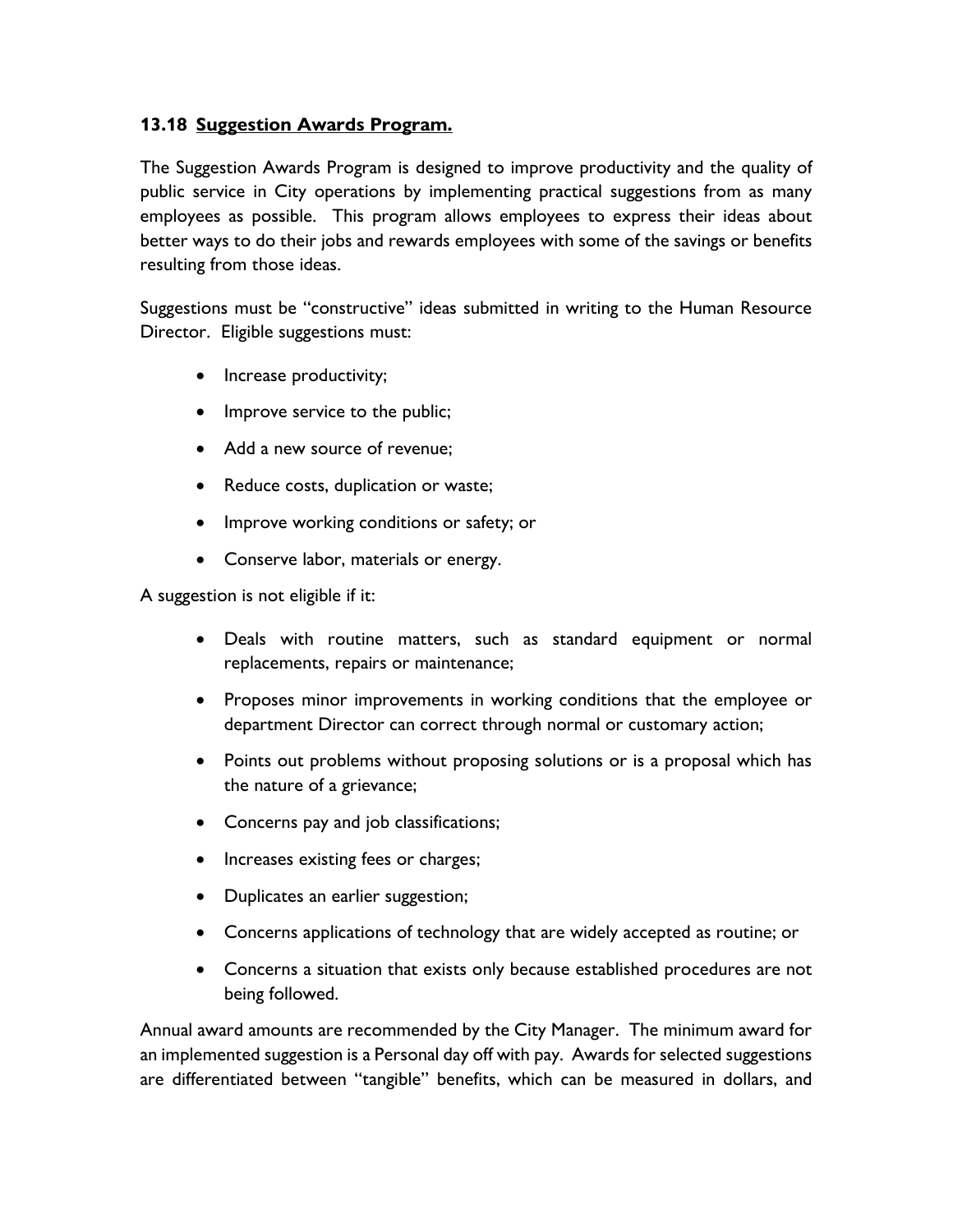#### **13.18 Suggestion Awards Program.**

The Suggestion Awards Program is designed to improve productivity and the quality of public service in City operations by implementing practical suggestions from as many employees as possible. This program allows employees to express their ideas about better ways to do their jobs and rewards employees with some of the savings or benefits resulting from those ideas.

Suggestions must be "constructive" ideas submitted in writing to the Human Resource Director. Eligible suggestions must:

- Increase productivity;
- Improve service to the public;
- Add a new source of revenue:
- Reduce costs, duplication or waste;
- Improve working conditions or safety; or
- Conserve labor, materials or energy.

A suggestion is not eligible if it:

- Deals with routine matters, such as standard equipment or normal replacements, repairs or maintenance;
- Proposes minor improvements in working conditions that the employee or department Director can correct through normal or customary action;
- Points out problems without proposing solutions or is a proposal which has the nature of a grievance;
- Concerns pay and job classifications;
- Increases existing fees or charges;
- Duplicates an earlier suggestion;
- Concerns applications of technology that are widely accepted as routine; or
- Concerns a situation that exists only because established procedures are not being followed.

Annual award amounts are recommended by the City Manager. The minimum award for an implemented suggestion is a Personal day off with pay. Awards for selected suggestions are differentiated between "tangible" benefits, which can be measured in dollars, and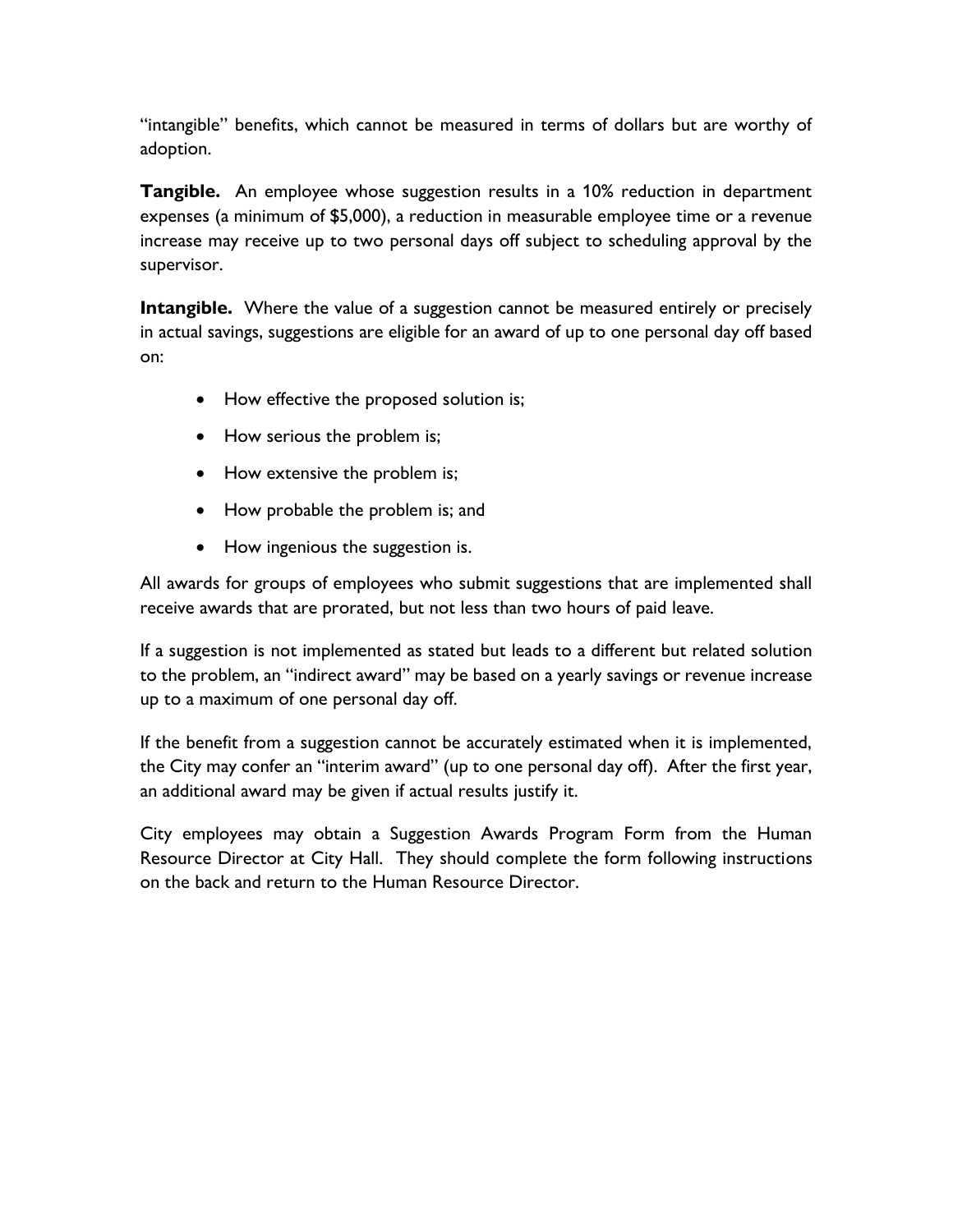"intangible" benefits, which cannot be measured in terms of dollars but are worthy of adoption.

**Tangible.** An employee whose suggestion results in a 10% reduction in department expenses (a minimum of \$5,000), a reduction in measurable employee time or a revenue increase may receive up to two personal days off subject to scheduling approval by the supervisor.

**Intangible.** Where the value of a suggestion cannot be measured entirely or precisely in actual savings, suggestions are eligible for an award of up to one personal day off based on:

- How effective the proposed solution is;
- How serious the problem is;
- How extensive the problem is;
- How probable the problem is; and
- How ingenious the suggestion is.

All awards for groups of employees who submit suggestions that are implemented shall receive awards that are prorated, but not less than two hours of paid leave.

If a suggestion is not implemented as stated but leads to a different but related solution to the problem, an "indirect award" may be based on a yearly savings or revenue increase up to a maximum of one personal day off.

If the benefit from a suggestion cannot be accurately estimated when it is implemented, the City may confer an "interim award" (up to one personal day off). After the first year, an additional award may be given if actual results justify it.

City employees may obtain a Suggestion Awards Program Form from the Human Resource Director at City Hall. They should complete the form following instructions on the back and return to the Human Resource Director.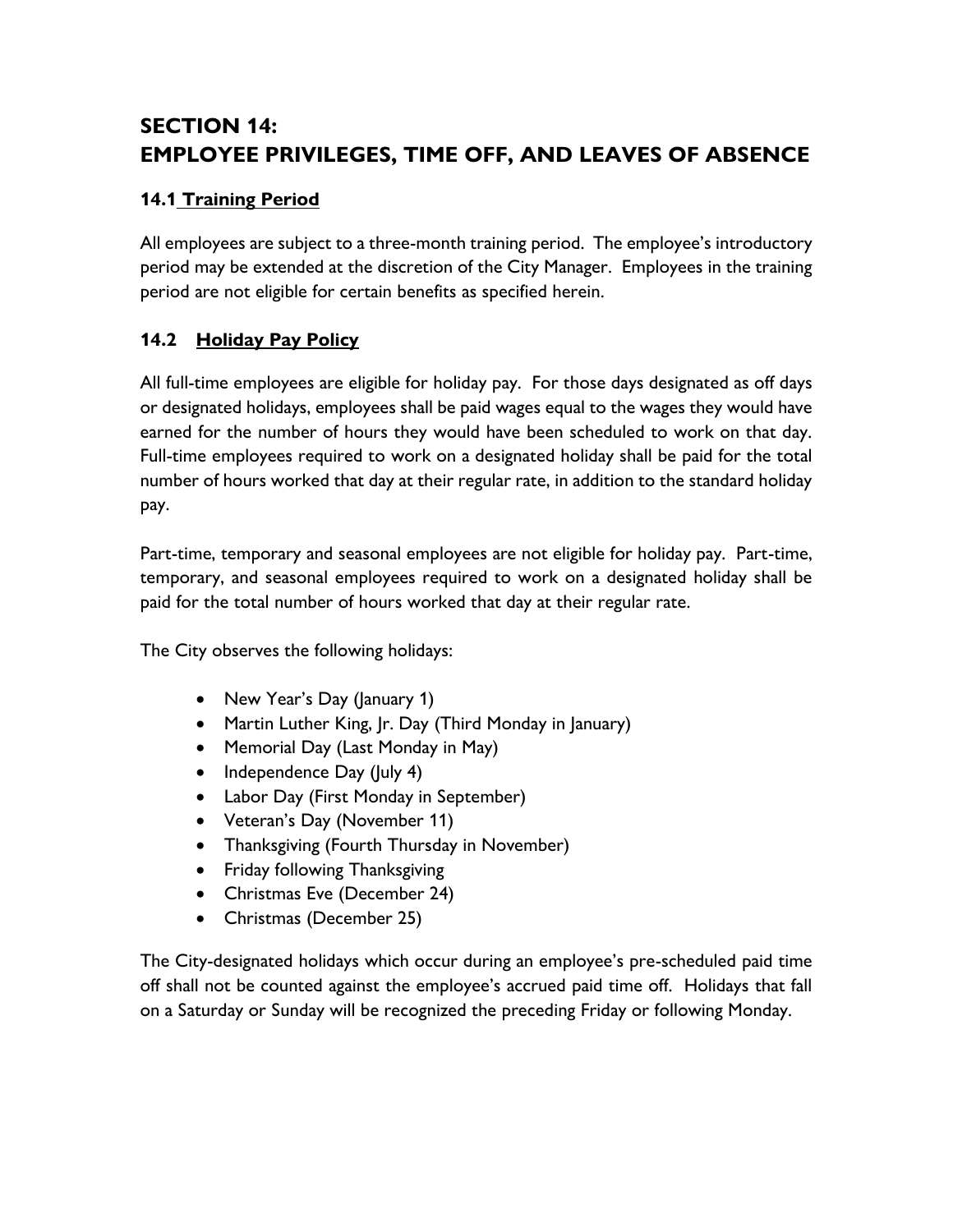# **SECTION 14: EMPLOYEE PRIVILEGES, TIME OFF, AND LEAVES OF ABSENCE**

# **14.1 Training Period**

All employees are subject to a three-month training period. The employee's introductory period may be extended at the discretion of the City Manager. Employees in the training period are not eligible for certain benefits as specified herein.

# **14.2 Holiday Pay Policy**

All full-time employees are eligible for holiday pay. For those days designated as off days or designated holidays, employees shall be paid wages equal to the wages they would have earned for the number of hours they would have been scheduled to work on that day. Full-time employees required to work on a designated holiday shall be paid for the total number of hours worked that day at their regular rate, in addition to the standard holiday pay.

Part-time, temporary and seasonal employees are not eligible for holiday pay. Part-time, temporary, and seasonal employees required to work on a designated holiday shall be paid for the total number of hours worked that day at their regular rate.

The City observes the following holidays:

- New Year's Day (January 1)
- Martin Luther King, Jr. Day (Third Monday in January)
- Memorial Day (Last Monday in May)
- Independence Day (July 4)
- Labor Day (First Monday in September)
- Veteran's Day (November 11)
- Thanksgiving (Fourth Thursday in November)
- Friday following Thanksgiving
- Christmas Eve (December 24)
- Christmas (December 25)

The City-designated holidays which occur during an employee's pre-scheduled paid time off shall not be counted against the employee's accrued paid time off. Holidays that fall on a Saturday or Sunday will be recognized the preceding Friday or following Monday.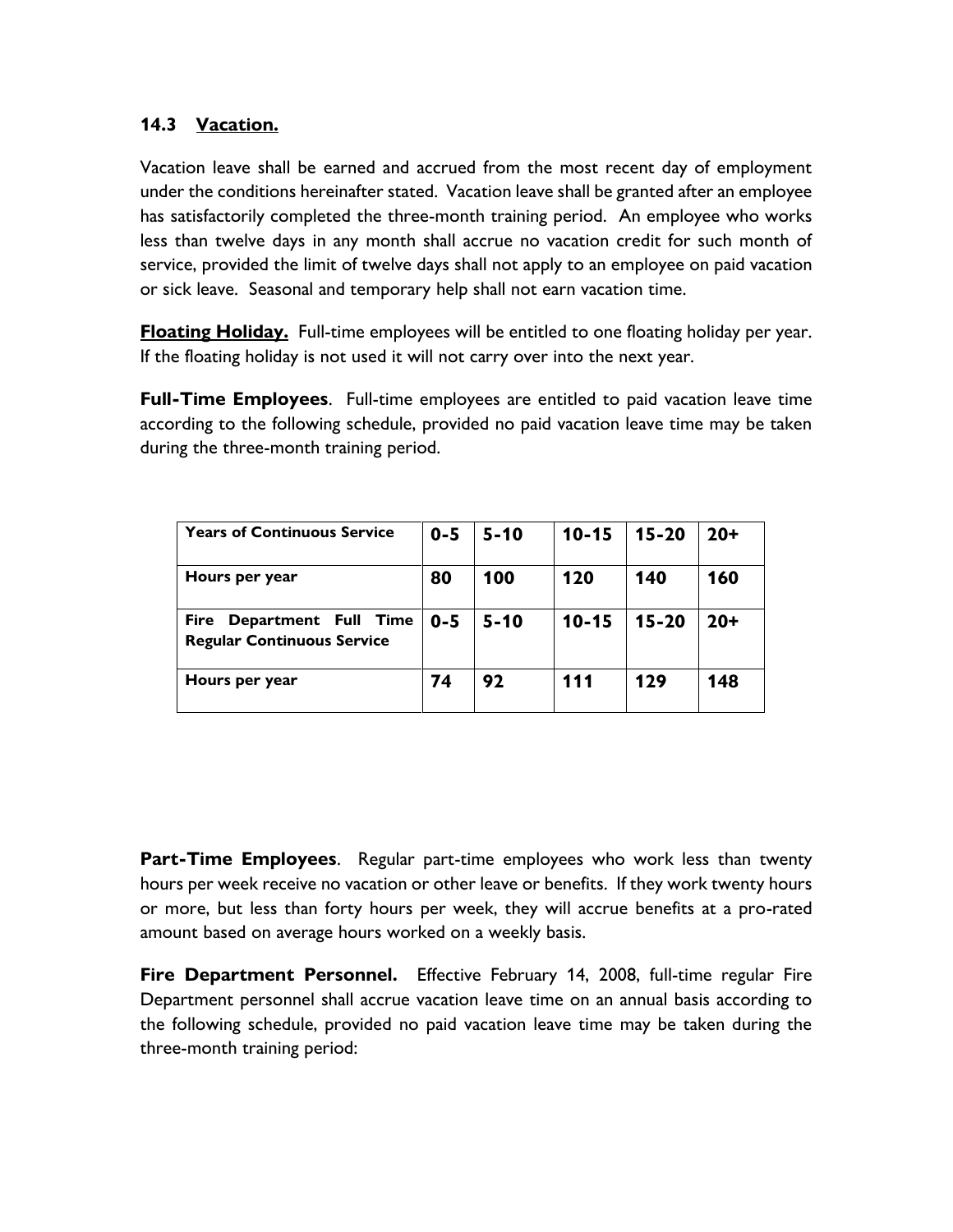#### **14.3 Vacation.**

Vacation leave shall be earned and accrued from the most recent day of employment under the conditions hereinafter stated. Vacation leave shall be granted after an employee has satisfactorily completed the three-month training period. An employee who works less than twelve days in any month shall accrue no vacation credit for such month of service, provided the limit of twelve days shall not apply to an employee on paid vacation or sick leave. Seasonal and temporary help shall not earn vacation time.

**Floating Holiday.** Full-time employees will be entitled to one floating holiday per year. If the floating holiday is not used it will not carry over into the next year.

**Full-Time Employees**. Full-time employees are entitled to paid vacation leave time according to the following schedule, provided no paid vacation leave time may be taken during the three-month training period.

| <b>Years of Continuous Service</b>                                       | $0 - 5$ | $5 - 10$ | $10 - 15$ | $15 - 20$ | $20+$ |
|--------------------------------------------------------------------------|---------|----------|-----------|-----------|-------|
| Hours per year                                                           | 80      | 100      | 120       | 140       | 160   |
| Department Full Time<br><b>Fire</b><br><b>Regular Continuous Service</b> | $0 - 5$ | $5 - 10$ | $10 - 15$ | $15 - 20$ | $20+$ |
| Hours per year                                                           | 74      | 92       | 111       | 129       | 148   |

**Part-Time Employees**. Regular part-time employees who work less than twenty hours per week receive no vacation or other leave or benefits. If they work twenty hours or more, but less than forty hours per week, they will accrue benefits at a pro-rated amount based on average hours worked on a weekly basis.

**Fire Department Personnel.** Effective February 14, 2008, full-time regular Fire Department personnel shall accrue vacation leave time on an annual basis according to the following schedule, provided no paid vacation leave time may be taken during the three-month training period: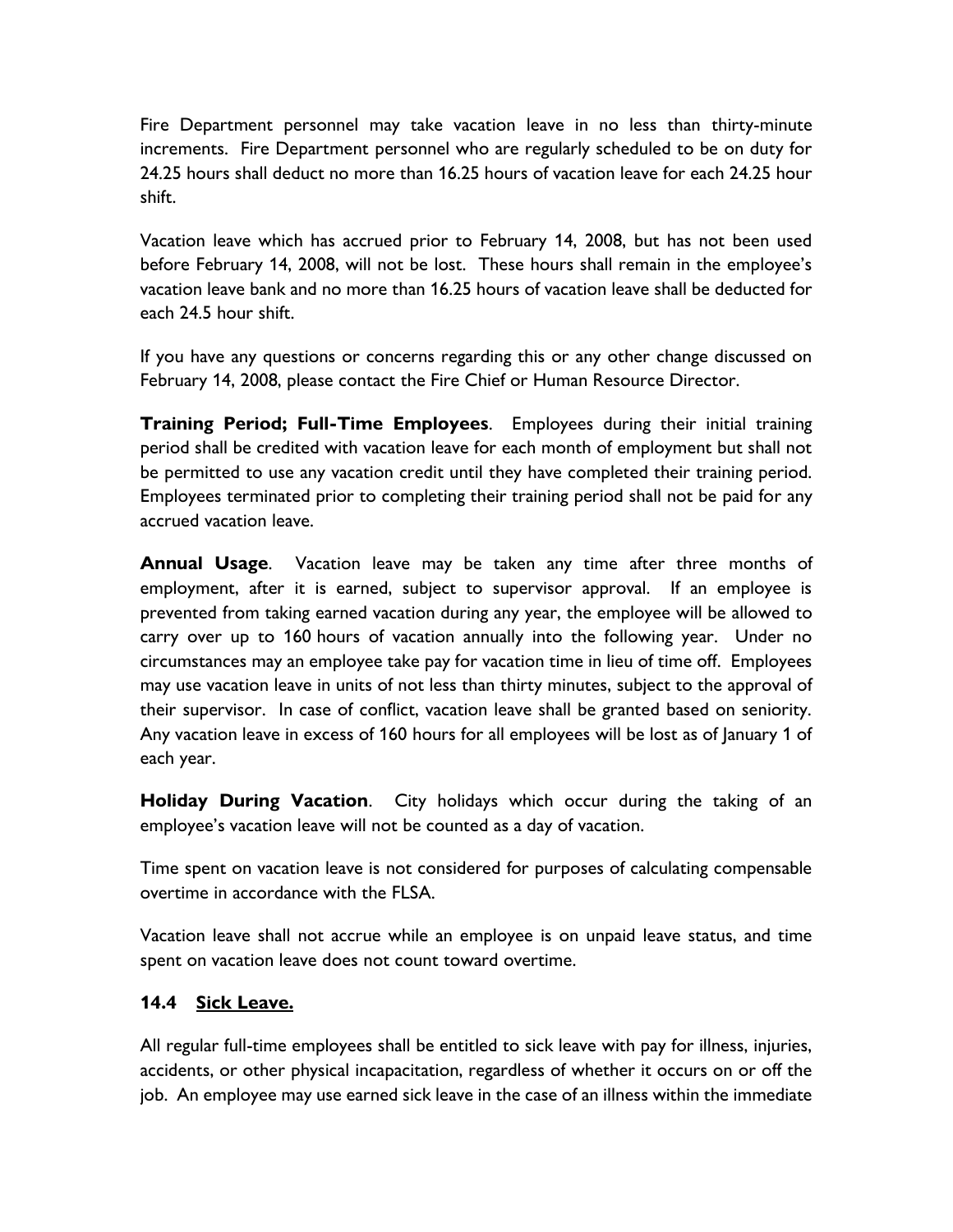Fire Department personnel may take vacation leave in no less than thirty-minute increments. Fire Department personnel who are regularly scheduled to be on duty for 24.25 hours shall deduct no more than 16.25 hours of vacation leave for each 24.25 hour shift.

Vacation leave which has accrued prior to February 14, 2008, but has not been used before February 14, 2008, will not be lost. These hours shall remain in the employee's vacation leave bank and no more than 16.25 hours of vacation leave shall be deducted for each 24.5 hour shift.

If you have any questions or concerns regarding this or any other change discussed on February 14, 2008, please contact the Fire Chief or Human Resource Director.

**Training Period; Full-Time Employees**. Employees during their initial training period shall be credited with vacation leave for each month of employment but shall not be permitted to use any vacation credit until they have completed their training period. Employees terminated prior to completing their training period shall not be paid for any accrued vacation leave.

**Annual Usage**. Vacation leave may be taken any time after three months of employment, after it is earned, subject to supervisor approval. If an employee is prevented from taking earned vacation during any year, the employee will be allowed to carry over up to 160 hours of vacation annually into the following year. Under no circumstances may an employee take pay for vacation time in lieu of time off. Employees may use vacation leave in units of not less than thirty minutes, subject to the approval of their supervisor. In case of conflict, vacation leave shall be granted based on seniority. Any vacation leave in excess of 160 hours for all employees will be lost as of January 1 of each year.

**Holiday During Vacation**. City holidays which occur during the taking of an employee's vacation leave will not be counted as a day of vacation.

Time spent on vacation leave is not considered for purposes of calculating compensable overtime in accordance with the FLSA.

Vacation leave shall not accrue while an employee is on unpaid leave status, and time spent on vacation leave does not count toward overtime.

#### **14.4 Sick Leave.**

All regular full-time employees shall be entitled to sick leave with pay for illness, injuries, accidents, or other physical incapacitation, regardless of whether it occurs on or off the job. An employee may use earned sick leave in the case of an illness within the immediate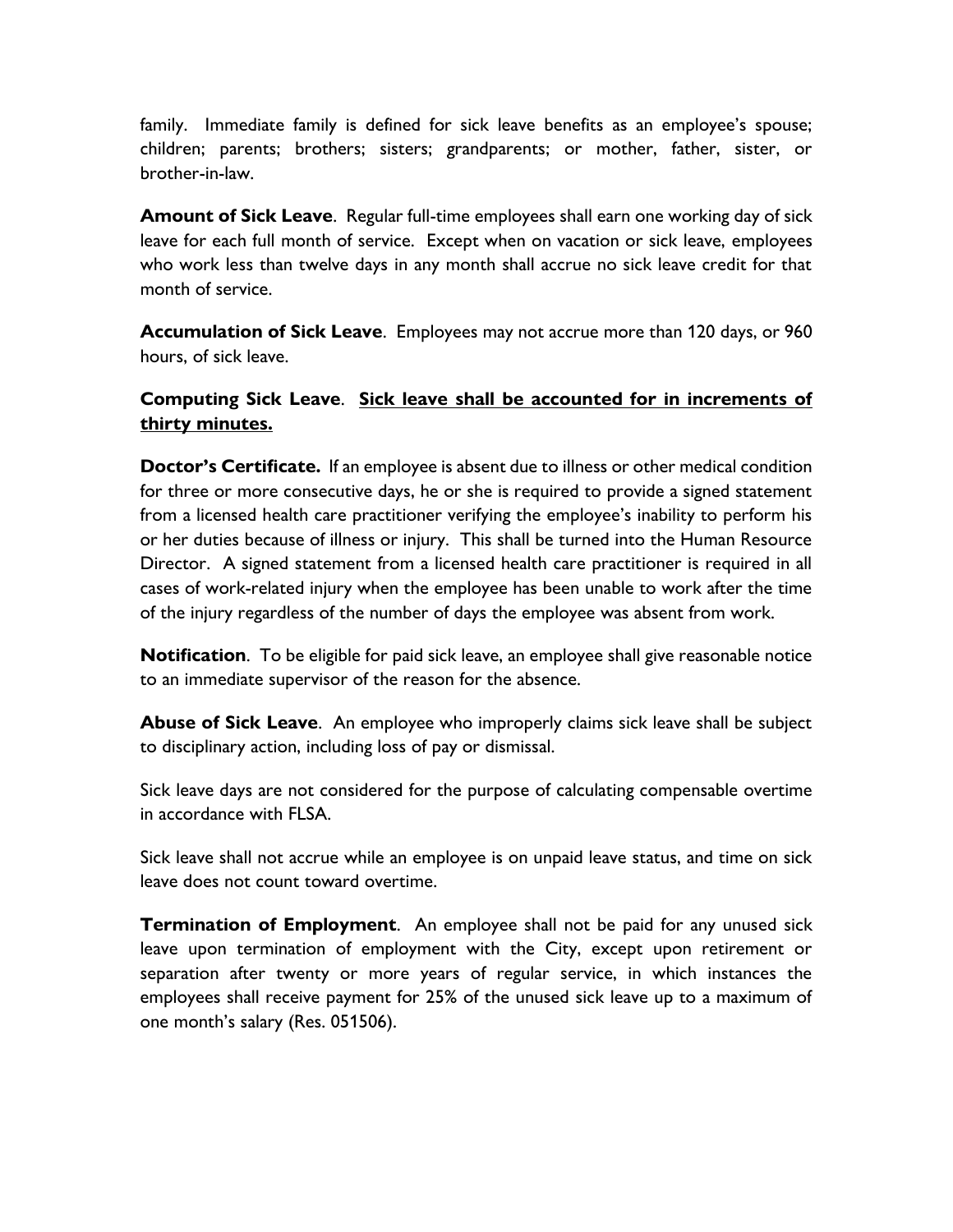family. Immediate family is defined for sick leave benefits as an employee's spouse; children; parents; brothers; sisters; grandparents; or mother, father, sister, or brother-in-law.

**Amount of Sick Leave**. Regular full-time employees shall earn one working day of sick leave for each full month of service. Except when on vacation or sick leave, employees who work less than twelve days in any month shall accrue no sick leave credit for that month of service.

**Accumulation of Sick Leave**. Employees may not accrue more than 120 days, or 960 hours, of sick leave.

### **Computing Sick Leave**. **Sick leave shall be accounted for in increments of thirty minutes.**

**Doctor's Certificate.** If an employee is absent due to illness or other medical condition for three or more consecutive days, he or she is required to provide a signed statement from a licensed health care practitioner verifying the employee's inability to perform his or her duties because of illness or injury. This shall be turned into the Human Resource Director. A signed statement from a licensed health care practitioner is required in all cases of work-related injury when the employee has been unable to work after the time of the injury regardless of the number of days the employee was absent from work.

**Notification**. To be eligible for paid sick leave, an employee shall give reasonable notice to an immediate supervisor of the reason for the absence.

**Abuse of Sick Leave**. An employee who improperly claims sick leave shall be subject to disciplinary action, including loss of pay or dismissal.

Sick leave days are not considered for the purpose of calculating compensable overtime in accordance with FLSA.

Sick leave shall not accrue while an employee is on unpaid leave status, and time on sick leave does not count toward overtime.

**Termination of Employment**. An employee shall not be paid for any unused sick leave upon termination of employment with the City, except upon retirement or separation after twenty or more years of regular service, in which instances the employees shall receive payment for 25% of the unused sick leave up to a maximum of one month's salary (Res. 051506).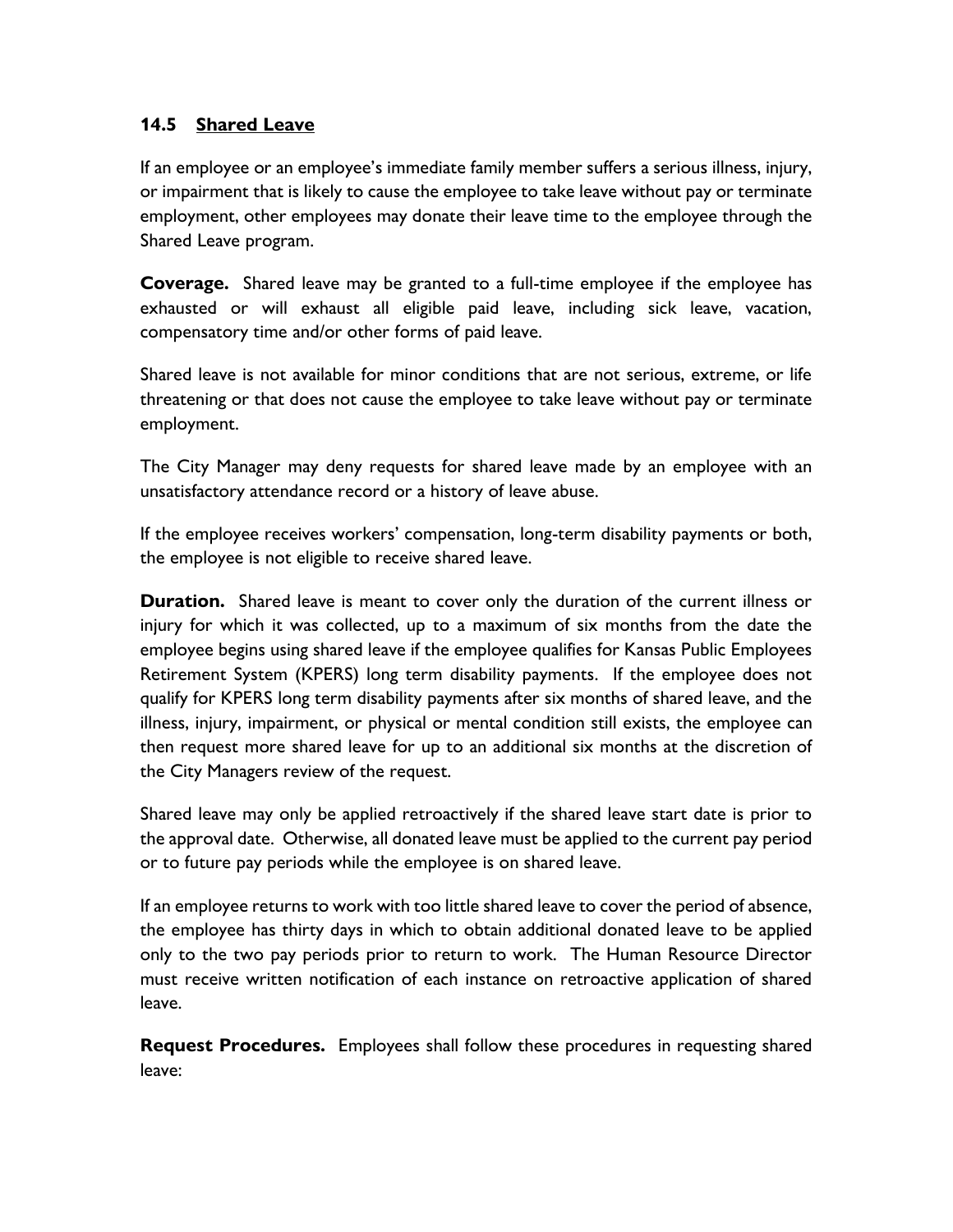#### **14.5 Shared Leave**

If an employee or an employee's immediate family member suffers a serious illness, injury, or impairment that is likely to cause the employee to take leave without pay or terminate employment, other employees may donate their leave time to the employee through the Shared Leave program.

**Coverage.** Shared leave may be granted to a full-time employee if the employee has exhausted or will exhaust all eligible paid leave, including sick leave, vacation, compensatory time and/or other forms of paid leave.

Shared leave is not available for minor conditions that are not serious, extreme, or life threatening or that does not cause the employee to take leave without pay or terminate employment.

The City Manager may deny requests for shared leave made by an employee with an unsatisfactory attendance record or a history of leave abuse.

If the employee receives workers' compensation, long-term disability payments or both, the employee is not eligible to receive shared leave.

**Duration.** Shared leave is meant to cover only the duration of the current illness or injury for which it was collected, up to a maximum of six months from the date the employee begins using shared leave if the employee qualifies for Kansas Public Employees Retirement System (KPERS) long term disability payments. If the employee does not qualify for KPERS long term disability payments after six months of shared leave, and the illness, injury, impairment, or physical or mental condition still exists, the employee can then request more shared leave for up to an additional six months at the discretion of the City Managers review of the request.

Shared leave may only be applied retroactively if the shared leave start date is prior to the approval date. Otherwise, all donated leave must be applied to the current pay period or to future pay periods while the employee is on shared leave.

If an employee returns to work with too little shared leave to cover the period of absence, the employee has thirty days in which to obtain additional donated leave to be applied only to the two pay periods prior to return to work. The Human Resource Director must receive written notification of each instance on retroactive application of shared leave.

**Request Procedures.** Employees shall follow these procedures in requesting shared leave: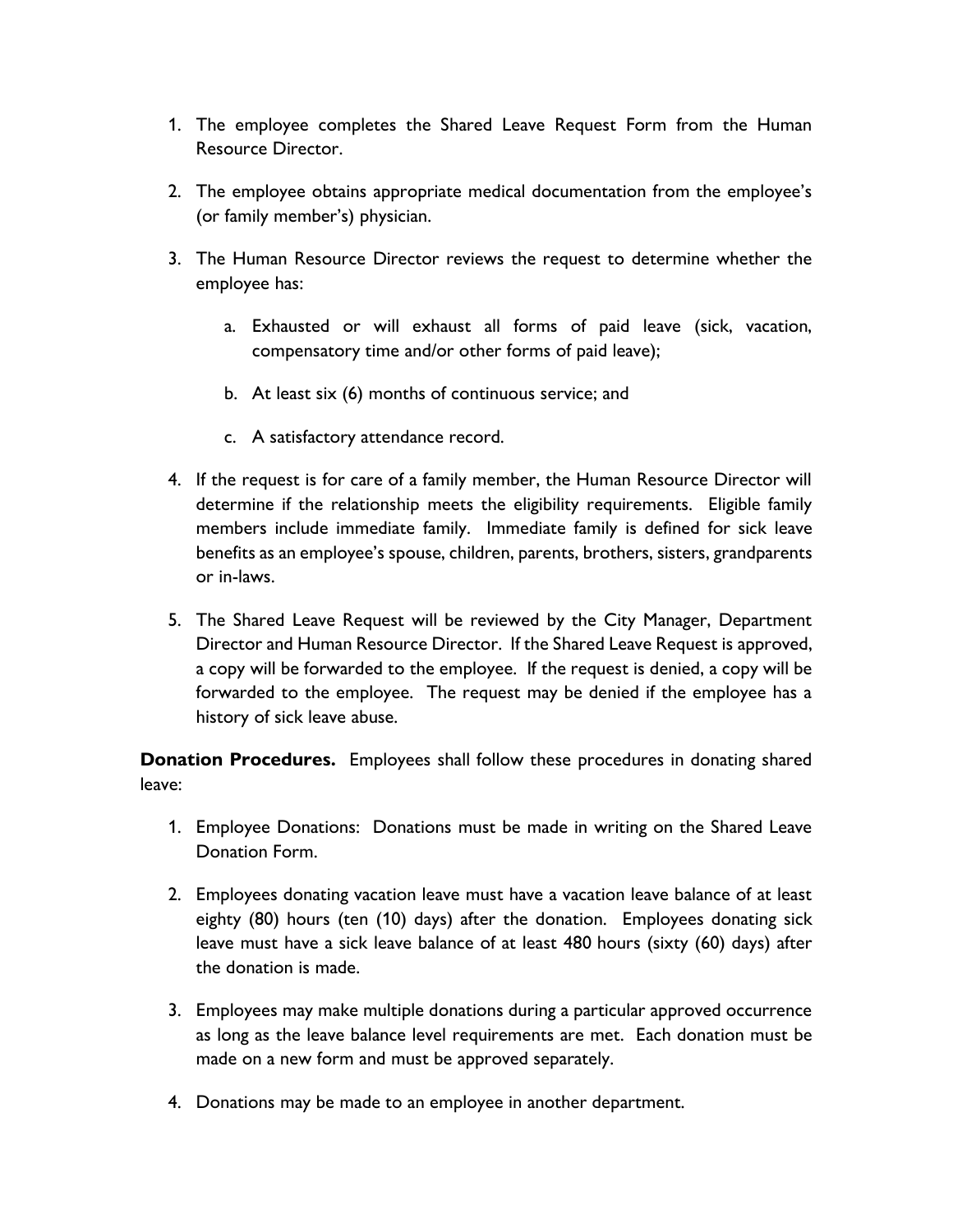- 1. The employee completes the Shared Leave Request Form from the Human Resource Director.
- 2. The employee obtains appropriate medical documentation from the employee's (or family member's) physician.
- 3. The Human Resource Director reviews the request to determine whether the employee has:
	- a. Exhausted or will exhaust all forms of paid leave (sick, vacation, compensatory time and/or other forms of paid leave);
	- b. At least six (6) months of continuous service; and
	- c. A satisfactory attendance record.
- 4. If the request is for care of a family member, the Human Resource Director will determine if the relationship meets the eligibility requirements. Eligible family members include immediate family. Immediate family is defined for sick leave benefits as an employee's spouse, children, parents, brothers, sisters, grandparents or in-laws.
- 5. The Shared Leave Request will be reviewed by the City Manager, Department Director and Human Resource Director. If the Shared Leave Request is approved, a copy will be forwarded to the employee. If the request is denied, a copy will be forwarded to the employee. The request may be denied if the employee has a history of sick leave abuse.

**Donation Procedures.** Employees shall follow these procedures in donating shared leave:

- 1. Employee Donations: Donations must be made in writing on the Shared Leave Donation Form.
- 2. Employees donating vacation leave must have a vacation leave balance of at least eighty (80) hours (ten (10) days) after the donation. Employees donating sick leave must have a sick leave balance of at least 480 hours (sixty (60) days) after the donation is made.
- 3. Employees may make multiple donations during a particular approved occurrence as long as the leave balance level requirements are met. Each donation must be made on a new form and must be approved separately.
- 4. Donations may be made to an employee in another department.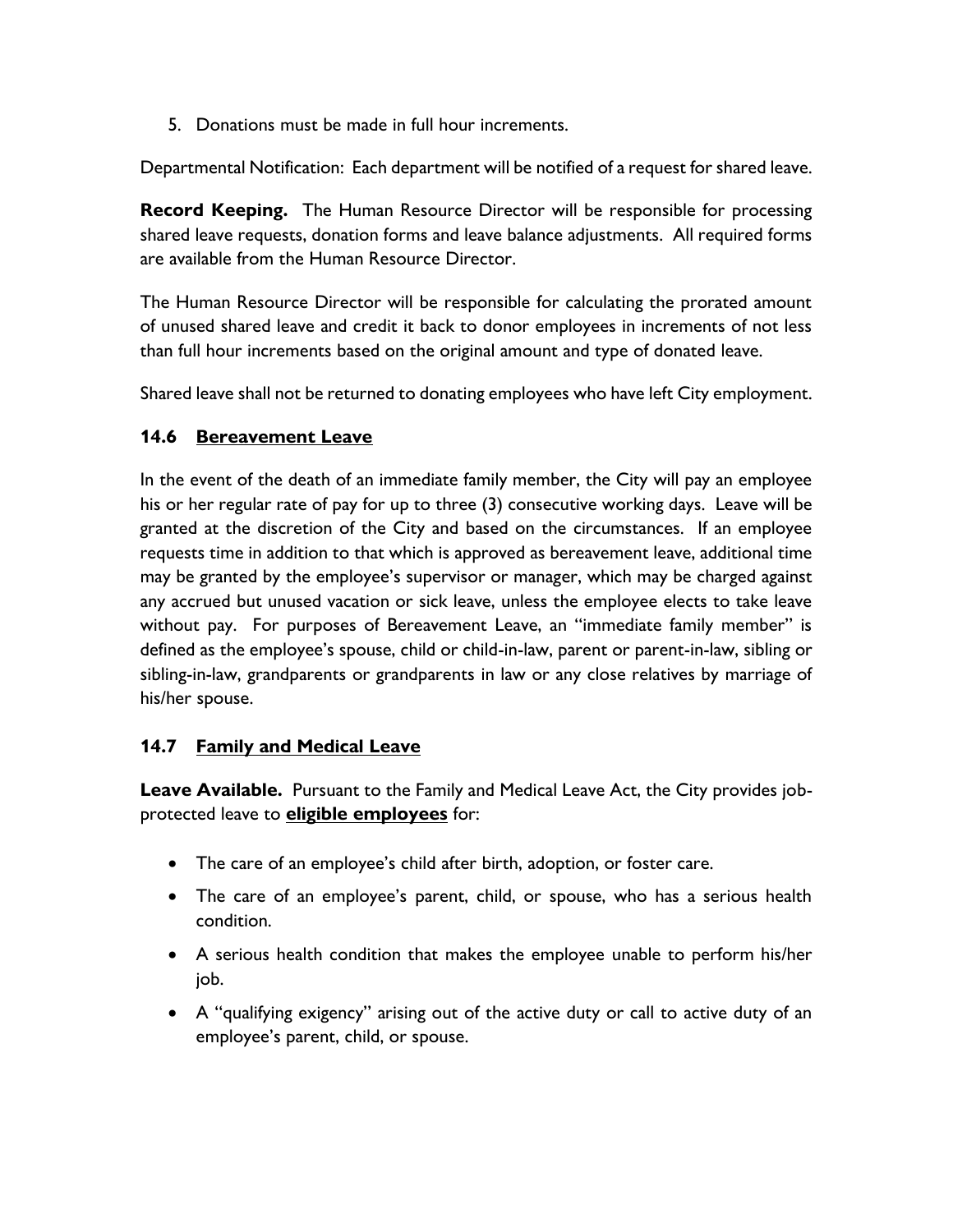5. Donations must be made in full hour increments.

Departmental Notification: Each department will be notified of a request for shared leave.

**Record Keeping.** The Human Resource Director will be responsible for processing shared leave requests, donation forms and leave balance adjustments. All required forms are available from the Human Resource Director.

The Human Resource Director will be responsible for calculating the prorated amount of unused shared leave and credit it back to donor employees in increments of not less than full hour increments based on the original amount and type of donated leave.

Shared leave shall not be returned to donating employees who have left City employment.

#### **14.6 Bereavement Leave**

In the event of the death of an immediate family member, the City will pay an employee his or her regular rate of pay for up to three (3) consecutive working days. Leave will be granted at the discretion of the City and based on the circumstances. If an employee requests time in addition to that which is approved as bereavement leave, additional time may be granted by the employee's supervisor or manager, which may be charged against any accrued but unused vacation or sick leave, unless the employee elects to take leave without pay. For purposes of Bereavement Leave, an "immediate family member" is defined as the employee's spouse, child or child-in-law, parent or parent-in-law, sibling or sibling-in-law, grandparents or grandparents in law or any close relatives by marriage of his/her spouse.

## **14.7 Family and Medical Leave**

**Leave Available.** Pursuant to the Family and Medical Leave Act, the City provides jobprotected leave to **eligible employees** for:

- The care of an employee's child after birth, adoption, or foster care.
- The care of an employee's parent, child, or spouse, who has a serious health condition.
- A serious health condition that makes the employee unable to perform his/her job.
- A "qualifying exigency" arising out of the active duty or call to active duty of an employee's parent, child, or spouse.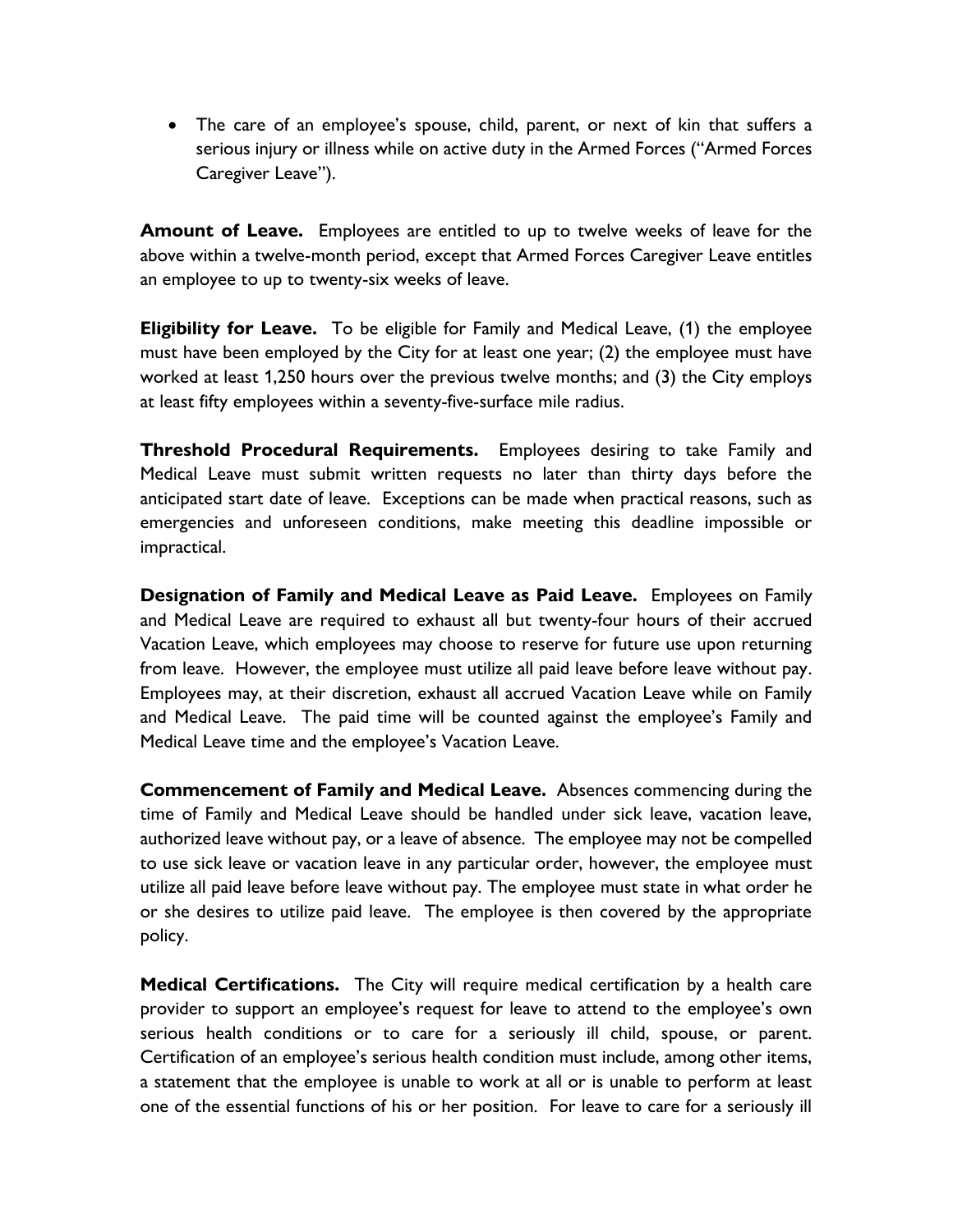• The care of an employee's spouse, child, parent, or next of kin that suffers a serious injury or illness while on active duty in the Armed Forces ("Armed Forces Caregiver Leave").

**Amount of Leave.** Employees are entitled to up to twelve weeks of leave for the above within a twelve-month period, except that Armed Forces Caregiver Leave entitles an employee to up to twenty-six weeks of leave.

**Eligibility for Leave.** To be eligible for Family and Medical Leave, (1) the employee must have been employed by the City for at least one year; (2) the employee must have worked at least 1,250 hours over the previous twelve months; and (3) the City employs at least fifty employees within a seventy-five-surface mile radius.

**Threshold Procedural Requirements.** Employees desiring to take Family and Medical Leave must submit written requests no later than thirty days before the anticipated start date of leave. Exceptions can be made when practical reasons, such as emergencies and unforeseen conditions, make meeting this deadline impossible or impractical.

**Designation of Family and Medical Leave as Paid Leave.** Employees on Family and Medical Leave are required to exhaust all but twenty-four hours of their accrued Vacation Leave, which employees may choose to reserve for future use upon returning from leave. However, the employee must utilize all paid leave before leave without pay. Employees may, at their discretion, exhaust all accrued Vacation Leave while on Family and Medical Leave. The paid time will be counted against the employee's Family and Medical Leave time and the employee's Vacation Leave.

**Commencement of Family and Medical Leave.** Absences commencing during the time of Family and Medical Leave should be handled under sick leave, vacation leave, authorized leave without pay, or a leave of absence. The employee may not be compelled to use sick leave or vacation leave in any particular order, however, the employee must utilize all paid leave before leave without pay. The employee must state in what order he or she desires to utilize paid leave. The employee is then covered by the appropriate policy.

**Medical Certifications.** The City will require medical certification by a health care provider to support an employee's request for leave to attend to the employee's own serious health conditions or to care for a seriously ill child, spouse, or parent. Certification of an employee's serious health condition must include, among other items, a statement that the employee is unable to work at all or is unable to perform at least one of the essential functions of his or her position. For leave to care for a seriously ill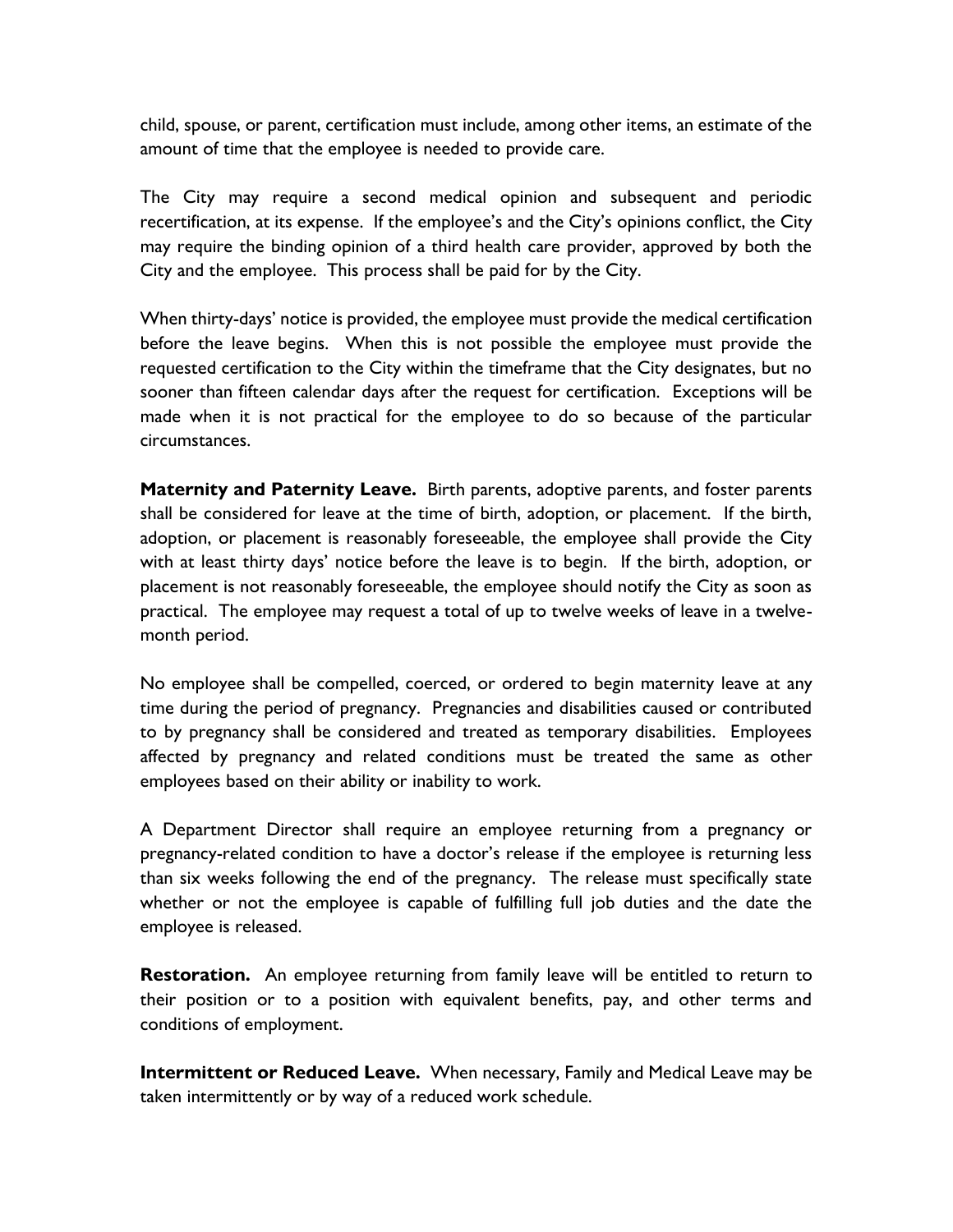child, spouse, or parent, certification must include, among other items, an estimate of the amount of time that the employee is needed to provide care.

The City may require a second medical opinion and subsequent and periodic recertification, at its expense. If the employee's and the City's opinions conflict, the City may require the binding opinion of a third health care provider, approved by both the City and the employee. This process shall be paid for by the City.

When thirty-days' notice is provided, the employee must provide the medical certification before the leave begins. When this is not possible the employee must provide the requested certification to the City within the timeframe that the City designates, but no sooner than fifteen calendar days after the request for certification. Exceptions will be made when it is not practical for the employee to do so because of the particular circumstances.

**Maternity and Paternity Leave.** Birth parents, adoptive parents, and foster parents shall be considered for leave at the time of birth, adoption, or placement. If the birth, adoption, or placement is reasonably foreseeable, the employee shall provide the City with at least thirty days' notice before the leave is to begin. If the birth, adoption, or placement is not reasonably foreseeable, the employee should notify the City as soon as practical. The employee may request a total of up to twelve weeks of leave in a twelvemonth period.

No employee shall be compelled, coerced, or ordered to begin maternity leave at any time during the period of pregnancy. Pregnancies and disabilities caused or contributed to by pregnancy shall be considered and treated as temporary disabilities. Employees affected by pregnancy and related conditions must be treated the same as other employees based on their ability or inability to work.

A Department Director shall require an employee returning from a pregnancy or pregnancy-related condition to have a doctor's release if the employee is returning less than six weeks following the end of the pregnancy. The release must specifically state whether or not the employee is capable of fulfilling full job duties and the date the employee is released.

**Restoration.** An employee returning from family leave will be entitled to return to their position or to a position with equivalent benefits, pay, and other terms and conditions of employment.

**Intermittent or Reduced Leave.** When necessary, Family and Medical Leave may be taken intermittently or by way of a reduced work schedule.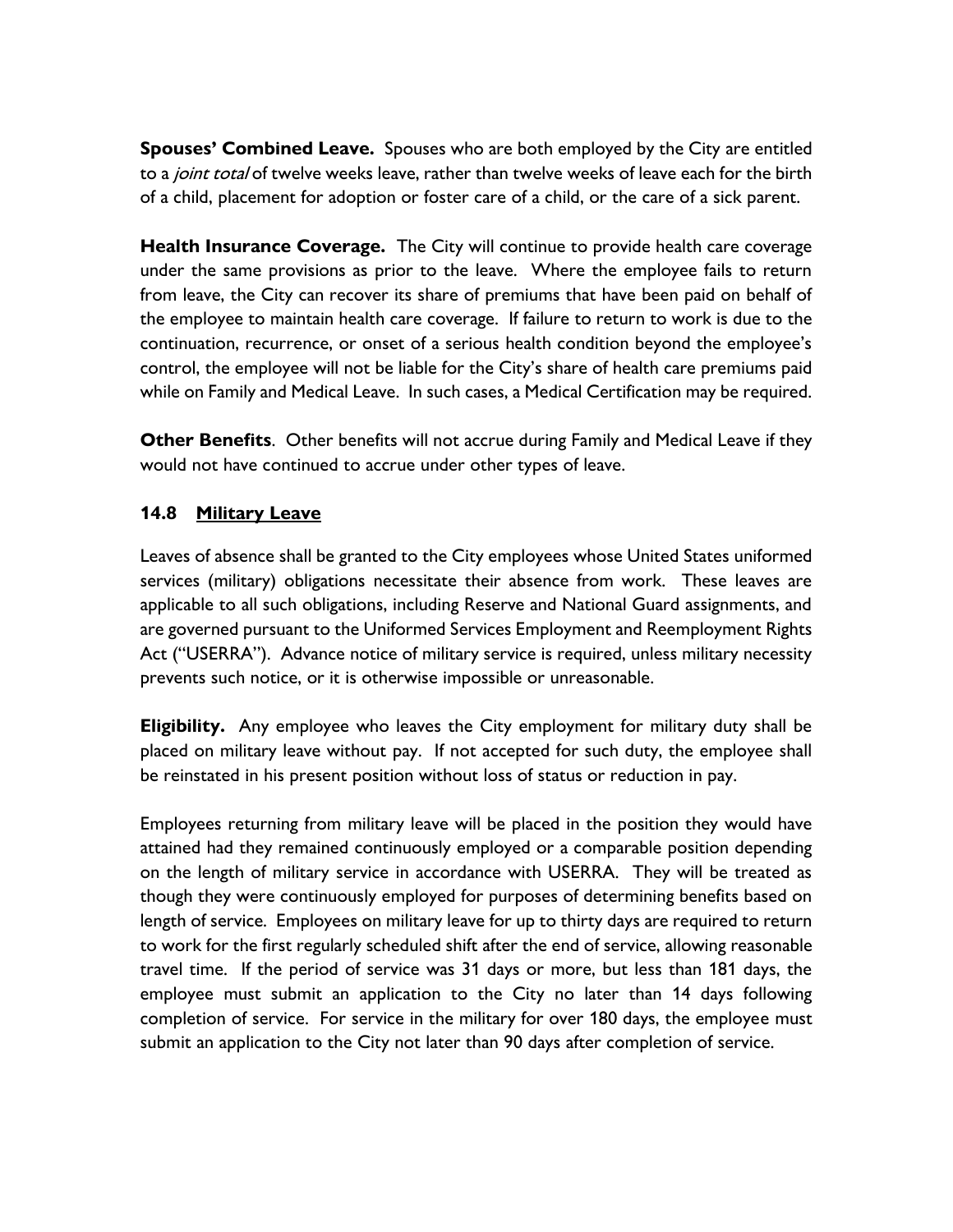**Spouses' Combined Leave.** Spouses who are both employed by the City are entitled to a joint total of twelve weeks leave, rather than twelve weeks of leave each for the birth of a child, placement for adoption or foster care of a child, or the care of a sick parent.

**Health Insurance Coverage.** The City will continue to provide health care coverage under the same provisions as prior to the leave. Where the employee fails to return from leave, the City can recover its share of premiums that have been paid on behalf of the employee to maintain health care coverage. If failure to return to work is due to the continuation, recurrence, or onset of a serious health condition beyond the employee's control, the employee will not be liable for the City's share of health care premiums paid while on Family and Medical Leave. In such cases, a Medical Certification may be required.

**Other Benefits**. Other benefits will not accrue during Family and Medical Leave if they would not have continued to accrue under other types of leave.

#### **14.8 Military Leave**

Leaves of absence shall be granted to the City employees whose United States uniformed services (military) obligations necessitate their absence from work. These leaves are applicable to all such obligations, including Reserve and National Guard assignments, and are governed pursuant to the Uniformed Services Employment and Reemployment Rights Act ("USERRA"). Advance notice of military service is required, unless military necessity prevents such notice, or it is otherwise impossible or unreasonable.

**Eligibility.** Any employee who leaves the City employment for military duty shall be placed on military leave without pay. If not accepted for such duty, the employee shall be reinstated in his present position without loss of status or reduction in pay.

Employees returning from military leave will be placed in the position they would have attained had they remained continuously employed or a comparable position depending on the length of military service in accordance with USERRA. They will be treated as though they were continuously employed for purposes of determining benefits based on length of service. Employees on military leave for up to thirty days are required to return to work for the first regularly scheduled shift after the end of service, allowing reasonable travel time. If the period of service was 31 days or more, but less than 181 days, the employee must submit an application to the City no later than 14 days following completion of service. For service in the military for over 180 days, the employee must submit an application to the City not later than 90 days after completion of service.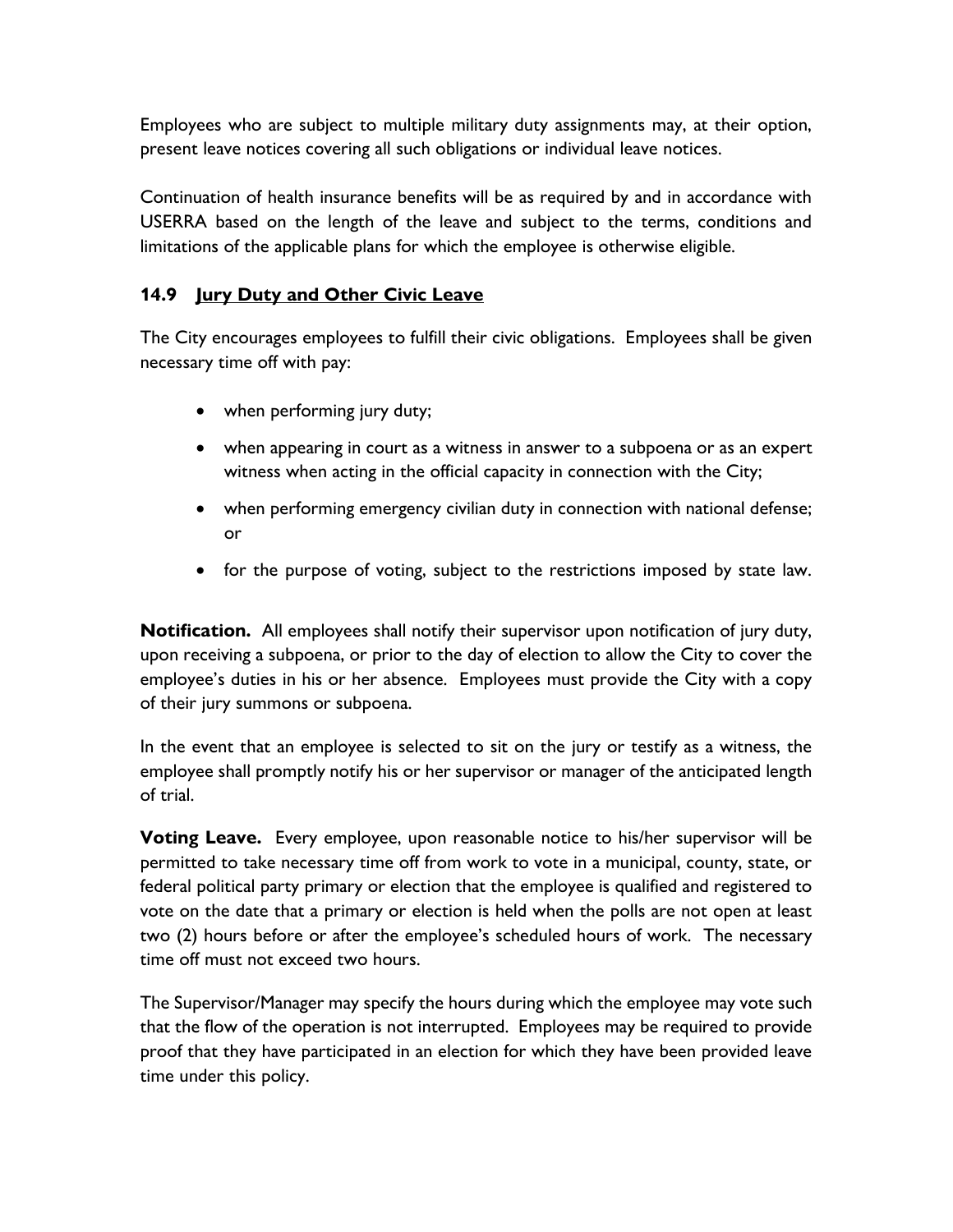Employees who are subject to multiple military duty assignments may, at their option, present leave notices covering all such obligations or individual leave notices.

Continuation of health insurance benefits will be as required by and in accordance with USERRA based on the length of the leave and subject to the terms, conditions and limitations of the applicable plans for which the employee is otherwise eligible.

### **14.9 Jury Duty and Other Civic Leave**

The City encourages employees to fulfill their civic obligations. Employees shall be given necessary time off with pay:

- when performing jury duty;
- when appearing in court as a witness in answer to a subpoena or as an expert witness when acting in the official capacity in connection with the City;
- when performing emergency civilian duty in connection with national defense; or
- for the purpose of voting, subject to the restrictions imposed by state law.

**Notification.** All employees shall notify their supervisor upon notification of jury duty, upon receiving a subpoena, or prior to the day of election to allow the City to cover the employee's duties in his or her absence. Employees must provide the City with a copy of their jury summons or subpoena.

In the event that an employee is selected to sit on the jury or testify as a witness, the employee shall promptly notify his or her supervisor or manager of the anticipated length of trial.

**Voting Leave.** Every employee, upon reasonable notice to his/her supervisor will be permitted to take necessary time off from work to vote in a municipal, county, state, or federal political party primary or election that the employee is qualified and registered to vote on the date that a primary or election is held when the polls are not open at least two (2) hours before or after the employee's scheduled hours of work. The necessary time off must not exceed two hours.

The Supervisor/Manager may specify the hours during which the employee may vote such that the flow of the operation is not interrupted. Employees may be required to provide proof that they have participated in an election for which they have been provided leave time under this policy.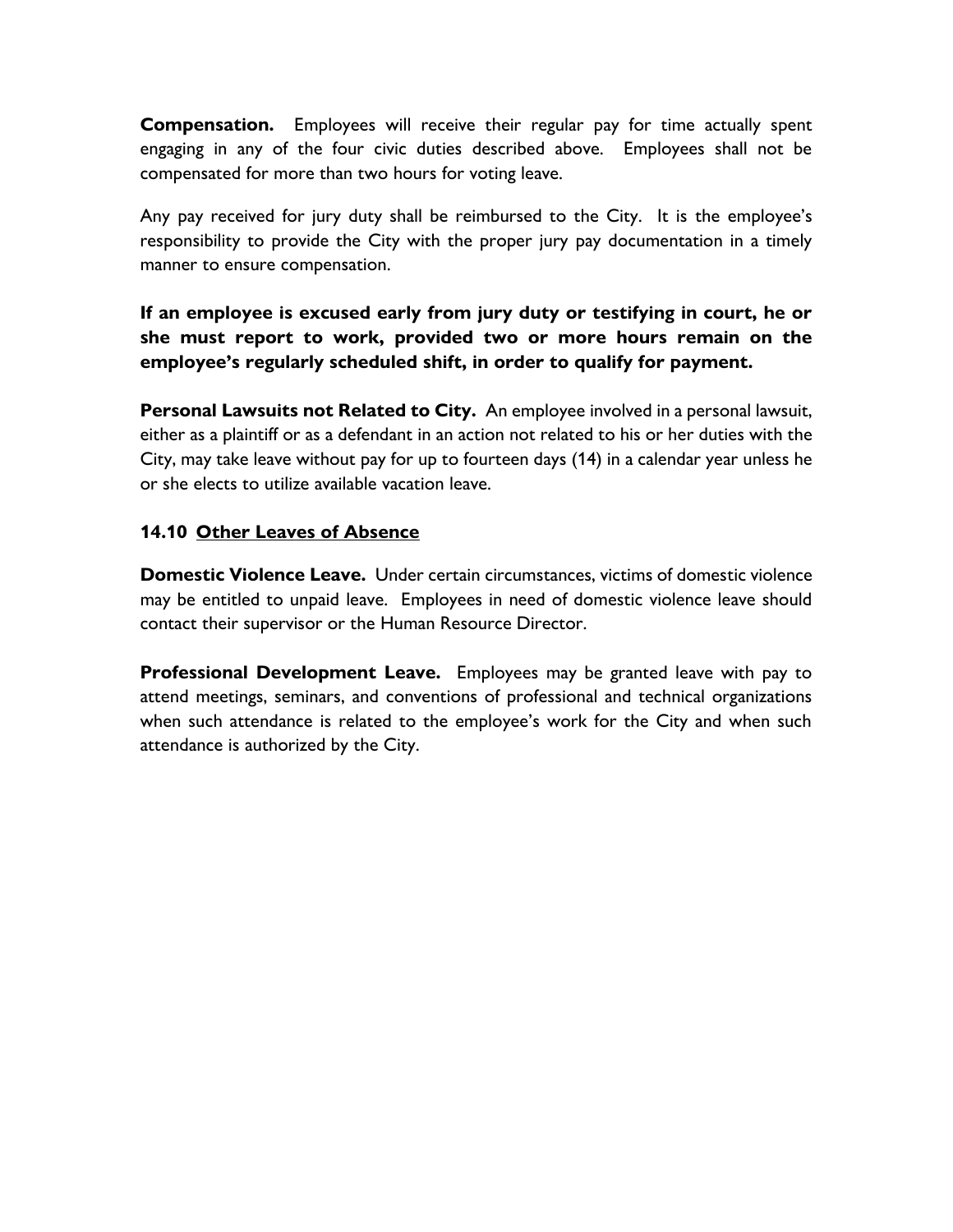**Compensation.** Employees will receive their regular pay for time actually spent engaging in any of the four civic duties described above. Employees shall not be compensated for more than two hours for voting leave.

Any pay received for jury duty shall be reimbursed to the City. It is the employee's responsibility to provide the City with the proper jury pay documentation in a timely manner to ensure compensation.

# **If an employee is excused early from jury duty or testifying in court, he or she must report to work, provided two or more hours remain on the employee's regularly scheduled shift, in order to qualify for payment.**

**Personal Lawsuits not Related to City.** An employee involved in a personal lawsuit, either as a plaintiff or as a defendant in an action not related to his or her duties with the City, may take leave without pay for up to fourteen days (14) in a calendar year unless he or she elects to utilize available vacation leave.

#### **14.10 Other Leaves of Absence**

**Domestic Violence Leave.** Under certain circumstances, victims of domestic violence may be entitled to unpaid leave. Employees in need of domestic violence leave should contact their supervisor or the Human Resource Director.

**Professional Development Leave.** Employees may be granted leave with pay to attend meetings, seminars, and conventions of professional and technical organizations when such attendance is related to the employee's work for the City and when such attendance is authorized by the City.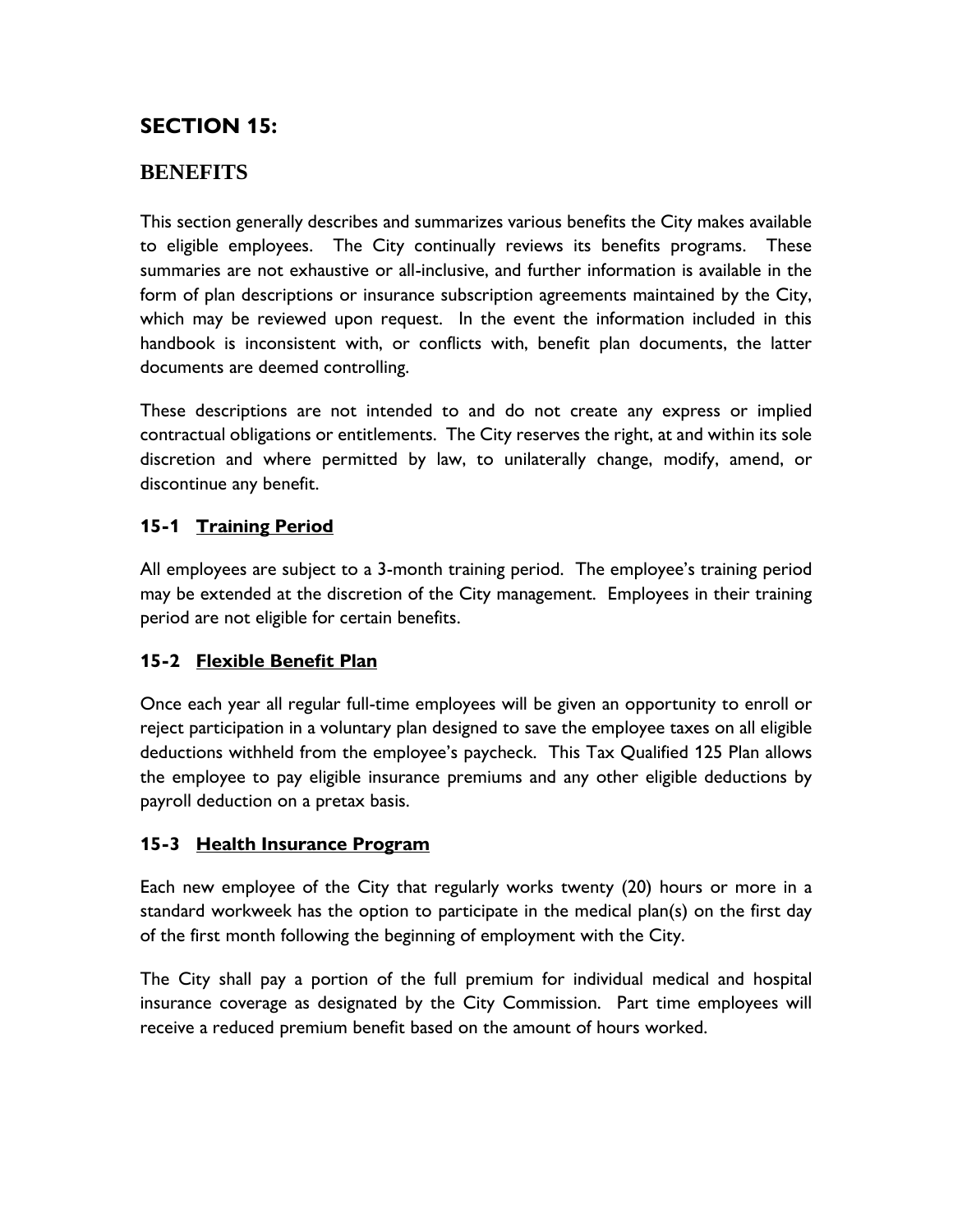# **SECTION 15:**

# **BENEFITS**

This section generally describes and summarizes various benefits the City makes available to eligible employees. The City continually reviews its benefits programs. These summaries are not exhaustive or all-inclusive, and further information is available in the form of plan descriptions or insurance subscription agreements maintained by the City, which may be reviewed upon request. In the event the information included in this handbook is inconsistent with, or conflicts with, benefit plan documents, the latter documents are deemed controlling.

These descriptions are not intended to and do not create any express or implied contractual obligations or entitlements. The City reserves the right, at and within its sole discretion and where permitted by law, to unilaterally change, modify, amend, or discontinue any benefit.

# **15-1 Training Period**

All employees are subject to a 3-month training period. The employee's training period may be extended at the discretion of the City management. Employees in their training period are not eligible for certain benefits.

## **15-2 Flexible Benefit Plan**

Once each year all regular full-time employees will be given an opportunity to enroll or reject participation in a voluntary plan designed to save the employee taxes on all eligible deductions withheld from the employee's paycheck. This Tax Qualified 125 Plan allows the employee to pay eligible insurance premiums and any other eligible deductions by payroll deduction on a pretax basis.

## **15-3 Health Insurance Program**

Each new employee of the City that regularly works twenty (20) hours or more in a standard workweek has the option to participate in the medical plan(s) on the first day of the first month following the beginning of employment with the City.

The City shall pay a portion of the full premium for individual medical and hospital insurance coverage as designated by the City Commission. Part time employees will receive a reduced premium benefit based on the amount of hours worked.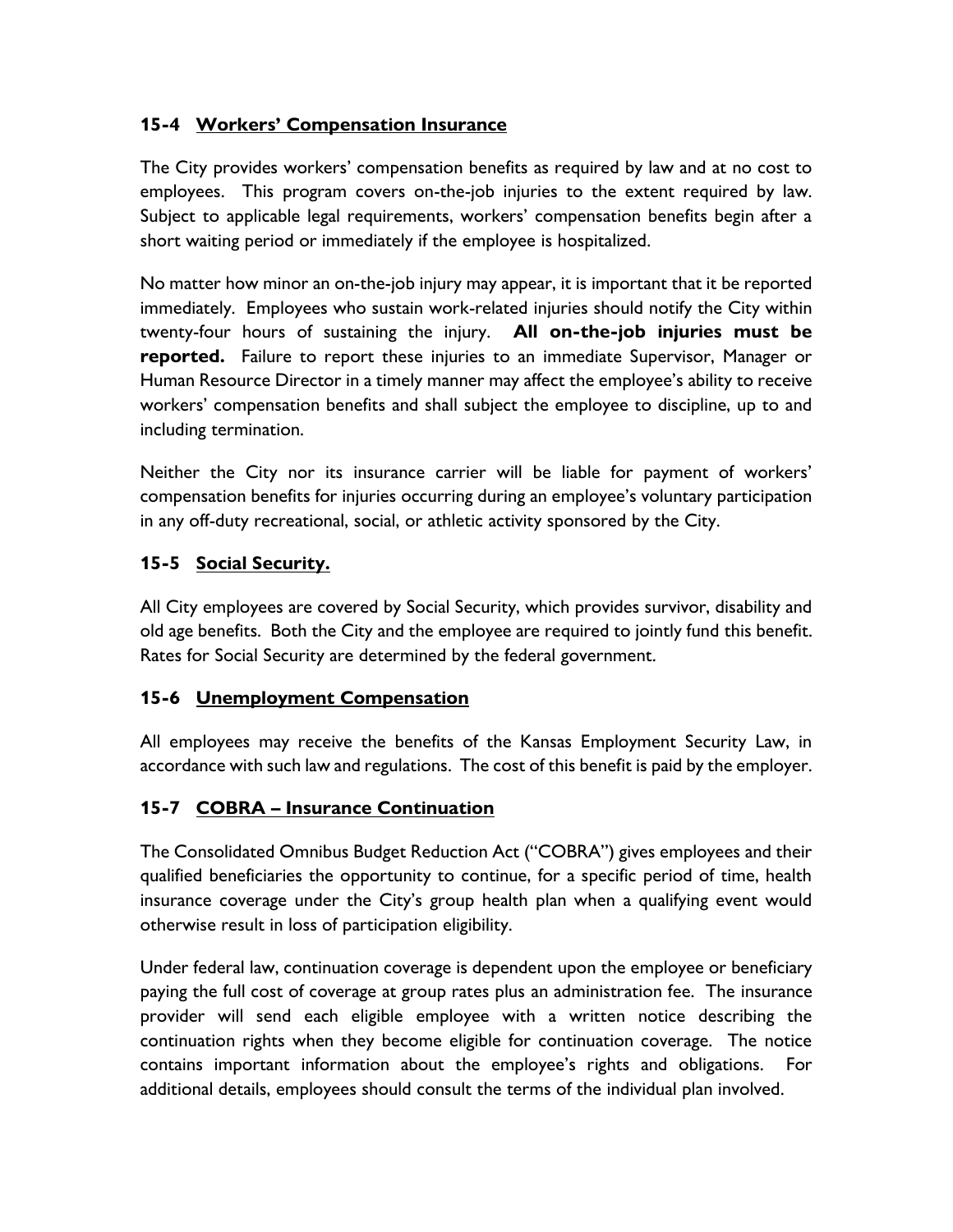## **15-4 Workers' Compensation Insurance**

The City provides workers' compensation benefits as required by law and at no cost to employees. This program covers on-the-job injuries to the extent required by law. Subject to applicable legal requirements, workers' compensation benefits begin after a short waiting period or immediately if the employee is hospitalized.

No matter how minor an on-the-job injury may appear, it is important that it be reported immediately. Employees who sustain work-related injuries should notify the City within twenty-four hours of sustaining the injury. **All on-the-job injuries must be reported.** Failure to report these injuries to an immediate Supervisor, Manager or Human Resource Director in a timely manner may affect the employee's ability to receive workers' compensation benefits and shall subject the employee to discipline, up to and including termination.

Neither the City nor its insurance carrier will be liable for payment of workers' compensation benefits for injuries occurring during an employee's voluntary participation in any off-duty recreational, social, or athletic activity sponsored by the City.

## **15-5 Social Security.**

All City employees are covered by Social Security, which provides survivor, disability and old age benefits. Both the City and the employee are required to jointly fund this benefit. Rates for Social Security are determined by the federal government.

## **15-6 Unemployment Compensation**

All employees may receive the benefits of the Kansas Employment Security Law, in accordance with such law and regulations. The cost of this benefit is paid by the employer.

## **15-7 COBRA – Insurance Continuation**

The Consolidated Omnibus Budget Reduction Act ("COBRA") gives employees and their qualified beneficiaries the opportunity to continue, for a specific period of time, health insurance coverage under the City's group health plan when a qualifying event would otherwise result in loss of participation eligibility.

Under federal law, continuation coverage is dependent upon the employee or beneficiary paying the full cost of coverage at group rates plus an administration fee. The insurance provider will send each eligible employee with a written notice describing the continuation rights when they become eligible for continuation coverage. The notice contains important information about the employee's rights and obligations. For additional details, employees should consult the terms of the individual plan involved.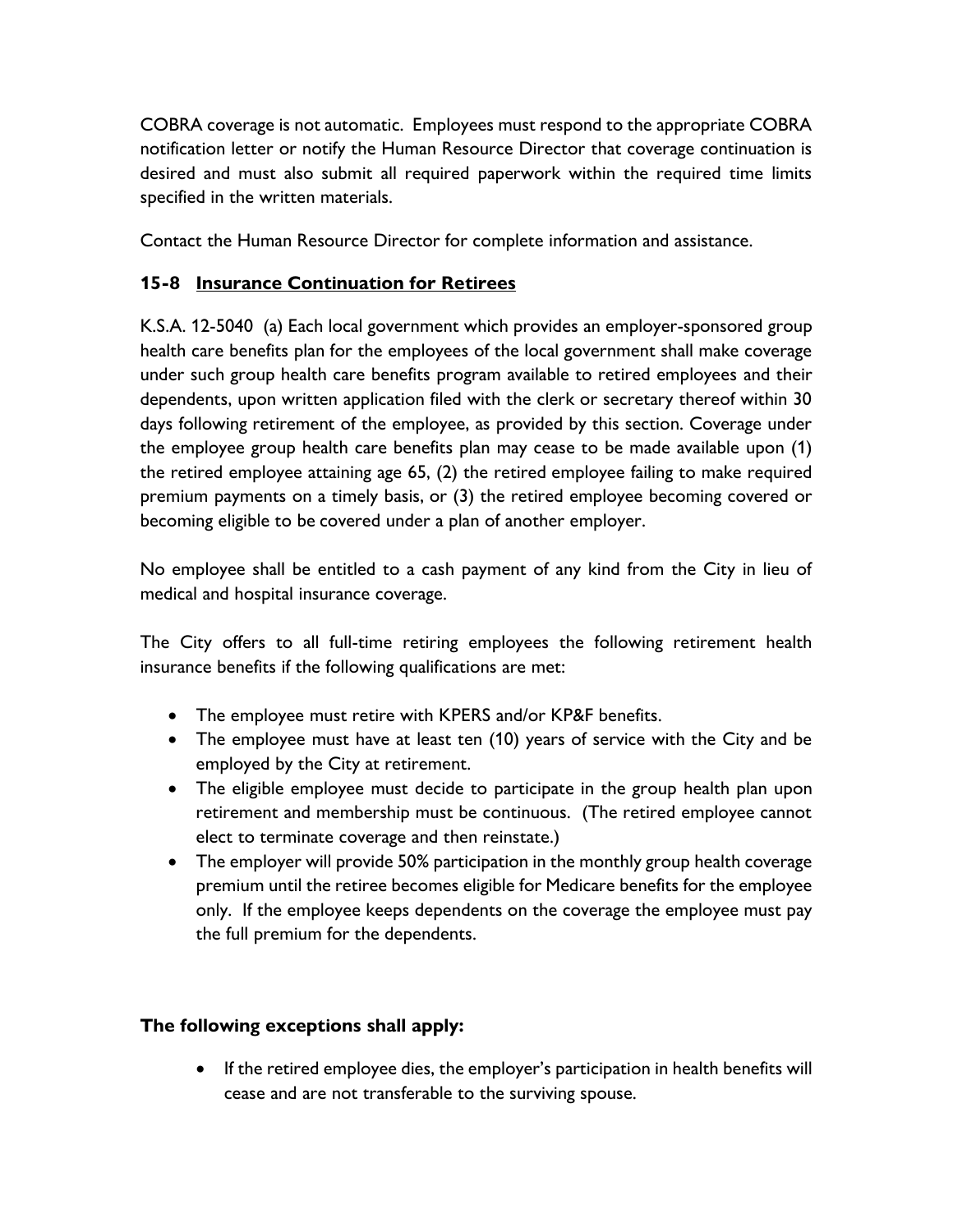COBRA coverage is not automatic. Employees must respond to the appropriate COBRA notification letter or notify the Human Resource Director that coverage continuation is desired and must also submit all required paperwork within the required time limits specified in the written materials.

Contact the Human Resource Director for complete information and assistance.

## **15-8 Insurance Continuation for Retirees**

K.S.A. 12-5040 (a) Each local government which provides an employer-sponsored group health care benefits plan for the employees of the local government shall make coverage under such group health care benefits program available to retired employees and their dependents, upon written application filed with the clerk or secretary thereof within 30 days following retirement of the employee, as provided by this section. Coverage under the employee group health care benefits plan may cease to be made available upon (1) the retired employee attaining age 65, (2) the retired employee failing to make required premium payments on a timely basis, or (3) the retired employee becoming covered or becoming eligible to be covered under a plan of another employer.

No employee shall be entitled to a cash payment of any kind from the City in lieu of medical and hospital insurance coverage.

The City offers to all full-time retiring employees the following retirement health insurance benefits if the following qualifications are met:

- The employee must retire with KPERS and/or KP&F benefits.
- The employee must have at least ten (10) years of service with the City and be employed by the City at retirement.
- The eligible employee must decide to participate in the group health plan upon retirement and membership must be continuous. (The retired employee cannot elect to terminate coverage and then reinstate.)
- The employer will provide 50% participation in the monthly group health coverage premium until the retiree becomes eligible for Medicare benefits for the employee only. If the employee keeps dependents on the coverage the employee must pay the full premium for the dependents.

# **The following exceptions shall apply:**

• If the retired employee dies, the employer's participation in health benefits will cease and are not transferable to the surviving spouse.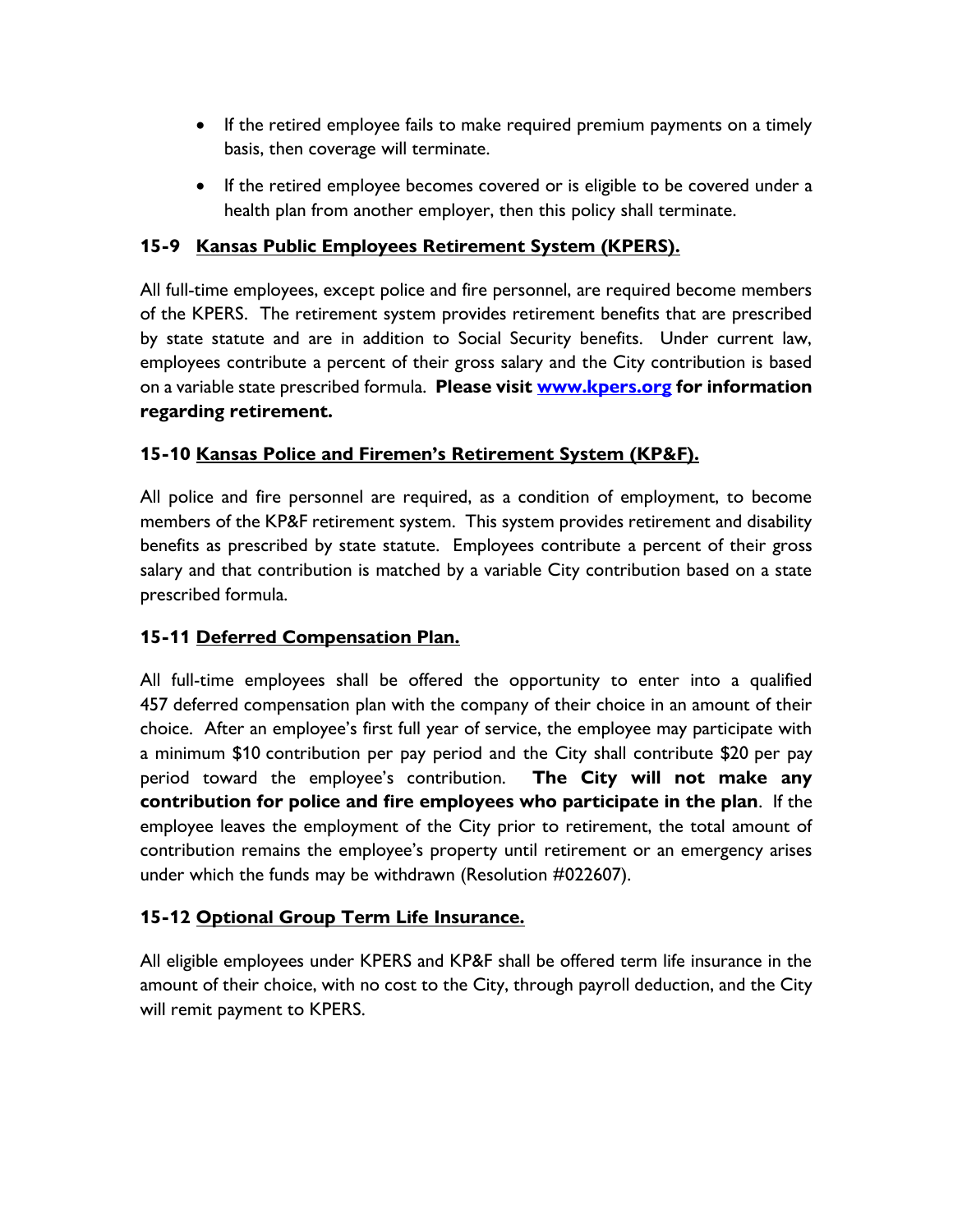- If the retired employee fails to make required premium payments on a timely basis, then coverage will terminate.
- If the retired employee becomes covered or is eligible to be covered under a health plan from another employer, then this policy shall terminate.

# **15-9 Kansas Public Employees Retirement System (KPERS).**

All full-time employees, except police and fire personnel, are required become members of the KPERS. The retirement system provides retirement benefits that are prescribed by state statute and are in addition to Social Security benefits. Under current law, employees contribute a percent of their gross salary and the City contribution is based on a variable state prescribed formula. **Please visit [www.kpers.org](http://www.kpers.org/) for information regarding retirement.**

## **15-10 Kansas Police and Firemen's Retirement System (KP&F).**

All police and fire personnel are required, as a condition of employment, to become members of the KP&F retirement system. This system provides retirement and disability benefits as prescribed by state statute. Employees contribute a percent of their gross salary and that contribution is matched by a variable City contribution based on a state prescribed formula.

## **15-11 Deferred Compensation Plan.**

All full-time employees shall be offered the opportunity to enter into a qualified 457 deferred compensation plan with the company of their choice in an amount of their choice. After an employee's first full year of service, the employee may participate with a minimum \$10 contribution per pay period and the City shall contribute \$20 per pay period toward the employee's contribution. **The City will not make any contribution for police and fire employees who participate in the plan**. If the employee leaves the employment of the City prior to retirement, the total amount of contribution remains the employee's property until retirement or an emergency arises under which the funds may be withdrawn (Resolution #022607).

## **15-12 Optional Group Term Life Insurance.**

All eligible employees under KPERS and KP&F shall be offered term life insurance in the amount of their choice, with no cost to the City, through payroll deduction, and the City will remit payment to KPERS.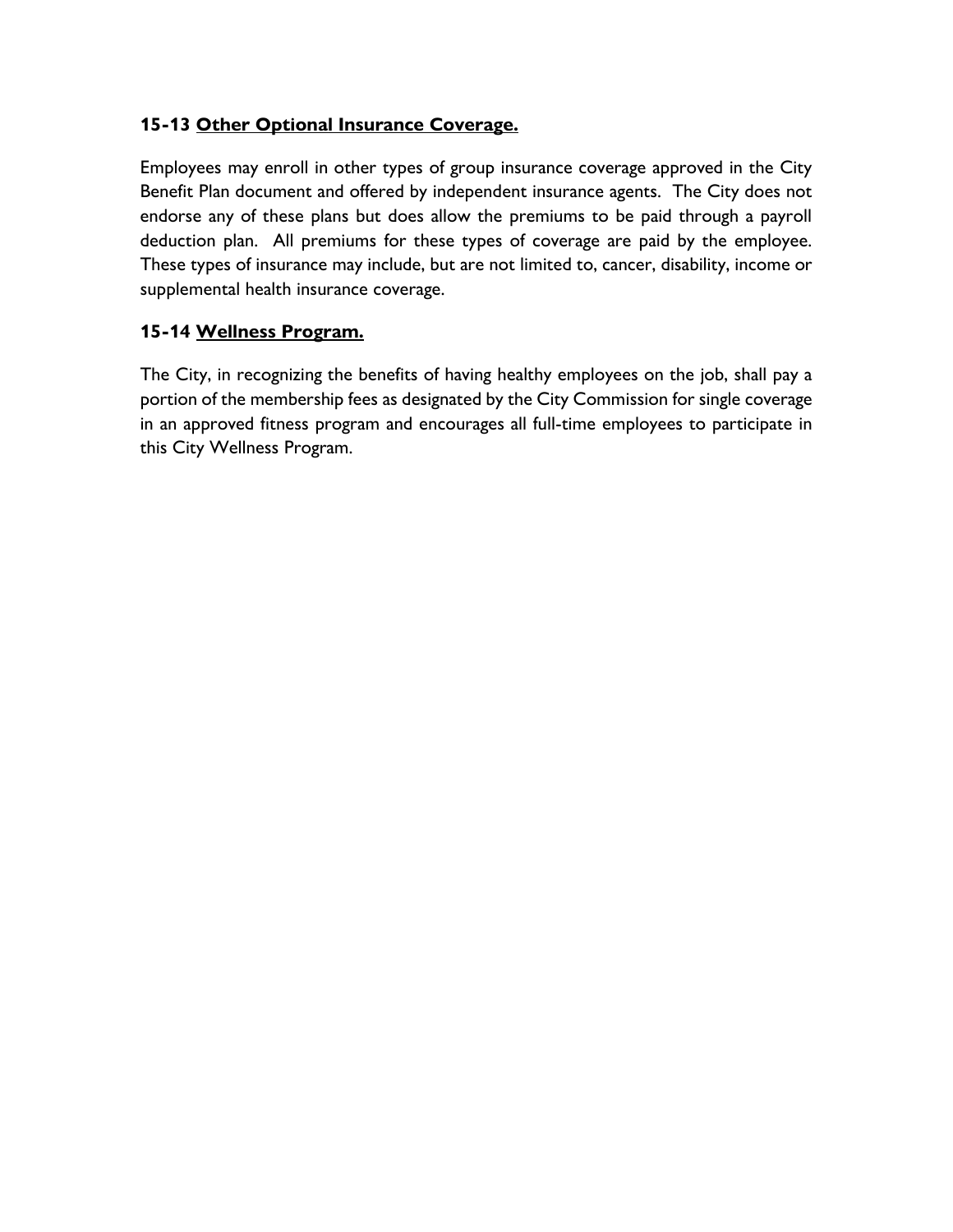## **15-13 Other Optional Insurance Coverage.**

Employees may enroll in other types of group insurance coverage approved in the City Benefit Plan document and offered by independent insurance agents. The City does not endorse any of these plans but does allow the premiums to be paid through a payroll deduction plan. All premiums for these types of coverage are paid by the employee. These types of insurance may include, but are not limited to, cancer, disability, income or supplemental health insurance coverage.

## **15-14 Wellness Program.**

The City, in recognizing the benefits of having healthy employees on the job, shall pay a portion of the membership fees as designated by the City Commission for single coverage in an approved fitness program and encourages all full-time employees to participate in this City Wellness Program.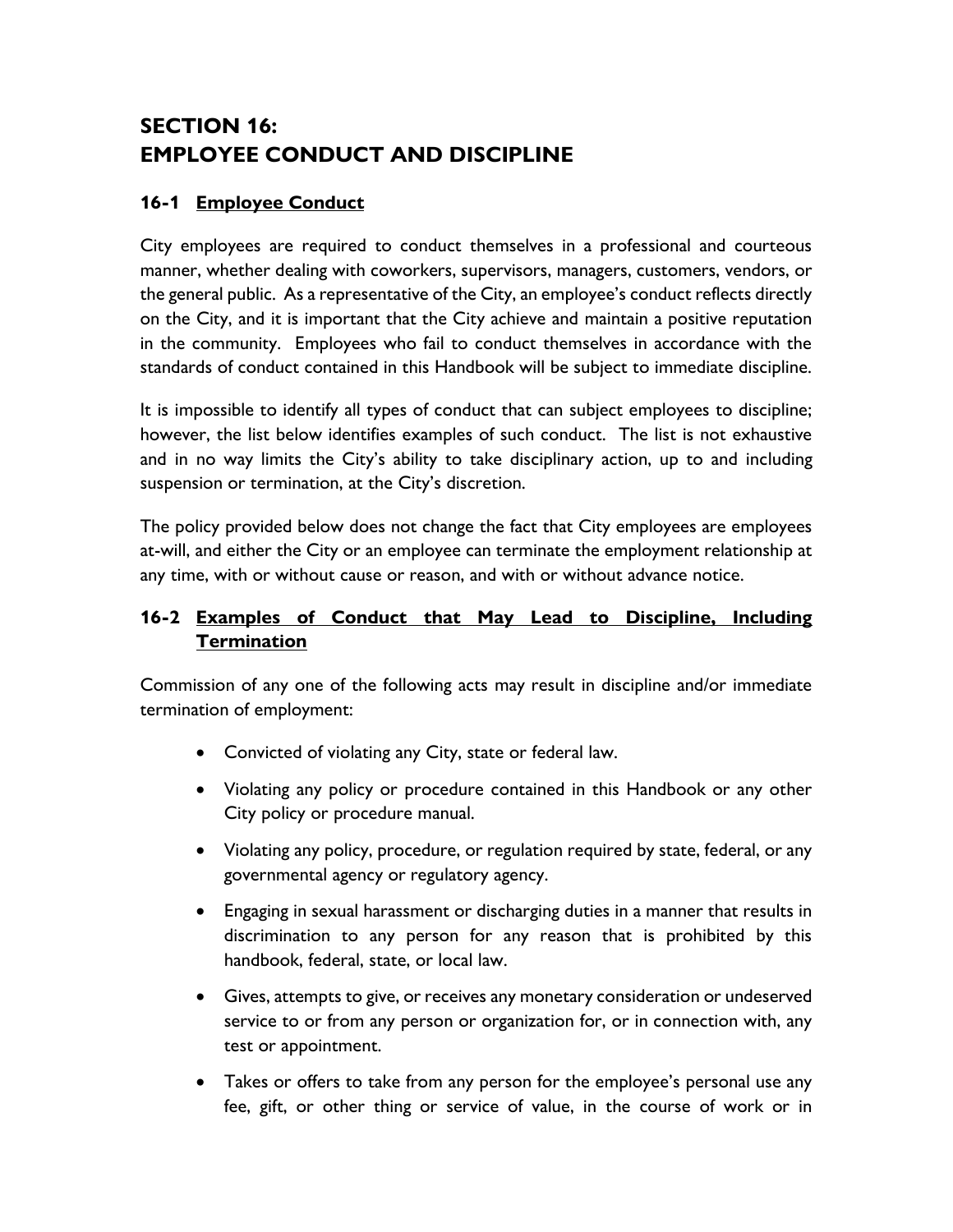# **SECTION 16: EMPLOYEE CONDUCT AND DISCIPLINE**

## **16-1 Employee Conduct**

City employees are required to conduct themselves in a professional and courteous manner, whether dealing with coworkers, supervisors, managers, customers, vendors, or the general public. As a representative of the City, an employee's conduct reflects directly on the City, and it is important that the City achieve and maintain a positive reputation in the community. Employees who fail to conduct themselves in accordance with the standards of conduct contained in this Handbook will be subject to immediate discipline.

It is impossible to identify all types of conduct that can subject employees to discipline; however, the list below identifies examples of such conduct. The list is not exhaustive and in no way limits the City's ability to take disciplinary action, up to and including suspension or termination, at the City's discretion.

The policy provided below does not change the fact that City employees are employees at-will, and either the City or an employee can terminate the employment relationship at any time, with or without cause or reason, and with or without advance notice.

## **16-2 Examples of Conduct that May Lead to Discipline, Including Termination**

Commission of any one of the following acts may result in discipline and/or immediate termination of employment:

- Convicted of violating any City, state or federal law.
- Violating any policy or procedure contained in this Handbook or any other City policy or procedure manual.
- Violating any policy, procedure, or regulation required by state, federal, or any governmental agency or regulatory agency.
- Engaging in sexual harassment or discharging duties in a manner that results in discrimination to any person for any reason that is prohibited by this handbook, federal, state, or local law.
- Gives, attempts to give, or receives any monetary consideration or undeserved service to or from any person or organization for, or in connection with, any test or appointment.
- Takes or offers to take from any person for the employee's personal use any fee, gift, or other thing or service of value, in the course of work or in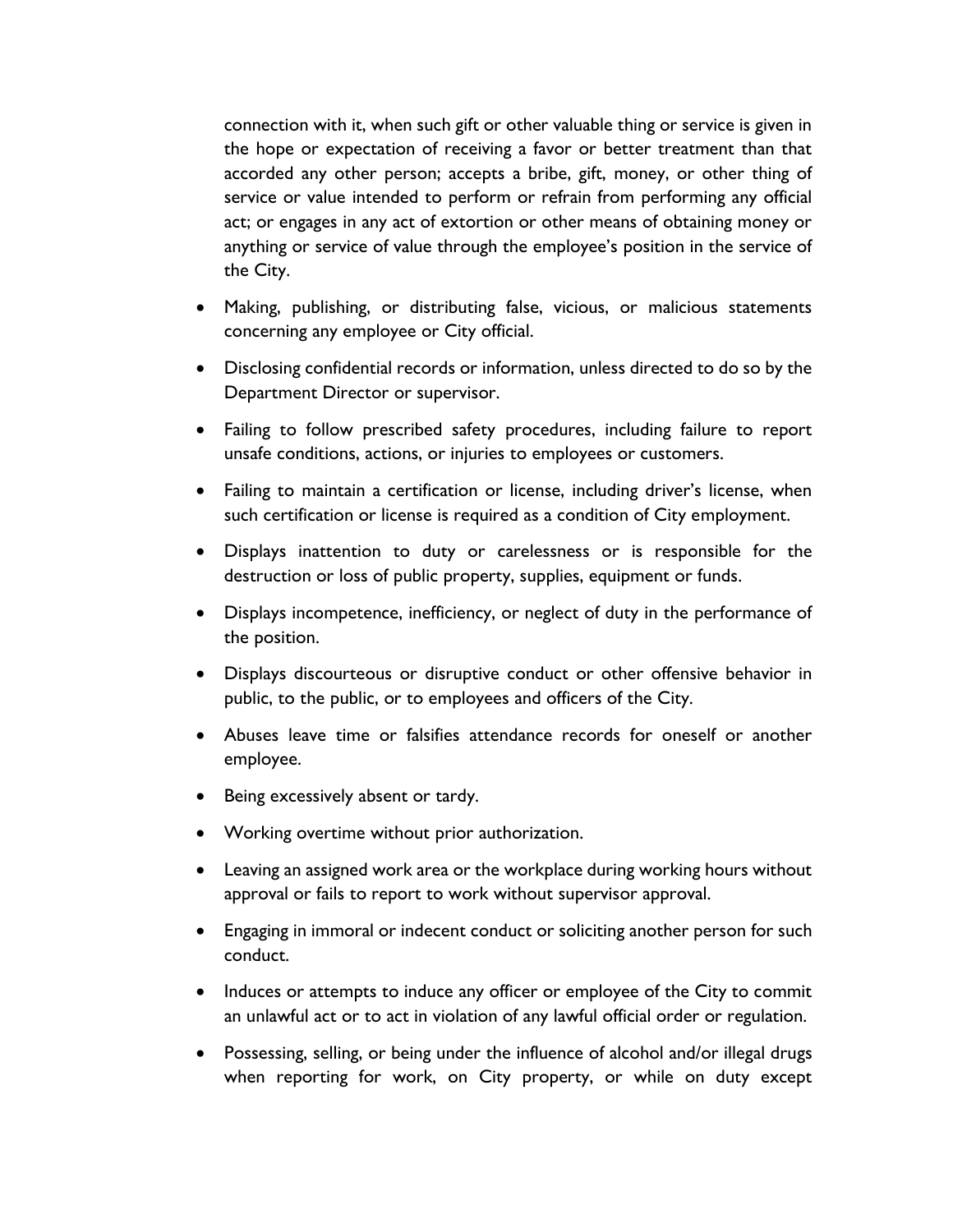connection with it, when such gift or other valuable thing or service is given in the hope or expectation of receiving a favor or better treatment than that accorded any other person; accepts a bribe, gift, money, or other thing of service or value intended to perform or refrain from performing any official act; or engages in any act of extortion or other means of obtaining money or anything or service of value through the employee's position in the service of the City.

- Making, publishing, or distributing false, vicious, or malicious statements concerning any employee or City official.
- Disclosing confidential records or information, unless directed to do so by the Department Director or supervisor.
- Failing to follow prescribed safety procedures, including failure to report unsafe conditions, actions, or injuries to employees or customers.
- Failing to maintain a certification or license, including driver's license, when such certification or license is required as a condition of City employment.
- Displays inattention to duty or carelessness or is responsible for the destruction or loss of public property, supplies, equipment or funds.
- Displays incompetence, inefficiency, or neglect of duty in the performance of the position.
- Displays discourteous or disruptive conduct or other offensive behavior in public, to the public, or to employees and officers of the City.
- Abuses leave time or falsifies attendance records for oneself or another employee.
- Being excessively absent or tardy.
- Working overtime without prior authorization.
- Leaving an assigned work area or the workplace during working hours without approval or fails to report to work without supervisor approval.
- Engaging in immoral or indecent conduct or soliciting another person for such conduct.
- Induces or attempts to induce any officer or employee of the City to commit an unlawful act or to act in violation of any lawful official order or regulation.
- Possessing, selling, or being under the influence of alcohol and/or illegal drugs when reporting for work, on City property, or while on duty except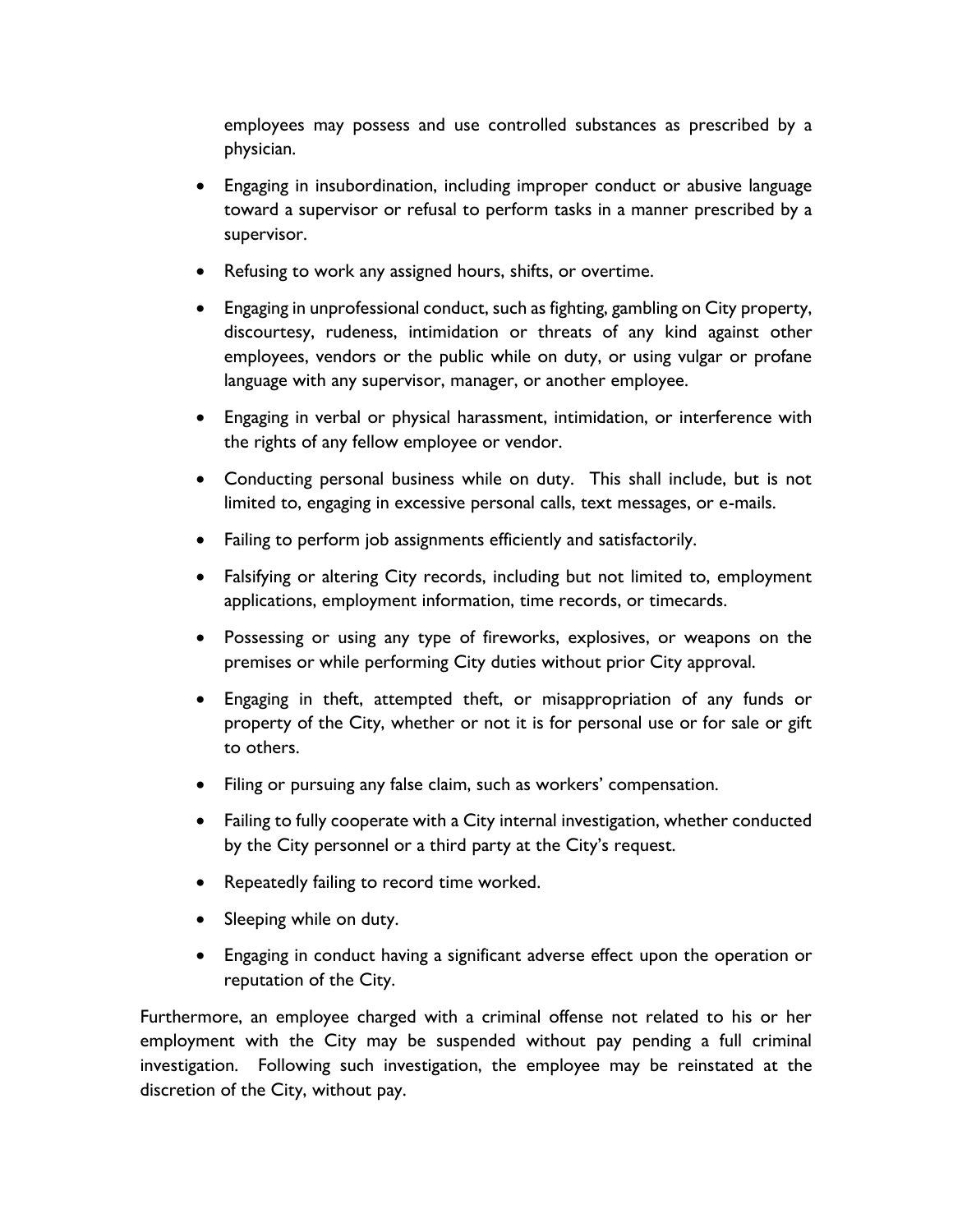employees may possess and use controlled substances as prescribed by a physician.

- Engaging in insubordination, including improper conduct or abusive language toward a supervisor or refusal to perform tasks in a manner prescribed by a supervisor.
- Refusing to work any assigned hours, shifts, or overtime.
- Engaging in unprofessional conduct, such as fighting, gambling on City property, discourtesy, rudeness, intimidation or threats of any kind against other employees, vendors or the public while on duty, or using vulgar or profane language with any supervisor, manager, or another employee.
- Engaging in verbal or physical harassment, intimidation, or interference with the rights of any fellow employee or vendor.
- Conducting personal business while on duty. This shall include, but is not limited to, engaging in excessive personal calls, text messages, or e-mails.
- Failing to perform job assignments efficiently and satisfactorily.
- Falsifying or altering City records, including but not limited to, employment applications, employment information, time records, or timecards.
- Possessing or using any type of fireworks, explosives, or weapons on the premises or while performing City duties without prior City approval.
- Engaging in theft, attempted theft, or misappropriation of any funds or property of the City, whether or not it is for personal use or for sale or gift to others.
- Filing or pursuing any false claim, such as workers' compensation.
- Failing to fully cooperate with a City internal investigation, whether conducted by the City personnel or a third party at the City's request.
- Repeatedly failing to record time worked.
- Sleeping while on duty.
- Engaging in conduct having a significant adverse effect upon the operation or reputation of the City.

Furthermore, an employee charged with a criminal offense not related to his or her employment with the City may be suspended without pay pending a full criminal investigation. Following such investigation, the employee may be reinstated at the discretion of the City, without pay.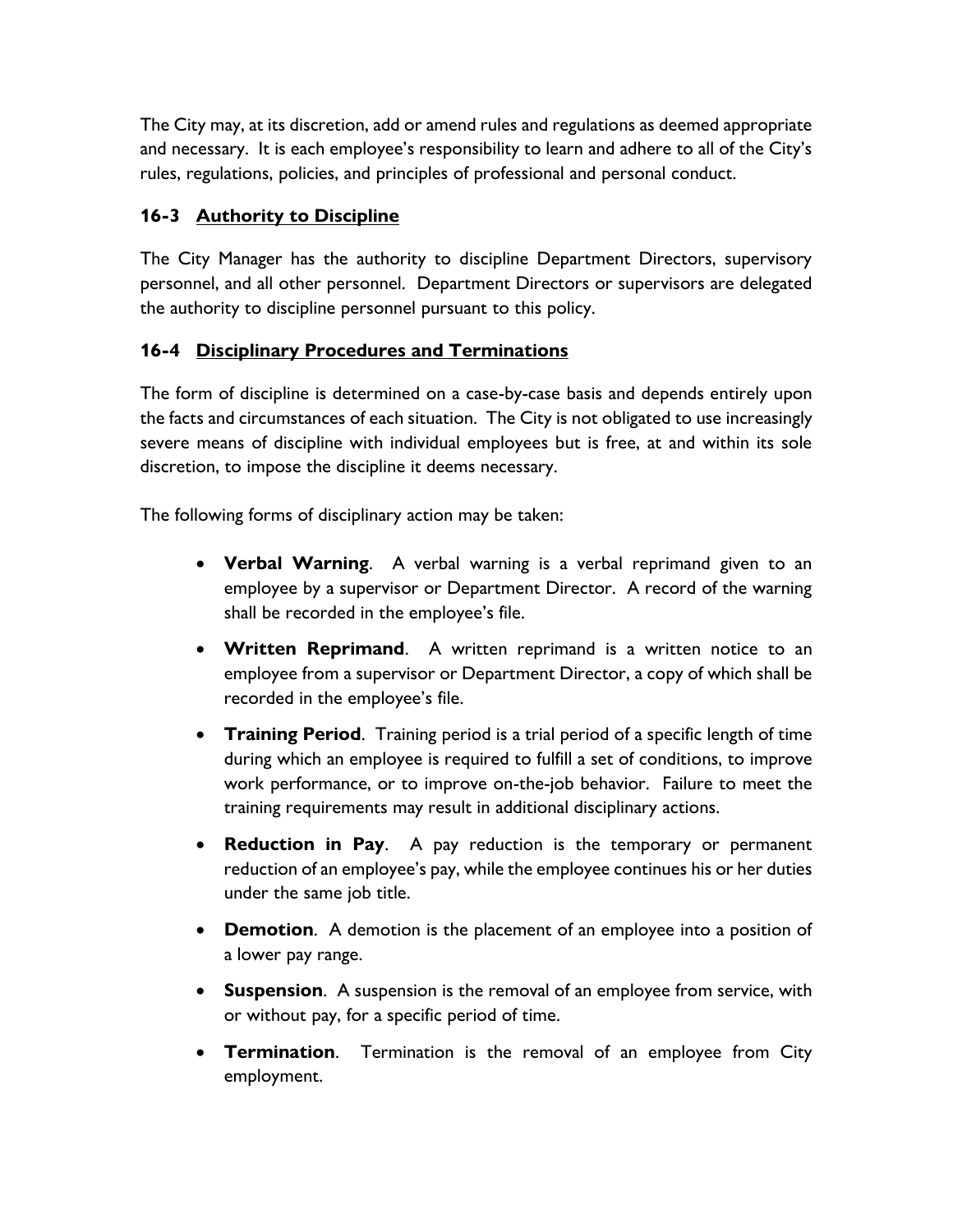The City may, at its discretion, add or amend rules and regulations as deemed appropriate and necessary. It is each employee's responsibility to learn and adhere to all of the City's rules, regulations, policies, and principles of professional and personal conduct.

## **16-3 Authority to Discipline**

The City Manager has the authority to discipline Department Directors, supervisory personnel, and all other personnel. Department Directors or supervisors are delegated the authority to discipline personnel pursuant to this policy.

# **16-4 Disciplinary Procedures and Terminations**

The form of discipline is determined on a case-by-case basis and depends entirely upon the facts and circumstances of each situation. The City is not obligated to use increasingly severe means of discipline with individual employees but is free, at and within its sole discretion, to impose the discipline it deems necessary.

The following forms of disciplinary action may be taken:

- **Verbal Warning**. A verbal warning is a verbal reprimand given to an employee by a supervisor or Department Director. A record of the warning shall be recorded in the employee's file.
- **Written Reprimand**. A written reprimand is a written notice to an employee from a supervisor or Department Director, a copy of which shall be recorded in the employee's file.
- **Training Period**. Training period is a trial period of a specific length of time during which an employee is required to fulfill a set of conditions, to improve work performance, or to improve on-the-job behavior. Failure to meet the training requirements may result in additional disciplinary actions.
- **Reduction in Pay**. A pay reduction is the temporary or permanent reduction of an employee's pay, while the employee continues his or her duties under the same job title.
- **Demotion**. A demotion is the placement of an employee into a position of a lower pay range.
- **Suspension**. A suspension is the removal of an employee from service, with or without pay, for a specific period of time.
- **Termination**. Termination is the removal of an employee from City employment.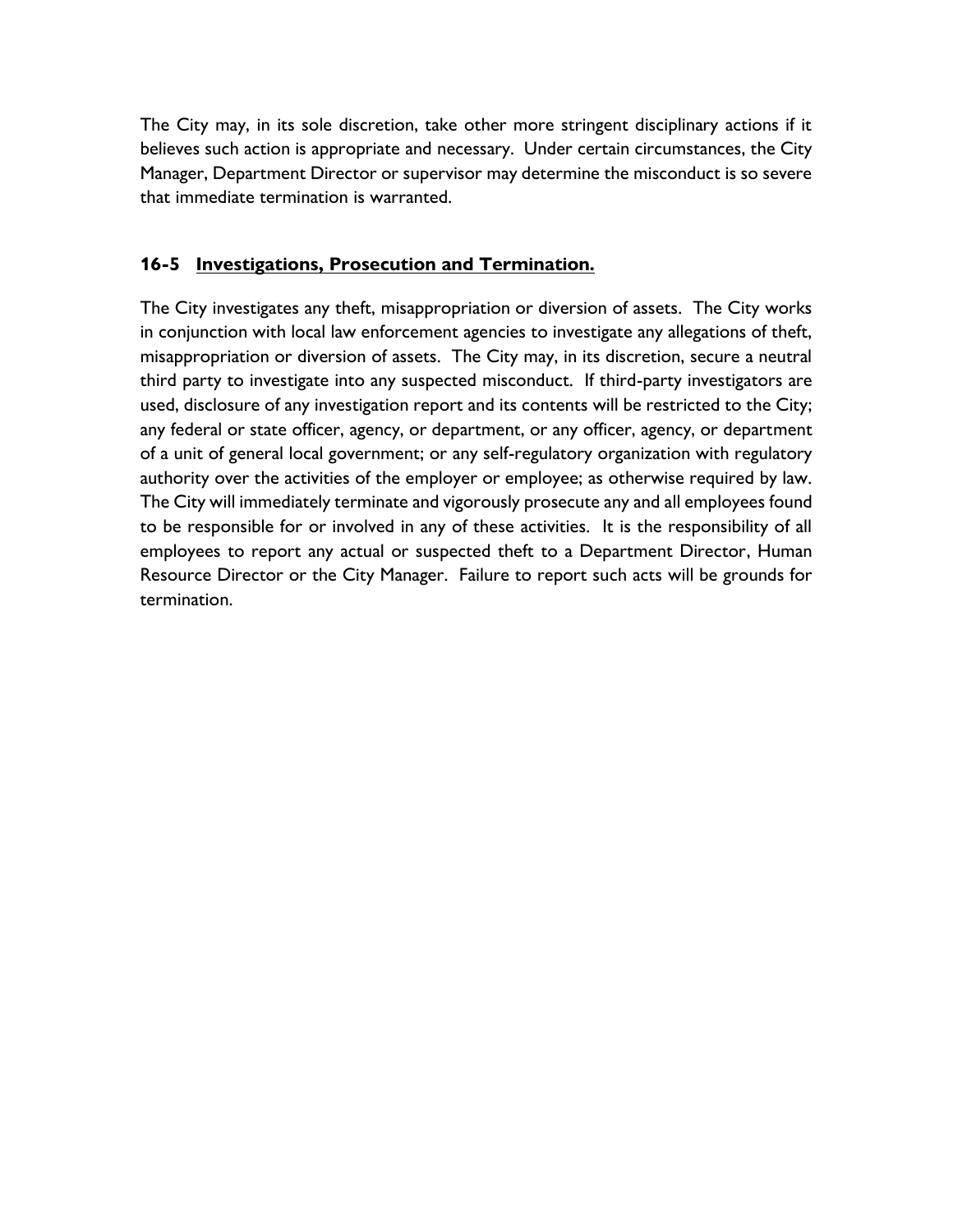The City may, in its sole discretion, take other more stringent disciplinary actions if it believes such action is appropriate and necessary. Under certain circumstances, the City Manager, Department Director or supervisor may determine the misconduct is so severe that immediate termination is warranted.

## **16-5 Investigations, Prosecution and Termination.**

The City investigates any theft, misappropriation or diversion of assets. The City works in conjunction with local law enforcement agencies to investigate any allegations of theft, misappropriation or diversion of assets. The City may, in its discretion, secure a neutral third party to investigate into any suspected misconduct. If third-party investigators are used, disclosure of any investigation report and its contents will be restricted to the City; any federal or state officer, agency, or department, or any officer, agency, or department of a unit of general local government; or any self-regulatory organization with regulatory authority over the activities of the employer or employee; as otherwise required by law. The City will immediately terminate and vigorously prosecute any and all employees found to be responsible for or involved in any of these activities. It is the responsibility of all employees to report any actual or suspected theft to a Department Director, Human Resource Director or the City Manager. Failure to report such acts will be grounds for termination.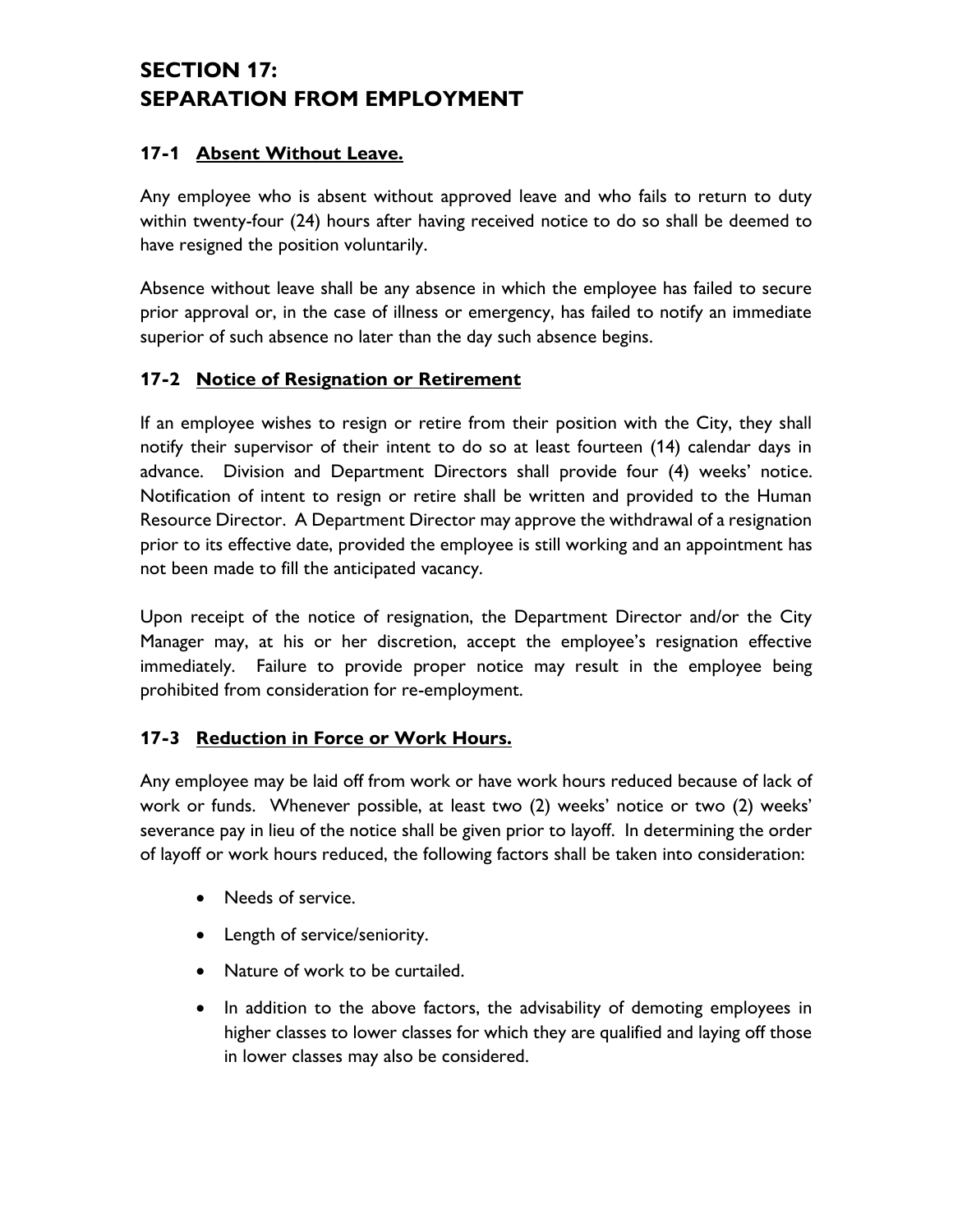# **SECTION 17: SEPARATION FROM EMPLOYMENT**

## **17-1 Absent Without Leave.**

Any employee who is absent without approved leave and who fails to return to duty within twenty-four (24) hours after having received notice to do so shall be deemed to have resigned the position voluntarily.

Absence without leave shall be any absence in which the employee has failed to secure prior approval or, in the case of illness or emergency, has failed to notify an immediate superior of such absence no later than the day such absence begins.

## **17-2 Notice of Resignation or Retirement**

If an employee wishes to resign or retire from their position with the City, they shall notify their supervisor of their intent to do so at least fourteen (14) calendar days in advance. Division and Department Directors shall provide four (4) weeks' notice. Notification of intent to resign or retire shall be written and provided to the Human Resource Director. A Department Director may approve the withdrawal of a resignation prior to its effective date, provided the employee is still working and an appointment has not been made to fill the anticipated vacancy.

Upon receipt of the notice of resignation, the Department Director and/or the City Manager may, at his or her discretion, accept the employee's resignation effective immediately. Failure to provide proper notice may result in the employee being prohibited from consideration for re-employment.

## **17-3 Reduction in Force or Work Hours.**

Any employee may be laid off from work or have work hours reduced because of lack of work or funds. Whenever possible, at least two (2) weeks' notice or two (2) weeks' severance pay in lieu of the notice shall be given prior to layoff. In determining the order of layoff or work hours reduced, the following factors shall be taken into consideration:

- Needs of service.
- Length of service/seniority.
- Nature of work to be curtailed.
- In addition to the above factors, the advisability of demoting employees in higher classes to lower classes for which they are qualified and laying off those in lower classes may also be considered.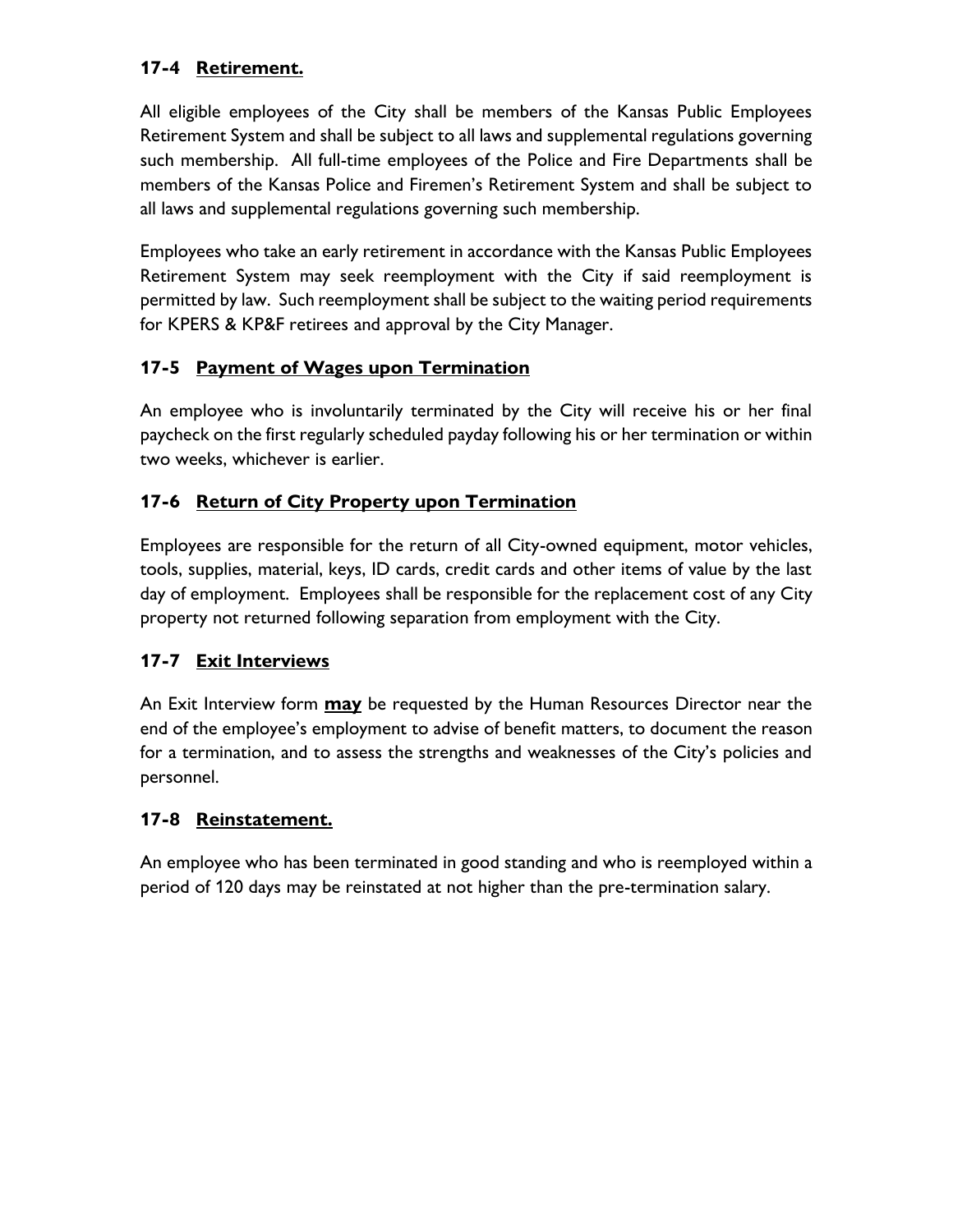# **17-4 Retirement.**

All eligible employees of the City shall be members of the Kansas Public Employees Retirement System and shall be subject to all laws and supplemental regulations governing such membership. All full-time employees of the Police and Fire Departments shall be members of the Kansas Police and Firemen's Retirement System and shall be subject to all laws and supplemental regulations governing such membership.

Employees who take an early retirement in accordance with the Kansas Public Employees Retirement System may seek reemployment with the City if said reemployment is permitted by law. Such reemployment shall be subject to the waiting period requirements for KPERS & KP&F retirees and approval by the City Manager.

# **17-5 Payment of Wages upon Termination**

An employee who is involuntarily terminated by the City will receive his or her final paycheck on the first regularly scheduled payday following his or her termination or within two weeks, whichever is earlier.

# **17-6 Return of City Property upon Termination**

Employees are responsible for the return of all City-owned equipment, motor vehicles, tools, supplies, material, keys, ID cards, credit cards and other items of value by the last day of employment. Employees shall be responsible for the replacement cost of any City property not returned following separation from employment with the City.

## **17-7 Exit Interviews**

An Exit Interview form **may** be requested by the Human Resources Director near the end of the employee's employment to advise of benefit matters, to document the reason for a termination, and to assess the strengths and weaknesses of the City's policies and personnel.

## **17-8 Reinstatement.**

An employee who has been terminated in good standing and who is reemployed within a period of 120 days may be reinstated at not higher than the pre-termination salary.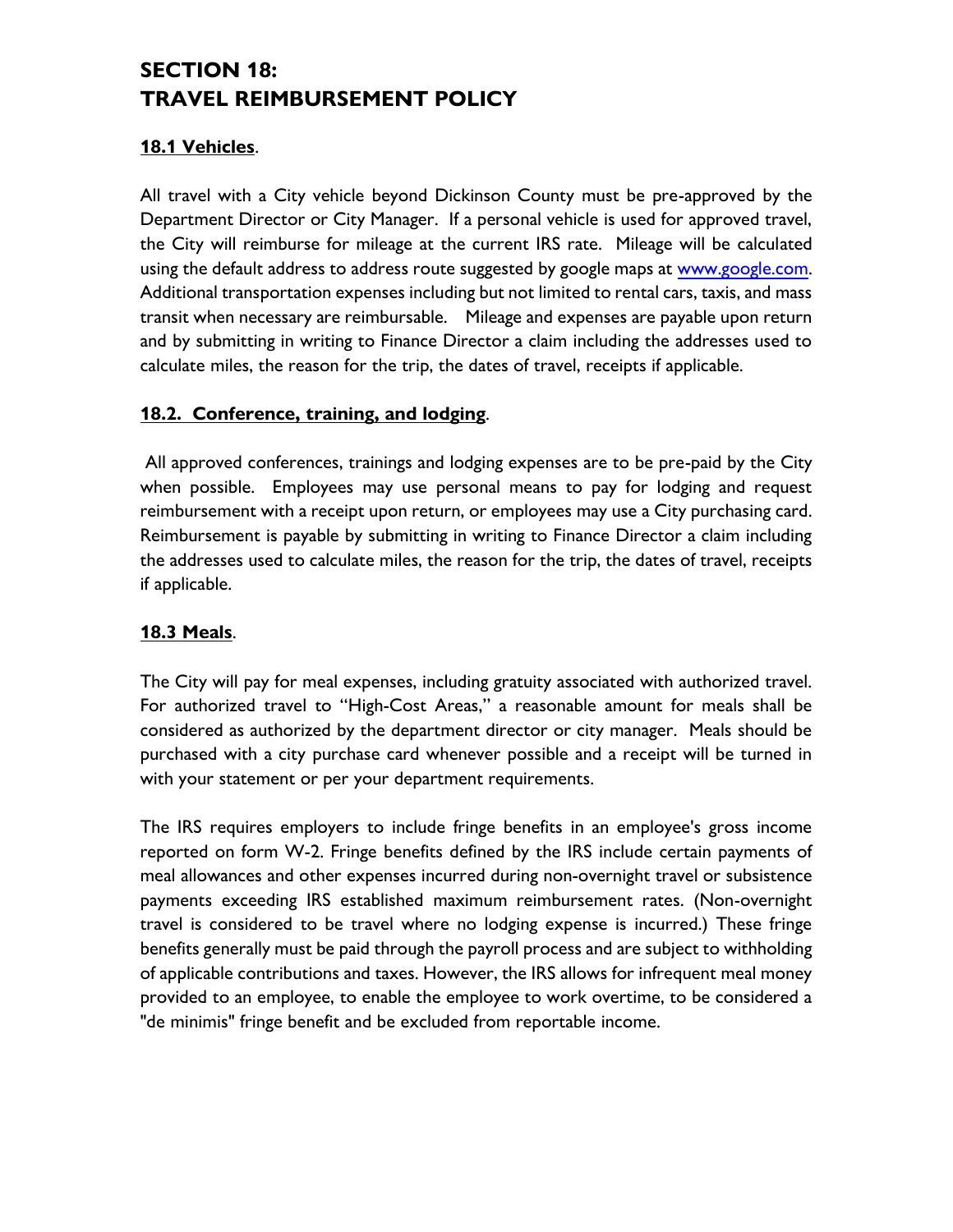# **SECTION 18: TRAVEL REIMBURSEMENT POLICY**

## **18.1 Vehicles**.

All travel with a City vehicle beyond Dickinson County must be pre-approved by the Department Director or City Manager. If a personal vehicle is used for approved travel, the City will reimburse for mileage at the current IRS rate. Mileage will be calculated using the default address to address route suggested by google maps at [www.google.com.](http://www.google.com/) Additional transportation expenses including but not limited to rental cars, taxis, and mass transit when necessary are reimbursable. Mileage and expenses are payable upon return and by submitting in writing to Finance Director a claim including the addresses used to calculate miles, the reason for the trip, the dates of travel, receipts if applicable.

## **18.2. Conference, training, and lodging**.

All approved conferences, trainings and lodging expenses are to be pre-paid by the City when possible. Employees may use personal means to pay for lodging and request reimbursement with a receipt upon return, or employees may use a City purchasing card. Reimbursement is payable by submitting in writing to Finance Director a claim including the addresses used to calculate miles, the reason for the trip, the dates of travel, receipts if applicable.

## **18.3 Meals**.

The City will pay for meal expenses, including gratuity associated with authorized travel. For authorized travel to "High-Cost Areas," a reasonable amount for meals shall be considered as authorized by the department director or city manager. Meals should be purchased with a city purchase card whenever possible and a receipt will be turned in with your statement or per your department requirements.

The IRS requires employers to include fringe benefits in an employee's gross income reported on form W-2. Fringe benefits defined by the IRS include certain payments of meal allowances and other expenses incurred during non-overnight travel or subsistence payments exceeding IRS established maximum reimbursement rates. (Non-overnight travel is considered to be travel where no lodging expense is incurred.) These fringe benefits generally must be paid through the payroll process and are subject to withholding of applicable contributions and taxes. However, the IRS allows for infrequent meal money provided to an employee, to enable the employee to work overtime, to be considered a "de minimis" fringe benefit and be excluded from reportable income.